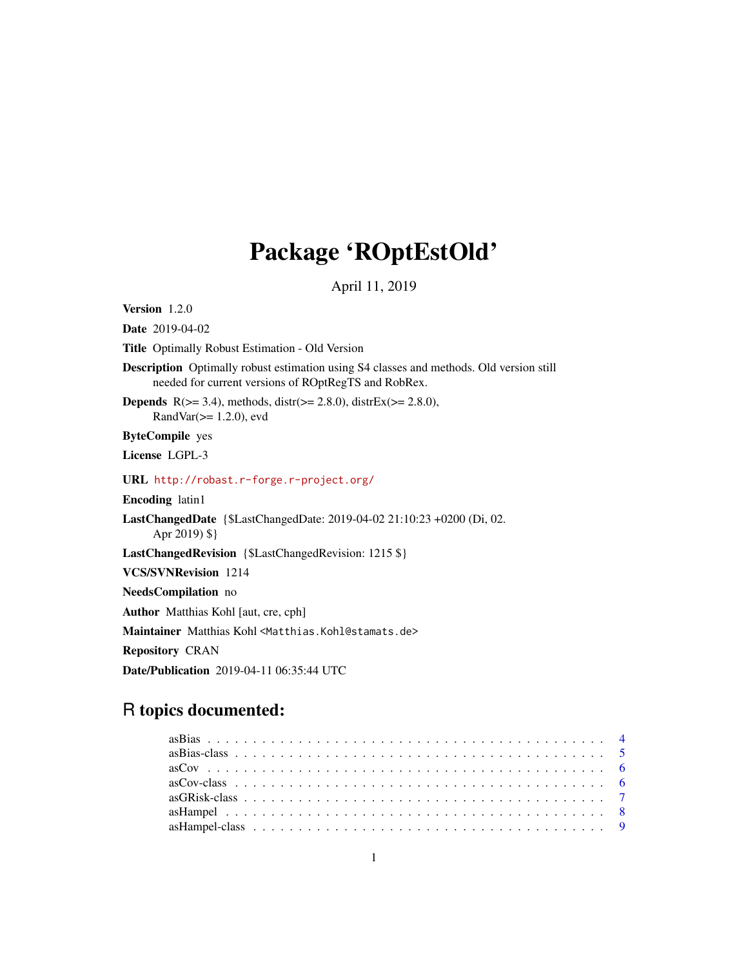# Package 'ROptEstOld'

April 11, 2019

<span id="page-0-0"></span>Version 1.2.0

Date 2019-04-02

Title Optimally Robust Estimation - Old Version

Description Optimally robust estimation using S4 classes and methods. Old version still needed for current versions of ROptRegTS and RobRex.

**Depends** R( $>= 3.4$ ), methods, distr( $>= 2.8.0$ ), distrEx( $>= 2.8.0$ ), RandVar(>= 1.2.0), evd

ByteCompile yes

License LGPL-3

URL <http://robast.r-forge.r-project.org/>

Encoding latin1

LastChangedDate {\$LastChangedDate: 2019-04-02 21:10:23 +0200 (Di, 02. Apr 2019) \$}

LastChangedRevision {\$LastChangedRevision: 1215 \$}

VCS/SVNRevision 1214

NeedsCompilation no

Author Matthias Kohl [aut, cre, cph]

Maintainer Matthias Kohl<Matthias.Kohl@stamats.de>

Repository CRAN

Date/Publication 2019-04-11 06:35:44 UTC

## R topics documented: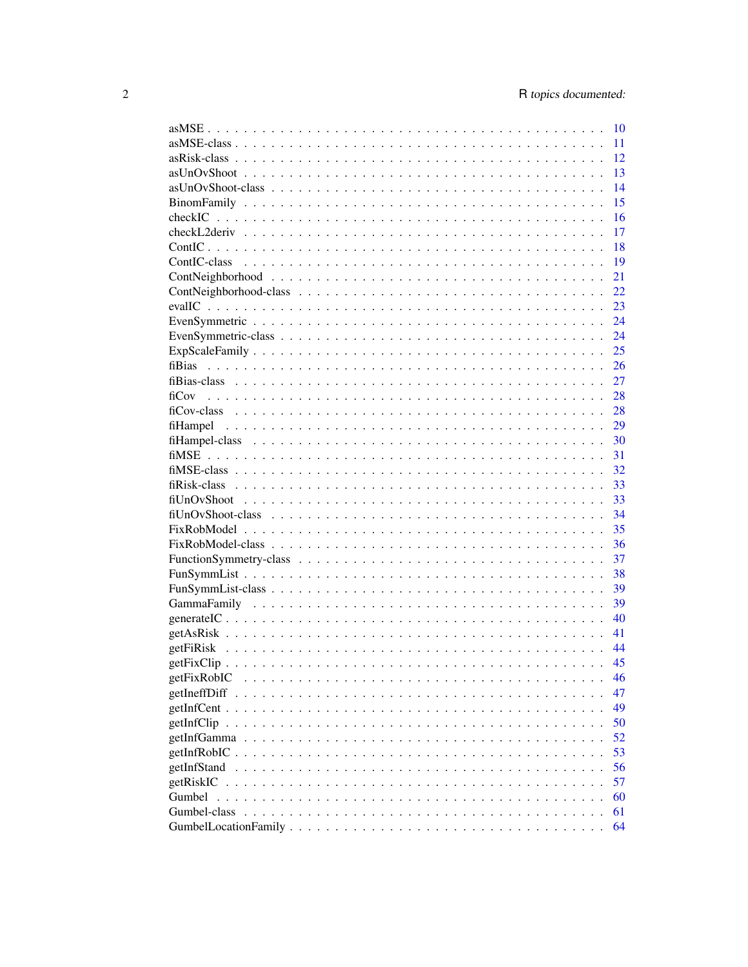|               | 10 |
|---------------|----|
|               | 11 |
|               | 12 |
|               | 13 |
|               | 14 |
|               | 15 |
|               | 16 |
|               | 17 |
|               | 18 |
|               | 19 |
|               | 21 |
|               | 22 |
|               | 23 |
|               | 24 |
|               | 24 |
|               | 25 |
|               | 26 |
|               | 27 |
| fiCov         | 28 |
|               | 28 |
|               | 29 |
|               | 30 |
|               | 31 |
|               | 32 |
|               | 33 |
|               | 33 |
|               | 34 |
|               | 35 |
|               | 36 |
|               | 37 |
|               | 38 |
|               | 39 |
|               | 39 |
|               | 40 |
|               | 41 |
|               | 44 |
|               | 45 |
| getFixRobIC   | 46 |
| getIneffDiff  | 47 |
|               | 49 |
|               | 50 |
|               | 52 |
| $getInfRobIC$ | 53 |
| getInfStand   | 56 |
| getRiskIC     | 57 |
| Gumbel        | 60 |
| Gumbel-class  | 61 |
|               | 64 |
|               |    |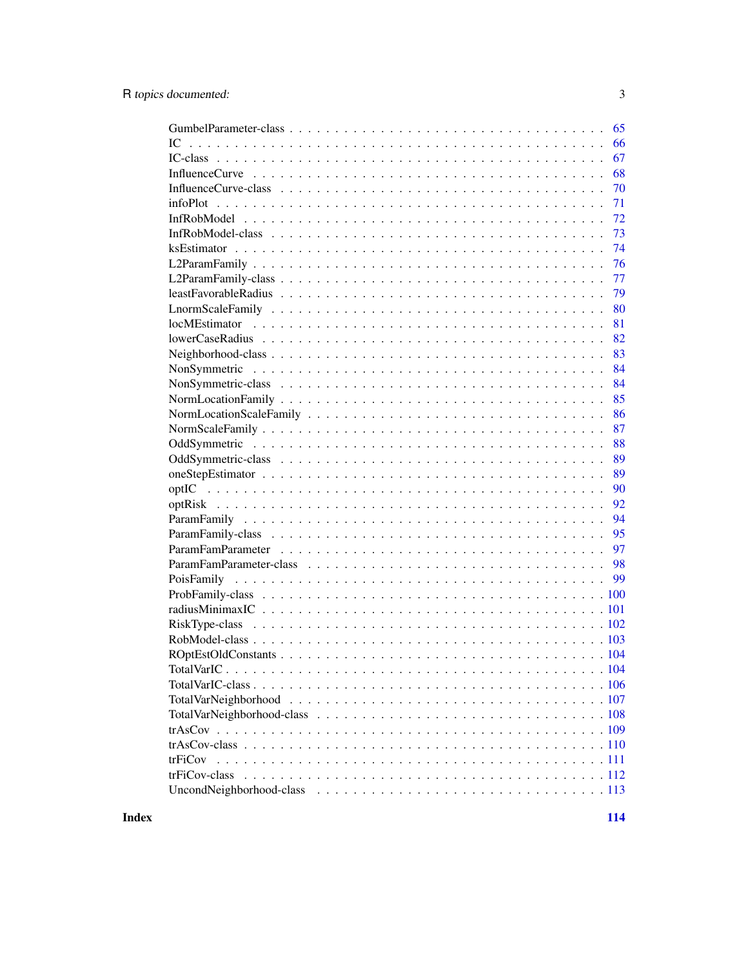| 65            |
|---------------|
| 66<br>IC.     |
| 67            |
| 68            |
| 70            |
| 71            |
| 72            |
| 73            |
| 74            |
| 76            |
| 77            |
| 79            |
| 80            |
| 81            |
| 82            |
| 83            |
| 84            |
| 84            |
| 85            |
| 86            |
| 87            |
| 88            |
| 89            |
| 89            |
| 90            |
| 92            |
| 94            |
| 95            |
| 97            |
|               |
|               |
|               |
|               |
|               |
|               |
|               |
|               |
|               |
|               |
|               |
|               |
|               |
| trFiCov       |
| trFiCov-class |
|               |
|               |

**Index** 2008 **[114](#page-113-0)**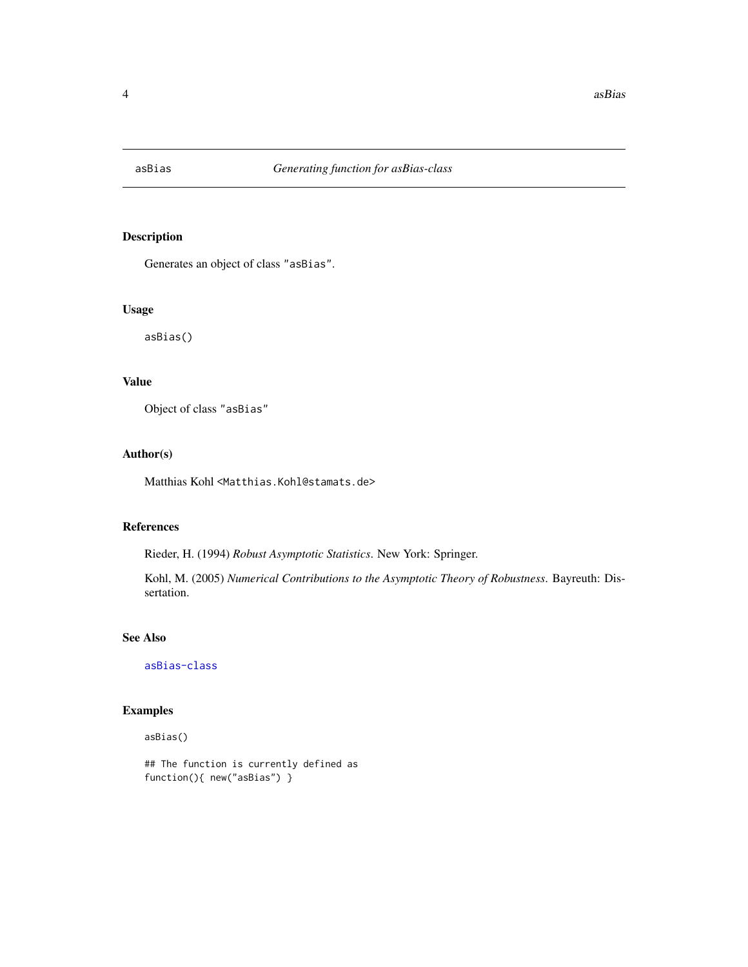<span id="page-3-1"></span><span id="page-3-0"></span>

Generates an object of class "asBias".

#### Usage

asBias()

## Value

Object of class "asBias"

#### Author(s)

Matthias Kohl <Matthias.Kohl@stamats.de>

## References

Rieder, H. (1994) *Robust Asymptotic Statistics*. New York: Springer.

Kohl, M. (2005) *Numerical Contributions to the Asymptotic Theory of Robustness*. Bayreuth: Dissertation.

## See Also

[asBias-class](#page-4-1)

## Examples

asBias()

## The function is currently defined as function(){ new("asBias") }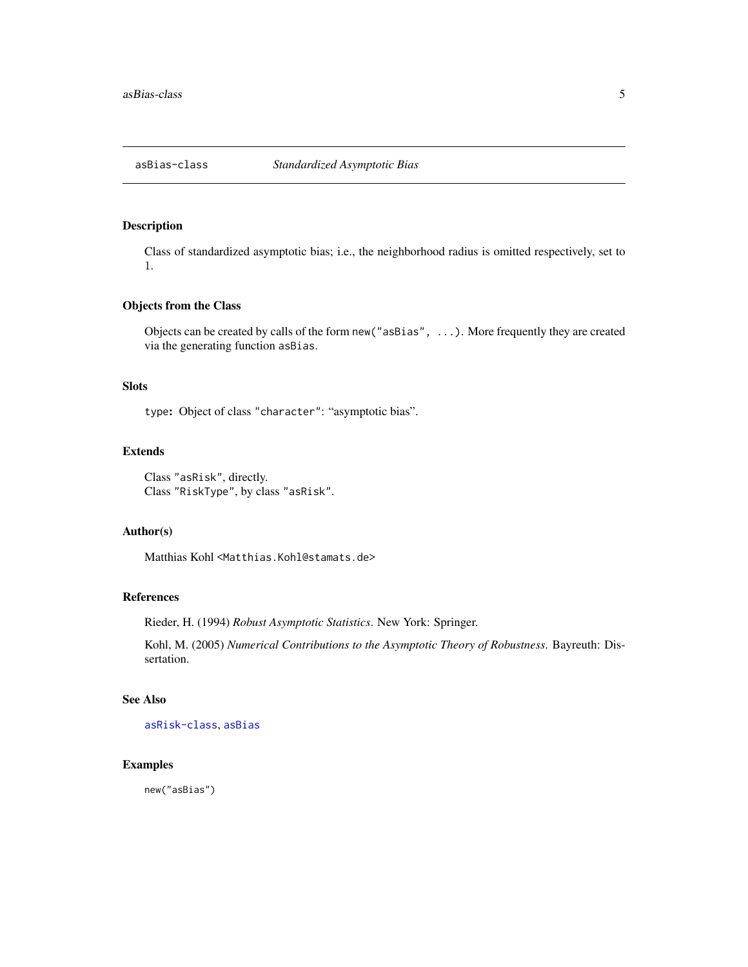<span id="page-4-1"></span><span id="page-4-0"></span>

Class of standardized asymptotic bias; i.e., the neighborhood radius is omitted respectively, set to 1.

#### Objects from the Class

Objects can be created by calls of the form new("asBias", ...). More frequently they are created via the generating function asBias.

## Slots

type: Object of class "character": "asymptotic bias".

## Extends

Class "asRisk", directly. Class "RiskType", by class "asRisk".

#### Author(s)

Matthias Kohl <Matthias.Kohl@stamats.de>

## References

Rieder, H. (1994) *Robust Asymptotic Statistics*. New York: Springer.

Kohl, M. (2005) *Numerical Contributions to the Asymptotic Theory of Robustness*. Bayreuth: Dissertation.

## See Also

[asRisk-class](#page-11-1), [asBias](#page-3-1)

## Examples

new("asBias")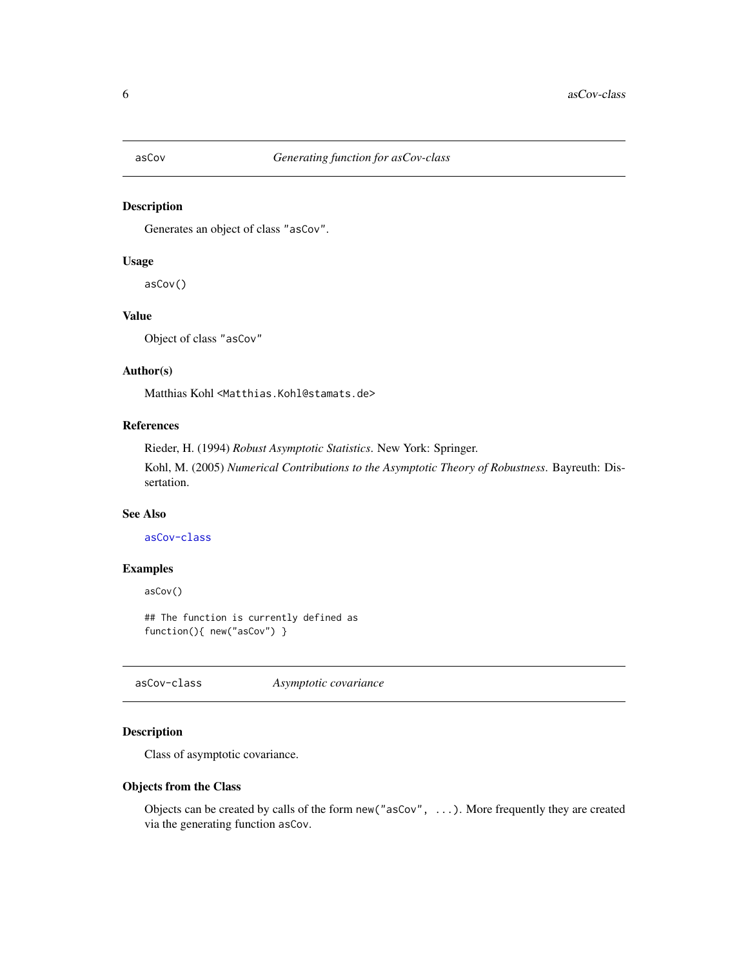<span id="page-5-2"></span><span id="page-5-0"></span>

Generates an object of class "asCov".

## Usage

asCov()

## Value

Object of class "asCov"

## Author(s)

Matthias Kohl <Matthias.Kohl@stamats.de>

## References

Rieder, H. (1994) *Robust Asymptotic Statistics*. New York: Springer. Kohl, M. (2005) *Numerical Contributions to the Asymptotic Theory of Robustness*. Bayreuth: Dissertation.

## See Also

[asCov-class](#page-5-1)

#### Examples

asCov()

## The function is currently defined as function(){ new("asCov") }

<span id="page-5-1"></span>asCov-class *Asymptotic covariance*

## Description

Class of asymptotic covariance.

#### Objects from the Class

Objects can be created by calls of the form new("asCov", ...). More frequently they are created via the generating function asCov.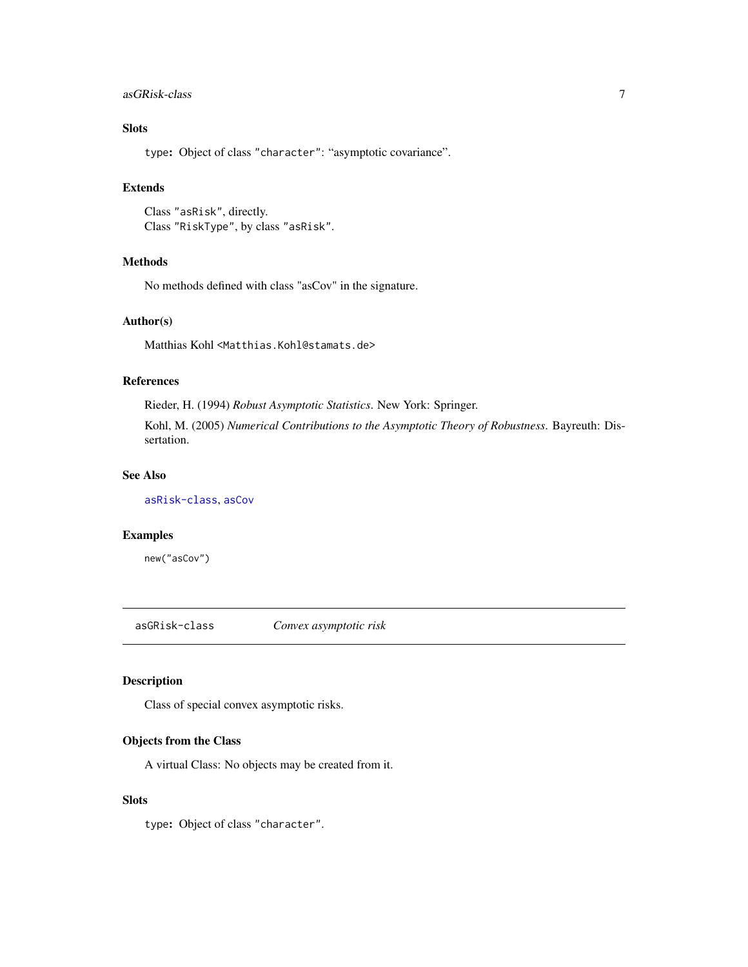## <span id="page-6-0"></span>asGRisk-class 7

## Slots

type: Object of class "character": "asymptotic covariance".

## Extends

Class "asRisk", directly. Class "RiskType", by class "asRisk".

## Methods

No methods defined with class "asCov" in the signature.

## Author(s)

Matthias Kohl <Matthias.Kohl@stamats.de>

#### References

Rieder, H. (1994) *Robust Asymptotic Statistics*. New York: Springer.

Kohl, M. (2005) *Numerical Contributions to the Asymptotic Theory of Robustness*. Bayreuth: Dissertation.

### See Also

[asRisk-class](#page-11-1), [asCov](#page-5-2)

#### Examples

new("asCov")

<span id="page-6-1"></span>asGRisk-class *Convex asymptotic risk*

#### Description

Class of special convex asymptotic risks.

#### Objects from the Class

A virtual Class: No objects may be created from it.

#### Slots

type: Object of class "character".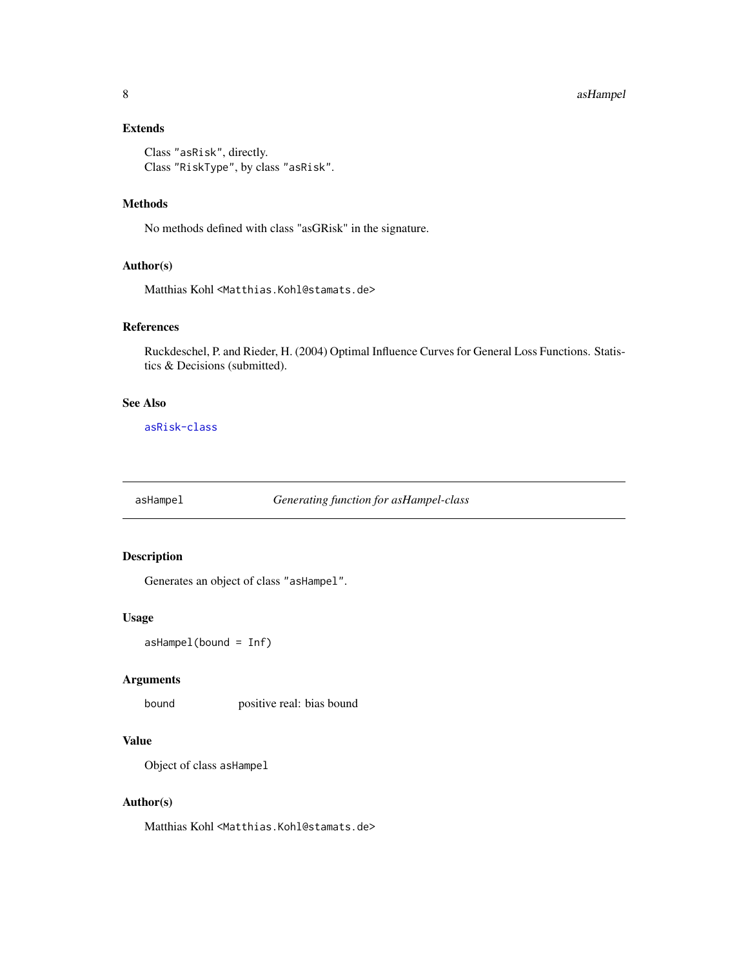#### <span id="page-7-0"></span>8 assumptions are a set of the contract of the contract of the contract of the contract of the contract of the contract of the contract of the contract of the contract of the contract of the contract of the contract of the

## Extends

Class "asRisk", directly. Class "RiskType", by class "asRisk".

## Methods

No methods defined with class "asGRisk" in the signature.

## Author(s)

Matthias Kohl <Matthias.Kohl@stamats.de>

## References

Ruckdeschel, P. and Rieder, H. (2004) Optimal Influence Curves for General Loss Functions. Statistics & Decisions (submitted).

#### See Also

[asRisk-class](#page-11-1)

<span id="page-7-1"></span>asHampel *Generating function for asHampel-class*

## Description

Generates an object of class "asHampel".

#### Usage

asHampel(bound = Inf)

## Arguments

bound positive real: bias bound

## Value

Object of class asHampel

#### Author(s)

Matthias Kohl <Matthias.Kohl@stamats.de>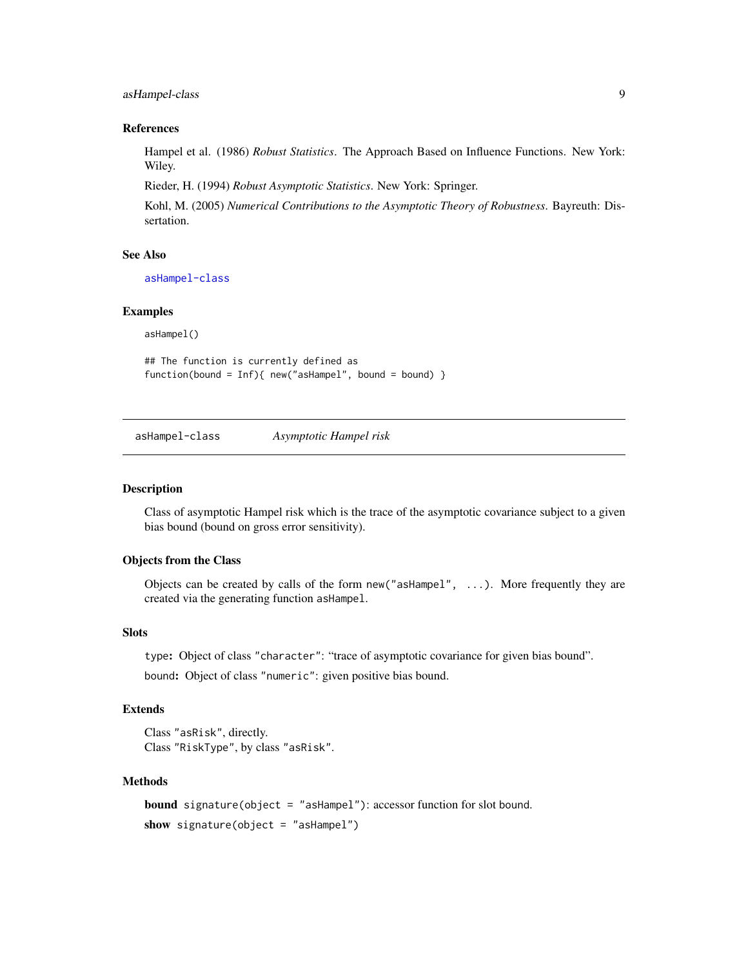## <span id="page-8-0"></span>asHampel-class 9

#### References

Hampel et al. (1986) *Robust Statistics*. The Approach Based on Influence Functions. New York: Wiley.

Rieder, H. (1994) *Robust Asymptotic Statistics*. New York: Springer.

Kohl, M. (2005) *Numerical Contributions to the Asymptotic Theory of Robustness*. Bayreuth: Dissertation.

## See Also

[asHampel-class](#page-8-1)

#### Examples

asHampel()

## The function is currently defined as function(bound = Inf){ new("asHampel", bound = bound) }

<span id="page-8-1"></span>asHampel-class *Asymptotic Hampel risk*

#### Description

Class of asymptotic Hampel risk which is the trace of the asymptotic covariance subject to a given bias bound (bound on gross error sensitivity).

#### Objects from the Class

Objects can be created by calls of the form new("asHampel", ...). More frequently they are created via the generating function asHampel.

## Slots

type: Object of class "character": "trace of asymptotic covariance for given bias bound".

bound: Object of class "numeric": given positive bias bound.

#### Extends

Class "asRisk", directly. Class "RiskType", by class "asRisk".

#### Methods

```
bound signature(object = "asHampel"): accessor function for slot bound.
show signature(object = "asHampel")
```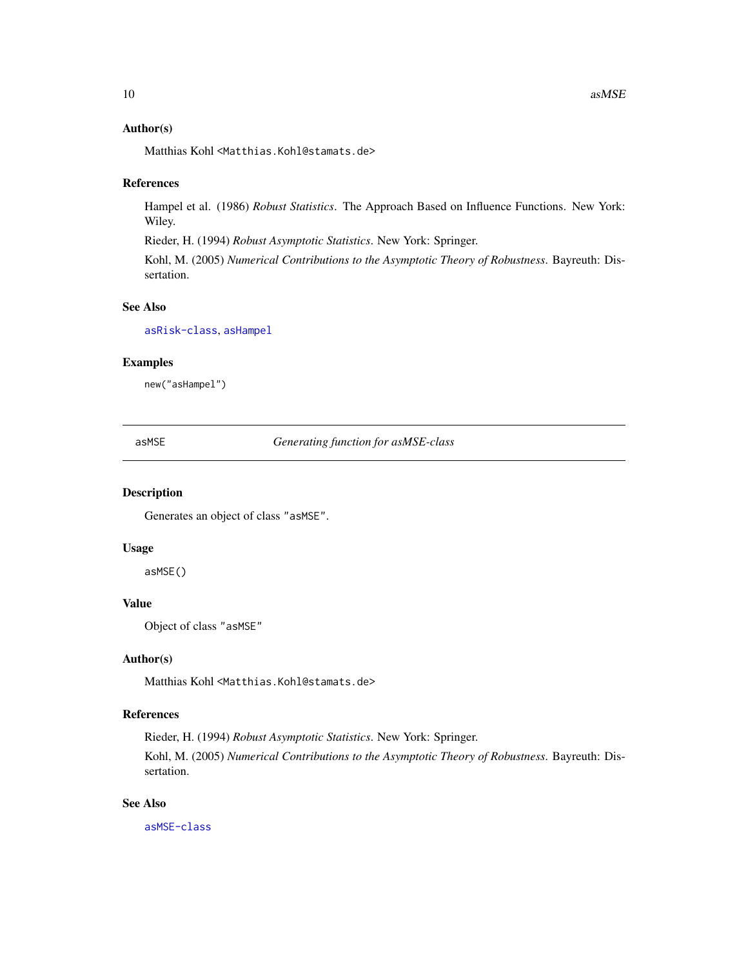#### <span id="page-9-0"></span>Author(s)

Matthias Kohl <Matthias.Kohl@stamats.de>

#### References

Hampel et al. (1986) *Robust Statistics*. The Approach Based on Influence Functions. New York: Wiley.

Rieder, H. (1994) *Robust Asymptotic Statistics*. New York: Springer.

Kohl, M. (2005) *Numerical Contributions to the Asymptotic Theory of Robustness*. Bayreuth: Dissertation.

## See Also

[asRisk-class](#page-11-1), [asHampel](#page-7-1)

## Examples

new("asHampel")

<span id="page-9-1"></span>asMSE *Generating function for asMSE-class*

#### Description

Generates an object of class "asMSE".

#### Usage

asMSE()

## Value

Object of class "asMSE"

## Author(s)

Matthias Kohl <Matthias.Kohl@stamats.de>

## References

Rieder, H. (1994) *Robust Asymptotic Statistics*. New York: Springer.

Kohl, M. (2005) *Numerical Contributions to the Asymptotic Theory of Robustness*. Bayreuth: Dissertation.

## See Also

[asMSE-class](#page-10-1)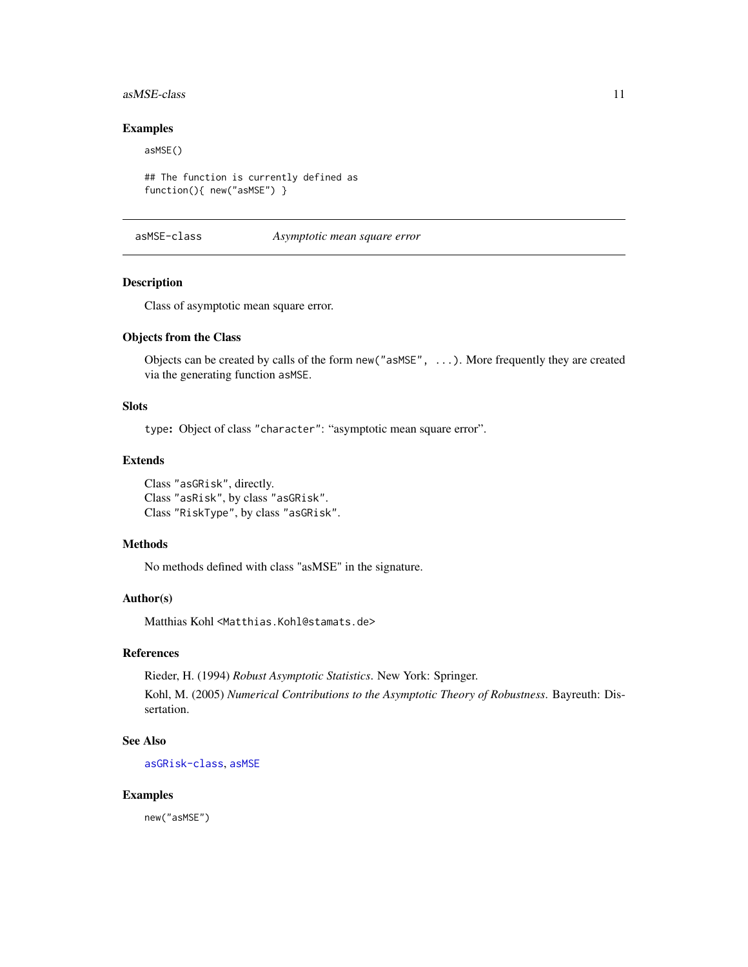#### <span id="page-10-0"></span> $asMSE-class$  11

#### Examples

asMSE()

```
## The function is currently defined as
function(){ new("asMSE") }
```
<span id="page-10-1"></span>asMSE-class *Asymptotic mean square error*

#### Description

Class of asymptotic mean square error.

#### Objects from the Class

Objects can be created by calls of the form new("asMSE", ...). More frequently they are created via the generating function asMSE.

#### Slots

type: Object of class "character": "asymptotic mean square error".

#### Extends

Class "asGRisk", directly. Class "asRisk", by class "asGRisk". Class "RiskType", by class "asGRisk".

#### Methods

No methods defined with class "asMSE" in the signature.

#### Author(s)

Matthias Kohl <Matthias.Kohl@stamats.de>

## References

Rieder, H. (1994) *Robust Asymptotic Statistics*. New York: Springer. Kohl, M. (2005) *Numerical Contributions to the Asymptotic Theory of Robustness*. Bayreuth: Dissertation.

## See Also

[asGRisk-class](#page-6-1), [asMSE](#page-9-1)

#### Examples

new("asMSE")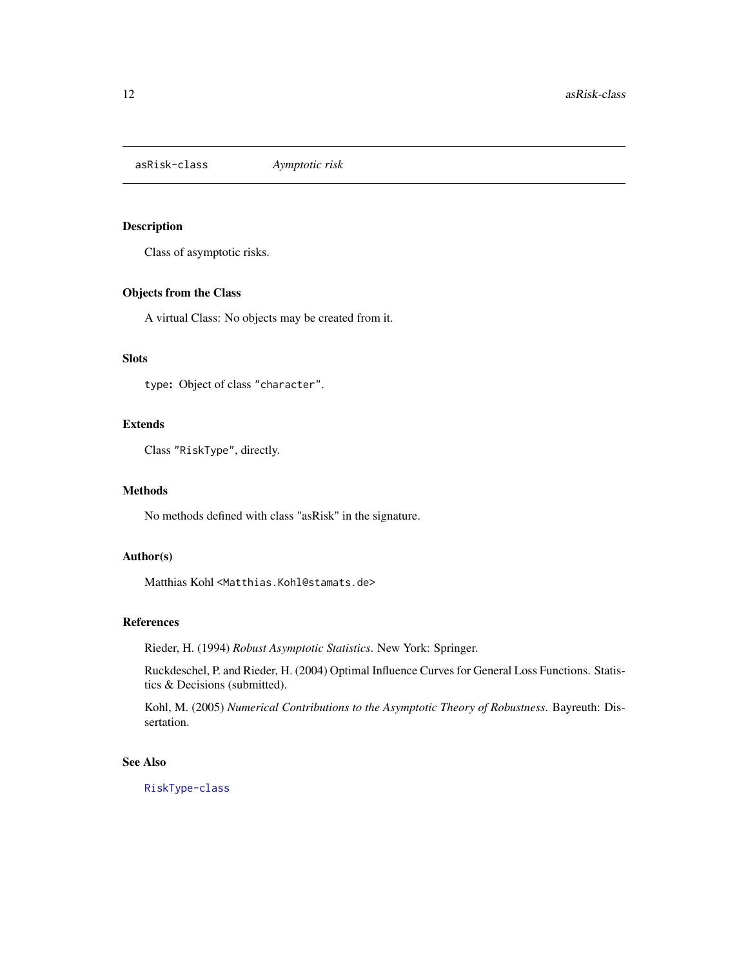<span id="page-11-1"></span><span id="page-11-0"></span>asRisk-class *Aymptotic risk*

## Description

Class of asymptotic risks.

## Objects from the Class

A virtual Class: No objects may be created from it.

## **Slots**

type: Object of class "character".

## Extends

Class "RiskType", directly.

#### Methods

No methods defined with class "asRisk" in the signature.

## Author(s)

Matthias Kohl <Matthias.Kohl@stamats.de>

#### References

Rieder, H. (1994) *Robust Asymptotic Statistics*. New York: Springer.

Ruckdeschel, P. and Rieder, H. (2004) Optimal Influence Curves for General Loss Functions. Statistics & Decisions (submitted).

Kohl, M. (2005) *Numerical Contributions to the Asymptotic Theory of Robustness*. Bayreuth: Dissertation.

## See Also

[RiskType-class](#page-101-1)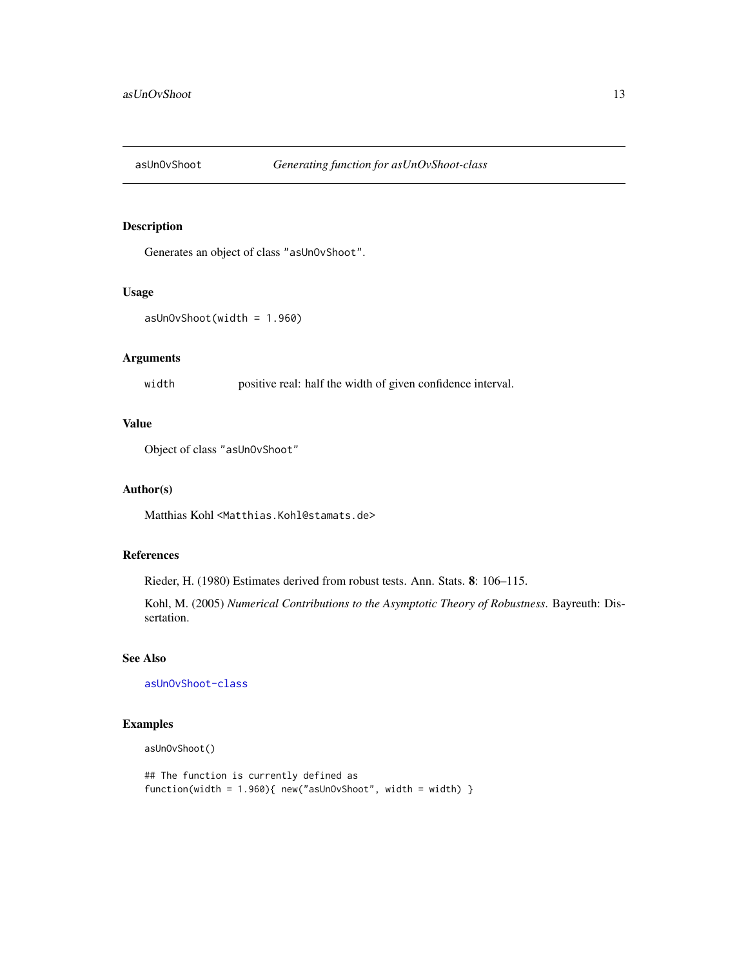<span id="page-12-0"></span>

Generates an object of class "asUnOvShoot".

#### Usage

```
asUnOvShoot(width = 1.960)
```
## Arguments

width positive real: half the width of given confidence interval.

## Value

Object of class "asUnOvShoot"

#### Author(s)

Matthias Kohl <Matthias.Kohl@stamats.de>

## References

Rieder, H. (1980) Estimates derived from robust tests. Ann. Stats. 8: 106–115.

Kohl, M. (2005) *Numerical Contributions to the Asymptotic Theory of Robustness*. Bayreuth: Dissertation.

## See Also

[asUnOvShoot-class](#page-13-1)

## Examples

asUnOvShoot()

```
## The function is currently defined as
function(width = 1.960){ new("asUnOvShoot", width = width) }
```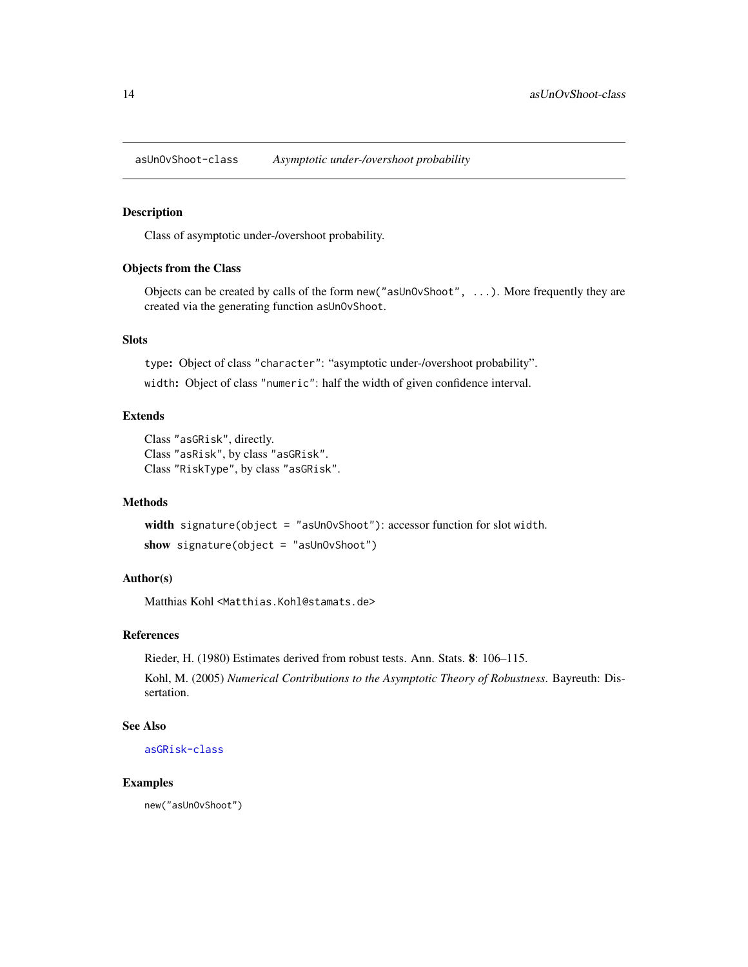<span id="page-13-1"></span><span id="page-13-0"></span>asUnOvShoot-class *Asymptotic under-/overshoot probability*

#### Description

Class of asymptotic under-/overshoot probability.

## Objects from the Class

Objects can be created by calls of the form new("asUnOvShoot", ...). More frequently they are created via the generating function asUnOvShoot.

## Slots

type: Object of class "character": "asymptotic under-/overshoot probability".

width: Object of class "numeric": half the width of given confidence interval.

## Extends

Class "asGRisk", directly. Class "asRisk", by class "asGRisk". Class "RiskType", by class "asGRisk".

#### Methods

width signature(object = "asUnOvShoot"): accessor function for slot width. show signature(object = "asUnOvShoot")

## Author(s)

Matthias Kohl <Matthias.Kohl@stamats.de>

#### References

Rieder, H. (1980) Estimates derived from robust tests. Ann. Stats. 8: 106–115.

Kohl, M. (2005) *Numerical Contributions to the Asymptotic Theory of Robustness*. Bayreuth: Dissertation.

## See Also

[asGRisk-class](#page-6-1)

#### Examples

new("asUnOvShoot")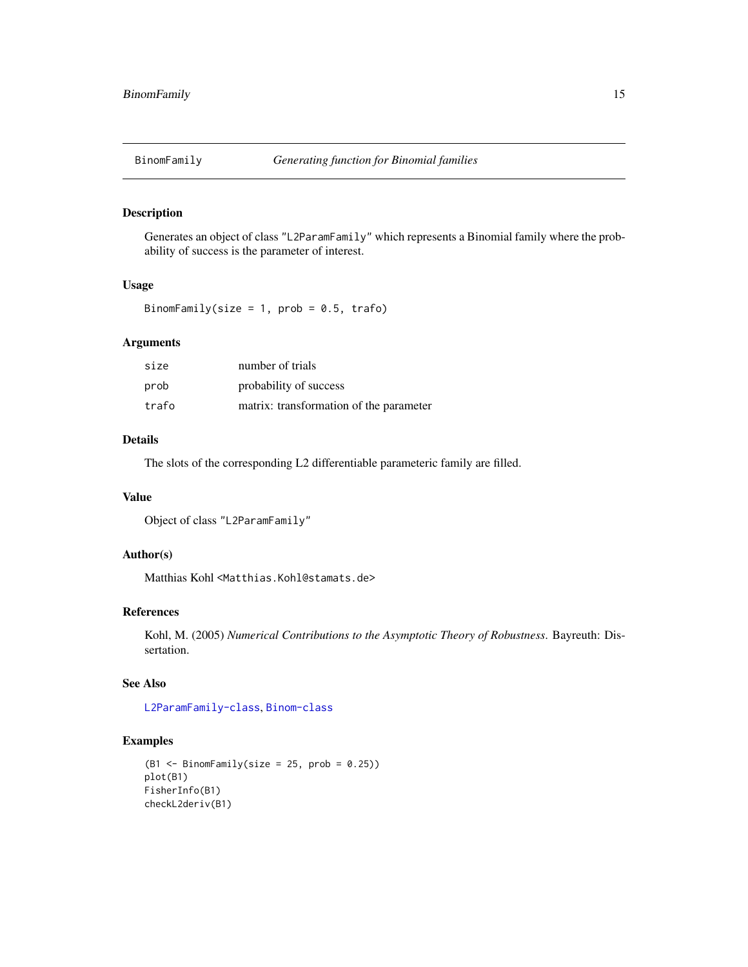<span id="page-14-0"></span>

Generates an object of class "L2ParamFamily" which represents a Binomial family where the probability of success is the parameter of interest.

#### Usage

```
BinomFamily(size = 1, prob = 0.5, trafo)
```
## Arguments

| size  | number of trials                        |
|-------|-----------------------------------------|
| prob  | probability of success                  |
| trafo | matrix: transformation of the parameter |

## Details

The slots of the corresponding L2 differentiable parameteric family are filled.

## Value

Object of class "L2ParamFamily"

#### Author(s)

Matthias Kohl <Matthias.Kohl@stamats.de>

## References

Kohl, M. (2005) *Numerical Contributions to the Asymptotic Theory of Robustness*. Bayreuth: Dissertation.

## See Also

[L2ParamFamily-class](#page-76-1), [Binom-class](#page-0-0)

#### Examples

```
(B1 \leq - \text{BinomFamily}(size = 25, prob = 0.25))plot(B1)
FisherInfo(B1)
checkL2deriv(B1)
```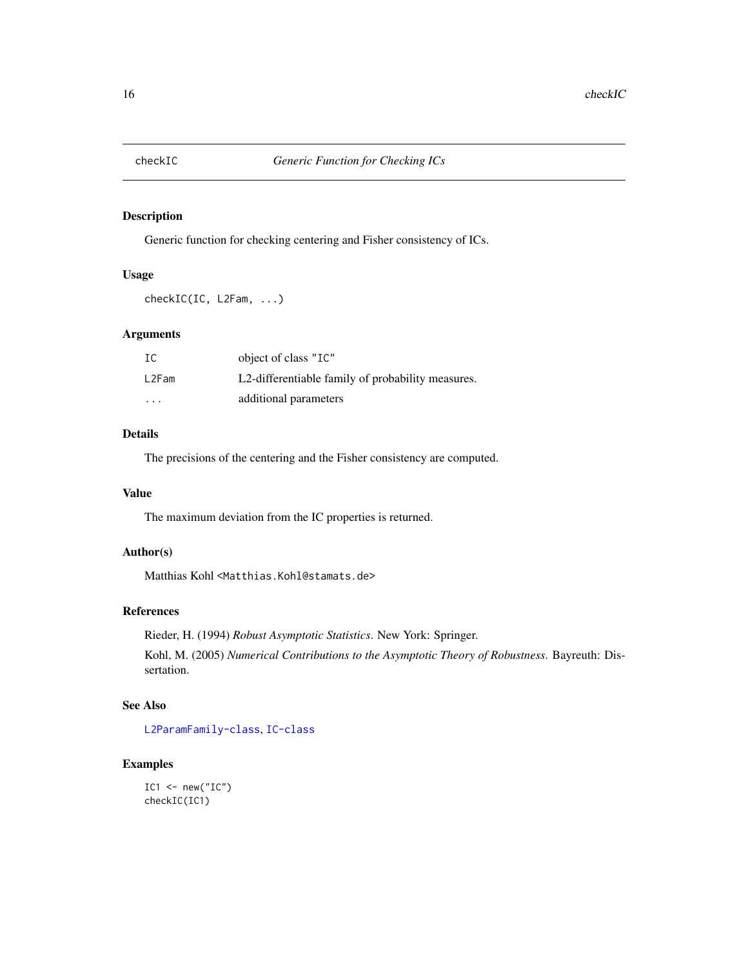<span id="page-15-0"></span>

Generic function for checking centering and Fisher consistency of ICs.

## Usage

checkIC(IC, L2Fam, ...)

#### Arguments

| IC      | object of class "IC"                              |
|---------|---------------------------------------------------|
| L2Fam   | L2-differentiable family of probability measures. |
| $\cdot$ | additional parameters                             |

## Details

The precisions of the centering and the Fisher consistency are computed.

## Value

The maximum deviation from the IC properties is returned.

## Author(s)

Matthias Kohl <Matthias.Kohl@stamats.de>

## References

Rieder, H. (1994) *Robust Asymptotic Statistics*. New York: Springer.

Kohl, M. (2005) *Numerical Contributions to the Asymptotic Theory of Robustness*. Bayreuth: Dissertation.

## See Also

[L2ParamFamily-class](#page-76-1), [IC-class](#page-66-1)

## Examples

```
IC1 <- new("IC")
checkIC(IC1)
```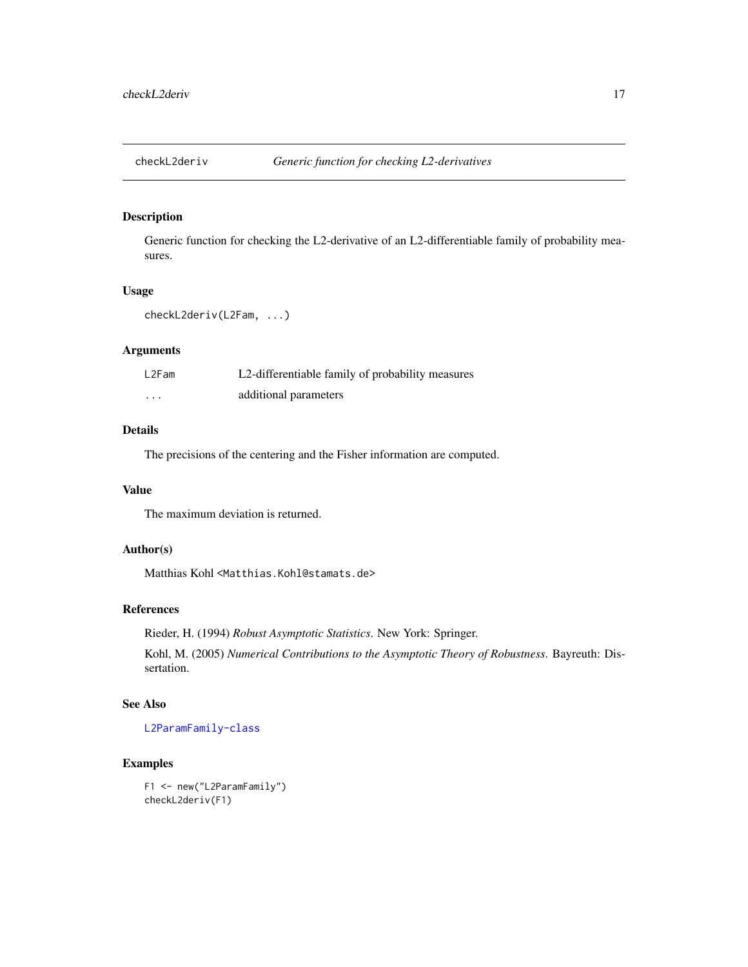<span id="page-16-0"></span>

Generic function for checking the L2-derivative of an L2-differentiable family of probability measures.

## Usage

```
checkL2deriv(L2Fam, ...)
```
## Arguments

| L2Fam    | L2-differentiable family of probability measures |
|----------|--------------------------------------------------|
| $\cdots$ | additional parameters                            |

## Details

The precisions of the centering and the Fisher information are computed.

#### Value

The maximum deviation is returned.

## Author(s)

Matthias Kohl <Matthias.Kohl@stamats.de>

#### References

Rieder, H. (1994) *Robust Asymptotic Statistics*. New York: Springer.

Kohl, M. (2005) *Numerical Contributions to the Asymptotic Theory of Robustness*. Bayreuth: Dissertation.

## See Also

[L2ParamFamily-class](#page-76-1)

#### Examples

F1 <- new("L2ParamFamily") checkL2deriv(F1)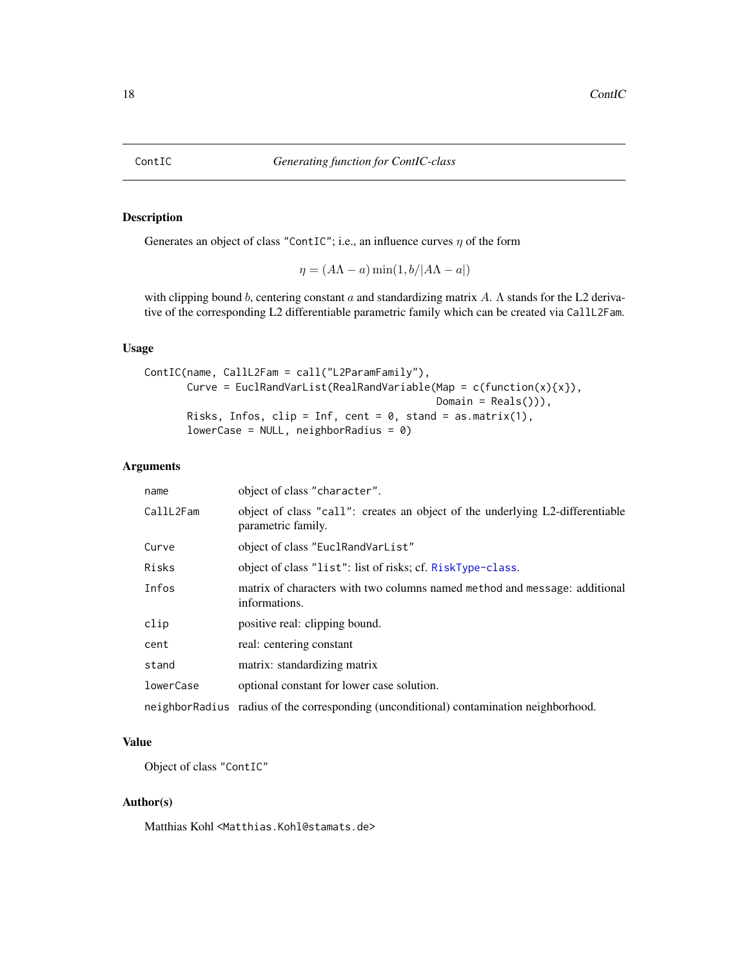<span id="page-17-1"></span><span id="page-17-0"></span>Generates an object of class "ContIC"; i.e., an influence curves  $\eta$  of the form

 $\eta = (A\Lambda - a)\min(1, b/|A\Lambda - a|)$ 

with clipping bound b, centering constant a and standardizing matrix A.  $\Lambda$  stands for the L2 derivative of the corresponding L2 differentiable parametric family which can be created via CallL2Fam.

## Usage

```
ContIC(name, CallL2Fam = call("L2ParamFamily"),
       Curve = EuclRandVarList(RealRandVariable(Map = c(function(x)\{x\}),
                                                Domain = Reals()),
       Risks, Infos, clip = Inf, cent = 0, stand = as.matrix(1),
       lowerCase = NULL, neighborRadius = 0)
```
#### Arguments

| name      | object of class "character".                                                                        |
|-----------|-----------------------------------------------------------------------------------------------------|
| CallL2Fam | object of class "call": creates an object of the underlying L2-differentiable<br>parametric family. |
| Curve     | object of class "EuclRandVarList"                                                                   |
| Risks     | object of class "list": list of risks; cf. RiskType-class.                                          |
| Infos     | matrix of characters with two columns named method and message: additional<br>informations.         |
| clip      | positive real: clipping bound.                                                                      |
| cent      | real: centering constant                                                                            |
| stand     | matrix: standardizing matrix                                                                        |
| lowerCase | optional constant for lower case solution.                                                          |
|           | neighbor Radius radius of the corresponding (unconditional) contamination neighborhood.             |

#### Value

Object of class "ContIC"

#### Author(s)

Matthias Kohl <Matthias.Kohl@stamats.de>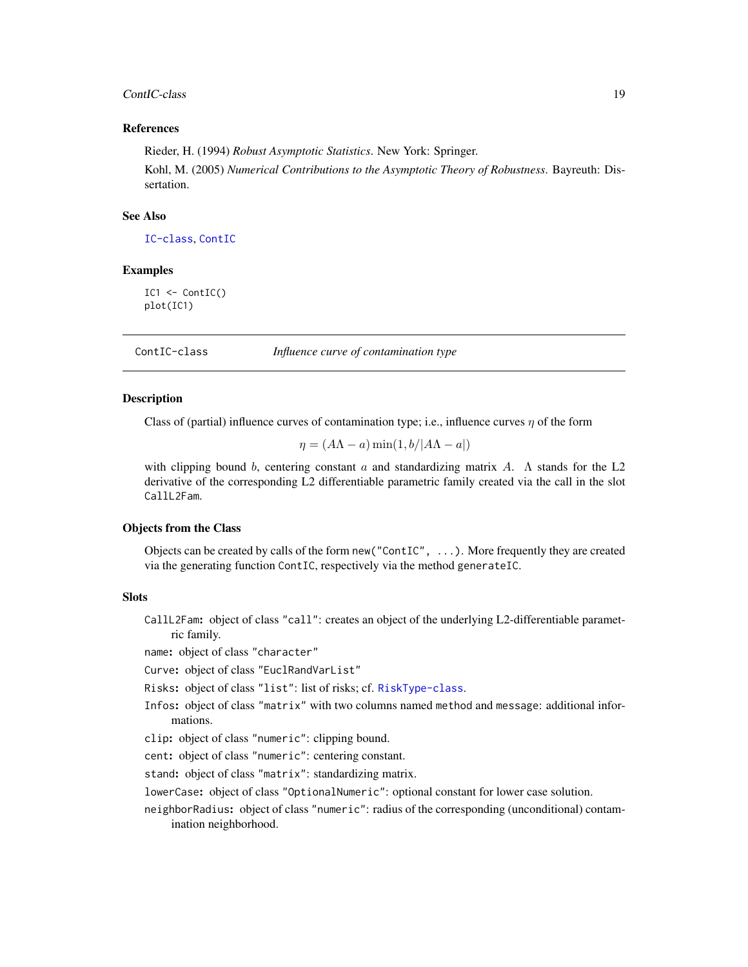#### <span id="page-18-0"></span>ContIC-class 19

#### References

Rieder, H. (1994) *Robust Asymptotic Statistics*. New York: Springer.

Kohl, M. (2005) *Numerical Contributions to the Asymptotic Theory of Robustness*. Bayreuth: Dissertation.

#### See Also

[IC-class](#page-66-1), [ContIC](#page-17-1)

#### Examples

IC1 <- ContIC() plot(IC1)

ContIC-class *Influence curve of contamination type*

#### **Description**

Class of (partial) influence curves of contamination type; i.e., influence curves  $\eta$  of the form

 $\eta = (A\Lambda - a)\min(1, b/|A\Lambda - a|)$ 

with clipping bound b, centering constant a and standardizing matrix A.  $\Lambda$  stands for the L2 derivative of the corresponding L2 differentiable parametric family created via the call in the slot CallL2Fam.

#### Objects from the Class

Objects can be created by calls of the form new("ContIC", ...). More frequently they are created via the generating function ContIC, respectively via the method generateIC.

### **Slots**

CallL2Fam: object of class "call": creates an object of the underlying L2-differentiable parametric family.

name: object of class "character"

Curve: object of class "EuclRandVarList"

Risks: object of class "list": list of risks; cf. [RiskType-class](#page-101-1).

Infos: object of class "matrix" with two columns named method and message: additional informations.

clip: object of class "numeric": clipping bound.

cent: object of class "numeric": centering constant.

stand: object of class "matrix": standardizing matrix.

lowerCase: object of class "OptionalNumeric": optional constant for lower case solution.

neighborRadius: object of class "numeric": radius of the corresponding (unconditional) contamination neighborhood.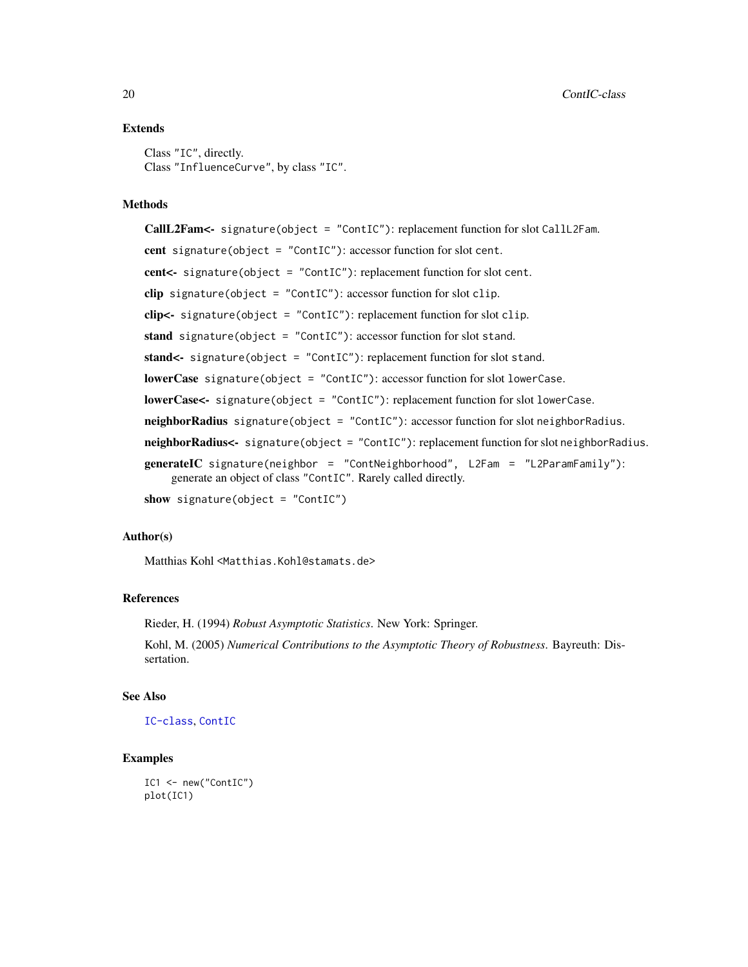## Extends

Class "IC", directly. Class "InfluenceCurve", by class "IC".

#### Methods

CallL2Fam<- signature(object = "ContIC"): replacement function for slot CallL2Fam. cent signature(object = "ContIC"): accessor function for slot cent. cent<- signature(object = "ContIC"): replacement function for slot cent. clip signature(object = "ContIC"): accessor function for slot clip. clip<- signature(object = "ContIC"): replacement function for slot clip. stand signature(object = "ContIC"): accessor function for slot stand. stand<- signature(object = "ContIC"): replacement function for slot stand. lowerCase signature(object = "ContIC"): accessor function for slot lowerCase. lowerCase<- signature(object = "ContIC"): replacement function for slot lowerCase. neighborRadius signature(object = "ContIC"): accessor function for slot neighborRadius. neighborRadius<- signature(object = "ContIC"): replacement function for slot neighborRadius. generateIC signature(neighbor = "ContNeighborhood", L2Fam = "L2ParamFamily"): generate an object of class "ContIC". Rarely called directly. show signature(object = "ContIC")

## Author(s)

Matthias Kohl <Matthias.Kohl@stamats.de>

## References

Rieder, H. (1994) *Robust Asymptotic Statistics*. New York: Springer.

Kohl, M. (2005) *Numerical Contributions to the Asymptotic Theory of Robustness*. Bayreuth: Dissertation.

#### See Also

[IC-class](#page-66-1), [ContIC](#page-17-1)

## Examples

```
IC1 <- new("ContIC")
plot(IC1)
```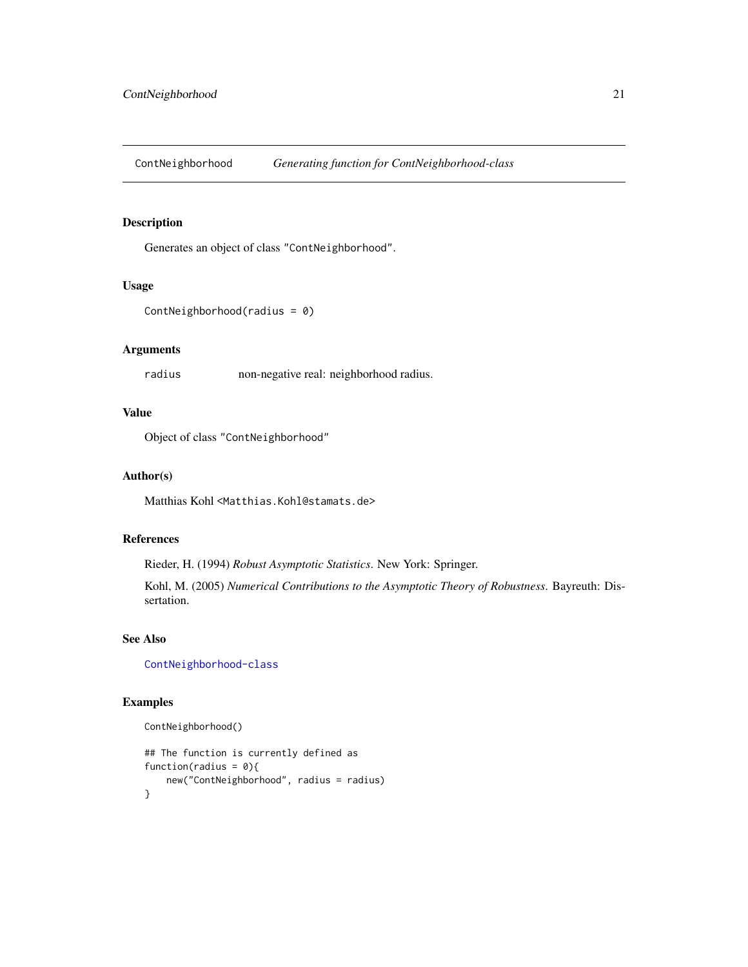<span id="page-20-1"></span><span id="page-20-0"></span>ContNeighborhood *Generating function for ContNeighborhood-class*

## Description

Generates an object of class "ContNeighborhood".

#### Usage

```
ContNeighborhood(radius = 0)
```
## Arguments

radius non-negative real: neighborhood radius.

## Value

Object of class "ContNeighborhood"

### Author(s)

Matthias Kohl <Matthias.Kohl@stamats.de>

## References

Rieder, H. (1994) *Robust Asymptotic Statistics*. New York: Springer.

Kohl, M. (2005) *Numerical Contributions to the Asymptotic Theory of Robustness*. Bayreuth: Dissertation.

## See Also

[ContNeighborhood-class](#page-21-1)

#### Examples

```
ContNeighborhood()
```

```
## The function is currently defined as
function(radius = 0){
   new("ContNeighborhood", radius = radius)
}
```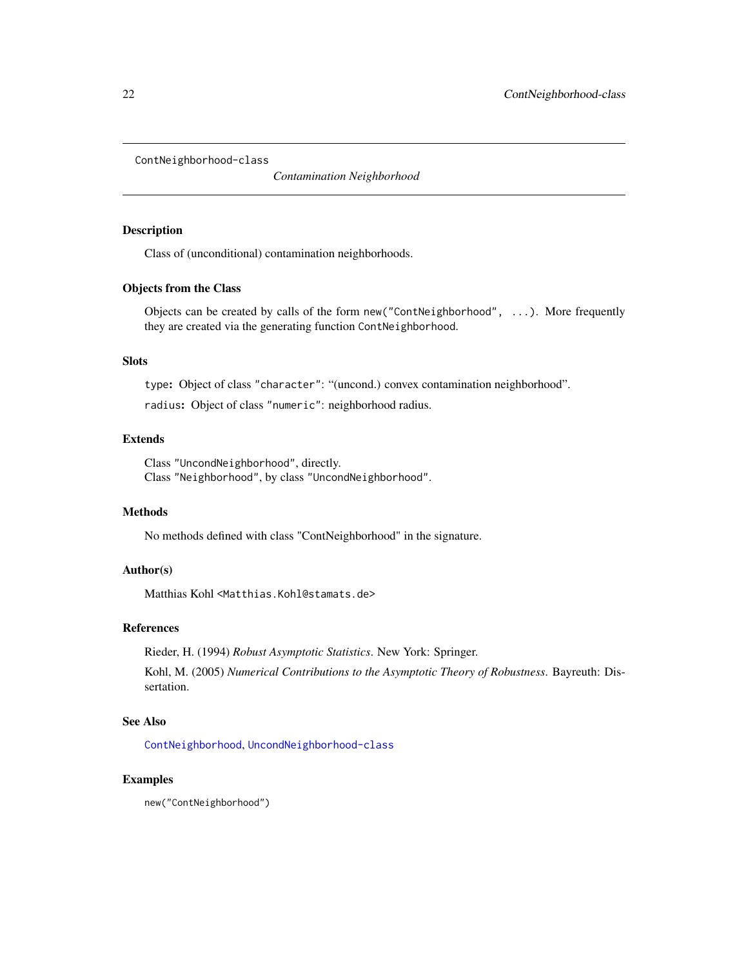<span id="page-21-1"></span><span id="page-21-0"></span>ContNeighborhood-class

*Contamination Neighborhood*

#### Description

Class of (unconditional) contamination neighborhoods.

## Objects from the Class

Objects can be created by calls of the form  $new("ContNeighbour", \ldots)$ . More frequently they are created via the generating function ContNeighborhood.

## Slots

type: Object of class "character": "(uncond.) convex contamination neighborhood".

radius: Object of class "numeric": neighborhood radius.

## Extends

Class "UncondNeighborhood", directly. Class "Neighborhood", by class "UncondNeighborhood".

#### Methods

No methods defined with class "ContNeighborhood" in the signature.

## Author(s)

Matthias Kohl <Matthias.Kohl@stamats.de>

#### References

Rieder, H. (1994) *Robust Asymptotic Statistics*. New York: Springer.

Kohl, M. (2005) *Numerical Contributions to the Asymptotic Theory of Robustness*. Bayreuth: Dissertation.

## See Also

[ContNeighborhood](#page-20-1), [UncondNeighborhood-class](#page-112-1)

#### Examples

new("ContNeighborhood")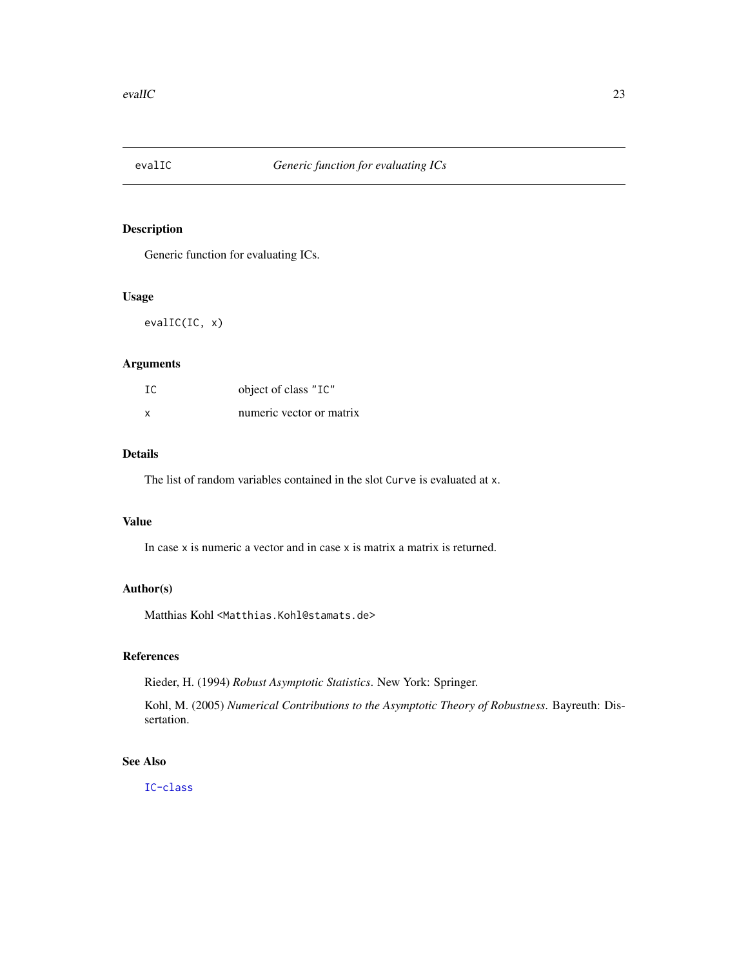<span id="page-22-0"></span>

Generic function for evaluating ICs.

## Usage

evalIC(IC, x)

## Arguments

| IC | object of class "IC"     |
|----|--------------------------|
| x  | numeric vector or matrix |

## Details

The list of random variables contained in the slot Curve is evaluated at x.

## Value

In case x is numeric a vector and in case x is matrix a matrix is returned.

#### Author(s)

Matthias Kohl <Matthias.Kohl@stamats.de>

## References

Rieder, H. (1994) *Robust Asymptotic Statistics*. New York: Springer.

Kohl, M. (2005) *Numerical Contributions to the Asymptotic Theory of Robustness*. Bayreuth: Dissertation.

## See Also

[IC-class](#page-66-1)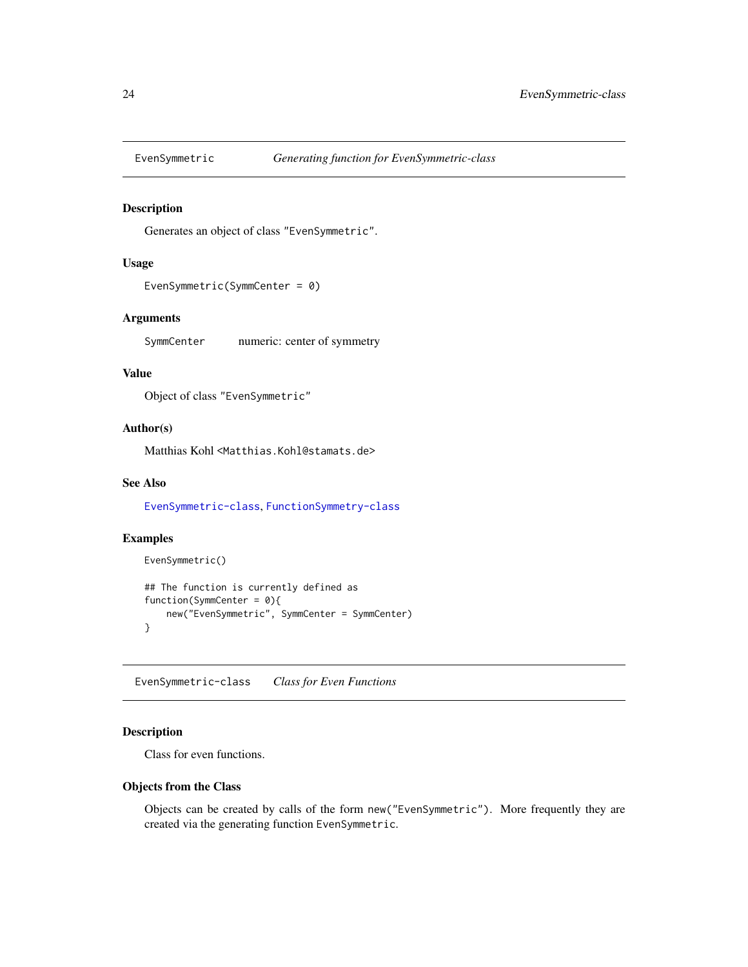<span id="page-23-2"></span><span id="page-23-0"></span>

Generates an object of class "EvenSymmetric".

#### Usage

```
EvenSymmetric(SymmCenter = 0)
```
## Arguments

SymmCenter numeric: center of symmetry

## Value

Object of class "EvenSymmetric"

#### Author(s)

Matthias Kohl <Matthias.Kohl@stamats.de>

## See Also

[EvenSymmetric-class](#page-23-1), [FunctionSymmetry-class](#page-36-1)

## Examples

```
EvenSymmetric()
## The function is currently defined as
function(SymmCenter = 0){
    new("EvenSymmetric", SymmCenter = SymmCenter)
}
```
<span id="page-23-1"></span>EvenSymmetric-class *Class for Even Functions*

## Description

Class for even functions.

#### Objects from the Class

Objects can be created by calls of the form new("EvenSymmetric"). More frequently they are created via the generating function EvenSymmetric.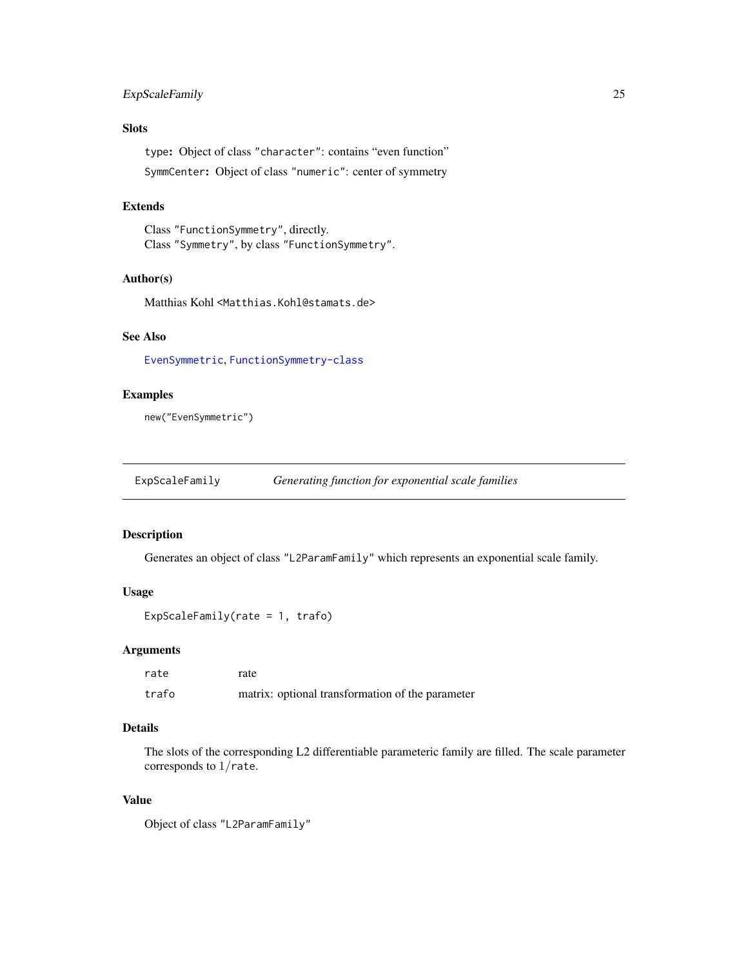## <span id="page-24-0"></span>ExpScaleFamily 25

## Slots

type: Object of class "character": contains "even function" SymmCenter: Object of class "numeric": center of symmetry

#### Extends

Class "FunctionSymmetry", directly. Class "Symmetry", by class "FunctionSymmetry".

## Author(s)

Matthias Kohl <Matthias.Kohl@stamats.de>

## See Also

[EvenSymmetric](#page-23-2), [FunctionSymmetry-class](#page-36-1)

#### Examples

new("EvenSymmetric")

ExpScaleFamily *Generating function for exponential scale families*

#### Description

Generates an object of class "L2ParamFamily" which represents an exponential scale family.

#### Usage

```
ExpScaleFamily(rate = 1, trafo)
```
#### Arguments

| rate  | rate                                             |
|-------|--------------------------------------------------|
| trafo | matrix: optional transformation of the parameter |

## Details

The slots of the corresponding L2 differentiable parameteric family are filled. The scale parameter corresponds to 1/rate.

## Value

```
Object of class "L2ParamFamily"
```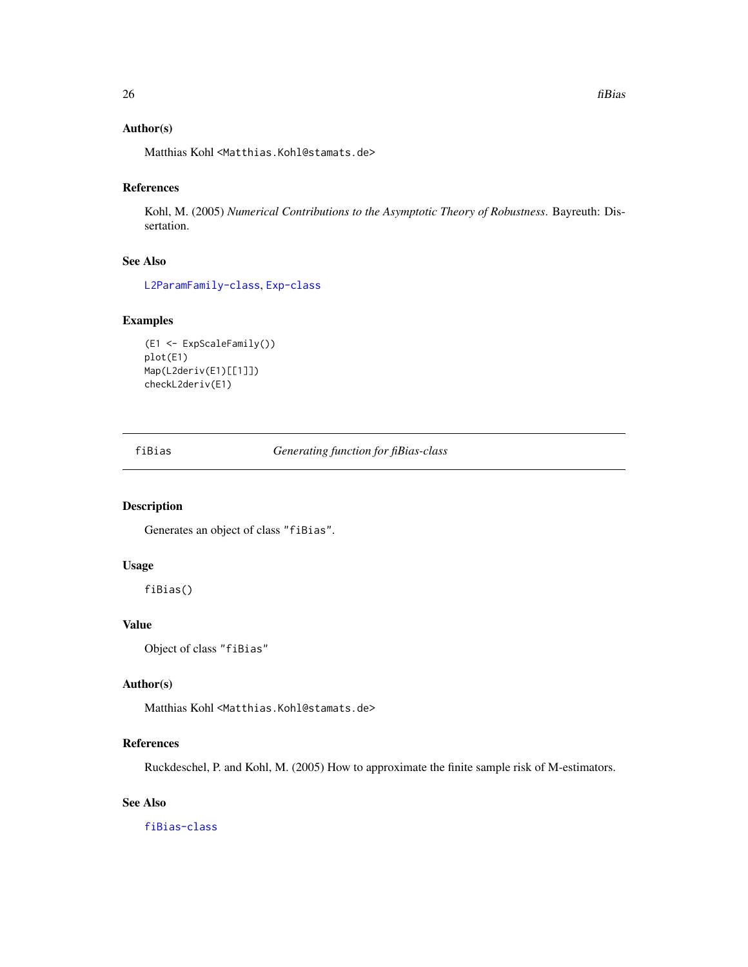## <span id="page-25-0"></span>Author(s)

Matthias Kohl <Matthias.Kohl@stamats.de>

## References

Kohl, M. (2005) *Numerical Contributions to the Asymptotic Theory of Robustness*. Bayreuth: Dissertation.

#### See Also

[L2ParamFamily-class](#page-76-1), [Exp-class](#page-0-0)

## Examples

```
(E1 <- ExpScaleFamily())
plot(E1)
Map(L2deriv(E1)[[1]])
checkL2deriv(E1)
```
<span id="page-25-1"></span>fiBias *Generating function for fiBias-class*

## Description

Generates an object of class "fiBias".

#### Usage

fiBias()

## Value

Object of class "fiBias"

#### Author(s)

Matthias Kohl <Matthias.Kohl@stamats.de>

#### References

Ruckdeschel, P. and Kohl, M. (2005) How to approximate the finite sample risk of M-estimators.

## See Also

[fiBias-class](#page-26-1)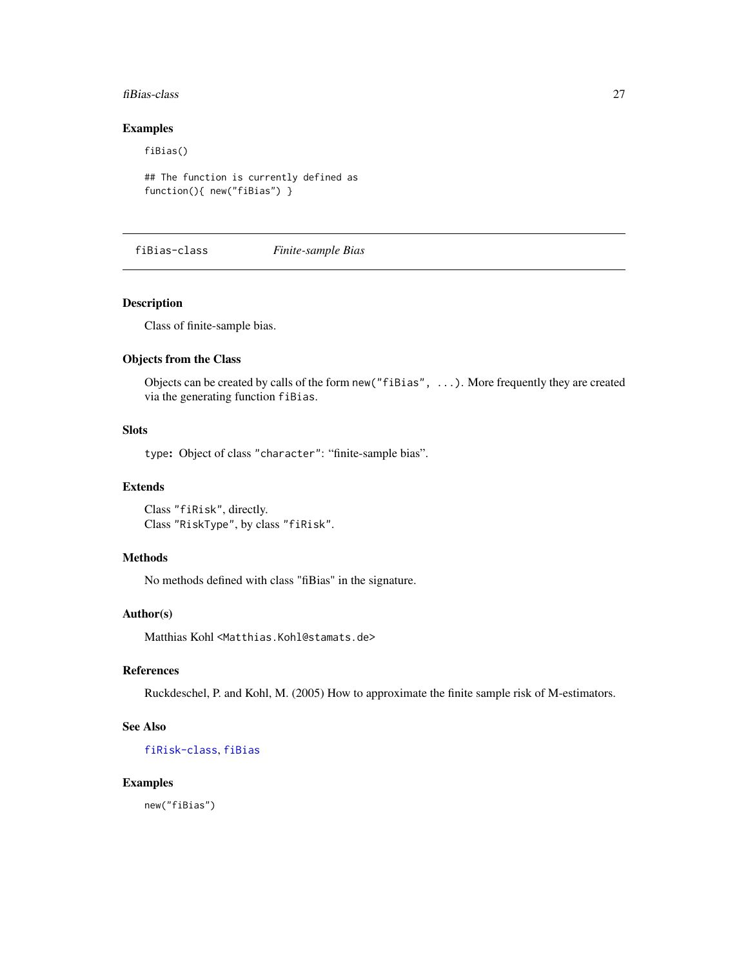#### <span id="page-26-0"></span>fiBias-class 27

## Examples

fiBias()

```
## The function is currently defined as
function(){ new("fiBias") }
```
<span id="page-26-1"></span>fiBias-class *Finite-sample Bias*

## Description

Class of finite-sample bias.

#### Objects from the Class

Objects can be created by calls of the form new("fiBias", ...). More frequently they are created via the generating function fiBias.

## Slots

type: Object of class "character": "finite-sample bias".

#### Extends

Class "fiRisk", directly. Class "RiskType", by class "fiRisk".

#### Methods

No methods defined with class "fiBias" in the signature.

#### Author(s)

Matthias Kohl <Matthias.Kohl@stamats.de>

#### References

Ruckdeschel, P. and Kohl, M. (2005) How to approximate the finite sample risk of M-estimators.

#### See Also

[fiRisk-class](#page-32-1), [fiBias](#page-25-1)

#### Examples

new("fiBias")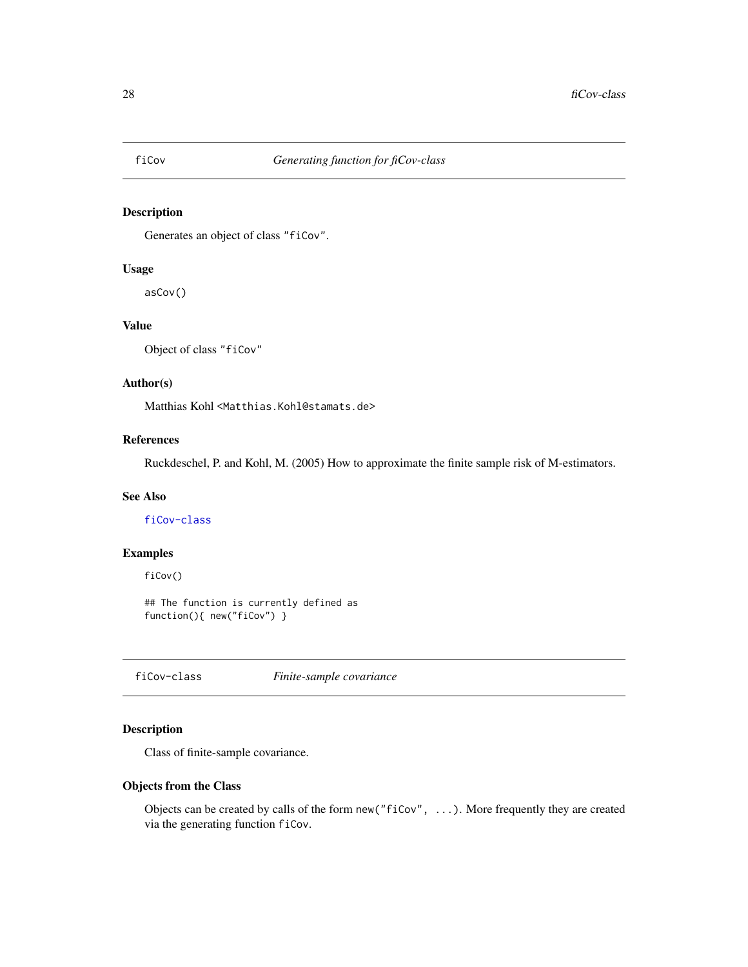<span id="page-27-2"></span><span id="page-27-0"></span>

Generates an object of class "fiCov".

## Usage

asCov()

#### Value

Object of class "fiCov"

## Author(s)

Matthias Kohl <Matthias.Kohl@stamats.de>

## References

Ruckdeschel, P. and Kohl, M. (2005) How to approximate the finite sample risk of M-estimators.

## See Also

[fiCov-class](#page-27-1)

## Examples

fiCov()

## The function is currently defined as function(){ new("fiCov") }

<span id="page-27-1"></span>fiCov-class *Finite-sample covariance*

## Description

Class of finite-sample covariance.

#### Objects from the Class

Objects can be created by calls of the form new("fiCov", ...). More frequently they are created via the generating function fiCov.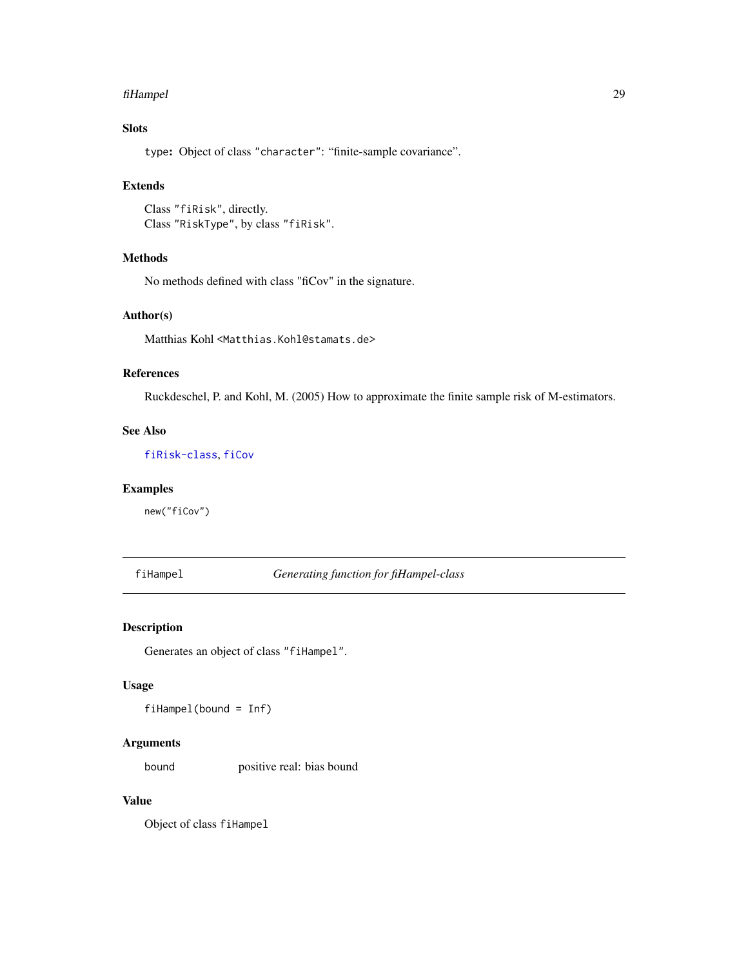#### <span id="page-28-0"></span>fiHampel 29

## Slots

type: Object of class "character": "finite-sample covariance".

## Extends

```
Class "fiRisk", directly.
Class "RiskType", by class "fiRisk".
```
## Methods

No methods defined with class "fiCov" in the signature.

## Author(s)

Matthias Kohl <Matthias.Kohl@stamats.de>

## References

Ruckdeschel, P. and Kohl, M. (2005) How to approximate the finite sample risk of M-estimators.

## See Also

[fiRisk-class](#page-32-1), [fiCov](#page-27-2)

#### Examples

new("fiCov")

## <span id="page-28-1"></span>fiHampel *Generating function for fiHampel-class*

## Description

Generates an object of class "fiHampel".

## Usage

fiHampel(bound = Inf)

#### Arguments

bound positive real: bias bound

## Value

Object of class fiHampel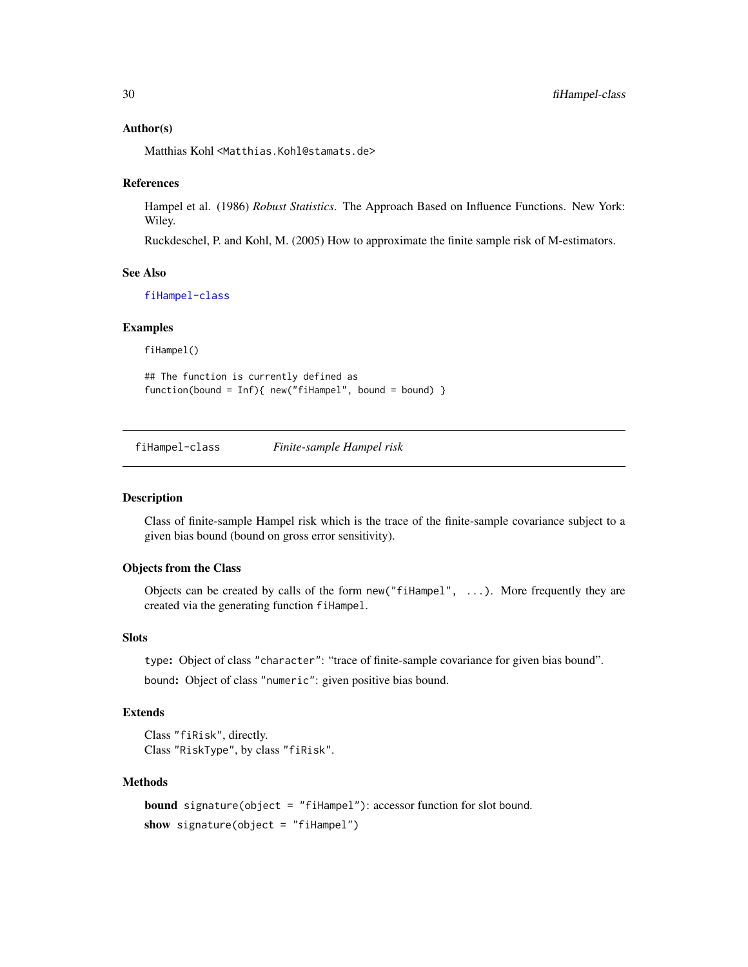#### Author(s)

Matthias Kohl <Matthias.Kohl@stamats.de>

#### References

Hampel et al. (1986) *Robust Statistics*. The Approach Based on Influence Functions. New York: Wiley.

Ruckdeschel, P. and Kohl, M. (2005) How to approximate the finite sample risk of M-estimators.

#### See Also

[fiHampel-class](#page-29-1)

#### Examples

fiHampel()

## The function is currently defined as function(bound = Inf){ new("fiHampel", bound = bound) }

<span id="page-29-1"></span>fiHampel-class *Finite-sample Hampel risk*

## Description

Class of finite-sample Hampel risk which is the trace of the finite-sample covariance subject to a given bias bound (bound on gross error sensitivity).

#### Objects from the Class

Objects can be created by calls of the form new ("fiHampel",  $\dots$ ). More frequently they are created via the generating function fiHampel.

#### Slots

type: Object of class "character": "trace of finite-sample covariance for given bias bound".

bound: Object of class "numeric": given positive bias bound.

#### Extends

```
Class "fiRisk", directly.
Class "RiskType", by class "fiRisk".
```
#### Methods

```
bound signature(object = "fiHampel"): accessor function for slot bound.
show signature(object = "fiHampel")
```
<span id="page-29-0"></span>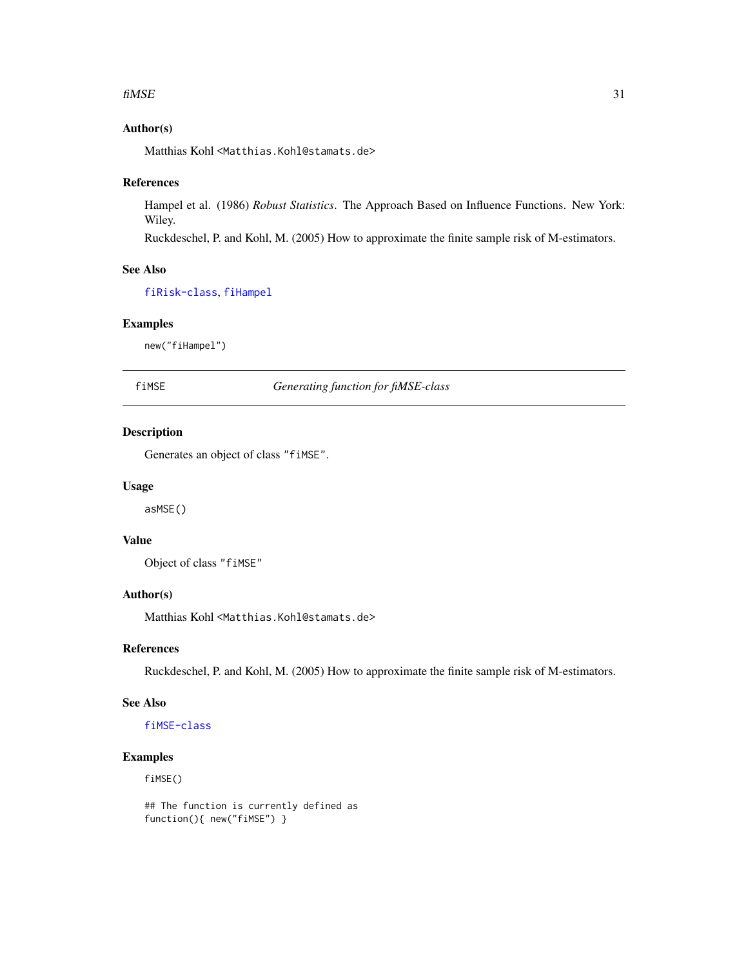#### <span id="page-30-0"></span> $f$ i MSE 31

## Author(s)

Matthias Kohl <Matthias.Kohl@stamats.de>

#### References

Hampel et al. (1986) *Robust Statistics*. The Approach Based on Influence Functions. New York: Wiley.

Ruckdeschel, P. and Kohl, M. (2005) How to approximate the finite sample risk of M-estimators.

## See Also

[fiRisk-class](#page-32-1), [fiHampel](#page-28-1)

#### Examples

new("fiHampel")

<span id="page-30-1"></span>fiMSE *Generating function for fiMSE-class*

## Description

Generates an object of class "fiMSE".

#### Usage

asMSE()

## Value

Object of class "fiMSE"

## Author(s)

Matthias Kohl <Matthias.Kohl@stamats.de>

#### References

Ruckdeschel, P. and Kohl, M. (2005) How to approximate the finite sample risk of M-estimators.

#### See Also

[fiMSE-class](#page-31-1)

#### Examples

fiMSE()

## The function is currently defined as function(){ new("fiMSE") }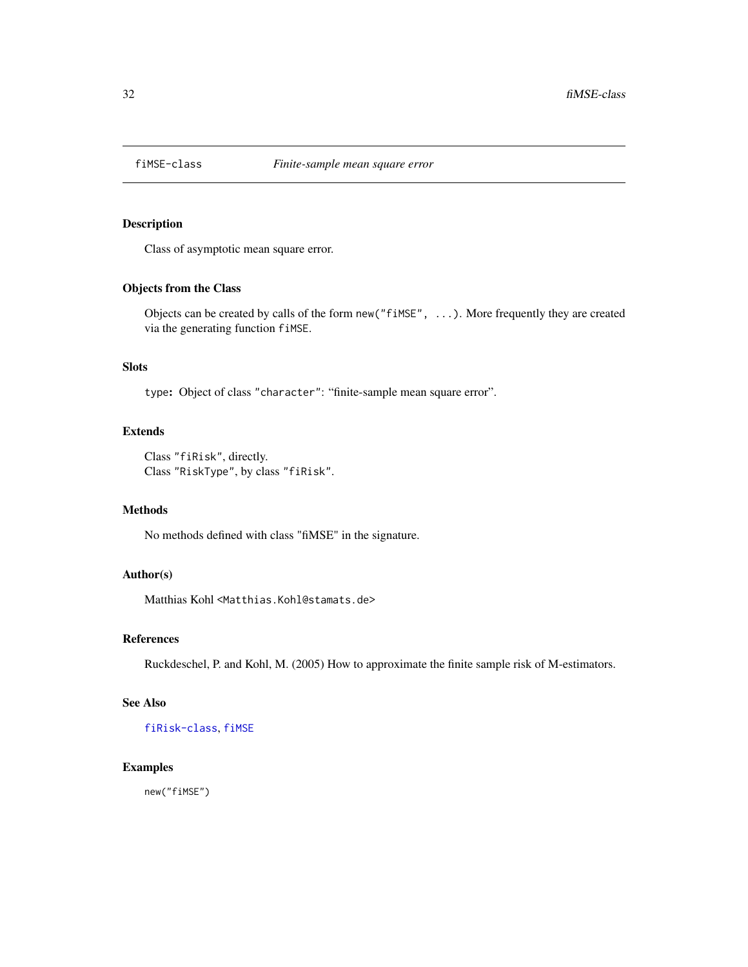<span id="page-31-1"></span><span id="page-31-0"></span>

Class of asymptotic mean square error.

## Objects from the Class

Objects can be created by calls of the form new("fiMSE", ...). More frequently they are created via the generating function fiMSE.

## Slots

type: Object of class "character": "finite-sample mean square error".

## Extends

Class "fiRisk", directly. Class "RiskType", by class "fiRisk".

## Methods

No methods defined with class "fiMSE" in the signature.

## Author(s)

Matthias Kohl <Matthias.Kohl@stamats.de>

#### References

Ruckdeschel, P. and Kohl, M. (2005) How to approximate the finite sample risk of M-estimators.

#### See Also

[fiRisk-class](#page-32-1), [fiMSE](#page-30-1)

#### Examples

new("fiMSE")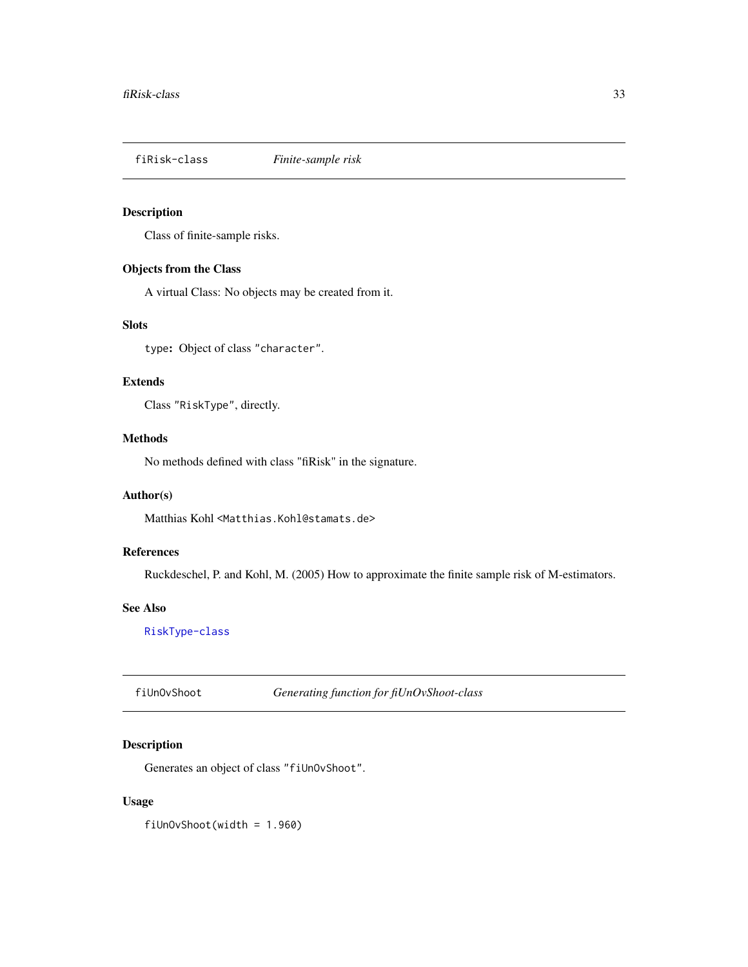<span id="page-32-1"></span><span id="page-32-0"></span>

Class of finite-sample risks.

## Objects from the Class

A virtual Class: No objects may be created from it.

## Slots

type: Object of class "character".

## Extends

Class "RiskType", directly.

### Methods

No methods defined with class "fiRisk" in the signature.

## Author(s)

Matthias Kohl <Matthias.Kohl@stamats.de>

## References

Ruckdeschel, P. and Kohl, M. (2005) How to approximate the finite sample risk of M-estimators.

#### See Also

[RiskType-class](#page-101-1)

fiUnOvShoot *Generating function for fiUnOvShoot-class*

## Description

Generates an object of class "fiUnOvShoot".

## Usage

fiUnOvShoot(width = 1.960)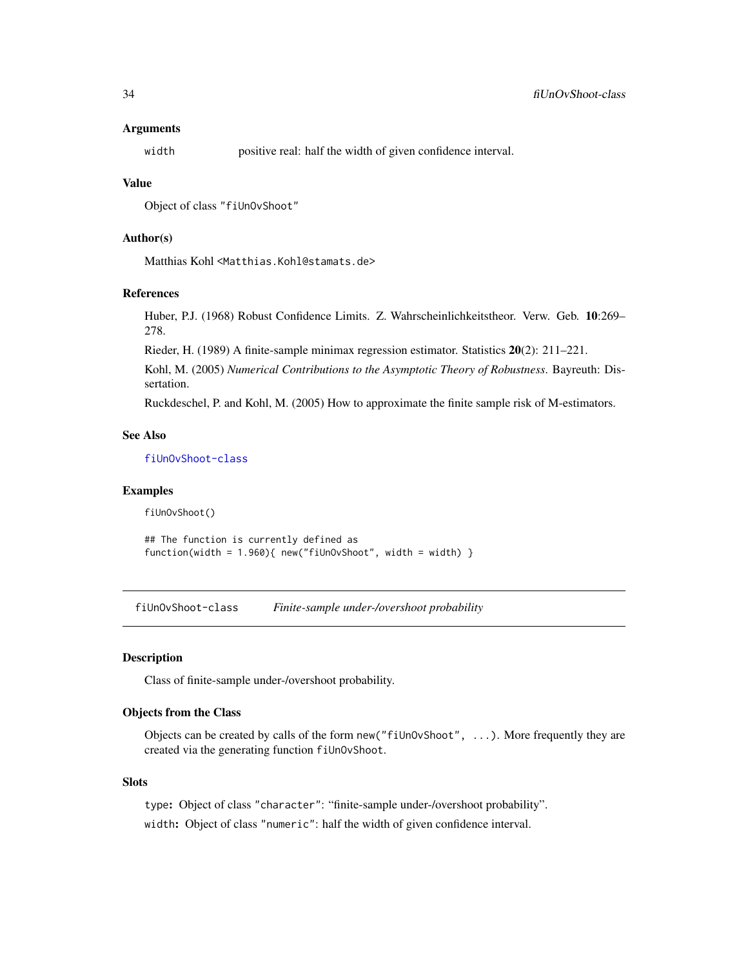#### <span id="page-33-0"></span>Arguments

width positive real: half the width of given confidence interval.

#### Value

Object of class "fiUnOvShoot"

## Author(s)

Matthias Kohl <Matthias.Kohl@stamats.de>

#### References

Huber, P.J. (1968) Robust Confidence Limits. Z. Wahrscheinlichkeitstheor. Verw. Geb. 10:269– 278.

Rieder, H. (1989) A finite-sample minimax regression estimator. Statistics 20(2): 211–221.

Kohl, M. (2005) *Numerical Contributions to the Asymptotic Theory of Robustness*. Bayreuth: Dissertation.

Ruckdeschel, P. and Kohl, M. (2005) How to approximate the finite sample risk of M-estimators.

## See Also

[fiUnOvShoot-class](#page-33-1)

#### Examples

fiUnOvShoot()

```
## The function is currently defined as
function(width = 1.960){ new("fiUnOvShoot", width = width) }
```
<span id="page-33-1"></span>fiUnOvShoot-class *Finite-sample under-/overshoot probability*

#### Description

Class of finite-sample under-/overshoot probability.

#### Objects from the Class

Objects can be created by calls of the form new("fiUnOvShoot", ...). More frequently they are created via the generating function fiUnOvShoot.

#### **Slots**

type: Object of class "character": "finite-sample under-/overshoot probability".

width: Object of class "numeric": half the width of given confidence interval.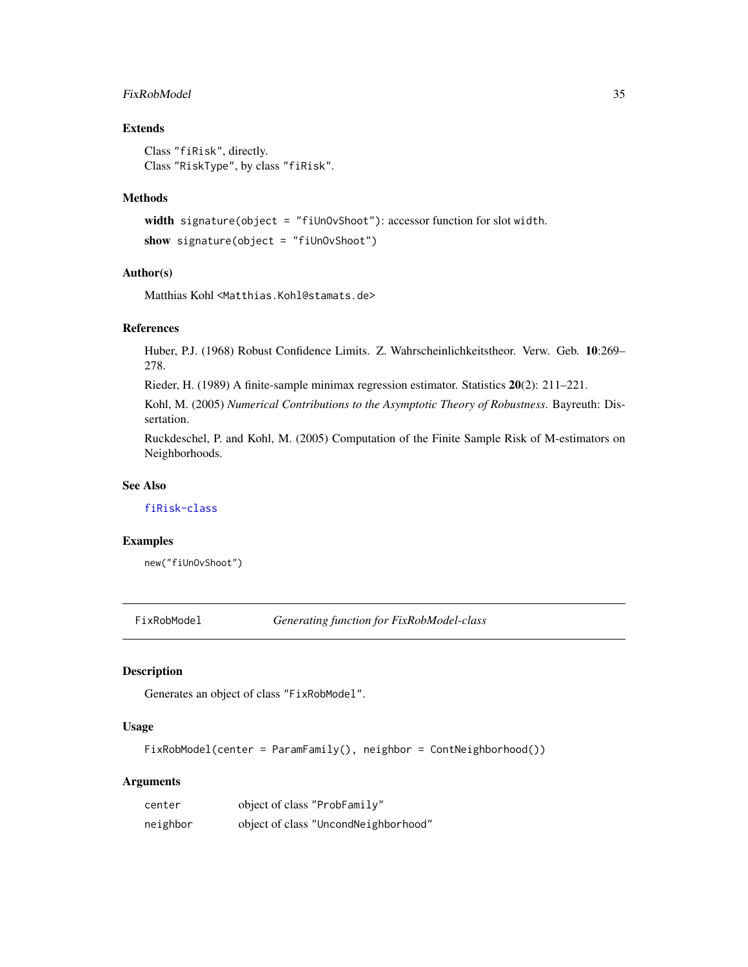## <span id="page-34-0"></span>FixRobModel 35

## Extends

Class "fiRisk", directly. Class "RiskType", by class "fiRisk".

#### Methods

```
width signature(object = "fiUnOvShoot"): accessor function for slot width.
show signature(object = "fiUnOvShoot")
```
#### Author(s)

Matthias Kohl <Matthias.Kohl@stamats.de>

#### References

Huber, P.J. (1968) Robust Confidence Limits. Z. Wahrscheinlichkeitstheor. Verw. Geb. 10:269– 278.

Rieder, H. (1989) A finite-sample minimax regression estimator. Statistics 20(2): 211–221.

Kohl, M. (2005) *Numerical Contributions to the Asymptotic Theory of Robustness*. Bayreuth: Dissertation.

Ruckdeschel, P. and Kohl, M. (2005) Computation of the Finite Sample Risk of M-estimators on Neighborhoods.

## See Also

[fiRisk-class](#page-32-1)

#### Examples

new("fiUnOvShoot")

FixRobModel *Generating function for FixRobModel-class*

## Description

Generates an object of class "FixRobModel".

## Usage

FixRobModel(center = ParamFamily(), neighbor = ContNeighborhood())

#### Arguments

| center   | object of class "ProbFamily"         |
|----------|--------------------------------------|
| neighbor | object of class "UncondNeighborhood" |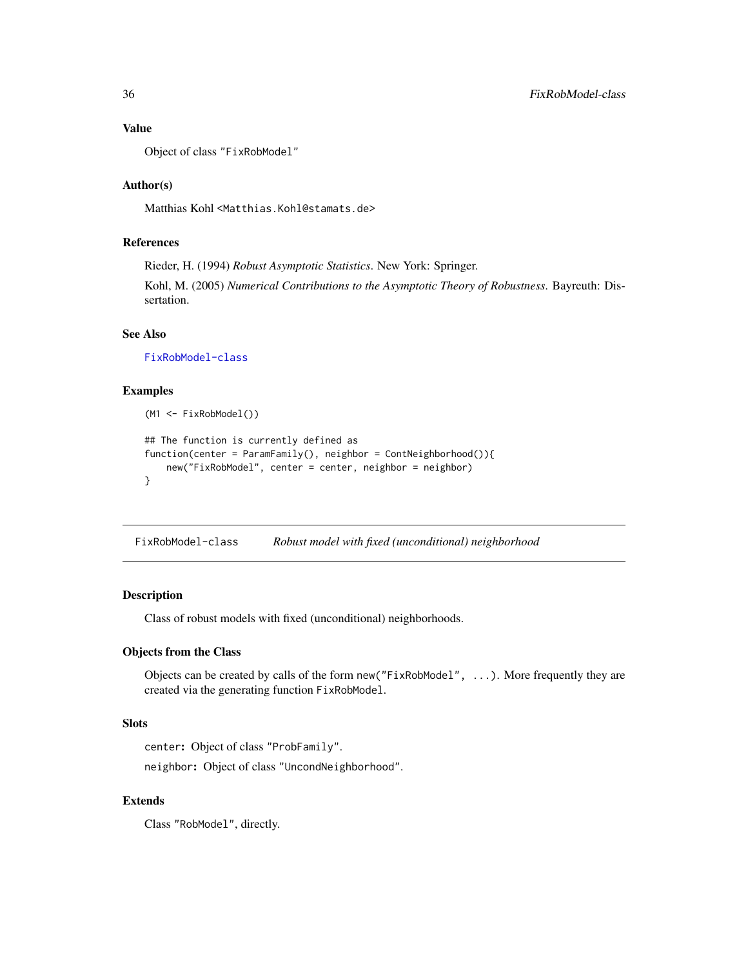## Value

Object of class "FixRobModel"

## Author(s)

Matthias Kohl <Matthias.Kohl@stamats.de>

## References

Rieder, H. (1994) *Robust Asymptotic Statistics*. New York: Springer. Kohl, M. (2005) *Numerical Contributions to the Asymptotic Theory of Robustness*. Bayreuth: Dissertation.

## See Also

[FixRobModel-class](#page-35-1)

## Examples

```
(M1 <- FixRobModel())
## The function is currently defined as
function(center = ParamFamily(), neighbor = ContNeighborhood()){
    new("FixRobModel", center = center, neighbor = neighbor)
}
```
<span id="page-35-1"></span>FixRobModel-class *Robust model with fixed (unconditional) neighborhood*

#### Description

Class of robust models with fixed (unconditional) neighborhoods.

## Objects from the Class

Objects can be created by calls of the form new("FixRobModel", ...). More frequently they are created via the generating function FixRobModel.

## Slots

center: Object of class "ProbFamily".

neighbor: Object of class "UncondNeighborhood".

## Extends

Class "RobModel", directly.

<span id="page-35-0"></span>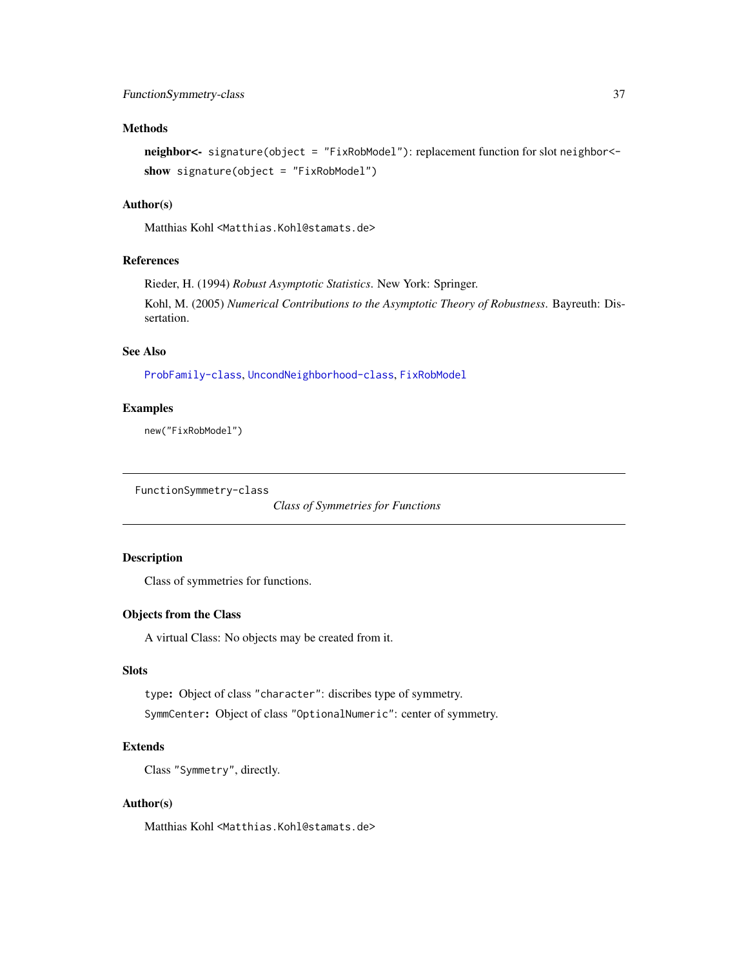## Methods

neighbor<- signature(object = "FixRobModel"): replacement function for slot neighbor< show signature(object = "FixRobModel")

### Author(s)

Matthias Kohl <Matthias.Kohl@stamats.de>

### References

sertation.

Rieder, H. (1994) *Robust Asymptotic Statistics*. New York: Springer. Kohl, M. (2005) *Numerical Contributions to the Asymptotic Theory of Robustness*. Bayreuth: Dis-

#### See Also

[ProbFamily-class](#page-99-0), [UncondNeighborhood-class](#page-112-0), [FixRobModel](#page-34-0)

#### Examples

new("FixRobModel")

```
FunctionSymmetry-class
```
*Class of Symmetries for Functions*

## Description

Class of symmetries for functions.

## Objects from the Class

A virtual Class: No objects may be created from it.

## Slots

type: Object of class "character": discribes type of symmetry.

SymmCenter: Object of class "OptionalNumeric": center of symmetry.

### Extends

Class "Symmetry", directly.

### Author(s)

Matthias Kohl <Matthias.Kohl@stamats.de>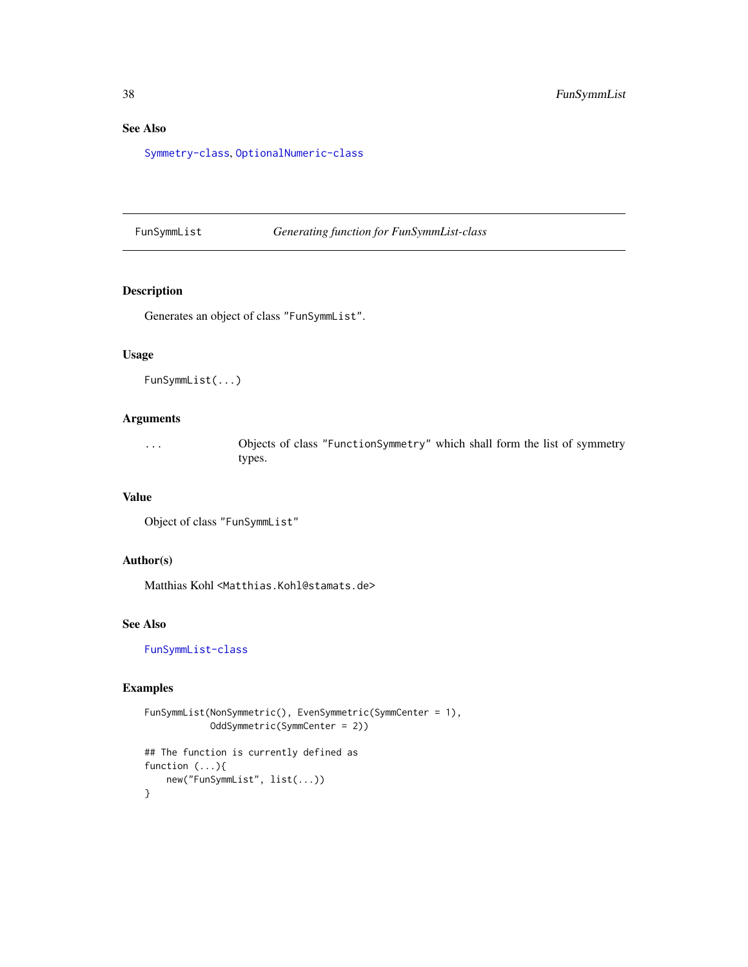# See Also

[Symmetry-class](#page-0-0), [OptionalNumeric-class](#page-0-0)

FunSymmList *Generating function for FunSymmList-class*

### Description

Generates an object of class "FunSymmList".

## Usage

```
FunSymmList(...)
```
### Arguments

... Objects of class "FunctionSymmetry" which shall form the list of symmetry types.

# Value

```
Object of class "FunSymmList"
```
## Author(s)

Matthias Kohl <Matthias.Kohl@stamats.de>

## See Also

[FunSymmList-class](#page-38-0)

### Examples

```
FunSymmList(NonSymmetric(), EvenSymmetric(SymmCenter = 1),
            OddSymmetric(SymmCenter = 2))
## The function is currently defined as
function (...){
   new("FunSymmList", list(...))
}
```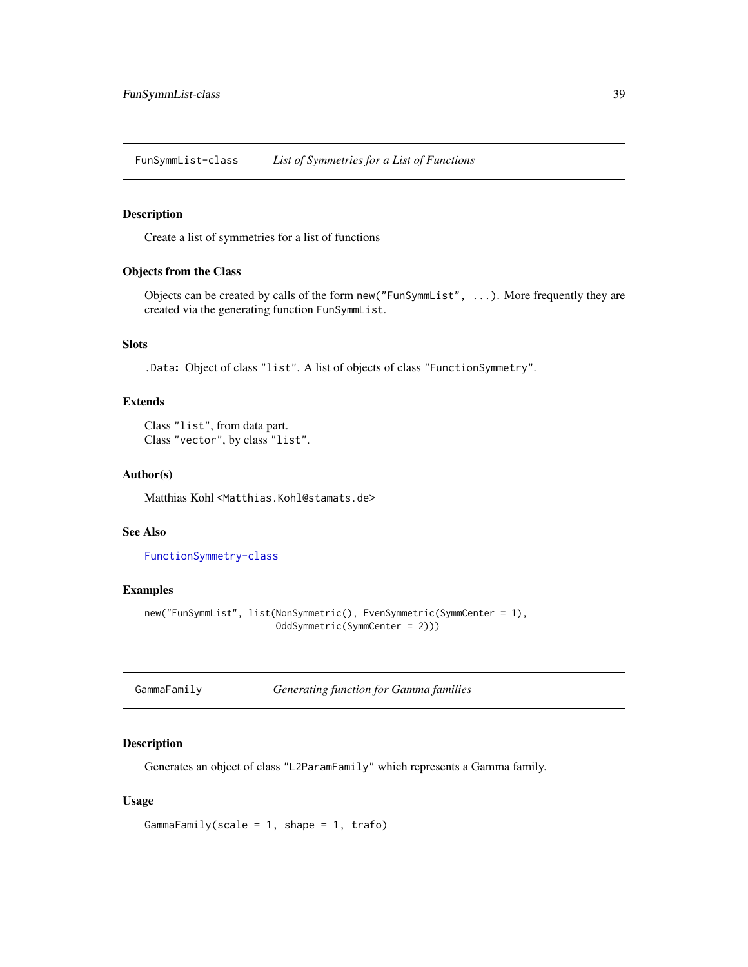<span id="page-38-0"></span>FunSymmList-class *List of Symmetries for a List of Functions*

## Description

Create a list of symmetries for a list of functions

## Objects from the Class

Objects can be created by calls of the form new("FunSymmList", ...). More frequently they are created via the generating function FunSymmList.

# Slots

.Data: Object of class "list". A list of objects of class "FunctionSymmetry".

### Extends

```
Class "list", from data part.
Class "vector", by class "list".
```
### Author(s)

Matthias Kohl <Matthias.Kohl@stamats.de>

### See Also

[FunctionSymmetry-class](#page-36-0)

## Examples

```
new("FunSymmList", list(NonSymmetric(), EvenSymmetric(SymmCenter = 1),
                       OddSymmetric(SymmCenter = 2)))
```

| GammaFamily | <b>Generating function for Gamma families</b> |
|-------------|-----------------------------------------------|
|-------------|-----------------------------------------------|

### Description

Generates an object of class "L2ParamFamily" which represents a Gamma family.

## Usage

```
GammaFamily(scale = 1, shape = 1, trafo)
```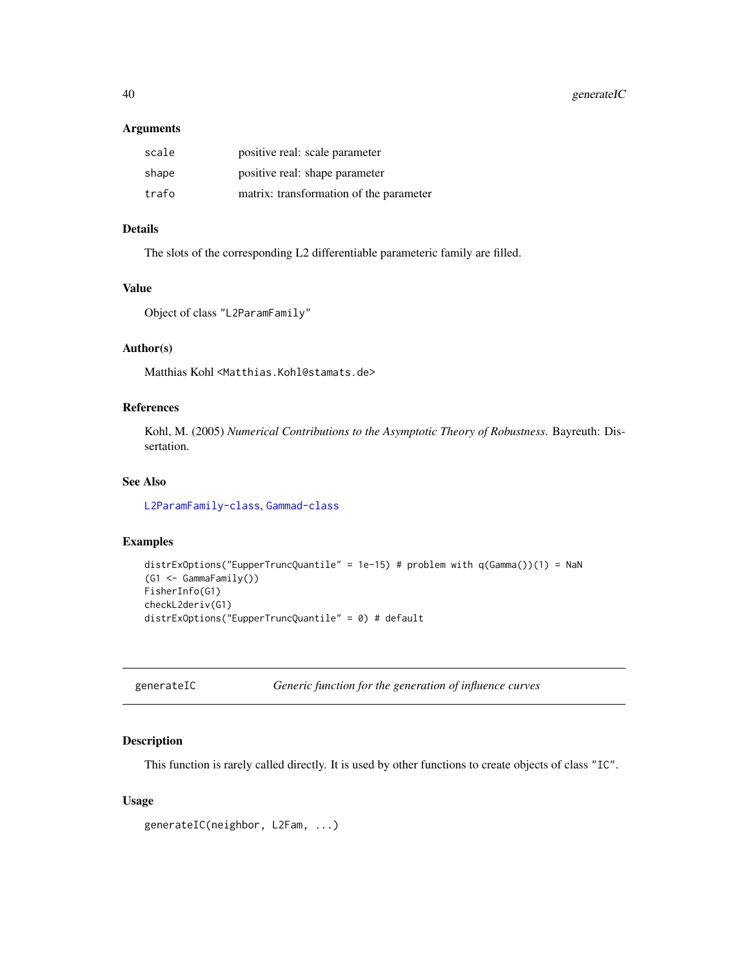40 generateIC

#### Arguments

| scale | positive real: scale parameter          |
|-------|-----------------------------------------|
| shape | positive real: shape parameter          |
| trafo | matrix: transformation of the parameter |

## Details

The slots of the corresponding L2 differentiable parameteric family are filled.

## Value

```
Object of class "L2ParamFamily"
```
# Author(s)

Matthias Kohl <Matthias.Kohl@stamats.de>

## References

Kohl, M. (2005) *Numerical Contributions to the Asymptotic Theory of Robustness*. Bayreuth: Dissertation.

## See Also

[L2ParamFamily-class](#page-76-0), [Gammad-class](#page-0-0)

## Examples

```
distrExOptions("EupperTruncQuantile" = 1e-15) # problem with q(Gamma())(1) = NaN
(G1 <- GammaFamily())
FisherInfo(G1)
checkL2deriv(G1)
distrExOptions("EupperTruncQuantile" = 0) # default
```

| generateIC |  |
|------------|--|
|------------|--|

Generic function for the generation of influence curves

## Description

This function is rarely called directly. It is used by other functions to create objects of class "IC".

## Usage

```
generateIC(neighbor, L2Fam, ...)
```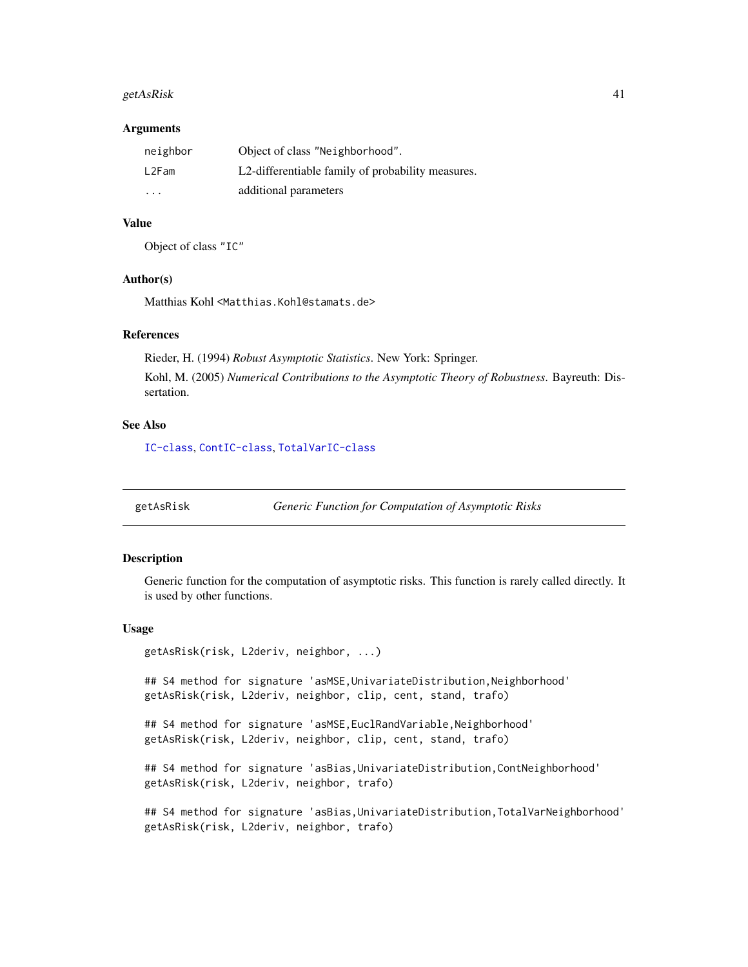#### getAs $R$ isk 41

#### **Arguments**

| neighbor | Object of class "Neighborhood".                   |
|----------|---------------------------------------------------|
| L2Fam    | L2-differentiable family of probability measures. |
| .        | additional parameters                             |

## Value

Object of class "IC"

### Author(s)

Matthias Kohl <Matthias.Kohl@stamats.de>

#### References

Rieder, H. (1994) *Robust Asymptotic Statistics*. New York: Springer. Kohl, M. (2005) *Numerical Contributions to the Asymptotic Theory of Robustness*. Bayreuth: Dissertation.

### See Also

[IC-class](#page-66-0), [ContIC-class](#page-18-0), [TotalVarIC-class](#page-105-0)

getAsRisk *Generic Function for Computation of Asymptotic Risks*

## Description

Generic function for the computation of asymptotic risks. This function is rarely called directly. It is used by other functions.

#### Usage

```
getAsRisk(risk, L2deriv, neighbor, ...)
```
## S4 method for signature 'asMSE, UnivariateDistribution, Neighborhood' getAsRisk(risk, L2deriv, neighbor, clip, cent, stand, trafo)

## S4 method for signature 'asMSE, EuclRandVariable, Neighborhood' getAsRisk(risk, L2deriv, neighbor, clip, cent, stand, trafo)

## S4 method for signature 'asBias, UnivariateDistribution, ContNeighborhood' getAsRisk(risk, L2deriv, neighbor, trafo)

## S4 method for signature 'asBias, UnivariateDistribution, TotalVarNeighborhood' getAsRisk(risk, L2deriv, neighbor, trafo)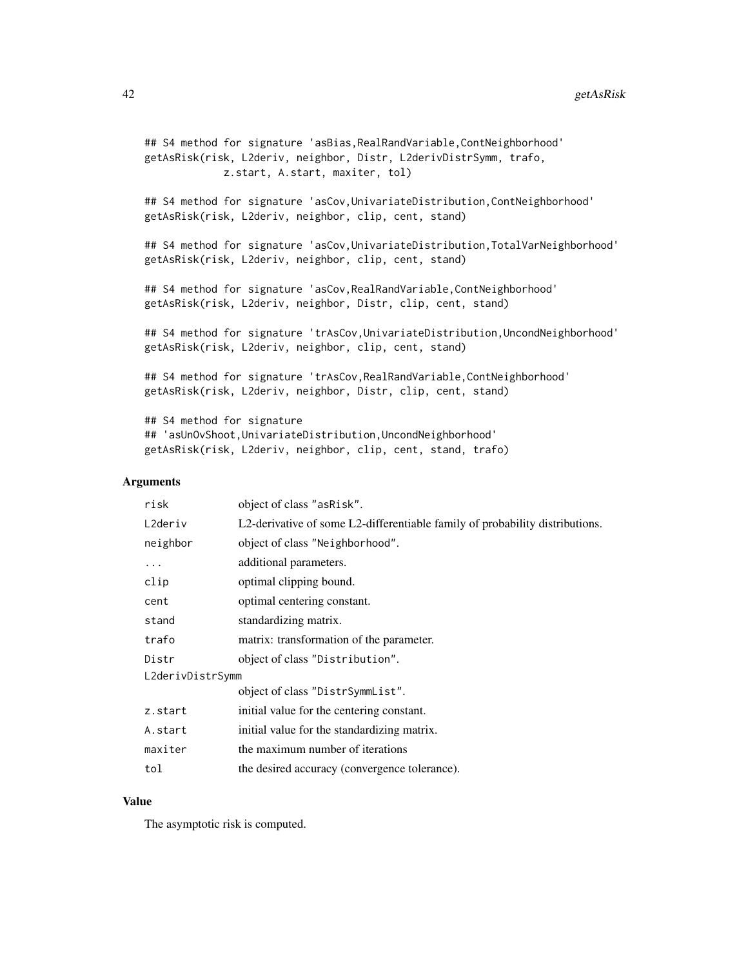```
## S4 method for signature 'asBias, RealRandVariable, ContNeighborhood'
getAsRisk(risk, L2deriv, neighbor, Distr, L2derivDistrSymm, trafo,
             z.start, A.start, maxiter, tol)
## S4 method for signature 'asCov, UnivariateDistribution, ContNeighborhood'
getAsRisk(risk, L2deriv, neighbor, clip, cent, stand)
## S4 method for signature 'asCov,UnivariateDistribution,TotalVarNeighborhood'
getAsRisk(risk, L2deriv, neighbor, clip, cent, stand)
## S4 method for signature 'asCov,RealRandVariable,ContNeighborhood'
getAsRisk(risk, L2deriv, neighbor, Distr, clip, cent, stand)
## S4 method for signature 'trAsCov,UnivariateDistribution,UncondNeighborhood'
getAsRisk(risk, L2deriv, neighbor, clip, cent, stand)
## S4 method for signature 'trAsCov, RealRandVariable, ContNeighborhood'
getAsRisk(risk, L2deriv, neighbor, Distr, clip, cent, stand)
## S4 method for signature
```

```
## 'asUnOvShoot,UnivariateDistribution,UncondNeighborhood'
getAsRisk(risk, L2deriv, neighbor, clip, cent, stand, trafo)
```
#### **Arguments**

| object of class "asRisk".                                                    |  |  |
|------------------------------------------------------------------------------|--|--|
| L2-derivative of some L2-differentiable family of probability distributions. |  |  |
| object of class "Neighborhood".                                              |  |  |
| additional parameters.                                                       |  |  |
| optimal clipping bound.                                                      |  |  |
| optimal centering constant.                                                  |  |  |
| standardizing matrix.                                                        |  |  |
| matrix: transformation of the parameter.                                     |  |  |
| object of class "Distribution".                                              |  |  |
| L2derivDistrSymm                                                             |  |  |
| object of class "DistrSymmList".                                             |  |  |
| initial value for the centering constant.                                    |  |  |
| initial value for the standardizing matrix.                                  |  |  |
| the maximum number of iterations                                             |  |  |
| the desired accuracy (convergence tolerance).                                |  |  |
|                                                                              |  |  |

### Value

The asymptotic risk is computed.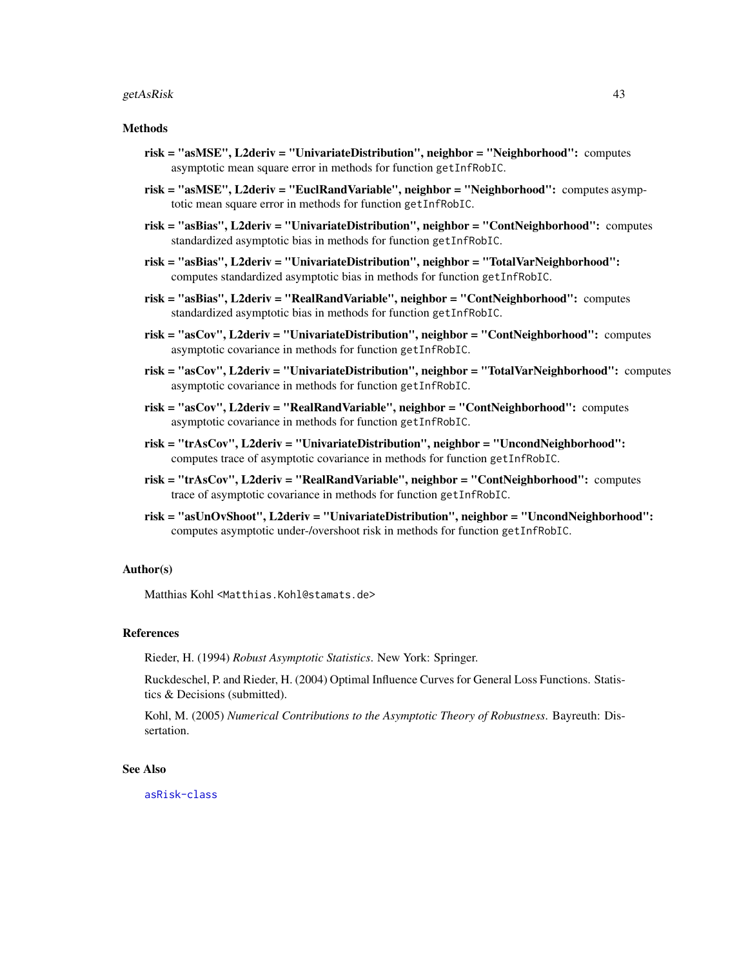#### getAsRisk 43

#### Methods

- risk = "asMSE", L2deriv = "UnivariateDistribution", neighbor = "Neighborhood": computes asymptotic mean square error in methods for function getInfRobIC.
- risk = "asMSE", L2deriv = "EuclRandVariable", neighbor = "Neighborhood": computes asymptotic mean square error in methods for function getInfRobIC.
- risk = "asBias", L2deriv = "UnivariateDistribution", neighbor = "ContNeighborhood": computes standardized asymptotic bias in methods for function getInfRobIC.
- risk = "asBias", L2deriv = "UnivariateDistribution", neighbor = "TotalVarNeighborhood": computes standardized asymptotic bias in methods for function getInfRobIC.
- risk = "asBias", L2deriv = "RealRandVariable", neighbor = "ContNeighborhood": computes standardized asymptotic bias in methods for function getInfRobIC.
- risk = "asCov", L2deriv = "UnivariateDistribution", neighbor = "ContNeighborhood": computes asymptotic covariance in methods for function getInfRobIC.
- risk = "asCov", L2deriv = "UnivariateDistribution", neighbor = "TotalVarNeighborhood": computes asymptotic covariance in methods for function getInfRobIC.
- risk = "asCov", L2deriv = "RealRandVariable", neighbor = "ContNeighborhood": computes asymptotic covariance in methods for function getInfRobIC.
- risk = "trAsCov", L2deriv = "UnivariateDistribution", neighbor = "UncondNeighborhood": computes trace of asymptotic covariance in methods for function getInfRobIC.
- risk = "trAsCov", L2deriv = "RealRandVariable", neighbor = "ContNeighborhood": computes trace of asymptotic covariance in methods for function getInfRobIC.
- risk = "asUnOvShoot", L2deriv = "UnivariateDistribution", neighbor = "UncondNeighborhood": computes asymptotic under-/overshoot risk in methods for function getInfRobIC.

### Author(s)

Matthias Kohl <Matthias.Kohl@stamats.de>

#### References

Rieder, H. (1994) *Robust Asymptotic Statistics*. New York: Springer.

Ruckdeschel, P. and Rieder, H. (2004) Optimal Influence Curves for General Loss Functions. Statistics & Decisions (submitted).

Kohl, M. (2005) *Numerical Contributions to the Asymptotic Theory of Robustness*. Bayreuth: Dissertation.

#### See Also

[asRisk-class](#page-11-0)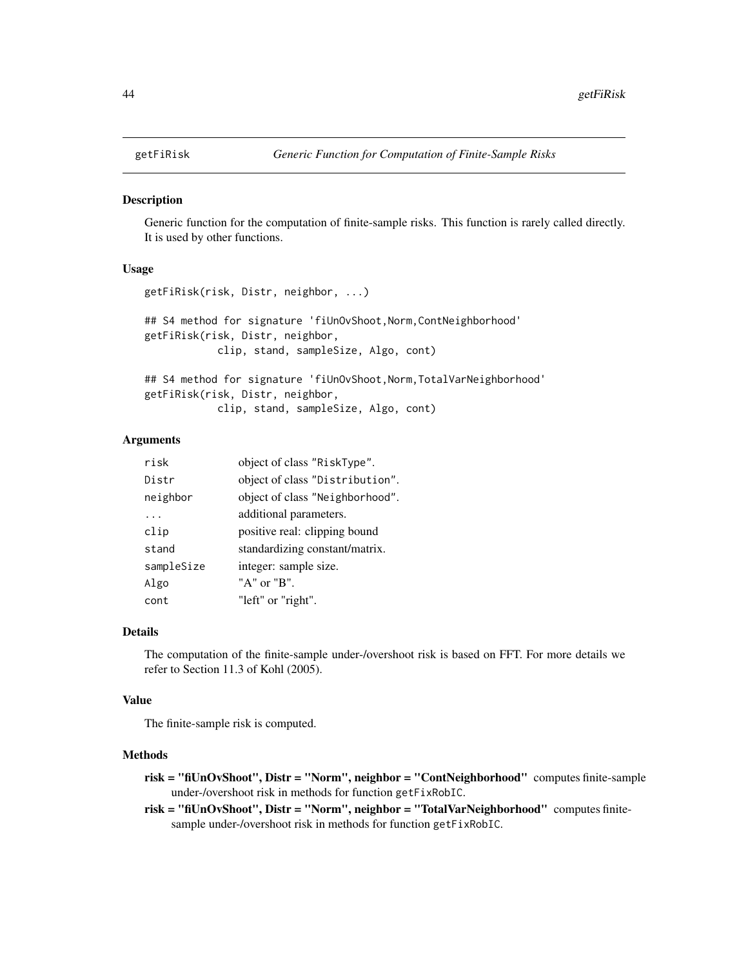### **Description**

Generic function for the computation of finite-sample risks. This function is rarely called directly. It is used by other functions.

## Usage

```
getFiRisk(risk, Distr, neighbor, ...)
## S4 method for signature 'fiUnOvShoot, Norm, ContNeighborhood'
getFiRisk(risk, Distr, neighbor,
            clip, stand, sampleSize, Algo, cont)
## S4 method for signature 'fiUnOvShoot, Norm, TotalVarNeighborhood'
```
getFiRisk(risk, Distr, neighbor, clip, stand, sampleSize, Algo, cont)

### Arguments

| risk       | object of class "RiskType".     |
|------------|---------------------------------|
| Distr      | object of class "Distribution". |
| neighbor   | object of class "Neighborhood". |
|            | additional parameters.          |
| clip       | positive real: clipping bound   |
| stand      | standardizing constant/matrix.  |
| sampleSize | integer: sample size.           |
| Algo       | "A" or "B".                     |
| cont       | "left" or "right".              |

## Details

The computation of the finite-sample under-/overshoot risk is based on FFT. For more details we refer to Section 11.3 of Kohl (2005).

### Value

The finite-sample risk is computed.

### Methods

- risk = "fiUnOvShoot", Distr = "Norm", neighbor = "ContNeighborhood" computes finite-sample under-/overshoot risk in methods for function getFixRobIC.
- risk = "fiUnOvShoot", Distr = "Norm", neighbor = "TotalVarNeighborhood" computes finitesample under-/overshoot risk in methods for function getFixRobIC.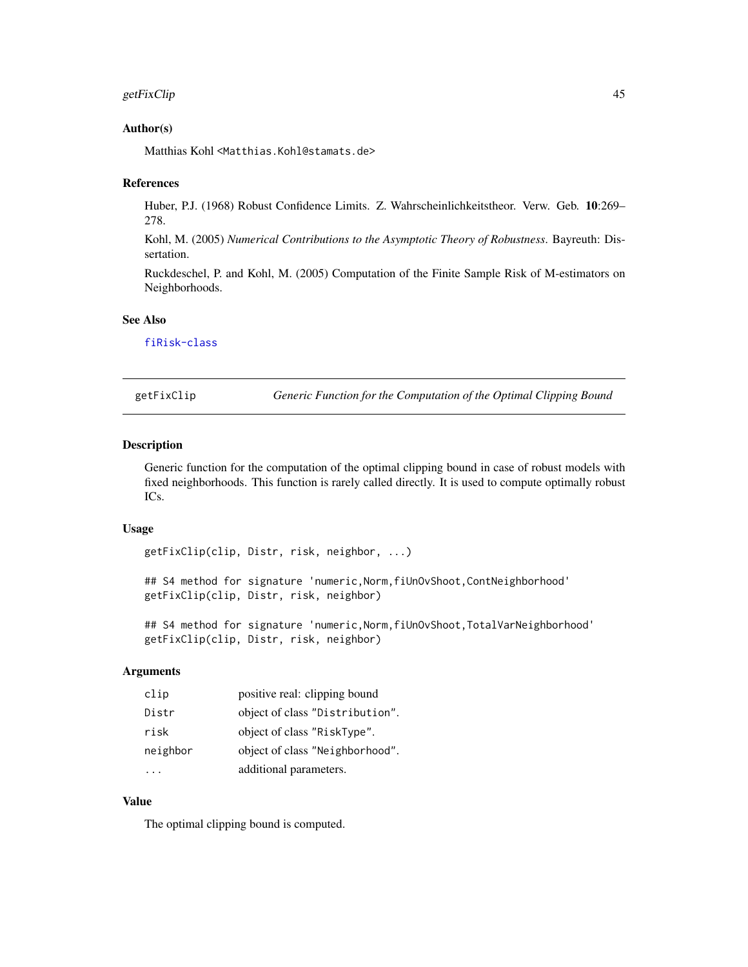## getFixClip 45

### Author(s)

Matthias Kohl <Matthias.Kohl@stamats.de>

#### References

Huber, P.J. (1968) Robust Confidence Limits. Z. Wahrscheinlichkeitstheor. Verw. Geb. 10:269– 278.

Kohl, M. (2005) *Numerical Contributions to the Asymptotic Theory of Robustness*. Bayreuth: Dissertation.

Ruckdeschel, P. and Kohl, M. (2005) Computation of the Finite Sample Risk of M-estimators on Neighborhoods.

## See Also

[fiRisk-class](#page-32-0)

getFixClip *Generic Function for the Computation of the Optimal Clipping Bound*

#### Description

Generic function for the computation of the optimal clipping bound in case of robust models with fixed neighborhoods. This function is rarely called directly. It is used to compute optimally robust ICs.

### Usage

getFixClip(clip, Distr, risk, neighbor, ...)

## S4 method for signature 'numeric,Norm,fiUnOvShoot,ContNeighborhood' getFixClip(clip, Distr, risk, neighbor)

## S4 method for signature 'numeric, Norm, fiUnOvShoot, TotalVarNeighborhood' getFixClip(clip, Distr, risk, neighbor)

# Arguments

| clip     | positive real: clipping bound   |
|----------|---------------------------------|
| Distr    | object of class "Distribution". |
| risk     | object of class "RiskType".     |
| neighbor | object of class "Neighborhood". |
|          | additional parameters.          |

## Value

The optimal clipping bound is computed.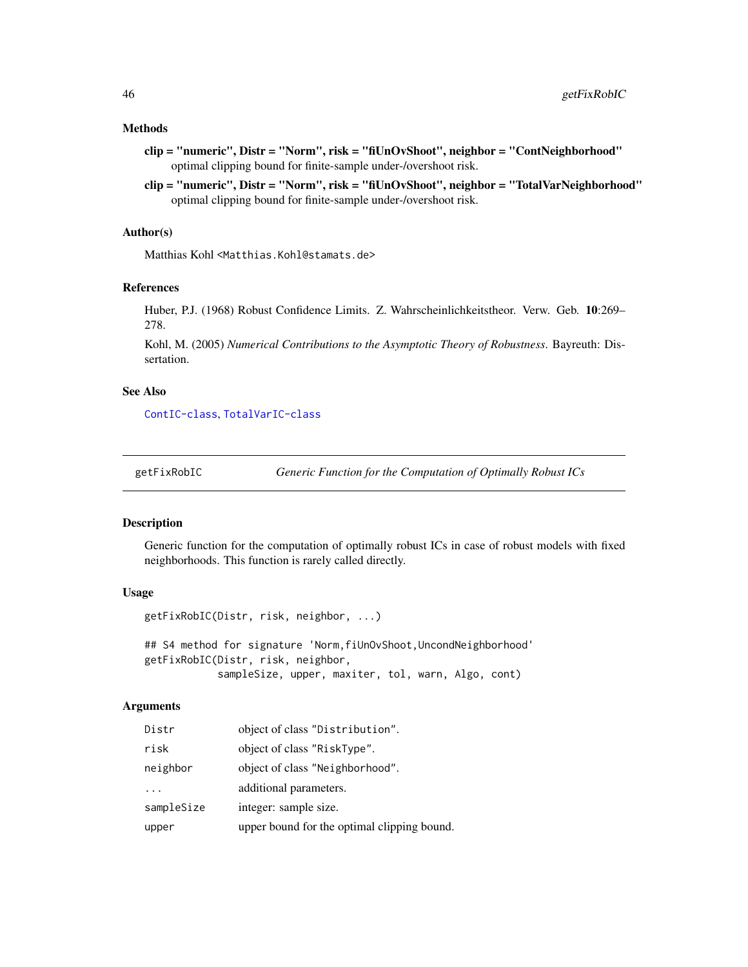### Methods

- clip = "numeric", Distr = "Norm", risk = "fiUnOvShoot", neighbor = "ContNeighborhood" optimal clipping bound for finite-sample under-/overshoot risk.
- clip = "numeric", Distr = "Norm", risk = "fiUnOvShoot", neighbor = "TotalVarNeighborhood" optimal clipping bound for finite-sample under-/overshoot risk.

### Author(s)

Matthias Kohl <Matthias.Kohl@stamats.de>

### References

Huber, P.J. (1968) Robust Confidence Limits. Z. Wahrscheinlichkeitstheor. Verw. Geb. 10:269– 278.

Kohl, M. (2005) *Numerical Contributions to the Asymptotic Theory of Robustness*. Bayreuth: Dissertation.

## See Also

[ContIC-class](#page-18-0), [TotalVarIC-class](#page-105-0)

getFixRobIC *Generic Function for the Computation of Optimally Robust ICs*

### Description

Generic function for the computation of optimally robust ICs in case of robust models with fixed neighborhoods. This function is rarely called directly.

### Usage

```
getFixRobIC(Distr, risk, neighbor, ...)
```
## S4 method for signature 'Norm, fiUnOvShoot, UncondNeighborhood' getFixRobIC(Distr, risk, neighbor, sampleSize, upper, maxiter, tol, warn, Algo, cont)

# **Arguments**

| Distr      | object of class "Distribution".             |
|------------|---------------------------------------------|
| risk       | object of class "RiskType".                 |
| neighbor   | object of class "Neighborhood".             |
| $\cdot$ .  | additional parameters.                      |
| sampleSize | integer: sample size.                       |
| upper      | upper bound for the optimal clipping bound. |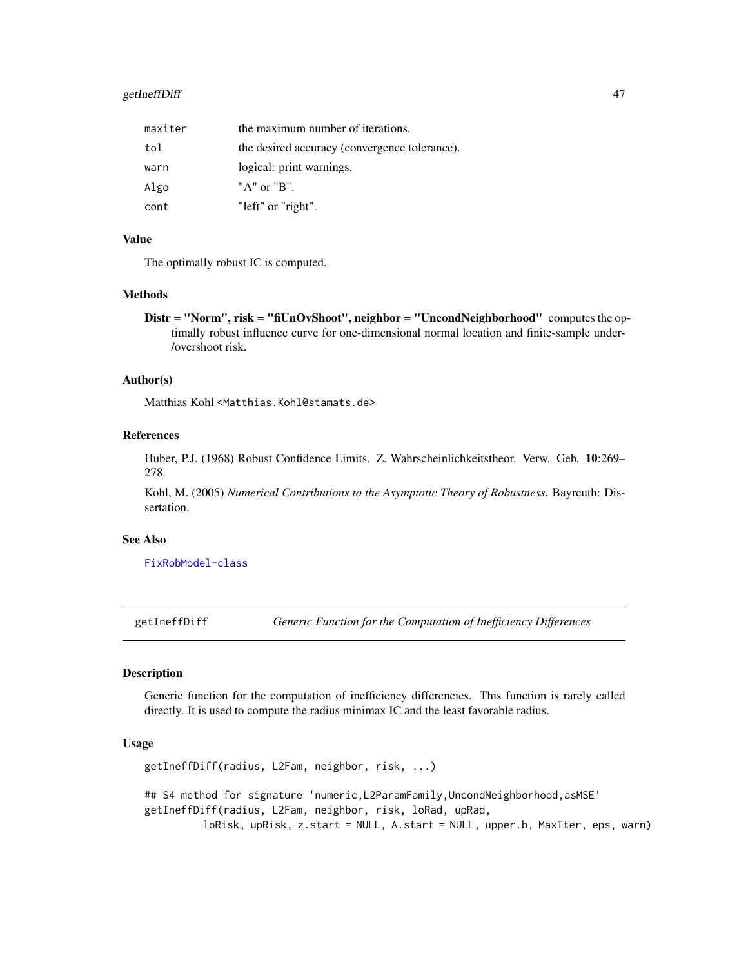## getIneffDiff 47

| maxiter | the maximum number of iterations.             |
|---------|-----------------------------------------------|
| tol     | the desired accuracy (convergence tolerance). |
| warn    | logical: print warnings.                      |
| Algo    | "A" or "B".                                   |
| cont    | "left" or "right".                            |

## Value

The optimally robust IC is computed.

### Methods

Distr = "Norm", risk = "fiUnOvShoot", neighbor = "UncondNeighborhood" computes the optimally robust influence curve for one-dimensional normal location and finite-sample under- /overshoot risk.

#### Author(s)

Matthias Kohl <Matthias.Kohl@stamats.de>

## References

Huber, P.J. (1968) Robust Confidence Limits. Z. Wahrscheinlichkeitstheor. Verw. Geb. 10:269– 278.

Kohl, M. (2005) *Numerical Contributions to the Asymptotic Theory of Robustness*. Bayreuth: Dissertation.

## See Also

[FixRobModel-class](#page-35-0)

getIneffDiff *Generic Function for the Computation of Inefficiency Differences*

### Description

Generic function for the computation of inefficiency differencies. This function is rarely called directly. It is used to compute the radius minimax IC and the least favorable radius.

### Usage

```
getIneffDiff(radius, L2Fam, neighbor, risk, ...)
## S4 method for signature 'numeric, L2ParamFamily, UncondNeighborhood, asMSE'
getIneffDiff(radius, L2Fam, neighbor, risk, loRad, upRad,
         loRisk, upRisk, z.start = NULL, A.start = NULL, upper.b, MaxIter, eps, warn)
```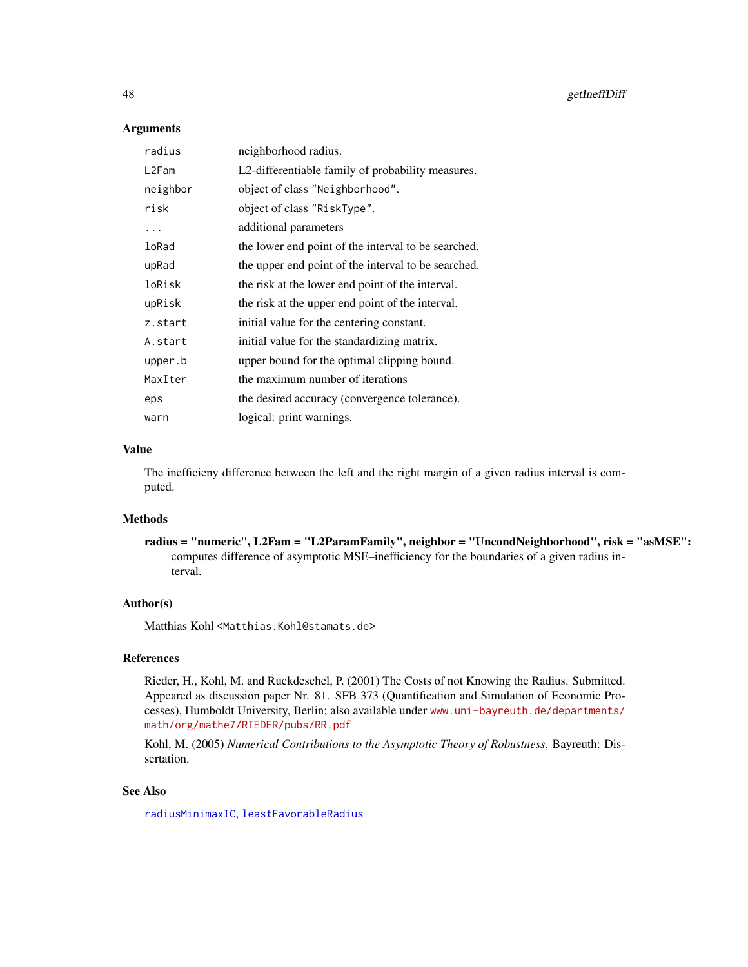### **Arguments**

| radius   | neighborhood radius.                                |
|----------|-----------------------------------------------------|
| L2Fam    | L2-differentiable family of probability measures.   |
| neighbor | object of class "Neighborhood".                     |
| risk     | object of class "RiskType".                         |
| .        | additional parameters                               |
| loRad    | the lower end point of the interval to be searched. |
| upRad    | the upper end point of the interval to be searched. |
| loRisk   | the risk at the lower end point of the interval.    |
| upRisk   | the risk at the upper end point of the interval.    |
| z.start  | initial value for the centering constant.           |
| A.start  | initial value for the standardizing matrix.         |
| upper.b  | upper bound for the optimal clipping bound.         |
| MaxIter  | the maximum number of iterations                    |
| eps      | the desired accuracy (convergence tolerance).       |
| warn     | logical: print warnings.                            |

## Value

The inefficieny difference between the left and the right margin of a given radius interval is computed.

## Methods

radius = "numeric", L2Fam = "L2ParamFamily", neighbor = "UncondNeighborhood", risk = "asMSE": computes difference of asymptotic MSE–inefficiency for the boundaries of a given radius interval.

# Author(s)

Matthias Kohl <Matthias.Kohl@stamats.de>

## References

Rieder, H., Kohl, M. and Ruckdeschel, P. (2001) The Costs of not Knowing the Radius. Submitted. Appeared as discussion paper Nr. 81. SFB 373 (Quantification and Simulation of Economic Processes), Humboldt University, Berlin; also available under [www.uni-bayreuth.de/departments/](www.uni-bayreuth.de/departments/math/org/mathe7/RIEDER/pubs/RR.pdf) [math/org/mathe7/RIEDER/pubs/RR.pdf](www.uni-bayreuth.de/departments/math/org/mathe7/RIEDER/pubs/RR.pdf)

Kohl, M. (2005) *Numerical Contributions to the Asymptotic Theory of Robustness*. Bayreuth: Dissertation.

### See Also

[radiusMinimaxIC](#page-100-0), [leastFavorableRadius](#page-78-0)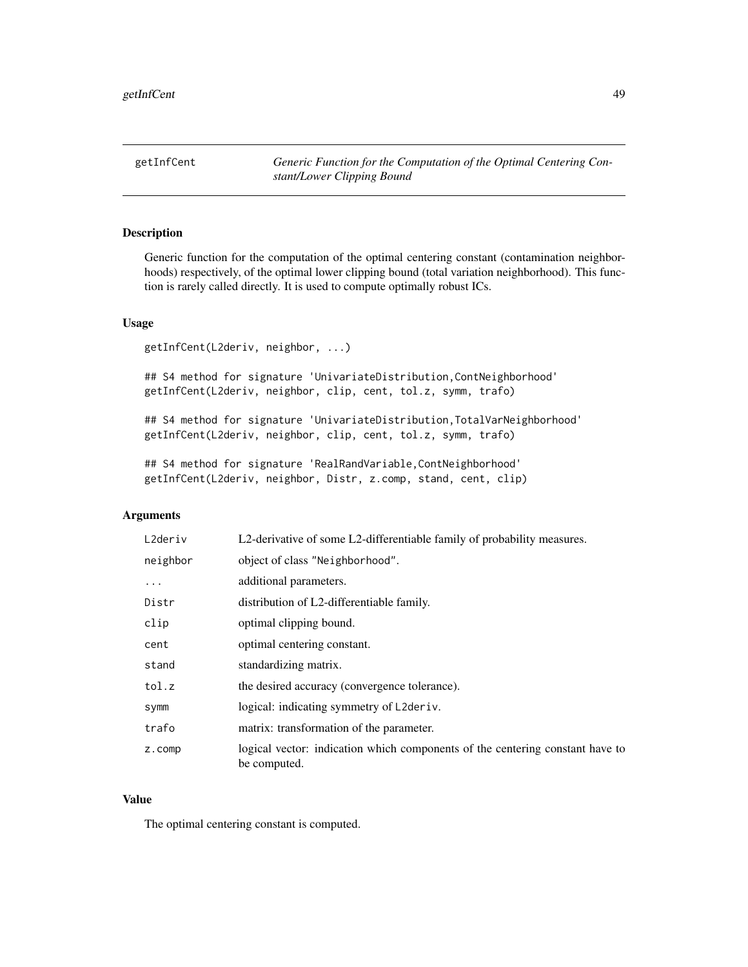getInfCent *Generic Function for the Computation of the Optimal Centering Constant/Lower Clipping Bound*

## Description

Generic function for the computation of the optimal centering constant (contamination neighborhoods) respectively, of the optimal lower clipping bound (total variation neighborhood). This function is rarely called directly. It is used to compute optimally robust ICs.

## Usage

getInfCent(L2deriv, neighbor, ...)

## S4 method for signature 'UnivariateDistribution, ContNeighborhood' getInfCent(L2deriv, neighbor, clip, cent, tol.z, symm, trafo)

## S4 method for signature 'UnivariateDistribution, TotalVarNeighborhood' getInfCent(L2deriv, neighbor, clip, cent, tol.z, symm, trafo)

## S4 method for signature 'RealRandVariable, ContNeighborhood' getInfCent(L2deriv, neighbor, Distr, z.comp, stand, cent, clip)

### Arguments

| L2deriv  | L2-derivative of some L2-differentiable family of probability measures.                       |
|----------|-----------------------------------------------------------------------------------------------|
| neighbor | object of class "Neighborhood".                                                               |
| .        | additional parameters.                                                                        |
| Distr    | distribution of L2-differentiable family.                                                     |
| clip     | optimal clipping bound.                                                                       |
| cent     | optimal centering constant.                                                                   |
| stand    | standardizing matrix.                                                                         |
| tol.z    | the desired accuracy (convergence tolerance).                                                 |
| symm     | logical: indicating symmetry of L2deriv.                                                      |
| trafo    | matrix: transformation of the parameter.                                                      |
| z.comp   | logical vector: indication which components of the centering constant have to<br>be computed. |

## Value

The optimal centering constant is computed.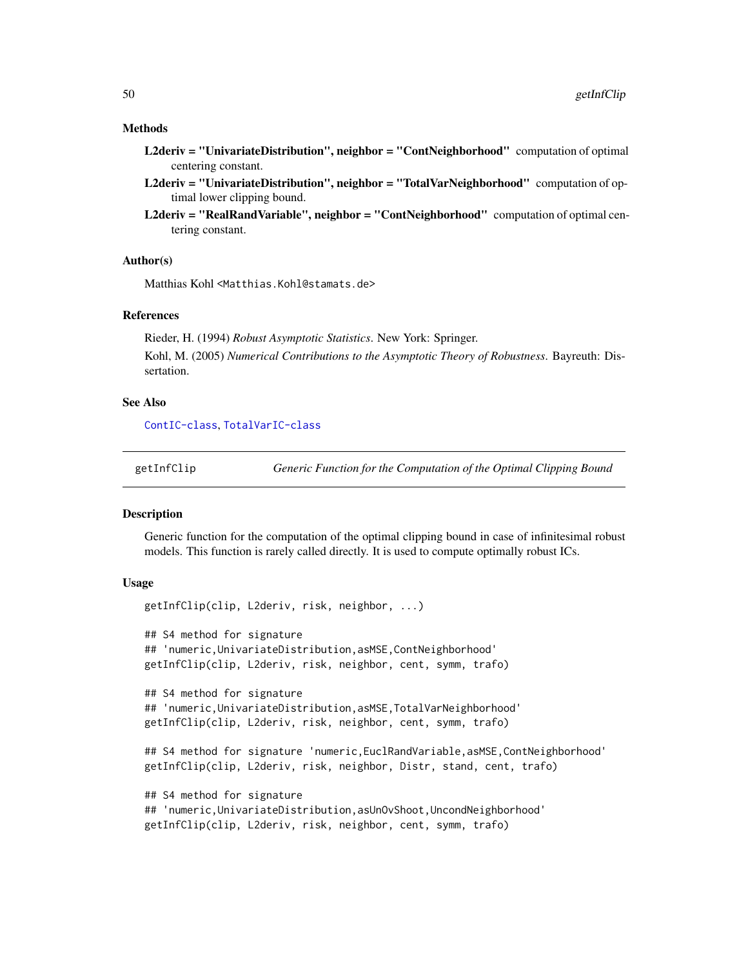#### Methods

- L2deriv = "UnivariateDistribution", neighbor = "ContNeighborhood" computation of optimal centering constant.
- L2deriv = "UnivariateDistribution", neighbor = "TotalVarNeighborhood" computation of optimal lower clipping bound.
- L2deriv = "RealRandVariable", neighbor = "ContNeighborhood" computation of optimal centering constant.

### Author(s)

Matthias Kohl <Matthias.Kohl@stamats.de>

#### References

Rieder, H. (1994) *Robust Asymptotic Statistics*. New York: Springer.

Kohl, M. (2005) *Numerical Contributions to the Asymptotic Theory of Robustness*. Bayreuth: Dissertation.

#### See Also

[ContIC-class](#page-18-0), [TotalVarIC-class](#page-105-0)

getInfClip *Generic Function for the Computation of the Optimal Clipping Bound*

#### Description

Generic function for the computation of the optimal clipping bound in case of infinitesimal robust models. This function is rarely called directly. It is used to compute optimally robust ICs.

#### Usage

```
getInfClip(clip, L2deriv, risk, neighbor, ...)
## S4 method for signature
## 'numeric,UnivariateDistribution,asMSE,ContNeighborhood'
getInfClip(clip, L2deriv, risk, neighbor, cent, symm, trafo)
## S4 method for signature
## 'numeric,UnivariateDistribution,asMSE,TotalVarNeighborhood'
getInfClip(clip, L2deriv, risk, neighbor, cent, symm, trafo)
## S4 method for signature 'numeric,EuclRandVariable,asMSE,ContNeighborhood'
getInfClip(clip, L2deriv, risk, neighbor, Distr, stand, cent, trafo)
## S4 method for signature
## 'numeric,UnivariateDistribution,asUnOvShoot,UncondNeighborhood'
getInfClip(clip, L2deriv, risk, neighbor, cent, symm, trafo)
```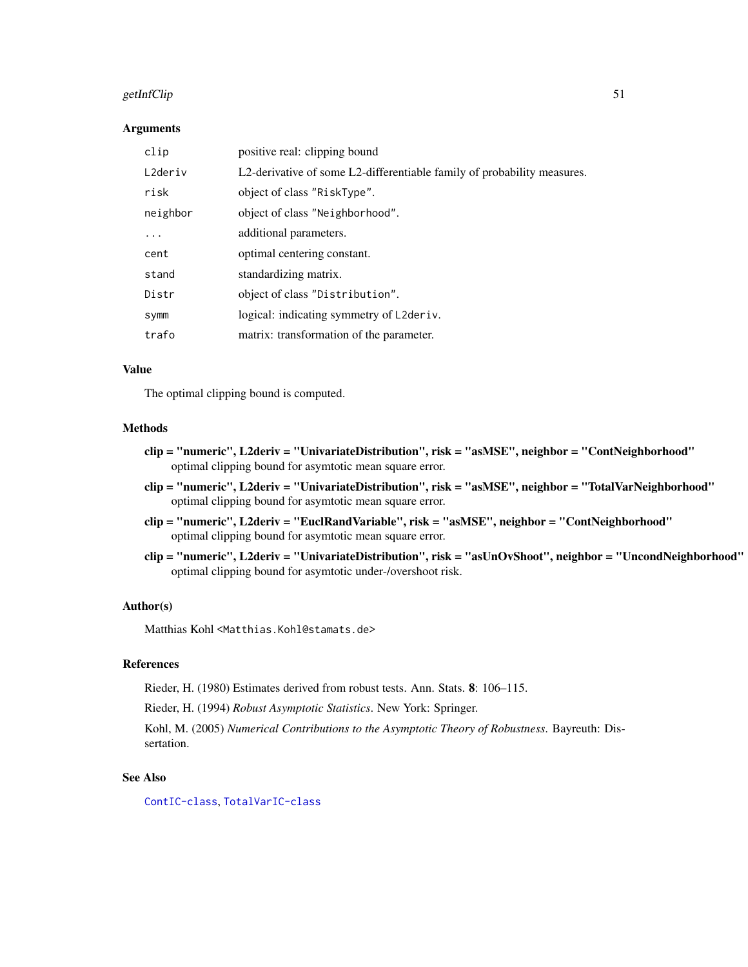## getInfClip 51

#### Arguments

| clip     | positive real: clipping bound                                           |
|----------|-------------------------------------------------------------------------|
| L2deriv  | L2-derivative of some L2-differentiable family of probability measures. |
| risk     | object of class "RiskType".                                             |
| neighbor | object of class "Neighborhood".                                         |
| .        | additional parameters.                                                  |
| cent     | optimal centering constant.                                             |
| stand    | standardizing matrix.                                                   |
| Distr    | object of class "Distribution".                                         |
| symm     | logical: indicating symmetry of L2deriv.                                |
| trafo    | matrix: transformation of the parameter.                                |

## Value

The optimal clipping bound is computed.

#### Methods

- clip = "numeric", L2deriv = "UnivariateDistribution", risk = "asMSE", neighbor = "ContNeighborhood" optimal clipping bound for asymtotic mean square error.
- clip = "numeric", L2deriv = "UnivariateDistribution", risk = "asMSE", neighbor = "TotalVarNeighborhood" optimal clipping bound for asymtotic mean square error.
- clip = "numeric", L2deriv = "EuclRandVariable", risk = "asMSE", neighbor = "ContNeighborhood" optimal clipping bound for asymtotic mean square error.
- clip = "numeric", L2deriv = "UnivariateDistribution", risk = "asUnOvShoot", neighbor = "UncondNeighborhood" optimal clipping bound for asymtotic under-/overshoot risk.

### Author(s)

Matthias Kohl <Matthias.Kohl@stamats.de>

## References

Rieder, H. (1980) Estimates derived from robust tests. Ann. Stats. 8: 106–115.

Rieder, H. (1994) *Robust Asymptotic Statistics*. New York: Springer.

Kohl, M. (2005) *Numerical Contributions to the Asymptotic Theory of Robustness*. Bayreuth: Dissertation.

# See Also

[ContIC-class](#page-18-0), [TotalVarIC-class](#page-105-0)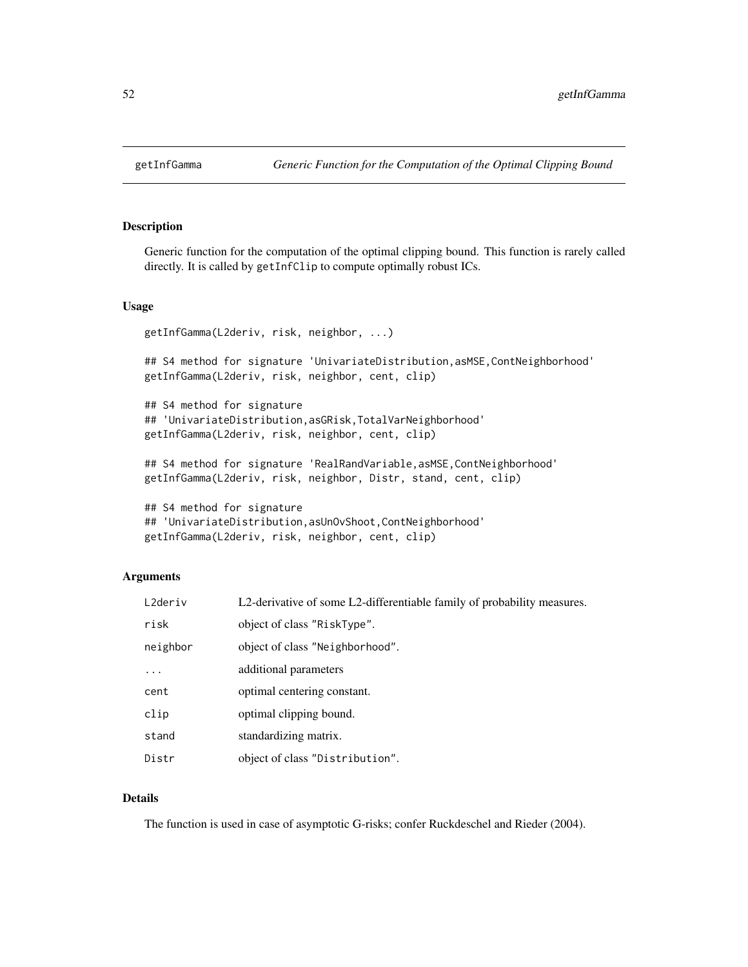#### Description

Generic function for the computation of the optimal clipping bound. This function is rarely called directly. It is called by getInfClip to compute optimally robust ICs.

### Usage

```
getInfGamma(L2deriv, risk, neighbor, ...)
```
## S4 method for signature 'UnivariateDistribution, asMSE, ContNeighborhood' getInfGamma(L2deriv, risk, neighbor, cent, clip)

```
## S4 method for signature
## 'UnivariateDistribution,asGRisk,TotalVarNeighborhood'
getInfGamma(L2deriv, risk, neighbor, cent, clip)
```
## S4 method for signature 'RealRandVariable, asMSE, ContNeighborhood' getInfGamma(L2deriv, risk, neighbor, Distr, stand, cent, clip)

```
## S4 method for signature
## 'UnivariateDistribution,asUnOvShoot,ContNeighborhood'
getInfGamma(L2deriv, risk, neighbor, cent, clip)
```
## Arguments

| L2deriv   | L2-derivative of some L2-differentiable family of probability measures. |
|-----------|-------------------------------------------------------------------------|
| risk      | object of class "RiskType".                                             |
| neighbor  | object of class "Neighborhood".                                         |
| $\ddotsc$ | additional parameters                                                   |
| cent      | optimal centering constant.                                             |
| clip      | optimal clipping bound.                                                 |
| stand     | standardizing matrix.                                                   |
| Distr     | object of class "Distribution".                                         |

## Details

The function is used in case of asymptotic G-risks; confer Ruckdeschel and Rieder (2004).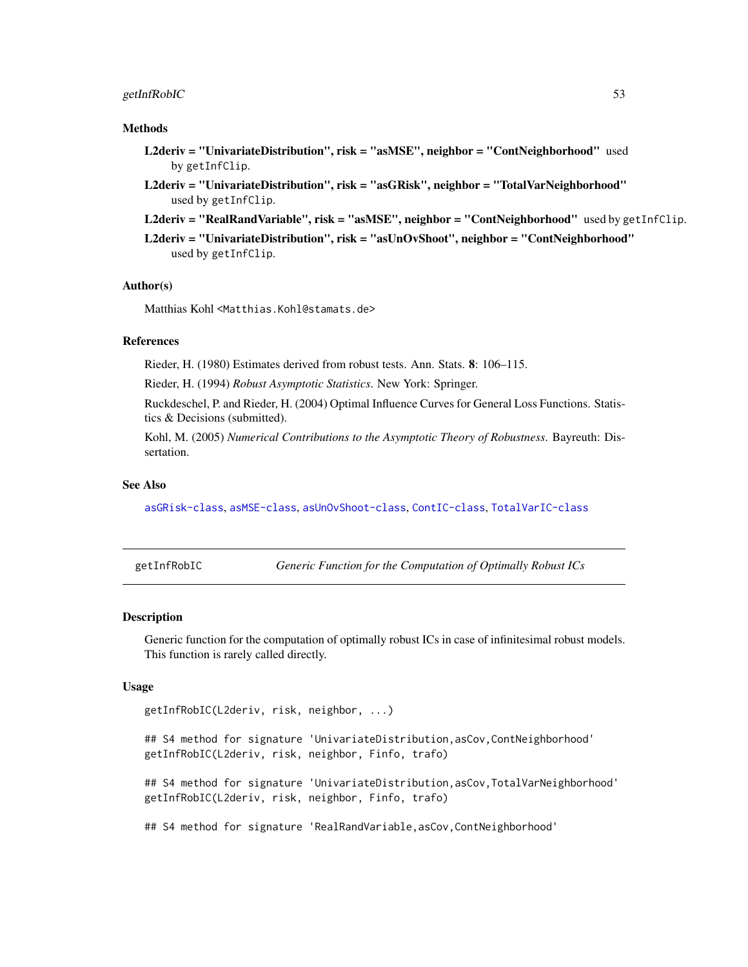## getInfRobIC 53

### Methods

- L2deriv = "UnivariateDistribution", risk = "asMSE", neighbor = "ContNeighborhood" used by getInfClip.
- L2deriv = "UnivariateDistribution", risk = "asGRisk", neighbor = "TotalVarNeighborhood" used by getInfClip.
- L2deriv = "RealRandVariable", risk = "asMSE", neighbor = "ContNeighborhood" used by getInfClip.
- L2deriv = "UnivariateDistribution", risk = "asUnOvShoot", neighbor = "ContNeighborhood" used by getInfClip.

#### Author(s)

Matthias Kohl <Matthias.Kohl@stamats.de>

### References

Rieder, H. (1980) Estimates derived from robust tests. Ann. Stats. 8: 106–115.

Rieder, H. (1994) *Robust Asymptotic Statistics*. New York: Springer.

Ruckdeschel, P. and Rieder, H. (2004) Optimal Influence Curves for General Loss Functions. Statistics & Decisions (submitted).

Kohl, M. (2005) *Numerical Contributions to the Asymptotic Theory of Robustness*. Bayreuth: Dissertation.

### See Also

[asGRisk-class](#page-6-0), [asMSE-class](#page-10-0), [asUnOvShoot-class](#page-13-0), [ContIC-class](#page-18-0), [TotalVarIC-class](#page-105-0)

getInfRobIC *Generic Function for the Computation of Optimally Robust ICs*

#### Description

Generic function for the computation of optimally robust ICs in case of infinitesimal robust models. This function is rarely called directly.

#### Usage

```
getInfRobIC(L2deriv, risk, neighbor, ...)
```
## S4 method for signature 'UnivariateDistribution,asCov,ContNeighborhood' getInfRobIC(L2deriv, risk, neighbor, Finfo, trafo)

## S4 method for signature 'UnivariateDistribution,asCov,TotalVarNeighborhood' getInfRobIC(L2deriv, risk, neighbor, Finfo, trafo)

## S4 method for signature 'RealRandVariable, asCov, ContNeighborhood'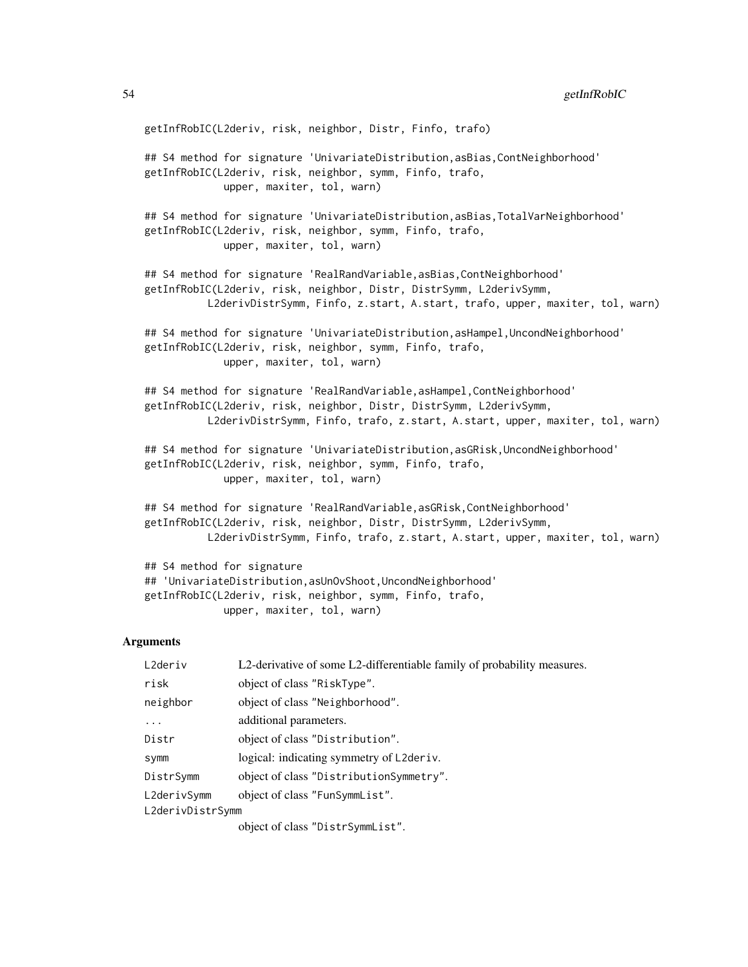getInfRobIC(L2deriv, risk, neighbor, Distr, Finfo, trafo) ## S4 method for signature 'UnivariateDistribution,asBias,ContNeighborhood' getInfRobIC(L2deriv, risk, neighbor, symm, Finfo, trafo, upper, maxiter, tol, warn) ## S4 method for signature 'UnivariateDistribution, asBias, TotalVarNeighborhood' getInfRobIC(L2deriv, risk, neighbor, symm, Finfo, trafo, upper, maxiter, tol, warn) ## S4 method for signature 'RealRandVariable, asBias, ContNeighborhood' getInfRobIC(L2deriv, risk, neighbor, Distr, DistrSymm, L2derivSymm, L2derivDistrSymm, Finfo, z.start, A.start, trafo, upper, maxiter, tol, warn) ## S4 method for signature 'UnivariateDistribution,asHampel,UncondNeighborhood' getInfRobIC(L2deriv, risk, neighbor, symm, Finfo, trafo, upper, maxiter, tol, warn) ## S4 method for signature 'RealRandVariable, asHampel, ContNeighborhood' getInfRobIC(L2deriv, risk, neighbor, Distr, DistrSymm, L2derivSymm, L2derivDistrSymm, Finfo, trafo, z.start, A.start, upper, maxiter, tol, warn) ## S4 method for signature 'UnivariateDistribution, asGRisk, UncondNeighborhood' getInfRobIC(L2deriv, risk, neighbor, symm, Finfo, trafo, upper, maxiter, tol, warn) ## S4 method for signature 'RealRandVariable, asGRisk, ContNeighborhood' getInfRobIC(L2deriv, risk, neighbor, Distr, DistrSymm, L2derivSymm, L2derivDistrSymm, Finfo, trafo, z.start, A.start, upper, maxiter, tol, warn) ## S4 method for signature ## 'UnivariateDistribution,asUnOvShoot,UncondNeighborhood'

#### **Arguments**

| L2deriv          | L2-derivative of some L2-differentiable family of probability measures. |
|------------------|-------------------------------------------------------------------------|
| risk             | object of class "RiskType".                                             |
| neighbor         | object of class "Neighborhood".                                         |
| $\ddotsc$        | additional parameters.                                                  |
| Distr            | object of class "Distribution".                                         |
| <b>Symm</b>      | logical: indicating symmetry of L2deriv.                                |
| DistrSymm        | object of class "DistributionSymmetry".                                 |
| L2derivSymm      | object of class "FunSymmList".                                          |
| L2derivDistrSymm |                                                                         |
|                  | object of class "DistrSymmList".                                        |

getInfRobIC(L2deriv, risk, neighbor, symm, Finfo, trafo, upper, maxiter, tol, warn)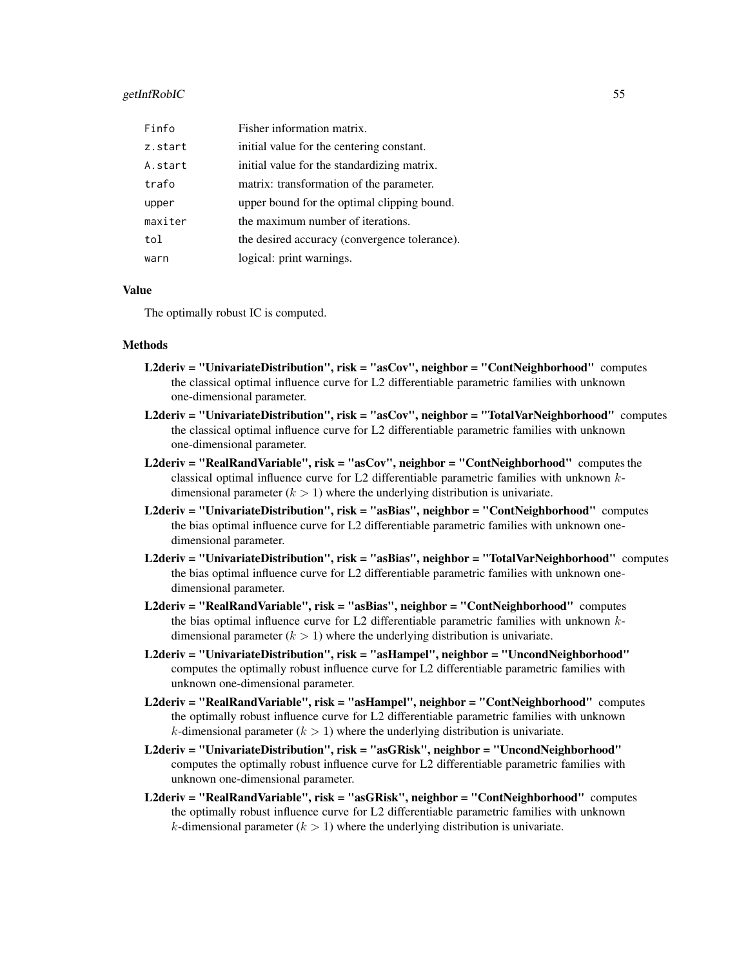### getInfRobIC 55

| Finfo   | Fisher information matrix.                    |
|---------|-----------------------------------------------|
| z.start | initial value for the centering constant.     |
| A.start | initial value for the standardizing matrix.   |
| trafo   | matrix: transformation of the parameter.      |
| upper   | upper bound for the optimal clipping bound.   |
| maxiter | the maximum number of iterations.             |
| tol     | the desired accuracy (convergence tolerance). |
| warn    | logical: print warnings.                      |

### Value

The optimally robust IC is computed.

#### Methods

- L2deriv = "UnivariateDistribution", risk = "asCov", neighbor = "ContNeighborhood" computes the classical optimal influence curve for L2 differentiable parametric families with unknown one-dimensional parameter.
- L2deriv = "UnivariateDistribution", risk = "asCov", neighbor = "TotalVarNeighborhood" computes the classical optimal influence curve for L2 differentiable parametric families with unknown one-dimensional parameter.
- L2deriv = "RealRandVariable", risk = "asCov", neighbor = "ContNeighborhood" computes the classical optimal influence curve for L2 differentiable parametric families with unknown kdimensional parameter  $(k > 1)$  where the underlying distribution is univariate.
- L2deriv = "UnivariateDistribution", risk = "asBias", neighbor = "ContNeighborhood" computes the bias optimal influence curve for L2 differentiable parametric families with unknown onedimensional parameter.
- L2deriv = "UnivariateDistribution", risk = "asBias", neighbor = "TotalVarNeighborhood" computes the bias optimal influence curve for L2 differentiable parametric families with unknown onedimensional parameter.
- L2deriv = "RealRandVariable", risk = "asBias", neighbor = "ContNeighborhood" computes the bias optimal influence curve for L2 differentiable parametric families with unknown  $k$ dimensional parameter  $(k > 1)$  where the underlying distribution is univariate.
- L2deriv = "UnivariateDistribution", risk = "asHampel", neighbor = "UncondNeighborhood" computes the optimally robust influence curve for L2 differentiable parametric families with unknown one-dimensional parameter.
- L2deriv = "RealRandVariable", risk = "asHampel", neighbor = "ContNeighborhood" computes the optimally robust influence curve for L2 differentiable parametric families with unknown k-dimensional parameter  $(k > 1)$  where the underlying distribution is univariate.
- L2deriv = "UnivariateDistribution", risk = "asGRisk", neighbor = "UncondNeighborhood" computes the optimally robust influence curve for L2 differentiable parametric families with unknown one-dimensional parameter.
- L2deriv = "RealRandVariable", risk = "asGRisk", neighbor = "ContNeighborhood" computes the optimally robust influence curve for L2 differentiable parametric families with unknown k-dimensional parameter  $(k > 1)$  where the underlying distribution is univariate.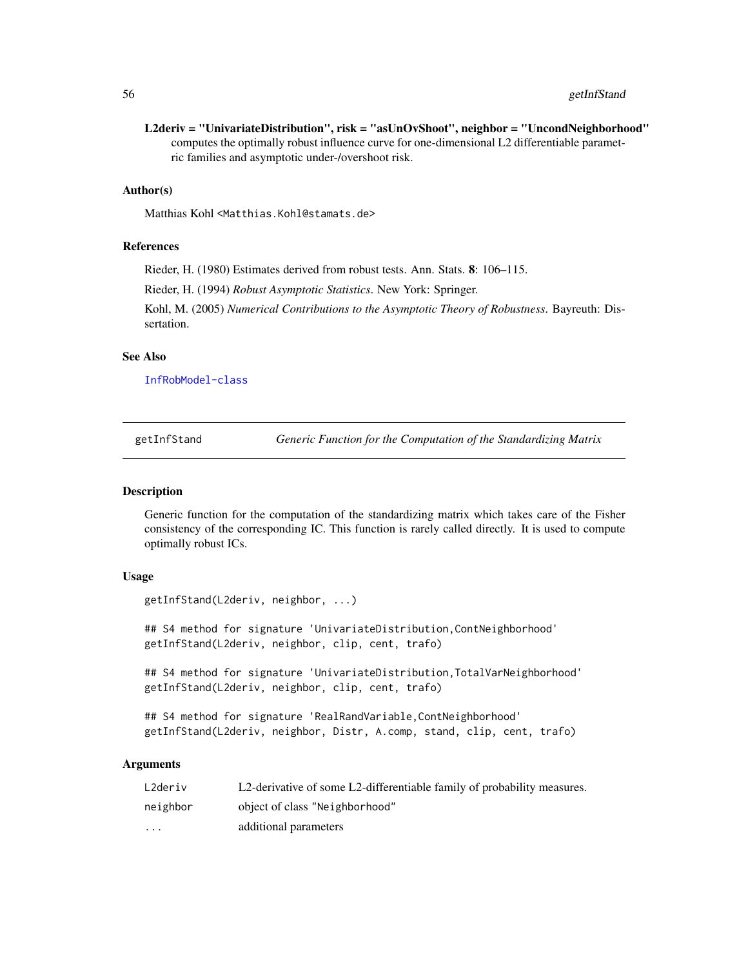## 56 getInfStand

L2deriv = "UnivariateDistribution", risk = "asUnOvShoot", neighbor = "UncondNeighborhood" computes the optimally robust influence curve for one-dimensional L2 differentiable parametric families and asymptotic under-/overshoot risk.

## Author(s)

Matthias Kohl <Matthias.Kohl@stamats.de>

#### References

Rieder, H. (1980) Estimates derived from robust tests. Ann. Stats. 8: 106–115.

Rieder, H. (1994) *Robust Asymptotic Statistics*. New York: Springer.

Kohl, M. (2005) *Numerical Contributions to the Asymptotic Theory of Robustness*. Bayreuth: Dissertation.

# See Also

[InfRobModel-class](#page-72-0)

getInfStand *Generic Function for the Computation of the Standardizing Matrix*

#### Description

Generic function for the computation of the standardizing matrix which takes care of the Fisher consistency of the corresponding IC. This function is rarely called directly. It is used to compute optimally robust ICs.

#### Usage

```
getInfStand(L2deriv, neighbor, ...)
```
## S4 method for signature 'UnivariateDistribution, ContNeighborhood' getInfStand(L2deriv, neighbor, clip, cent, trafo)

## S4 method for signature 'UnivariateDistribution,TotalVarNeighborhood' getInfStand(L2deriv, neighbor, clip, cent, trafo)

```
## S4 method for signature 'RealRandVariable, ContNeighborhood'
getInfStand(L2deriv, neighbor, Distr, A.comp, stand, clip, cent, trafo)
```
### Arguments

| L2deriv  | L2-derivative of some L2-differentiable family of probability measures. |
|----------|-------------------------------------------------------------------------|
| neighbor | object of class "Neighborhood"                                          |
| .        | additional parameters                                                   |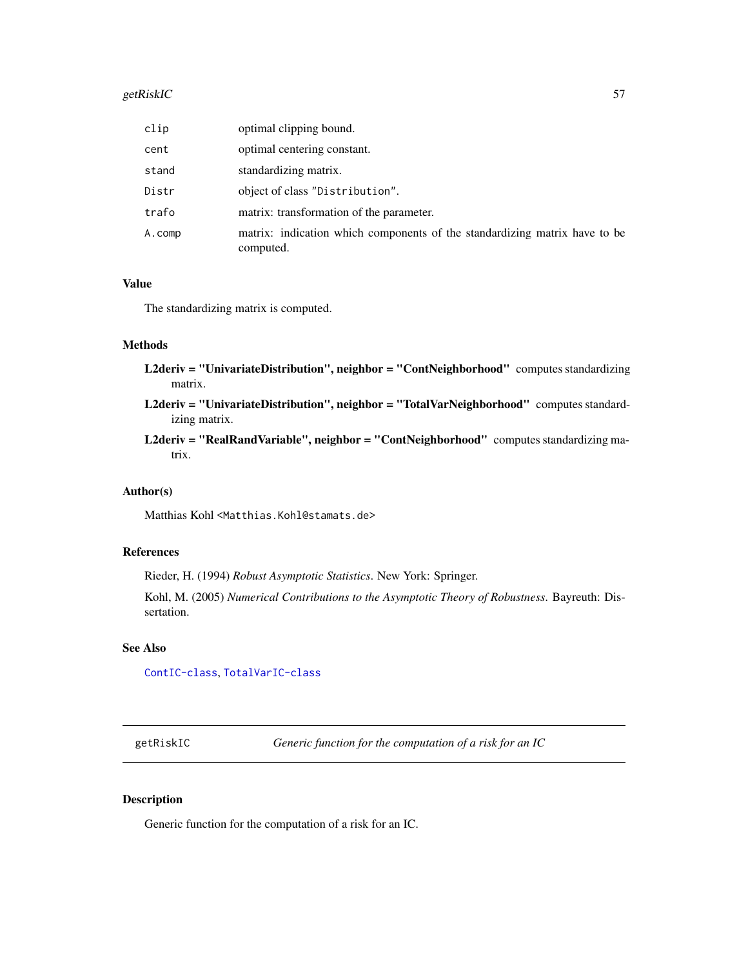#### getRiskIC 57 September 1988 of the September 1988 of the September 1988 of the September 1988 of the September 1988 of the September 1988 of the September 1988 of the September 1988 of the September 1988 of the September 1

| clip   | optimal clipping bound.                                                                 |
|--------|-----------------------------------------------------------------------------------------|
| cent   | optimal centering constant.                                                             |
| stand  | standardizing matrix.                                                                   |
| Distr  | object of class "Distribution".                                                         |
| trafo  | matrix: transformation of the parameter.                                                |
| A.comp | matrix: indication which components of the standardizing matrix have to be<br>computed. |

## Value

The standardizing matrix is computed.

### Methods

- L2deriv = "UnivariateDistribution", neighbor = "ContNeighborhood" computes standardizing matrix.
- L2deriv = "UnivariateDistribution", neighbor = "TotalVarNeighborhood" computes standardizing matrix.
- L2deriv = "RealRandVariable", neighbor = "ContNeighborhood" computes standardizing matrix.

## Author(s)

Matthias Kohl <Matthias.Kohl@stamats.de>

# References

Rieder, H. (1994) *Robust Asymptotic Statistics*. New York: Springer.

Kohl, M. (2005) *Numerical Contributions to the Asymptotic Theory of Robustness*. Bayreuth: Dissertation.

#### See Also

[ContIC-class](#page-18-0), [TotalVarIC-class](#page-105-0)

getRiskIC *Generic function for the computation of a risk for an IC*

## <span id="page-56-0"></span>Description

Generic function for the computation of a risk for an IC.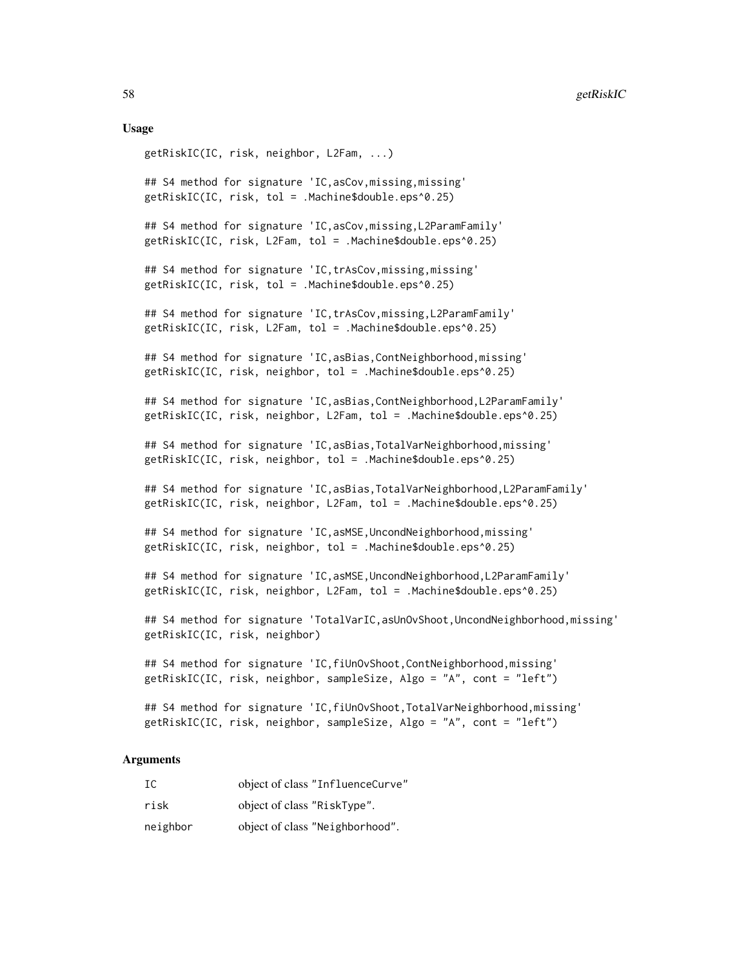#### Usage

```
getRiskIC(IC, risk, neighbor, L2Fam, ...)
## S4 method for signature 'IC,asCov,missing,missing'
getRiskIC(IC, risk, tol = .Machine$double.eps^0.25)
## S4 method for signature 'IC,asCov,missing,L2ParamFamily'
getRiskIC(IC, risk, L2Fam, tol = .Machine$double.eps^0.25)
## S4 method for signature 'IC,trAsCov,missing,missing'
getRiskIC(IC, risk, tol = .Machine$double.eps^0.25)
## S4 method for signature 'IC,trAsCov,missing,L2ParamFamily'
getRiskIC(IC, risk, L2Fam, tol = .Machine$double.eps^0.25)
## S4 method for signature 'IC,asBias,ContNeighborhood,missing'
getRiskIC(IC, risk, neighbor, tol = .Machine$double.eps^0.25)
## S4 method for signature 'IC,asBias,ContNeighborhood,L2ParamFamily'
getRiskIC(IC, risk, neighbor, L2Fam, tol = .Machine$double.eps^0.25)
## S4 method for signature 'IC,asBias,TotalVarNeighborhood,missing'
getRiskIC(IC, risk, neighbor, tol = .Machine$double.eps^0.25)
## S4 method for signature 'IC,asBias,TotalVarNeighborhood,L2ParamFamily'
getRiskIC(IC, risk, neighbor, L2Fam, tol = .Machine$double.eps^0.25)
## S4 method for signature 'IC,asMSE,UncondNeighborhood,missing'
getRiskIC(IC, risk, neighbor, tol = .Machine$double.eps^0.25)
## S4 method for signature 'IC, asMSE, UncondNeighborhood, L2ParamFamily'
getRiskIC(IC, risk, neighbor, L2Fam, tol = .Machine$double.eps^0.25)
## S4 method for signature 'TotalVarIC,asUnOvShoot,UncondNeighborhood,missing'
getRiskIC(IC, risk, neighbor)
## S4 method for signature 'IC, fiUnOvShoot, ContNeighborhood, missing'
getRiskIC(IC, risk, neighbor, sampleSize, Algo = "A", cont = "left")
## S4 method for signature 'IC,fiUnOvShoot,TotalVarNeighborhood,missing'
```
### getRiskIC(IC, risk, neighbor, sampleSize, Algo = "A", cont = "left")

#### Arguments

| IC       | object of class "InfluenceCurve" |
|----------|----------------------------------|
| risk     | object of class "RiskType".      |
| neighbor | object of class "Neighborhood".  |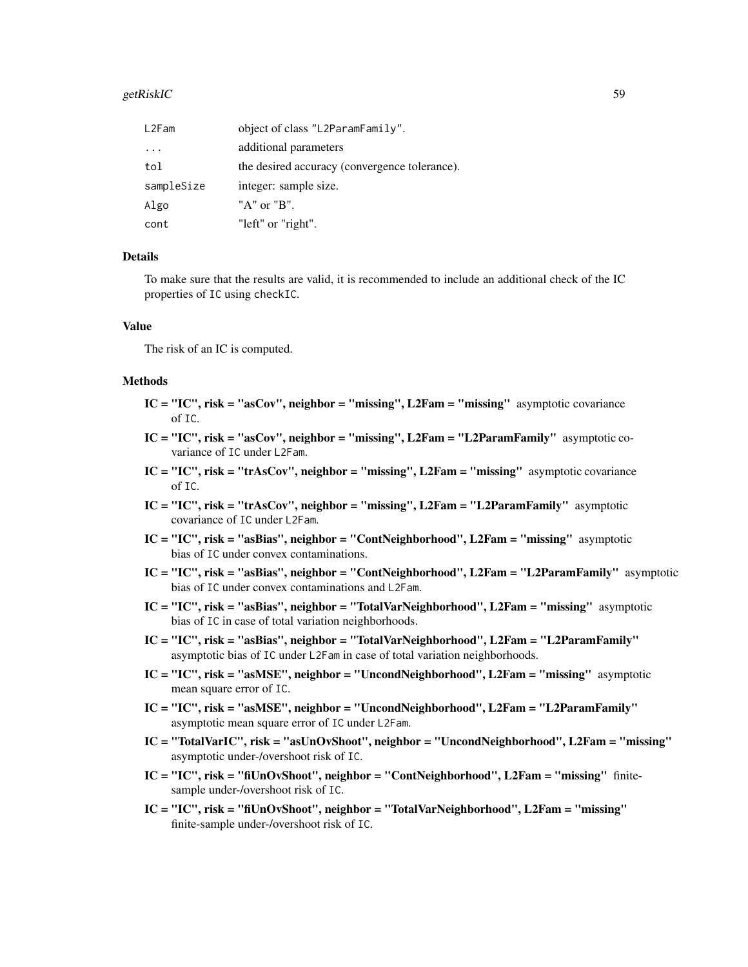#### getRiskIC 59 betRiskIC 59 betRiskIC 59 betRiskIC 59 betRiskIC 59 betRiskIC 59 betRiskIC 59 betRiskIC 59 betRis

| L2Fam                   | object of class "L2ParamFamily".              |
|-------------------------|-----------------------------------------------|
| $\cdot$ $\cdot$ $\cdot$ | additional parameters                         |
| tol                     | the desired accuracy (convergence tolerance). |
| sampleSize              | integer: sample size.                         |
| Algo                    | " $A$ " or " $B$ ".                           |
| cont                    | "left" or "right".                            |

## Details

To make sure that the results are valid, it is recommended to include an additional check of the IC properties of IC using checkIC.

### Value

The risk of an IC is computed.

## Methods

- $IC = "IC", risk = "asCov", neighbor = "missing", L2Fam = "missing"$  asymptotic covariance of IC.
- $IC = "IC", risk = "asCov", neighbor = "missing", L2Fam = "L2ParamFamily" asymptotic co$ variance of IC under L2Fam.
- $IC = "IC", risk = "trAsCov", neighbor = "missing", L2Fam = "missing"$  asymptotic covariance of IC.
- $IC = "IC", risk = "trAsCov", neighbor = "missing", L2Fam = "L2ParamFamily" asymptotic$ covariance of IC under L2Fam.
- IC = "IC", risk = "asBias", neighbor = "ContNeighborhood", L2Fam = "missing" asymptotic bias of IC under convex contaminations.
- IC = "IC", risk = "asBias", neighbor = "ContNeighborhood", L2Fam = "L2ParamFamily" asymptotic bias of IC under convex contaminations and L2Fam.
- IC = "IC", risk = "asBias", neighbor = "TotalVarNeighborhood", L2Fam = "missing" asymptotic bias of IC in case of total variation neighborhoods.
- IC = "IC", risk = "asBias", neighbor = "TotalVarNeighborhood", L2Fam = "L2ParamFamily" asymptotic bias of IC under L2Fam in case of total variation neighborhoods.
- IC = "IC", risk = "asMSE", neighbor = "UncondNeighborhood", L2Fam = "missing" asymptotic mean square error of IC.
- IC = "IC", risk = "asMSE", neighbor = "UncondNeighborhood", L2Fam = "L2ParamFamily" asymptotic mean square error of IC under L2Fam.
- IC = "TotalVarIC", risk = "asUnOvShoot", neighbor = "UncondNeighborhood", L2Fam = "missing" asymptotic under-/overshoot risk of IC.
- IC = "IC", risk = "fiUnOvShoot", neighbor = "ContNeighborhood", L2Fam = "missing" finitesample under-/overshoot risk of IC.
- IC = "IC", risk = "fiUnOvShoot", neighbor = "TotalVarNeighborhood", L2Fam = "missing" finite-sample under-/overshoot risk of IC.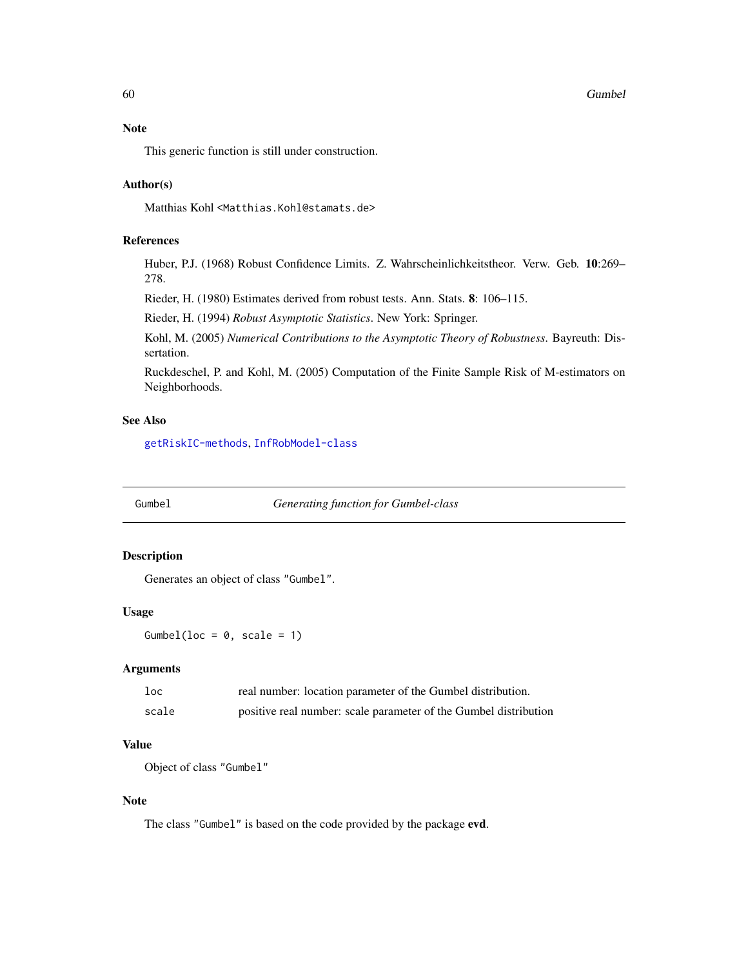## Note

This generic function is still under construction.

### Author(s)

Matthias Kohl <Matthias.Kohl@stamats.de>

# References

Huber, P.J. (1968) Robust Confidence Limits. Z. Wahrscheinlichkeitstheor. Verw. Geb. 10:269– 278.

Rieder, H. (1980) Estimates derived from robust tests. Ann. Stats. 8: 106–115.

Rieder, H. (1994) *Robust Asymptotic Statistics*. New York: Springer.

Kohl, M. (2005) *Numerical Contributions to the Asymptotic Theory of Robustness*. Bayreuth: Dissertation.

Ruckdeschel, P. and Kohl, M. (2005) Computation of the Finite Sample Risk of M-estimators on Neighborhoods.

# See Also

[getRiskIC-methods](#page-56-0), [InfRobModel-class](#page-72-0)

Gumbel *Generating function for Gumbel-class*

#### Description

Generates an object of class "Gumbel".

#### Usage

Gumbel(loc =  $0$ , scale = 1)

## Arguments

| $1$ oc | real number: location parameter of the Gumbel distribution.      |
|--------|------------------------------------------------------------------|
| scale  | positive real number: scale parameter of the Gumbel distribution |

## Value

Object of class "Gumbel"

## Note

The class "Gumbel" is based on the code provided by the package evd.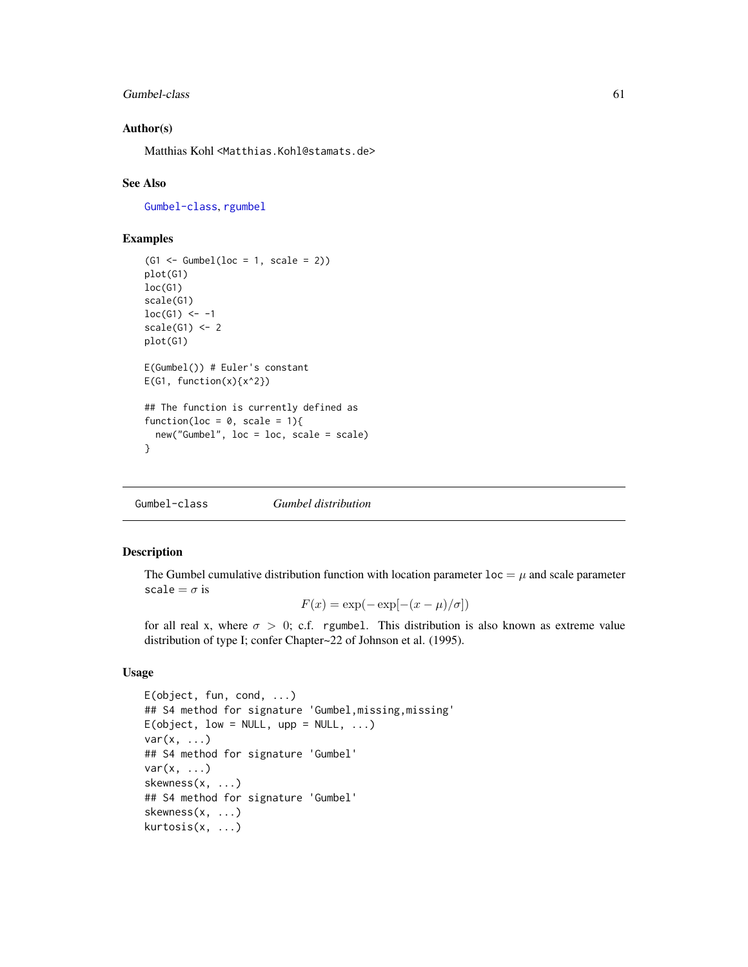### Gumbel-class 61

### Author(s)

Matthias Kohl <Matthias.Kohl@stamats.de>

#### See Also

[Gumbel-class](#page-60-0), [rgumbel](#page-0-0)

### Examples

```
(G1 \leq Gumbel(loc = 1, scale = 2))plot(G1)
loc(G1)
scale(G1)
loc(G1) < -1scale(G1) < -2plot(G1)
E(Gumbel()) # Euler's constant
E(G1, function(x){x^2})## The function is currently defined as
function(loc = 0, scale = 1){
  new("Gumbel", loc = loc, scale = scale)
}
```
<span id="page-60-0"></span>Gumbel-class *Gumbel distribution*

## Description

The Gumbel cumulative distribution function with location parameter  $\text{loc} = \mu$  and scale parameter scale =  $\sigma$  is

$$
F(x) = \exp(-\exp[-(x-\mu)/\sigma])
$$

for all real x, where  $\sigma > 0$ ; c.f. rgumbel. This distribution is also known as extreme value distribution of type I; confer Chapter~22 of Johnson et al. (1995).

### Usage

```
E(object, fun, cond, ...)
## S4 method for signature 'Gumbel,missing,missing'
E(object, low = NULL, upp = NULL, \ldots)
var(x, \ldots)## S4 method for signature 'Gumbel'
var(x, \ldots)skewness(x, ...)
## S4 method for signature 'Gumbel'
skewness(x, ...)
kurtosis(x, ...)
```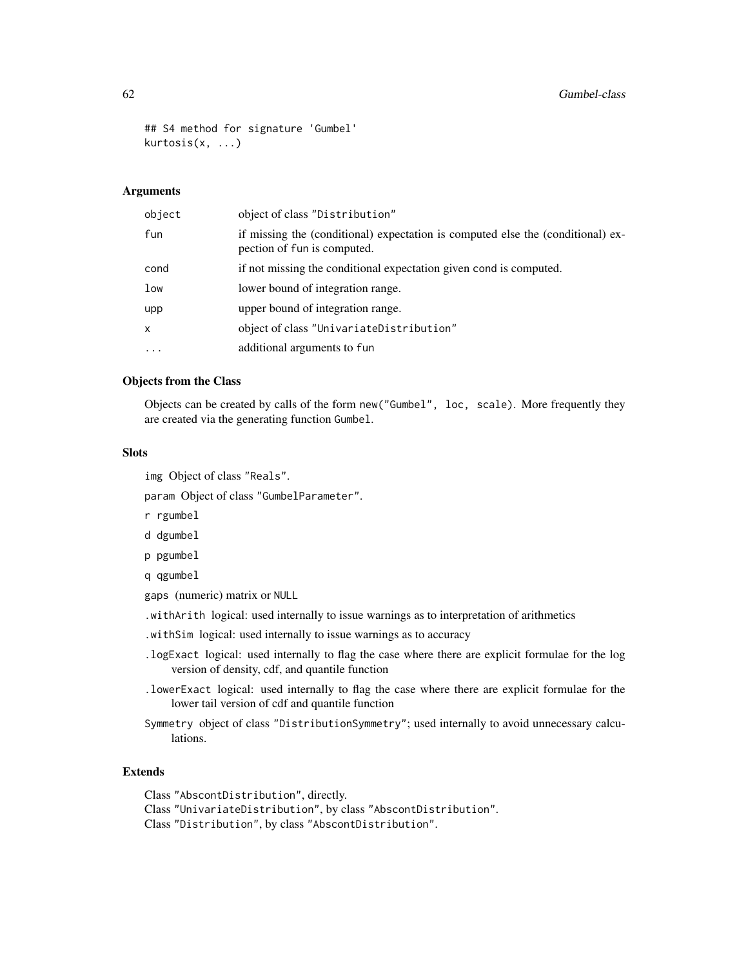```
## S4 method for signature 'Gumbel'
kurtosis(x, ...)
```
### Arguments

| object       | object of class "Distribution"                                                                                 |
|--------------|----------------------------------------------------------------------------------------------------------------|
| fun          | if missing the (conditional) expectation is computed else the (conditional) ex-<br>pection of fun is computed. |
| cond         | if not missing the conditional expectation given cond is computed.                                             |
| low          | lower bound of integration range.                                                                              |
| upp          | upper bound of integration range.                                                                              |
| $\mathsf{x}$ | object of class "UnivariateDistribution"                                                                       |
| $\cdots$     | additional arguments to fun                                                                                    |

## Objects from the Class

Objects can be created by calls of the form new("Gumbel", loc, scale). More frequently they are created via the generating function Gumbel.

### Slots

img Object of class "Reals".

param Object of class "GumbelParameter".

r rgumbel

- d dgumbel
- p pgumbel

q qgumbel

gaps (numeric) matrix or NULL

.withArith logical: used internally to issue warnings as to interpretation of arithmetics

- .withSim logical: used internally to issue warnings as to accuracy
- .logExact logical: used internally to flag the case where there are explicit formulae for the log version of density, cdf, and quantile function
- .lowerExact logical: used internally to flag the case where there are explicit formulae for the lower tail version of cdf and quantile function
- Symmetry object of class "DistributionSymmetry"; used internally to avoid unnecessary calculations.

## Extends

Class "AbscontDistribution", directly.

Class "UnivariateDistribution", by class "AbscontDistribution".

Class "Distribution", by class "AbscontDistribution".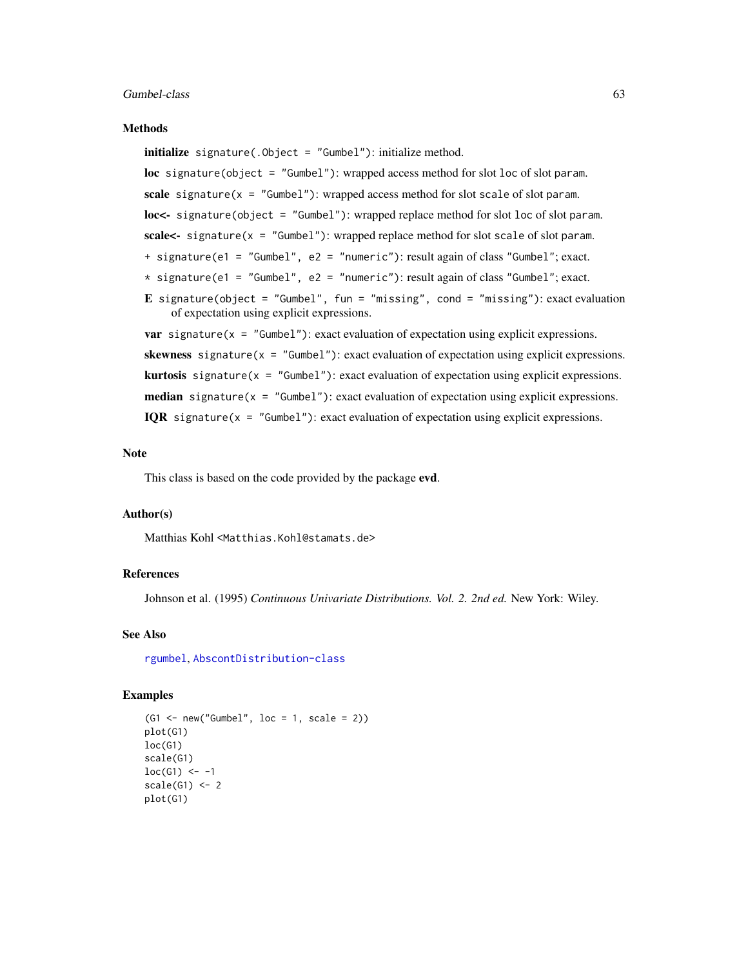#### Methods

initialize signature(.Object = "Gumbel"): initialize method. loc signature(object = "Gumbel"): wrapped access method for slot loc of slot param. scale signature( $x = "Gumbel")$ : wrapped access method for slot scale of slot param. loc<- signature(object = "Gumbel"): wrapped replace method for slot loc of slot param. scale<- signature(x = "Gumbel"): wrapped replace method for slot scale of slot param. + signature(e1 = "Gumbel", e2 = "numeric"): result again of class "Gumbel"; exact.  $*$  signature(e1 = "Gumbel", e2 = "numeric"): result again of class "Gumbel"; exact. E signature(object = "Gumbel", fun = "missing", cond = "missing"): exact evaluation of expectation using explicit expressions. **var** signature( $x =$  "Gumbel"): exact evaluation of expectation using explicit expressions. skewness signature( $x =$  "Gumbel"): exact evaluation of expectation using explicit expressions. **kurtosis** signature( $x =$  "Gumbel"): exact evaluation of expectation using explicit expressions. **median** signature( $x =$  "Gumbel"): exact evaluation of expectation using explicit expressions.

# IQR signature( $x =$  "Gumbel"): exact evaluation of expectation using explicit expressions.

#### Note

This class is based on the code provided by the package evd.

### Author(s)

Matthias Kohl <Matthias.Kohl@stamats.de>

### References

Johnson et al. (1995) *Continuous Univariate Distributions. Vol. 2. 2nd ed.* New York: Wiley.

### See Also

[rgumbel](#page-0-0), [AbscontDistribution-class](#page-0-0)

### Examples

```
(G1 \leq new("Gumbel", loc = 1, scale = 2))plot(G1)
loc(G1)scale(G1)
loc(G1) < -1scale(G1) < -2plot(G1)
```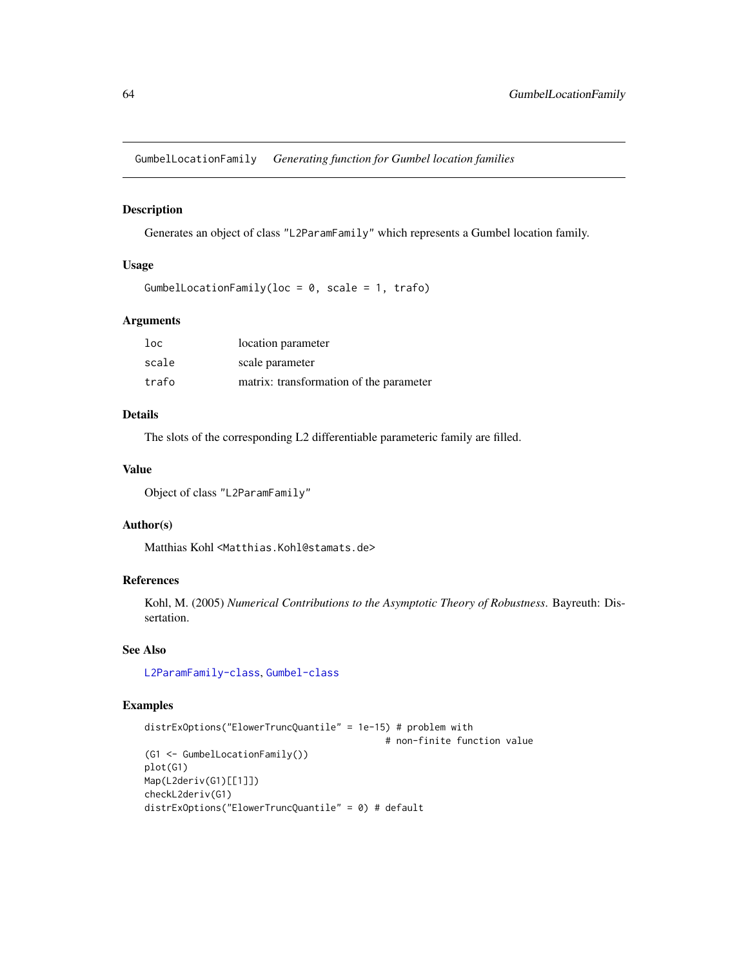GumbelLocationFamily *Generating function for Gumbel location families*

## Description

Generates an object of class "L2ParamFamily" which represents a Gumbel location family.

### Usage

```
GumbelLocationFamily(loc = 0, scale = 1, trafo)
```
### Arguments

| loc   | location parameter                      |
|-------|-----------------------------------------|
| scale | scale parameter                         |
| trafo | matrix: transformation of the parameter |

## Details

The slots of the corresponding L2 differentiable parameteric family are filled.

### Value

```
Object of class "L2ParamFamily"
```
## Author(s)

Matthias Kohl <Matthias.Kohl@stamats.de>

## References

Kohl, M. (2005) *Numerical Contributions to the Asymptotic Theory of Robustness*. Bayreuth: Dissertation.

### See Also

[L2ParamFamily-class](#page-76-0), [Gumbel-class](#page-60-0)

# Examples

```
distrExOptions("ElowerTruncQuantile" = 1e-15) # problem with
                                            # non-finite function value
(G1 <- GumbelLocationFamily())
plot(G1)
Map(L2deriv(G1)[[1]])
checkL2deriv(G1)
distrExOptions("ElowerTruncQuantile" = 0) # default
```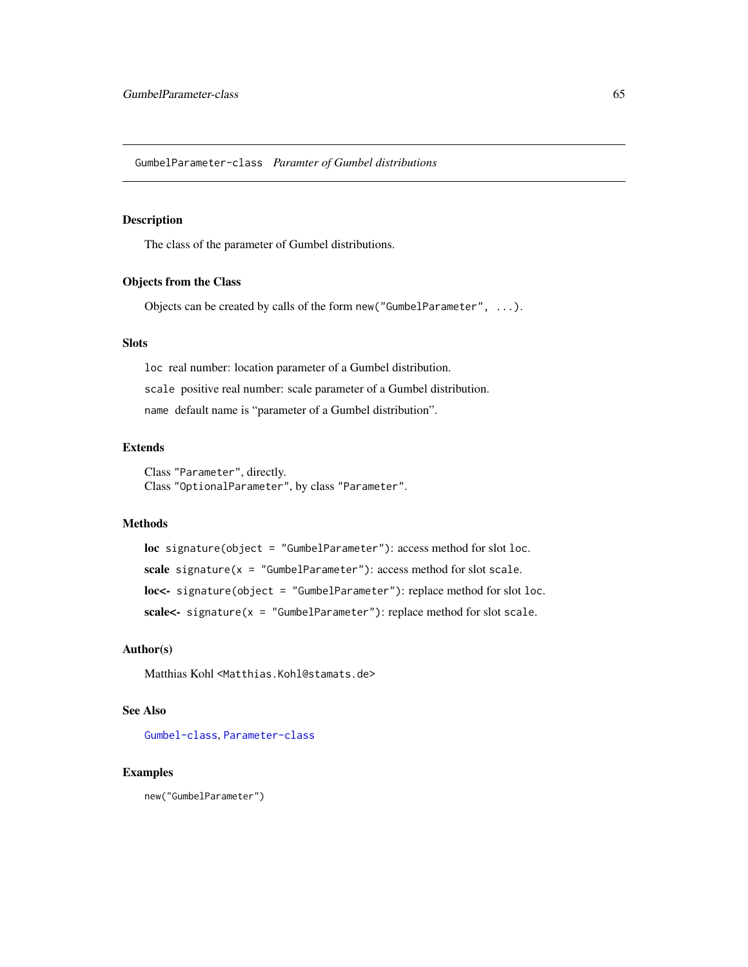GumbelParameter-class *Paramter of Gumbel distributions*

## Description

The class of the parameter of Gumbel distributions.

## Objects from the Class

Objects can be created by calls of the form new("GumbelParameter", ...).

## Slots

loc real number: location parameter of a Gumbel distribution. scale positive real number: scale parameter of a Gumbel distribution. name default name is "parameter of a Gumbel distribution".

### Extends

Class "Parameter", directly. Class "OptionalParameter", by class "Parameter".

# Methods

loc signature(object = "GumbelParameter"): access method for slot loc. scale signature( $x =$  "GumbelParameter"): access method for slot scale. loc<- signature(object = "GumbelParameter"): replace method for slot loc. scale<- signature(x = "GumbelParameter"): replace method for slot scale.

### Author(s)

Matthias Kohl <Matthias.Kohl@stamats.de>

### See Also

[Gumbel-class](#page-60-0), [Parameter-class](#page-0-0)

### Examples

new("GumbelParameter")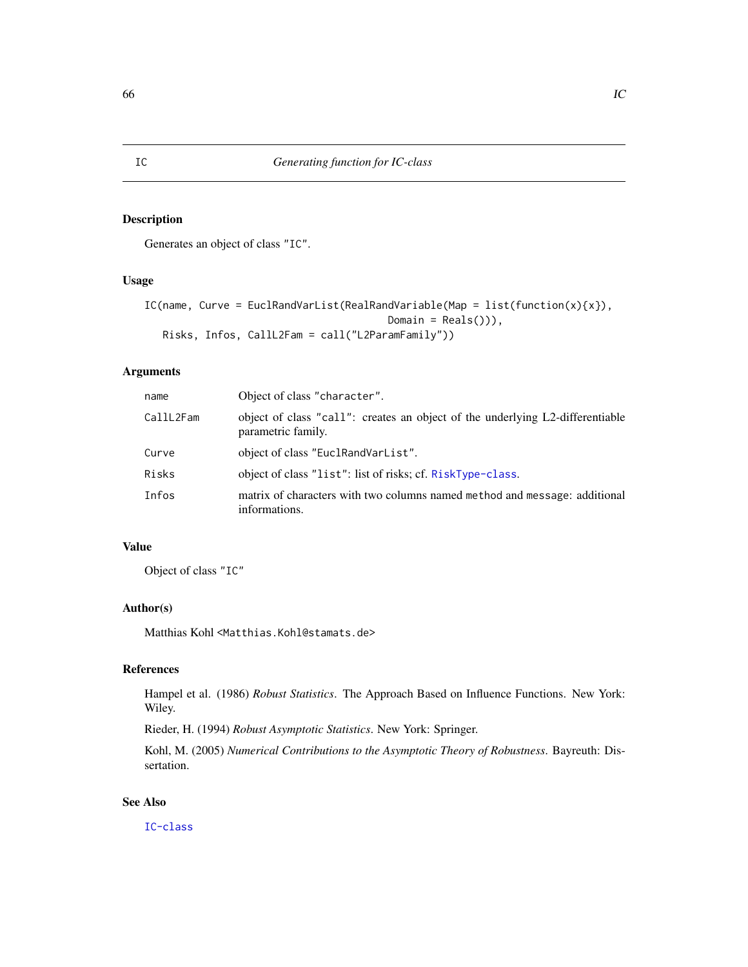## Description

Generates an object of class "IC".

# Usage

```
IC(name, Curve = EuclRandVarList(RealRandVariable(Map = list(function(x){x}),
                                       Domain = Reals()),
  Risks, Infos, CallL2Fam = call("L2ParamFamily"))
```
## Arguments

| name                  | Object of class "character".                                                                        |
|-----------------------|-----------------------------------------------------------------------------------------------------|
| CallL <sub>2Fam</sub> | object of class "call": creates an object of the underlying L2-differentiable<br>parametric family. |
| Curve                 | object of class "EuclRandVarList".                                                                  |
| Risks                 | object of class "list": list of risks; cf. RiskType-class.                                          |
| Infos                 | matrix of characters with two columns named method and message: additional<br>informations.         |

## Value

Object of class "IC"

## Author(s)

Matthias Kohl <Matthias.Kohl@stamats.de>

## References

Hampel et al. (1986) *Robust Statistics*. The Approach Based on Influence Functions. New York: Wiley.

Rieder, H. (1994) *Robust Asymptotic Statistics*. New York: Springer.

Kohl, M. (2005) *Numerical Contributions to the Asymptotic Theory of Robustness*. Bayreuth: Dissertation.

## See Also

[IC-class](#page-66-0)

<span id="page-65-0"></span>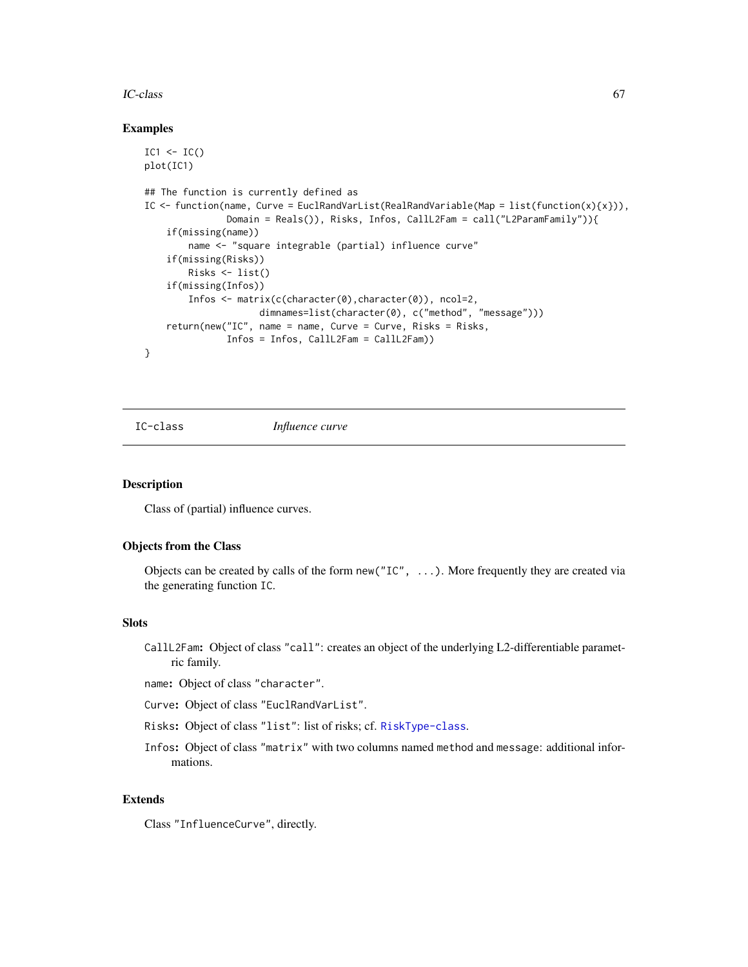#### IC-class 67

#### Examples

```
IC1 \leftarrow IC()plot(IC1)
## The function is currently defined as
IC \le function(name, Curve = EuclRandVarList(RealRandVariable(Map = list(function(x){x})),
               Domain = Reals()), Risks, Infos, CallL2Fam = call("L2ParamFamily")){
    if(missing(name))
        name <- "square integrable (partial) influence curve"
    if(missing(Risks))
        Risks <- list()
    if(missing(Infos))
        Infos <- matrix(c(character(0),character(0)), ncol=2,
                     dimnames=list(character(0), c("method", "message")))
    return(new("IC", name = name, Curve = Curve, Risks = Risks,Infos = Infos, CallL2Fam = CallL2Fam))
}
```
<span id="page-66-0"></span>

IC-class *Influence curve*

### **Description**

Class of (partial) influence curves.

### Objects from the Class

Objects can be created by calls of the form new ( $T_{\text{C}}$ , ...). More frequently they are created via the generating function IC.

### Slots

- CallL2Fam: Object of class "call": creates an object of the underlying L2-differentiable parametric family.
- name: Object of class "character".
- Curve: Object of class "EuclRandVarList".
- Risks: Object of class "list": list of risks; cf. [RiskType-class](#page-101-0).
- Infos: Object of class "matrix" with two columns named method and message: additional informations.

### Extends

Class "InfluenceCurve", directly.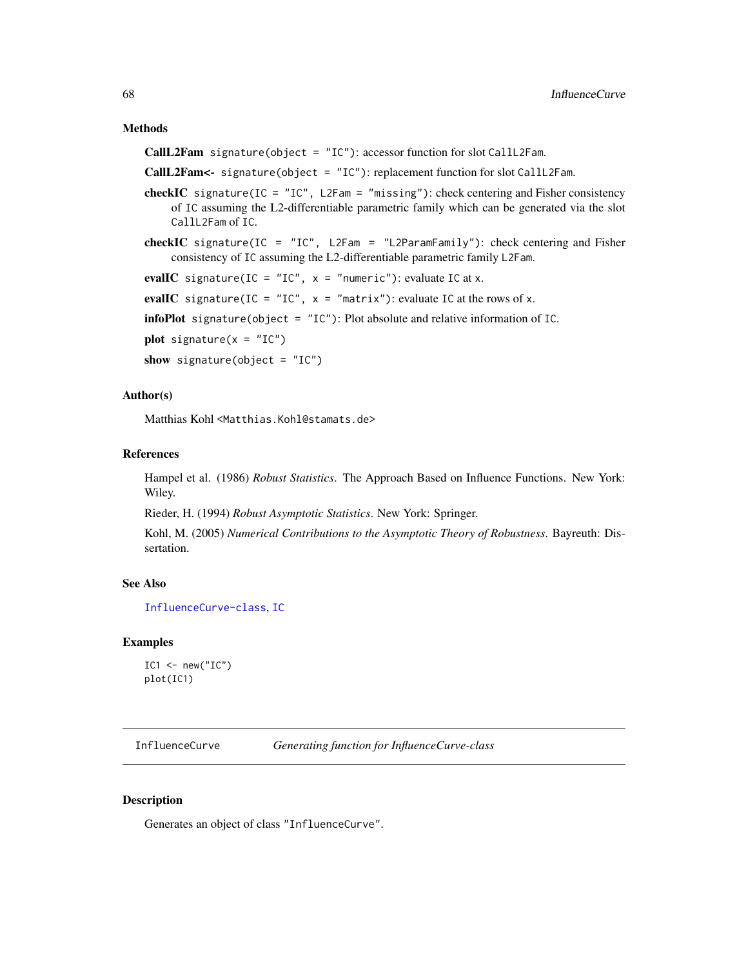#### Methods

CallL2Fam signature(object = "IC"): accessor function for slot CallL2Fam.

CallL2Fam<- signature(object = "IC"): replacement function for slot CallL2Fam.

- checkIC signature(IC =  $"IC"$ , L2Fam =  $"missing"$ ): check centering and Fisher consistency of IC assuming the L2-differentiable parametric family which can be generated via the slot CallL2Fam of IC.
- checkIC signature(IC = "IC", L2Fam = "L2ParamFamily"): check centering and Fisher consistency of IC assuming the L2-differentiable parametric family L2Fam.

```
evalIC signature(IC = "IC", x = "numeric"): evaluate IC at x.
```
evalIC signature(IC = "IC",  $x =$  "matrix"): evaluate IC at the rows of x.

**infoPlot** signature(object =  $"IC")$ : Plot absolute and relative information of IC.

```
plot signature(x = "IC")
```
show signature(object =  $"IC"$ )

## Author(s)

Matthias Kohl <Matthias.Kohl@stamats.de>

#### References

Hampel et al. (1986) *Robust Statistics*. The Approach Based on Influence Functions. New York: Wiley.

Rieder, H. (1994) *Robust Asymptotic Statistics*. New York: Springer.

Kohl, M. (2005) *Numerical Contributions to the Asymptotic Theory of Robustness*. Bayreuth: Dissertation.

### See Also

[InfluenceCurve-class](#page-69-0), [IC](#page-65-0)

#### Examples

```
IC1 <- new("IC")
plot(IC1)
```
<span id="page-67-0"></span>InfluenceCurve *Generating function for InfluenceCurve-class*

## **Description**

Generates an object of class "InfluenceCurve".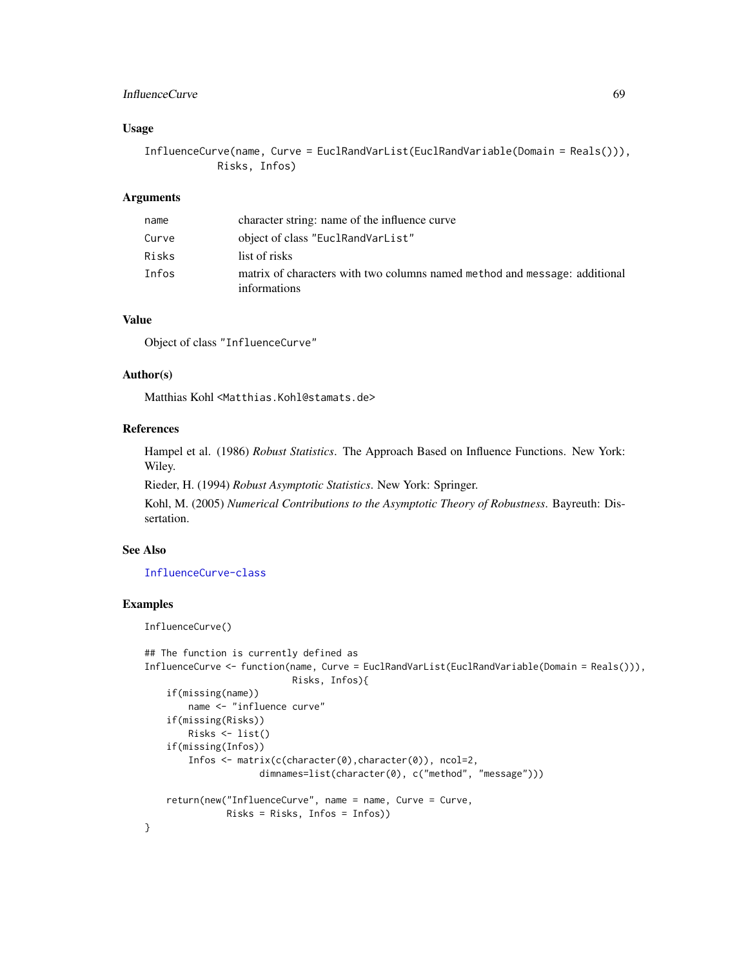### InfluenceCurve 69

## Usage

InfluenceCurve(name, Curve = EuclRandVarList(EuclRandVariable(Domain = Reals())), Risks, Infos)

### Arguments

| name  | character string: name of the influence curve                                              |
|-------|--------------------------------------------------------------------------------------------|
| Curve | object of class "EuclRandVarList"                                                          |
| Risks | list of risks                                                                              |
| Infos | matrix of characters with two columns named method and message: additional<br>informations |

## Value

Object of class "InfluenceCurve"

### Author(s)

Matthias Kohl <Matthias.Kohl@stamats.de>

# References

Hampel et al. (1986) *Robust Statistics*. The Approach Based on Influence Functions. New York: Wiley.

Rieder, H. (1994) *Robust Asymptotic Statistics*. New York: Springer.

Kohl, M. (2005) *Numerical Contributions to the Asymptotic Theory of Robustness*. Bayreuth: Dissertation.

# See Also

#### [InfluenceCurve-class](#page-69-0)

## Examples

InfluenceCurve()

```
## The function is currently defined as
InfluenceCurve <- function(name, Curve = EuclRandVarList(EuclRandVariable(Domain = Reals())),
                           Risks, Infos){
    if(missing(name))
       name <- "influence curve"
    if(missing(Risks))
       Risks <- list()
    if(missing(Infos))
       Infos <- matrix(c(character(0),character(0)), ncol=2,
                     dimnames=list(character(0), c("method", "message")))
    return(new("InfluenceCurve", name = name, Curve = Curve,
              Risks = Risks, Infos = Infos))
}
```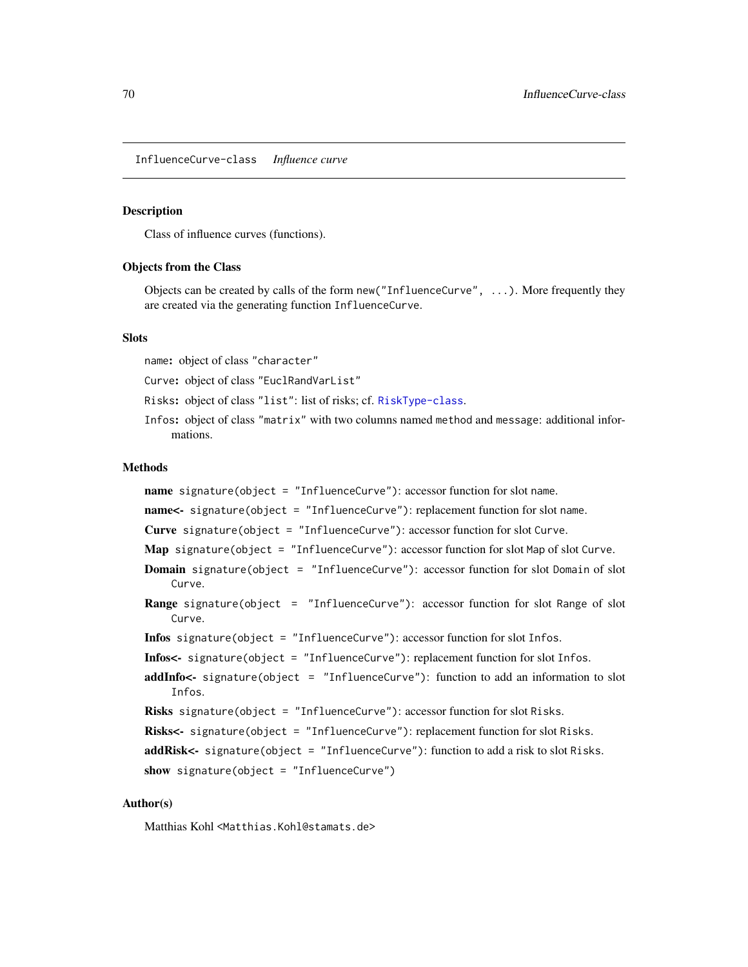<span id="page-69-0"></span>InfluenceCurve-class *Influence curve*

#### Description

Class of influence curves (functions).

### Objects from the Class

Objects can be created by calls of the form new("InfluenceCurve", ...). More frequently they are created via the generating function InfluenceCurve.

#### **Slots**

name: object of class "character"

Curve: object of class "EuclRandVarList"

Risks: object of class "list": list of risks; cf. [RiskType-class](#page-101-0).

Infos: object of class "matrix" with two columns named method and message: additional informations.

#### Methods

name signature(object = "InfluenceCurve"): accessor function for slot name. name<- signature(object = "InfluenceCurve"): replacement function for slot name. Curve signature(object = "InfluenceCurve"): accessor function for slot Curve. Map signature(object = "InfluenceCurve"): accessor function for slot Map of slot Curve. Domain signature(object = "InfluenceCurve"): accessor function for slot Domain of slot Curve. Range signature(object = "InfluenceCurve"): accessor function for slot Range of slot Curve. Infos signature(object = "InfluenceCurve"): accessor function for slot Infos. Infos<- signature(object = "InfluenceCurve"): replacement function for slot Infos. addInfo<- signature(object = "InfluenceCurve"): function to add an information to slot Infos. Risks signature(object = "InfluenceCurve"): accessor function for slot Risks. Risks<- signature(object = "InfluenceCurve"): replacement function for slot Risks. addRisk<- signature(object = "InfluenceCurve"): function to add a risk to slot Risks. show signature(object = "InfluenceCurve")

## Author(s)

Matthias Kohl <Matthias.Kohl@stamats.de>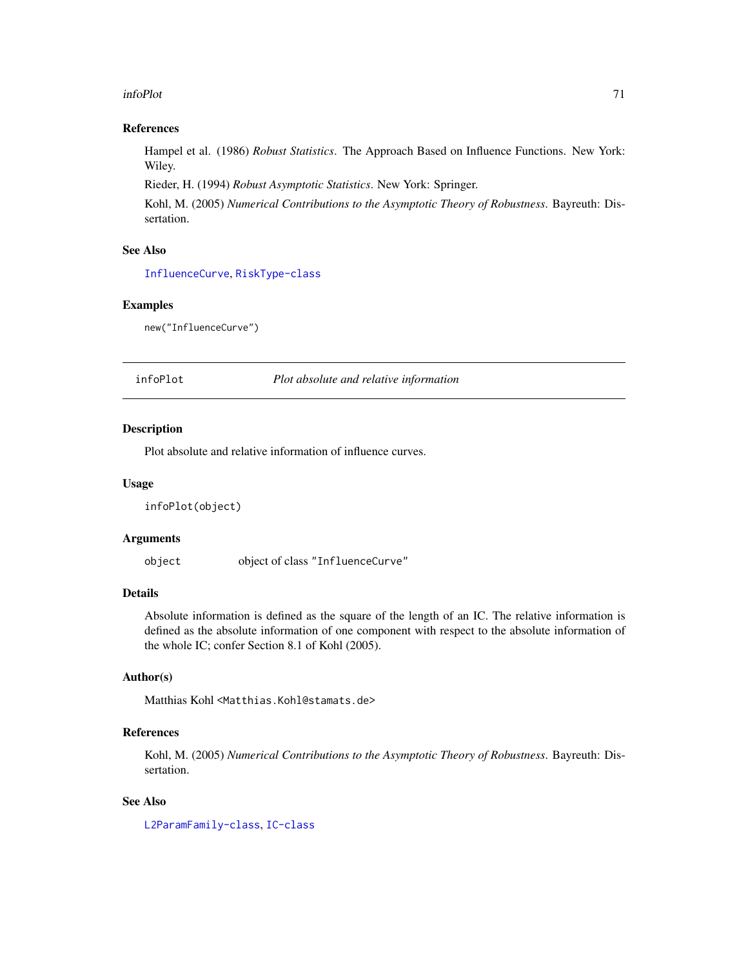#### infoPlot 71

### References

Hampel et al. (1986) *Robust Statistics*. The Approach Based on Influence Functions. New York: Wiley.

Rieder, H. (1994) *Robust Asymptotic Statistics*. New York: Springer.

Kohl, M. (2005) *Numerical Contributions to the Asymptotic Theory of Robustness*. Bayreuth: Dissertation.

## See Also

[InfluenceCurve](#page-67-0), [RiskType-class](#page-101-0)

### Examples

new("InfluenceCurve")

infoPlot *Plot absolute and relative information*

## Description

Plot absolute and relative information of influence curves.

### Usage

infoPlot(object)

#### Arguments

object object of class "InfluenceCurve"

### Details

Absolute information is defined as the square of the length of an IC. The relative information is defined as the absolute information of one component with respect to the absolute information of the whole IC; confer Section 8.1 of Kohl (2005).

# Author(s)

Matthias Kohl <Matthias.Kohl@stamats.de>

# References

Kohl, M. (2005) *Numerical Contributions to the Asymptotic Theory of Robustness*. Bayreuth: Dissertation.

### See Also

[L2ParamFamily-class](#page-76-0), [IC-class](#page-66-0)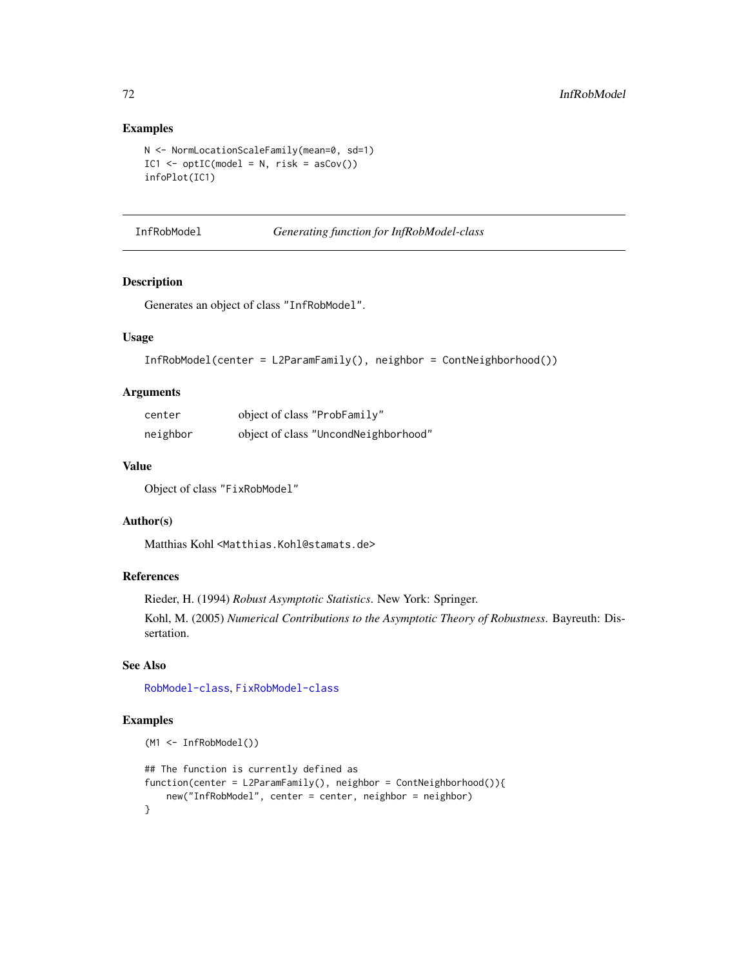## Examples

```
N <- NormLocationScaleFamily(mean=0, sd=1)
IC1 \leq optIC(model = N, risk = asCov())
infoPlot(IC1)
```
### InfRobModel *Generating function for InfRobModel-class*

## Description

Generates an object of class "InfRobModel".

## Usage

```
InfRobModel(center = L2ParamFamily(), neighbor = ContNeighbourhood())
```
### Arguments

| center   | object of class "ProbFamily"         |
|----------|--------------------------------------|
| neighbor | object of class "UncondNeighborhood" |

### Value

Object of class "FixRobModel"

#### Author(s)

Matthias Kohl <Matthias.Kohl@stamats.de>

## References

Rieder, H. (1994) *Robust Asymptotic Statistics*. New York: Springer.

Kohl, M. (2005) *Numerical Contributions to the Asymptotic Theory of Robustness*. Bayreuth: Dissertation.

## See Also

[RobModel-class](#page-102-0), [FixRobModel-class](#page-35-0)

## Examples

```
(M1 <- InfRobModel())
## The function is currently defined as
function(center = L2ParamFamily(), neighbor = ContNeighborhood()){
   new("InfRobModel", center = center, neighbor = neighbor)
}
```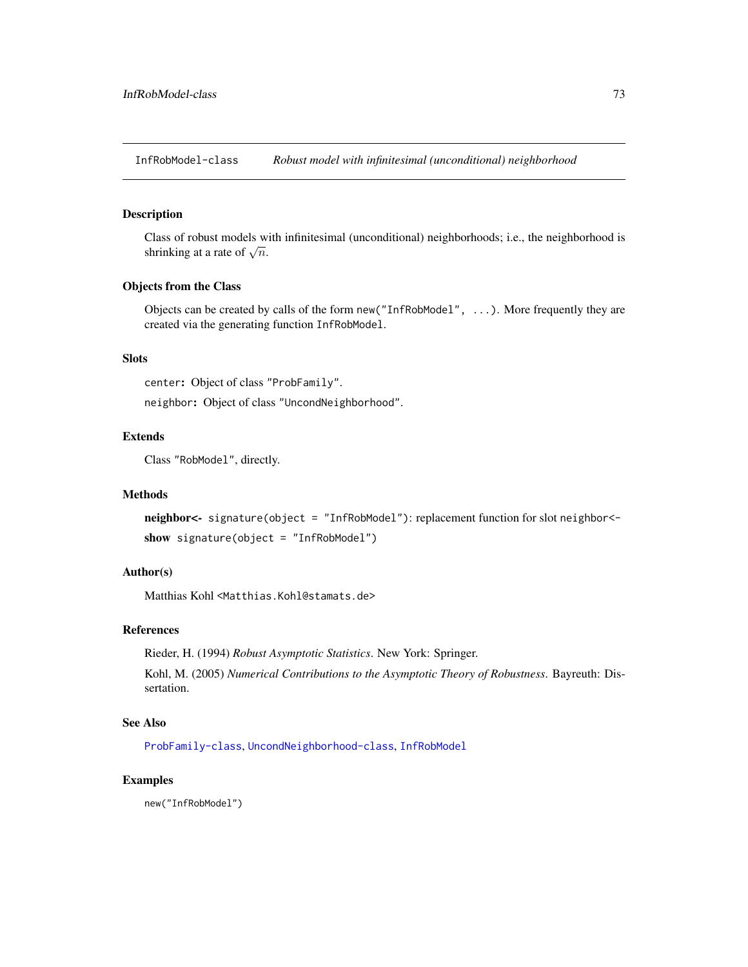InfRobModel-class *Robust model with infinitesimal (unconditional) neighborhood*

# Description

Class of robust models with infinitesimal (unconditional) neighborhoods; i.e., the neighborhood is Class of four inducts which in the shrinking at a rate of  $\sqrt{n}$ .

#### Objects from the Class

Objects can be created by calls of the form new("InfRobModel", ...). More frequently they are created via the generating function InfRobModel.

# **Slots**

center: Object of class "ProbFamily".

neighbor: Object of class "UncondNeighborhood".

# Extends

Class "RobModel", directly.

## **Methods**

neighbor<- signature(object = "InfRobModel"): replacement function for slot neighbor< show signature(object = "InfRobModel")

# Author(s)

Matthias Kohl <Matthias.Kohl@stamats.de>

## References

Rieder, H. (1994) *Robust Asymptotic Statistics*. New York: Springer.

Kohl, M. (2005) *Numerical Contributions to the Asymptotic Theory of Robustness*. Bayreuth: Dissertation.

## See Also

[ProbFamily-class](#page-99-0), [UncondNeighborhood-class](#page-112-0), [InfRobModel](#page-71-0)

## Examples

new("InfRobModel")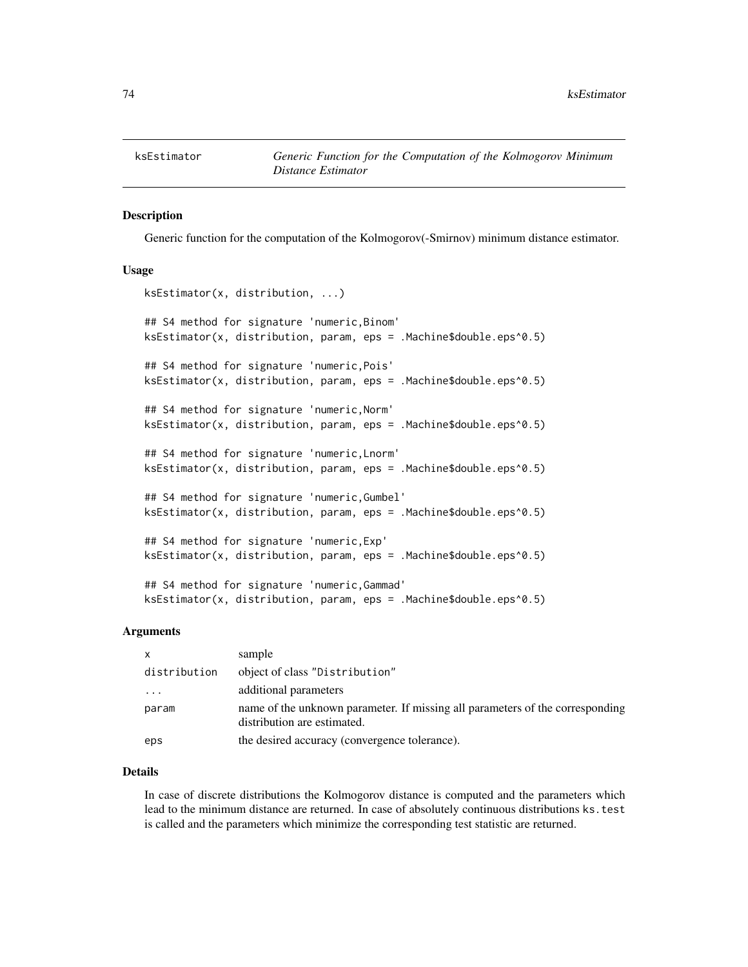#### Description

Generic function for the computation of the Kolmogorov(-Smirnov) minimum distance estimator.

#### Usage

```
ksEstimator(x, distribution, ...)
## S4 method for signature 'numeric,Binom'
ksEstimator(x, distribution, param, eps = .Machine$double.eps^0.5)
## S4 method for signature 'numeric,Pois'
ksEstimator(x, distribution, param, eps = .Machine$double.eps^0.5)
## S4 method for signature 'numeric,Norm'
ksEstimator(x, distribution, param, eps = .Machine$double.eps^0.5)
## S4 method for signature 'numeric,Lnorm'
ksEstimator(x, distribution, param, eps = .Machine$double.eps^0.5)
## S4 method for signature 'numeric,Gumbel'
ksEstimator(x, distribution, param, eps = .Machine$double.eps^0.5)
## S4 method for signature 'numeric,Exp'
ksEstimator(x, distribution, param, eps = .Machine$double.eps^0.5)
## S4 method for signature 'numeric,Gammad'
ksEstimator(x, distribution, param, eps = .Machine$double.eps^0.5)
```
## Arguments

| $\mathsf{x}$ | sample                                                                                                       |
|--------------|--------------------------------------------------------------------------------------------------------------|
| distribution | object of class "Distribution"                                                                               |
| $\ddotsc$    | additional parameters                                                                                        |
| param        | name of the unknown parameter. If missing all parameters of the corresponding<br>distribution are estimated. |
| eps          | the desired accuracy (convergence tolerance).                                                                |

## Details

In case of discrete distributions the Kolmogorov distance is computed and the parameters which lead to the minimum distance are returned. In case of absolutely continuous distributions ks.test is called and the parameters which minimize the corresponding test statistic are returned.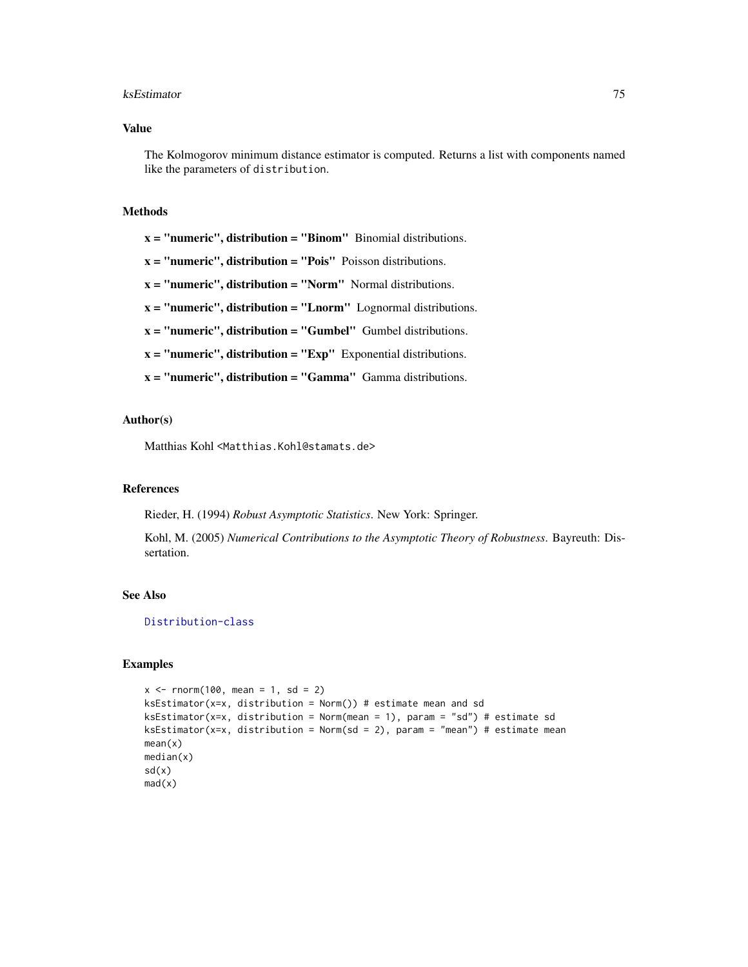#### ksEstimator 75

### Value

The Kolmogorov minimum distance estimator is computed. Returns a list with components named like the parameters of distribution.

#### Methods

 $x =$  "numeric", distribution = "Binom" Binomial distributions.

- $x =$  "numeric", distribution = "Pois" Poisson distributions.
- x = "numeric", distribution = "Norm" Normal distributions.
- $x =$  "numeric", distribution = "Lnorm" Lognormal distributions.
- $x =$  "numeric", distribution = "Gumbel" Gumbel distributions.

 $x =$  "numeric", distribution = " $Exp$ " Exponential distributions.

 $x =$  "numeric", distribution = "Gamma" Gamma distributions.

#### Author(s)

Matthias Kohl <Matthias.Kohl@stamats.de>

#### References

Rieder, H. (1994) *Robust Asymptotic Statistics*. New York: Springer.

Kohl, M. (2005) *Numerical Contributions to the Asymptotic Theory of Robustness*. Bayreuth: Dissertation.

## See Also

[Distribution-class](#page-0-0)

## Examples

```
x \le - rnorm(100, mean = 1, sd = 2)
ksEstimator(x=x, distribution = Norm()) # estimate mean and sd
ksEstimator(x=x, distribution = Norm(mean = 1), param = "sd") # estimate sdksEstimator(x=x, distribution = Norm(sd = 2), param = "mean") # estimate mean
mean(x)
median(x)
sd(x)mad(x)
```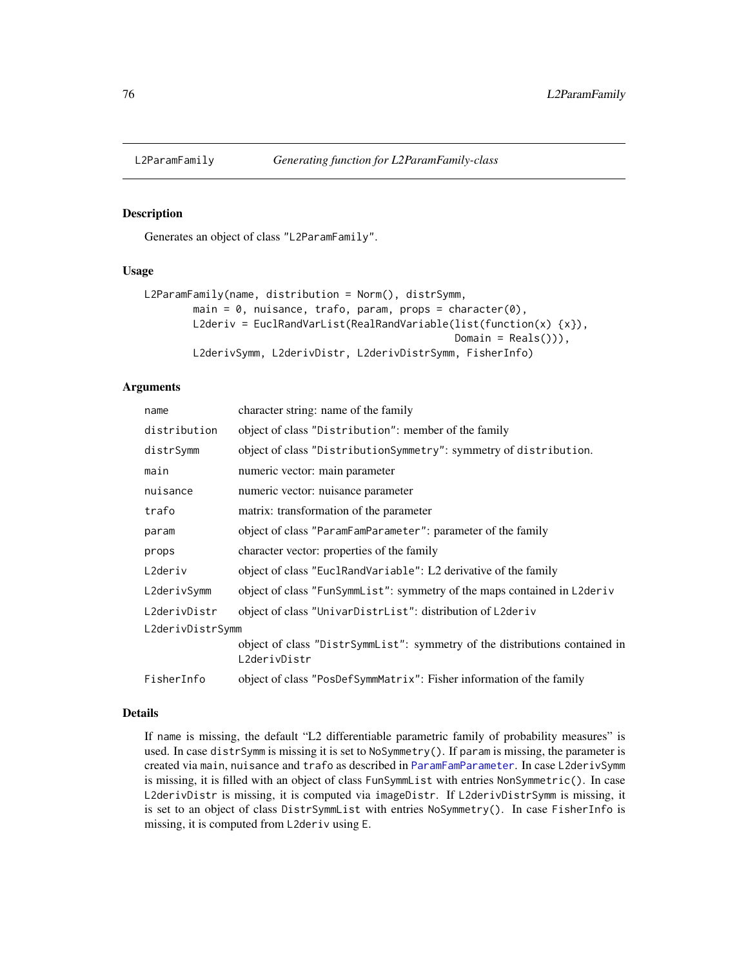<span id="page-75-0"></span>

## Description

Generates an object of class "L2ParamFamily".

#### Usage

```
L2ParamFamily(name, distribution = Norm(), distrSymm,
        main = 0, nuisance, trafo, param, props = character(0),
        L2deriv = EuclRandVarList(RealRandVariable(list(function(x) {x}),
                                                   Domain = Reals()),
        L2derivSymm, L2derivDistr, L2derivDistrSymm, FisherInfo)
```
### Arguments

| name             | character string: name of the family                                                        |  |
|------------------|---------------------------------------------------------------------------------------------|--|
| distribution     | object of class "Distribution": member of the family                                        |  |
| distrSymm        | object of class "DistributionSymmetry": symmetry of distribution.                           |  |
| main             | numeric vector: main parameter                                                              |  |
| nuisance         | numeric vector: nuisance parameter                                                          |  |
| trafo            | matrix: transformation of the parameter                                                     |  |
| param            | object of class "ParamFamParameter": parameter of the family                                |  |
| props            | character vector: properties of the family                                                  |  |
| L2deriv          | object of class "EuclRandVariable": L2 derivative of the family                             |  |
| L2derivSymm      | object of class "FunSymmList": symmetry of the maps contained in L2deriv                    |  |
| L2derivDistr     | object of class "UnivarDistrList": distribution of L2deriv                                  |  |
| L2derivDistrSymm |                                                                                             |  |
|                  | object of class "DistrSymmList": symmetry of the distributions contained in<br>L2derivDistr |  |
| FisherInfo       | object of class "PosDefSymmMatrix": Fisher information of the family                        |  |

## Details

If name is missing, the default "L2 differentiable parametric family of probability measures" is used. In case distrSymm is missing it is set to NoSymmetry(). If param is missing, the parameter is created via main, nuisance and trafo as described in [ParamFamParameter](#page-96-0). In case L2derivSymm is missing, it is filled with an object of class FunSymmList with entries NonSymmetric(). In case L2derivDistr is missing, it is computed via imageDistr. If L2derivDistrSymm is missing, it is set to an object of class DistrSymmList with entries NoSymmetry(). In case FisherInfo is missing, it is computed from L2deriv using E.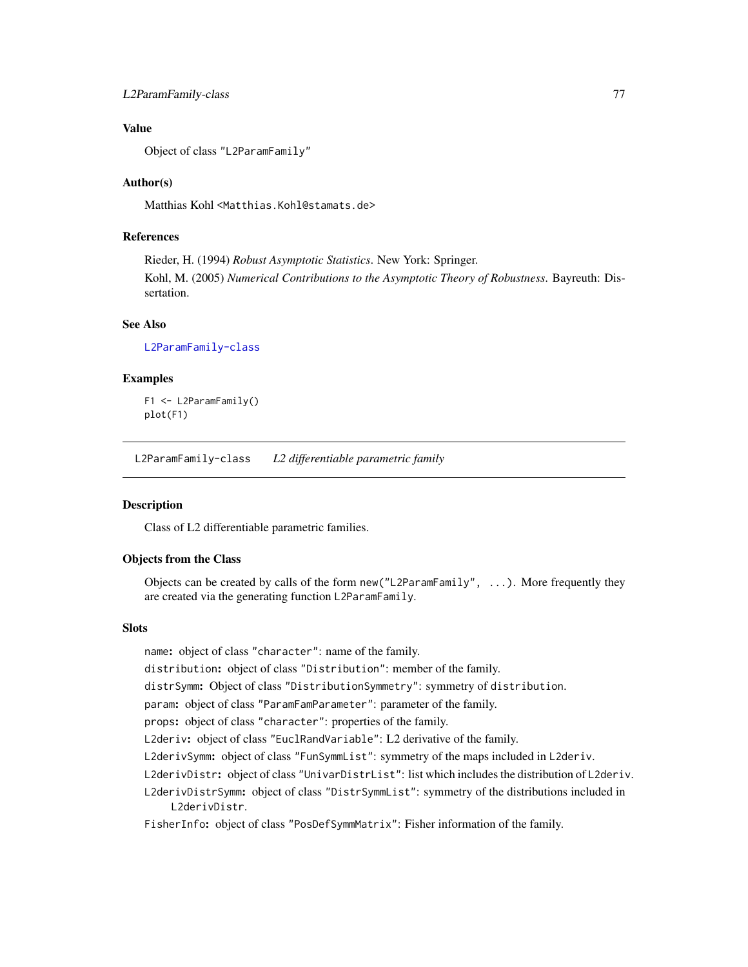## L2ParamFamily-class 77

# Value

Object of class "L2ParamFamily"

## Author(s)

Matthias Kohl <Matthias.Kohl@stamats.de>

# References

Rieder, H. (1994) *Robust Asymptotic Statistics*. New York: Springer. Kohl, M. (2005) *Numerical Contributions to the Asymptotic Theory of Robustness*. Bayreuth: Dissertation.

#### See Also

[L2ParamFamily-class](#page-76-0)

#### Examples

F1 <- L2ParamFamily() plot(F1)

<span id="page-76-0"></span>L2ParamFamily-class *L2 differentiable parametric family*

#### **Description**

Class of L2 differentiable parametric families.

#### Objects from the Class

Objects can be created by calls of the form new("L2ParamFamily", ...). More frequently they are created via the generating function L2ParamFamily.

#### **Slots**

name: object of class "character": name of the family.

distribution: object of class "Distribution": member of the family.

distrSymm: Object of class "DistributionSymmetry": symmetry of distribution.

param: object of class "ParamFamParameter": parameter of the family.

props: object of class "character": properties of the family.

L2deriv: object of class "EuclRandVariable": L2 derivative of the family.

L2derivSymm: object of class "FunSymmList": symmetry of the maps included in L2deriv.

L2derivDistr: object of class "UnivarDistrList": list which includes the distribution of L2deriv.

L2derivDistrSymm: object of class "DistrSymmList": symmetry of the distributions included in L2derivDistr.

FisherInfo: object of class "PosDefSymmMatrix": Fisher information of the family.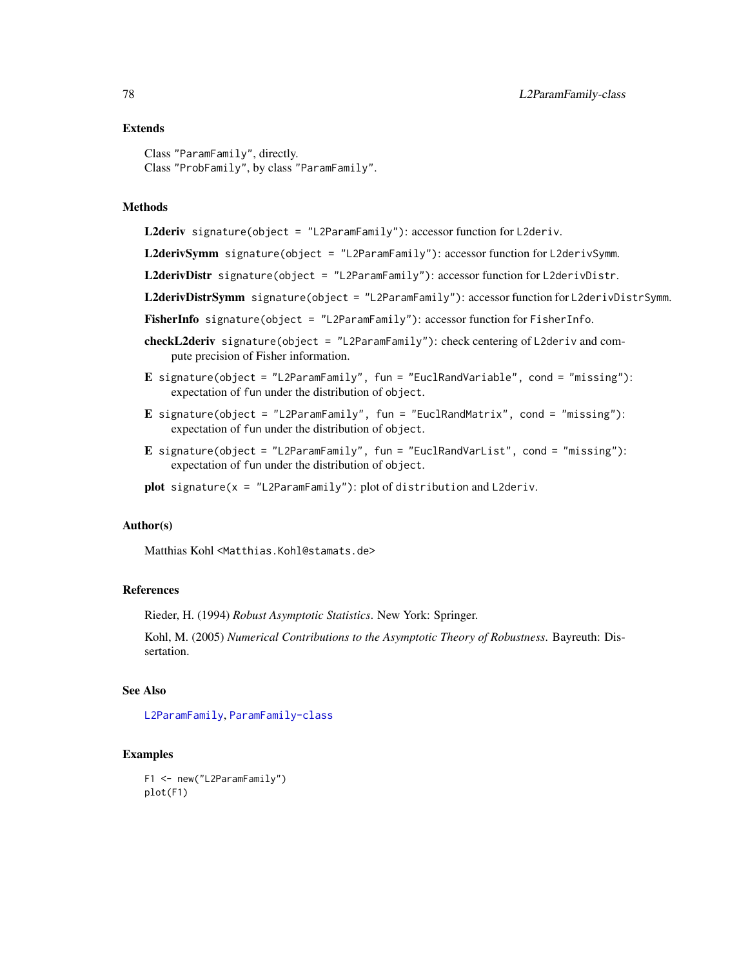#### Extends

Class "ParamFamily", directly. Class "ProbFamily", by class "ParamFamily".

## Methods

L2deriv signature(object = "L2ParamFamily"): accessor function for L2deriv.

L2derivSymm signature(object = "L2ParamFamily"): accessor function for L2derivSymm.

L2derivDistr signature(object = "L2ParamFamily"): accessor function for L2derivDistr.

L2derivDistrSymm signature(object = "L2ParamFamily"): accessor function for L2derivDistrSymm.

FisherInfo signature(object = "L2ParamFamily"): accessor function for FisherInfo.

- checkL2deriv signature(object = "L2ParamFamily"): check centering of L2deriv and compute precision of Fisher information.
- E signature(object = "L2ParamFamily", fun = "EuclRandVariable", cond = "missing"): expectation of fun under the distribution of object.
- E signature(object = "L2ParamFamily", fun = "EuclRandMatrix", cond = "missing"): expectation of fun under the distribution of object.
- E signature(object = "L2ParamFamily", fun = "EuclRandVarList", cond = "missing"): expectation of fun under the distribution of object.
- plot signature( $x =$  "L2ParamFamily"): plot of distribution and L2deriv.

#### Author(s)

Matthias Kohl <Matthias.Kohl@stamats.de>

## References

Rieder, H. (1994) *Robust Asymptotic Statistics*. New York: Springer.

Kohl, M. (2005) *Numerical Contributions to the Asymptotic Theory of Robustness*. Bayreuth: Dissertation.

### See Also

[L2ParamFamily](#page-75-0), [ParamFamily-class](#page-94-0)

#### Examples

```
F1 <- new("L2ParamFamily")
plot(F1)
```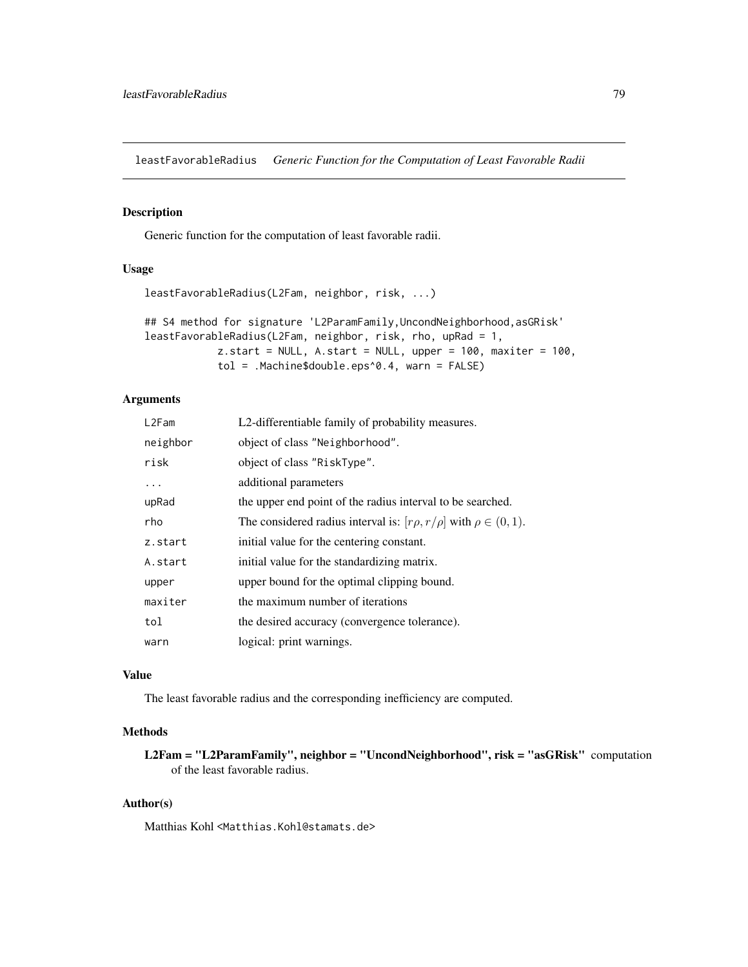leastFavorableRadius *Generic Function for the Computation of Least Favorable Radii*

#### Description

Generic function for the computation of least favorable radii.

# Usage

```
leastFavorableRadius(L2Fam, neighbor, risk, ...)
```

```
## S4 method for signature 'L2ParamFamily,UncondNeighborhood,asGRisk'
leastFavorableRadius(L2Fam, neighbor, risk, rho, upRad = 1,
            z.start = NULL, A.start = NULL, upper = 100, maxiter = 100,
            tol = .Machine$double.eps^0.4, warn = FALSE)
```
## Arguments

| L2Fam    | L2-differentiable family of probability measures.                             |
|----------|-------------------------------------------------------------------------------|
| neighbor | object of class "Neighborhood".                                               |
| risk     | object of class "RiskType".                                                   |
| .        | additional parameters                                                         |
| upRad    | the upper end point of the radius interval to be searched.                    |
| rho      | The considered radius interval is: $[r\rho, r/\rho]$ with $\rho \in (0, 1)$ . |
| z.start  | initial value for the centering constant.                                     |
| A.start  | initial value for the standardizing matrix.                                   |
| upper    | upper bound for the optimal clipping bound.                                   |
| maxiter  | the maximum number of iterations                                              |
| tol      | the desired accuracy (convergence tolerance).                                 |
| warn     | logical: print warnings.                                                      |

## Value

The least favorable radius and the corresponding inefficiency are computed.

# Methods

L2Fam = "L2ParamFamily", neighbor = "UncondNeighborhood", risk = "asGRisk" computation of the least favorable radius.

## Author(s)

Matthias Kohl <Matthias.Kohl@stamats.de>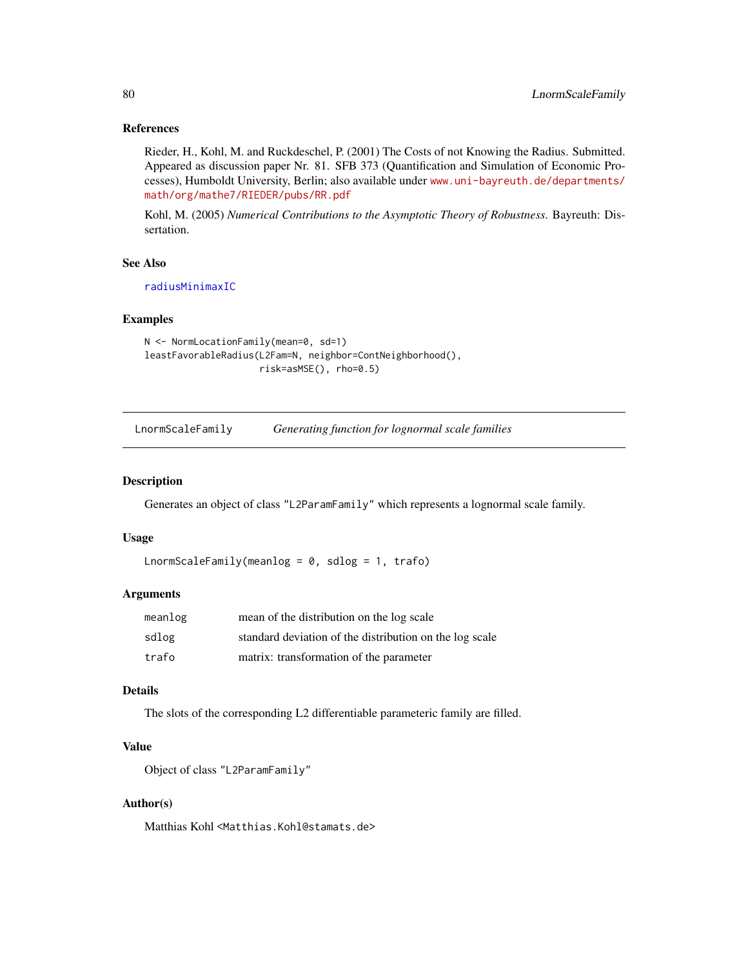#### References

Rieder, H., Kohl, M. and Ruckdeschel, P. (2001) The Costs of not Knowing the Radius. Submitted. Appeared as discussion paper Nr. 81. SFB 373 (Quantification and Simulation of Economic Processes), Humboldt University, Berlin; also available under [www.uni-bayreuth.de/departments/](www.uni-bayreuth.de/departments/math/org/mathe7/RIEDER/pubs/RR.pdf) [math/org/mathe7/RIEDER/pubs/RR.pdf](www.uni-bayreuth.de/departments/math/org/mathe7/RIEDER/pubs/RR.pdf)

Kohl, M. (2005) *Numerical Contributions to the Asymptotic Theory of Robustness*. Bayreuth: Dissertation.

## See Also

[radiusMinimaxIC](#page-100-0)

#### Examples

```
N <- NormLocationFamily(mean=0, sd=1)
leastFavorableRadius(L2Fam=N, neighbor=ContNeighborhood(),
                     risk=asMSE(), rho=0.5)
```
LnormScaleFamily *Generating function for lognormal scale families*

#### Description

Generates an object of class "L2ParamFamily" which represents a lognormal scale family.

### Usage

```
LnormScaleFamily(meanlog = 0, sdlog = 1, trafo)
```
## Arguments

| meanlog | mean of the distribution on the log scale               |
|---------|---------------------------------------------------------|
| sdlog   | standard deviation of the distribution on the log scale |
| trafo   | matrix: transformation of the parameter                 |

### Details

The slots of the corresponding L2 differentiable parameteric family are filled.

# Value

```
Object of class "L2ParamFamily"
```
# Author(s)

Matthias Kohl <Matthias.Kohl@stamats.de>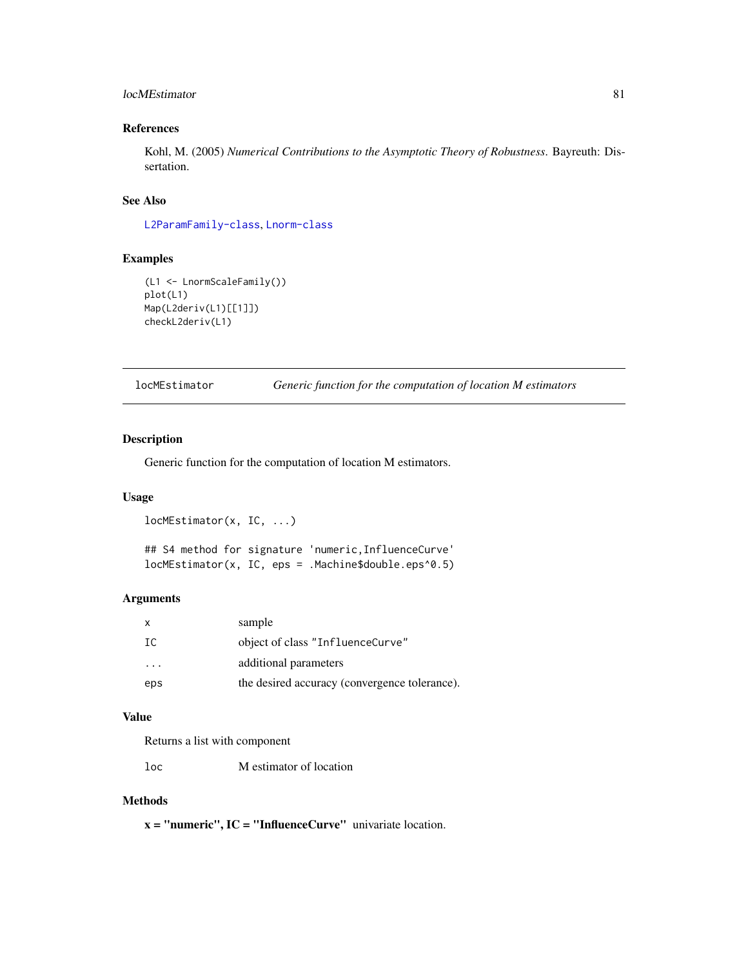## locMEstimator 81

## References

Kohl, M. (2005) *Numerical Contributions to the Asymptotic Theory of Robustness*. Bayreuth: Dissertation.

# See Also

[L2ParamFamily-class](#page-76-0), [Lnorm-class](#page-0-0)

# Examples

```
(L1 <- LnormScaleFamily())
plot(L1)
Map(L2deriv(L1)[[1]])
checkL2deriv(L1)
```
locMEstimator *Generic function for the computation of location M estimators*

#### Description

Generic function for the computation of location M estimators.

# Usage

```
locMEstimator(x, IC, ...)
## S4 method for signature 'numeric, InfluenceCurve'
locMEstimator(x, IC, eps = .Machine$double.eps^0.5)
```
## Arguments

| $\mathsf{x}$            | sample                                        |
|-------------------------|-----------------------------------------------|
| TC.                     | object of class "InfluenceCurve"              |
| $\cdot$ $\cdot$ $\cdot$ | additional parameters                         |
| eps                     | the desired accuracy (convergence tolerance). |

## Value

Returns a list with component

loc M estimator of location

## Methods

 $x =$  "numeric",  $IC =$  "InfluenceCurve" univariate location.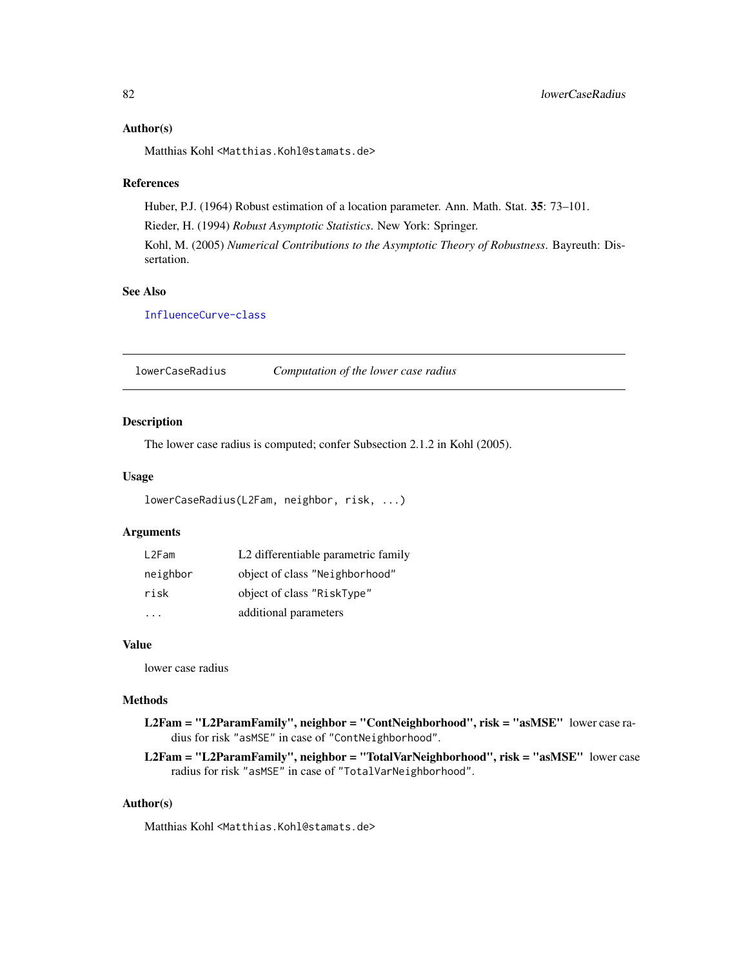#### Author(s)

Matthias Kohl <Matthias.Kohl@stamats.de>

#### References

Huber, P.J. (1964) Robust estimation of a location parameter. Ann. Math. Stat. 35: 73–101. Rieder, H. (1994) *Robust Asymptotic Statistics*. New York: Springer. Kohl, M. (2005) *Numerical Contributions to the Asymptotic Theory of Robustness*. Bayreuth: Dissertation.

# See Also

[InfluenceCurve-class](#page-69-0)

lowerCaseRadius *Computation of the lower case radius*

## Description

The lower case radius is computed; confer Subsection 2.1.2 in Kohl (2005).

## Usage

```
lowerCaseRadius(L2Fam, neighbor, risk, ...)
```
## Arguments

| L2Fam    | L2 differentiable parametric family |
|----------|-------------------------------------|
| neighbor | object of class "Neighborhood"      |
| risk     | object of class "RiskType"          |
|          | additional parameters               |

## Value

lower case radius

#### Methods

L2Fam = "L2ParamFamily", neighbor = "ContNeighborhood", risk = "asMSE" lower case radius for risk "asMSE" in case of "ContNeighborhood".

L2Fam = "L2ParamFamily", neighbor = "TotalVarNeighborhood", risk = "asMSE" lower case radius for risk "asMSE" in case of "TotalVarNeighborhood".

## Author(s)

Matthias Kohl <Matthias.Kohl@stamats.de>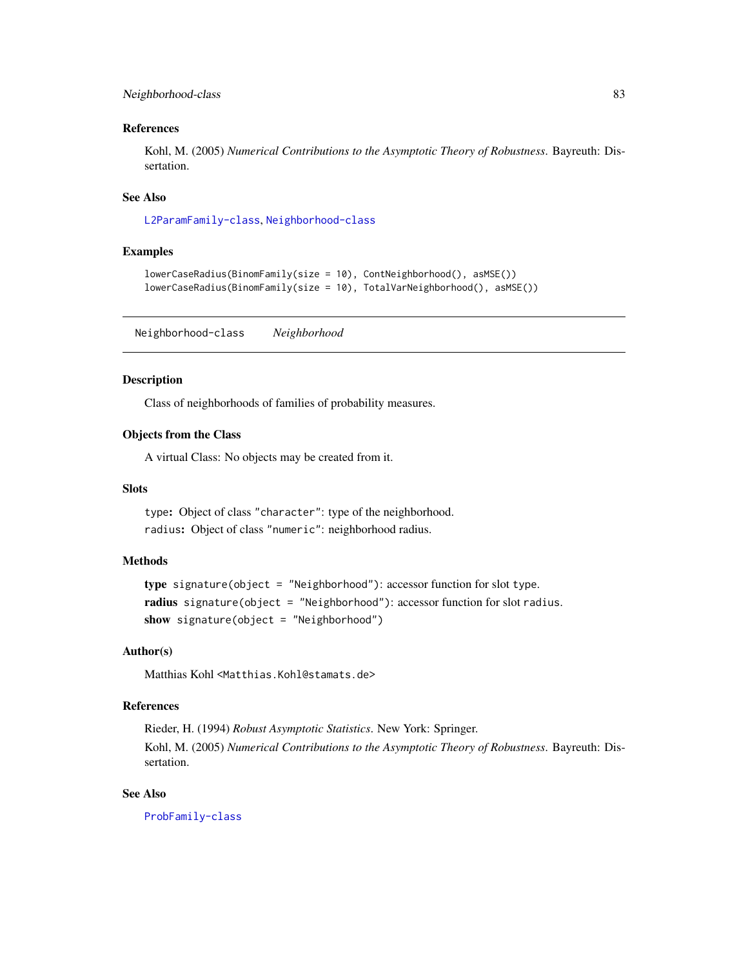## Neighborhood-class 83

#### References

Kohl, M. (2005) *Numerical Contributions to the Asymptotic Theory of Robustness*. Bayreuth: Dissertation.

# See Also

[L2ParamFamily-class](#page-76-0), [Neighborhood-class](#page-82-0)

#### Examples

```
lowerCaseRadius(BinomFamily(size = 10), ContNeighborhood(), asMSE())
lowerCaseRadius(BinomFamily(size = 10), TotalVarNeighborhood(), asMSE())
```
<span id="page-82-0"></span>Neighborhood-class *Neighborhood*

#### Description

Class of neighborhoods of families of probability measures.

#### Objects from the Class

A virtual Class: No objects may be created from it.

#### Slots

type: Object of class "character": type of the neighborhood. radius: Object of class "numeric": neighborhood radius.

#### Methods

type signature(object = "Neighborhood"): accessor function for slot type. radius signature(object = "Neighborhood"): accessor function for slot radius. show signature(object = "Neighborhood")

# Author(s)

Matthias Kohl <Matthias.Kohl@stamats.de>

### References

Rieder, H. (1994) *Robust Asymptotic Statistics*. New York: Springer. Kohl, M. (2005) *Numerical Contributions to the Asymptotic Theory of Robustness*. Bayreuth: Dissertation.

# See Also

[ProbFamily-class](#page-99-0)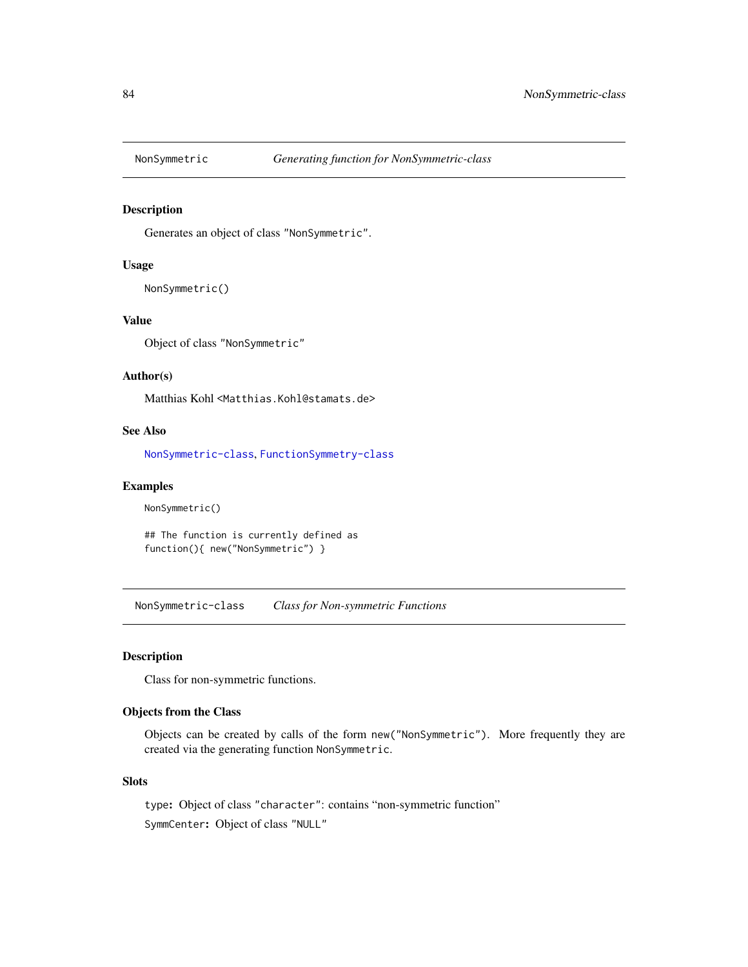<span id="page-83-1"></span>

# Description

Generates an object of class "NonSymmetric".

#### Usage

```
NonSymmetric()
```
# Value

Object of class "NonSymmetric"

# Author(s)

Matthias Kohl <Matthias.Kohl@stamats.de>

# See Also

[NonSymmetric-class](#page-83-0), [FunctionSymmetry-class](#page-36-0)

#### Examples

```
NonSymmetric()
```
## The function is currently defined as function(){ new("NonSymmetric") }

<span id="page-83-0"></span>NonSymmetric-class *Class for Non-symmetric Functions*

#### Description

Class for non-symmetric functions.

# Objects from the Class

Objects can be created by calls of the form new("NonSymmetric"). More frequently they are created via the generating function NonSymmetric.

### Slots

type: Object of class "character": contains "non-symmetric function" SymmCenter: Object of class "NULL"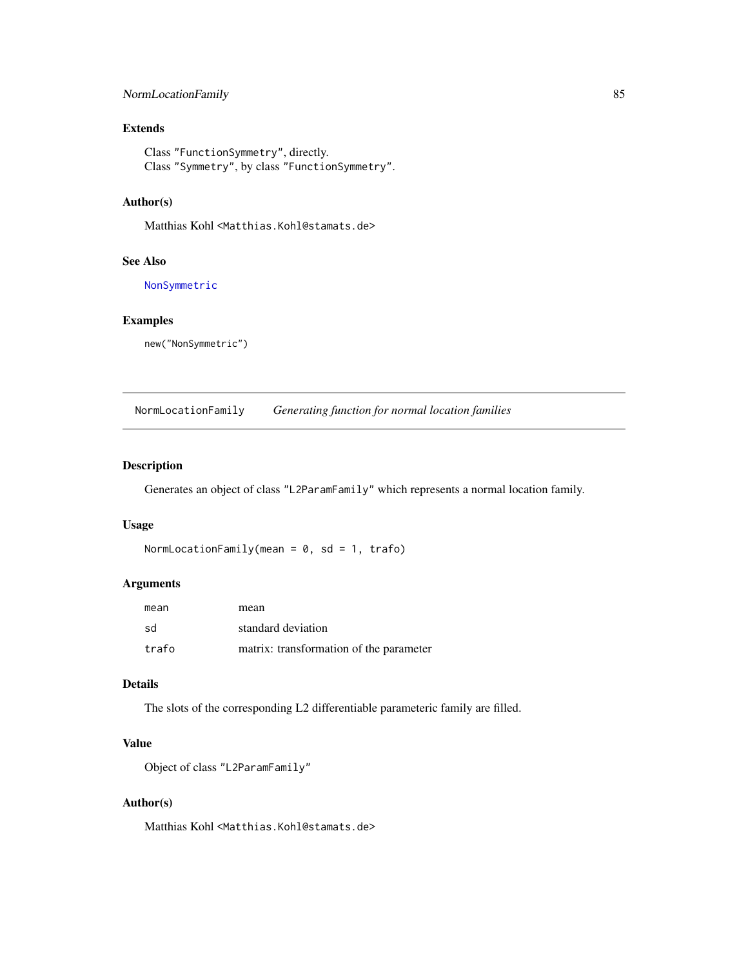# NormLocationFamily 85

# Extends

Class "FunctionSymmetry", directly. Class "Symmetry", by class "FunctionSymmetry".

## Author(s)

Matthias Kohl <Matthias.Kohl@stamats.de>

## See Also

[NonSymmetric](#page-83-1)

# Examples

new("NonSymmetric")

NormLocationFamily *Generating function for normal location families*

## Description

Generates an object of class "L2ParamFamily" which represents a normal location family.

### Usage

```
NormLocationFamily(mean = 0, sd = 1, trafo)
```
# Arguments

| mean  | mean                                    |
|-------|-----------------------------------------|
| sd    | standard deviation                      |
| trafo | matrix: transformation of the parameter |

# Details

The slots of the corresponding L2 differentiable parameteric family are filled.

# Value

Object of class "L2ParamFamily"

## Author(s)

Matthias Kohl <Matthias.Kohl@stamats.de>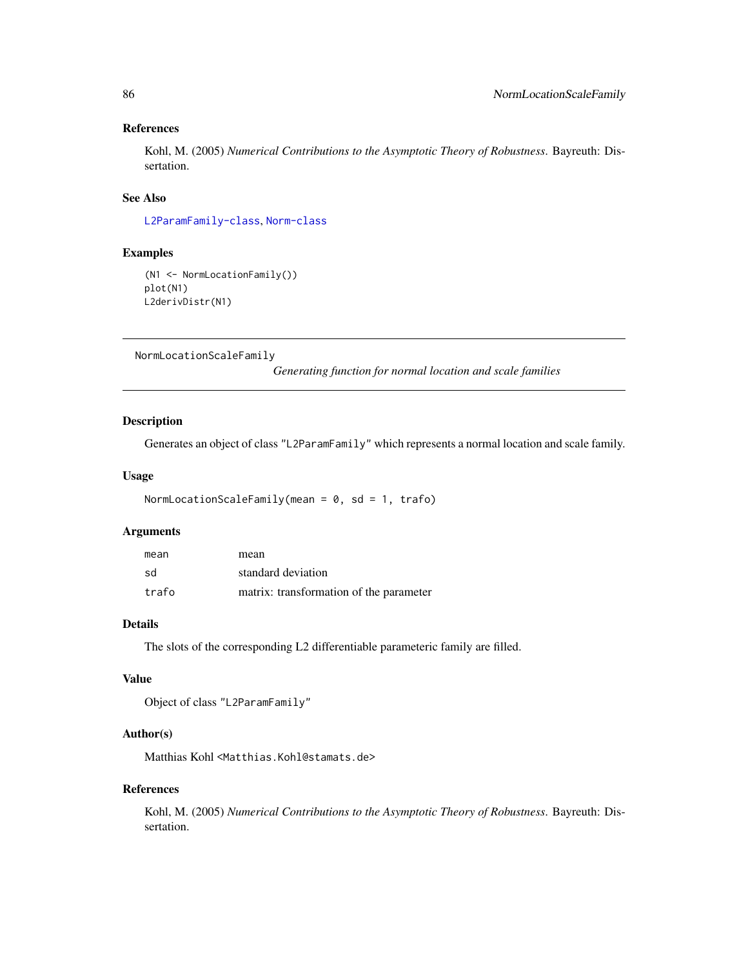# References

Kohl, M. (2005) *Numerical Contributions to the Asymptotic Theory of Robustness*. Bayreuth: Dissertation.

## See Also

[L2ParamFamily-class](#page-76-0), [Norm-class](#page-0-0)

# Examples

```
(N1 <- NormLocationFamily())
plot(N1)
L2derivDistr(N1)
```
NormLocationScaleFamily

*Generating function for normal location and scale families*

# Description

Generates an object of class "L2ParamFamily" which represents a normal location and scale family.

#### Usage

```
NormLocationScaleFamily(mean = 0, sd = 1, trafo)
```
## Arguments

| mean  | mean                                    |
|-------|-----------------------------------------|
| sd    | standard deviation                      |
| trafo | matrix: transformation of the parameter |

# Details

The slots of the corresponding L2 differentiable parameteric family are filled.

# Value

Object of class "L2ParamFamily"

#### Author(s)

Matthias Kohl <Matthias.Kohl@stamats.de>

#### References

Kohl, M. (2005) *Numerical Contributions to the Asymptotic Theory of Robustness*. Bayreuth: Dissertation.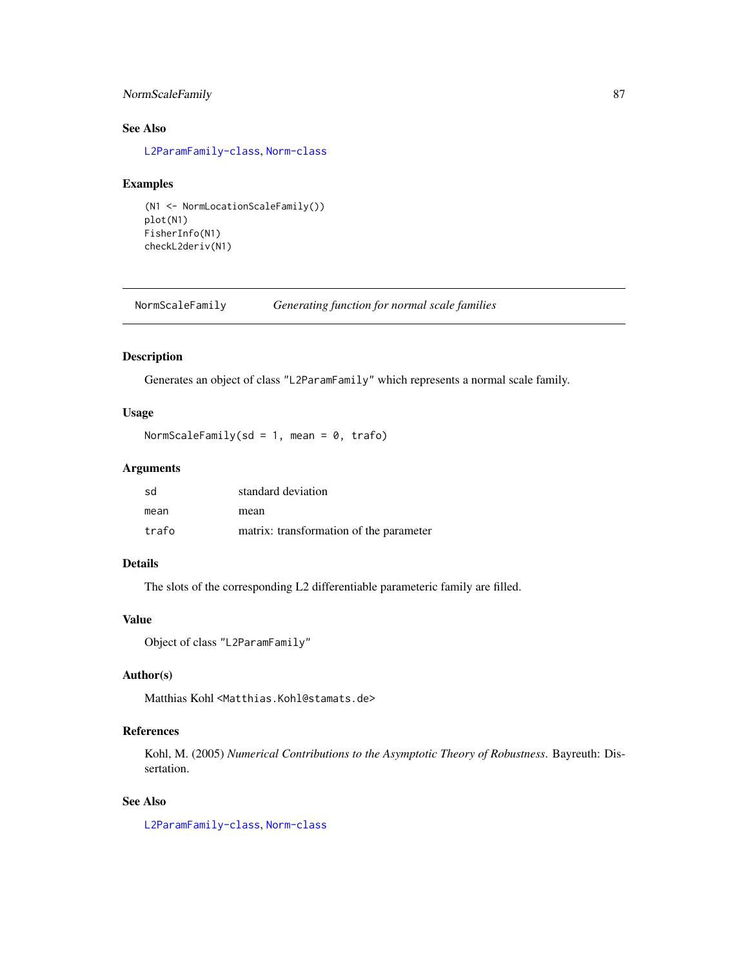# NormScaleFamily 87

# See Also

[L2ParamFamily-class](#page-76-0), [Norm-class](#page-0-0)

#### Examples

```
(N1 <- NormLocationScaleFamily())
plot(N1)
FisherInfo(N1)
checkL2deriv(N1)
```
NormScaleFamily *Generating function for normal scale families*

## Description

Generates an object of class "L2ParamFamily" which represents a normal scale family.

## Usage

NormScaleFamily(sd = 1, mean = 0, trafo)

## Arguments

| sd    | standard deviation                      |
|-------|-----------------------------------------|
| mean  | mean                                    |
| trafo | matrix: transformation of the parameter |

# Details

The slots of the corresponding L2 differentiable parameteric family are filled.

# Value

```
Object of class "L2ParamFamily"
```
# Author(s)

Matthias Kohl <Matthias.Kohl@stamats.de>

# References

Kohl, M. (2005) *Numerical Contributions to the Asymptotic Theory of Robustness*. Bayreuth: Dissertation.

## See Also

[L2ParamFamily-class](#page-76-0), [Norm-class](#page-0-0)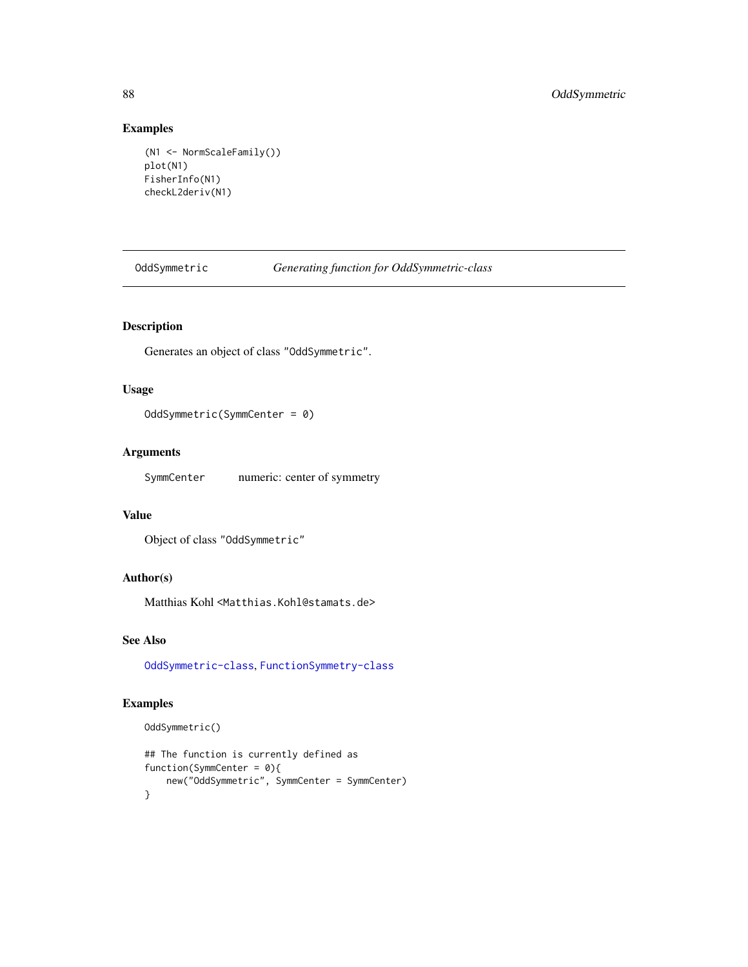# Examples

```
(N1 <- NormScaleFamily())
plot(N1)
FisherInfo(N1)
checkL2deriv(N1)
```
<span id="page-87-0"></span>OddSymmetric *Generating function for OddSymmetric-class*

# Description

Generates an object of class "OddSymmetric".

## Usage

OddSymmetric(SymmCenter = 0)

# Arguments

SymmCenter numeric: center of symmetry

## Value

```
Object of class "OddSymmetric"
```
# Author(s)

Matthias Kohl <Matthias.Kohl@stamats.de>

# See Also

[OddSymmetric-class](#page-88-0), [FunctionSymmetry-class](#page-36-0)

# Examples

```
OddSymmetric()
```

```
## The function is currently defined as
function(SymmCenter = 0){
   new("OddSymmetric", SymmCenter = SymmCenter)
}
```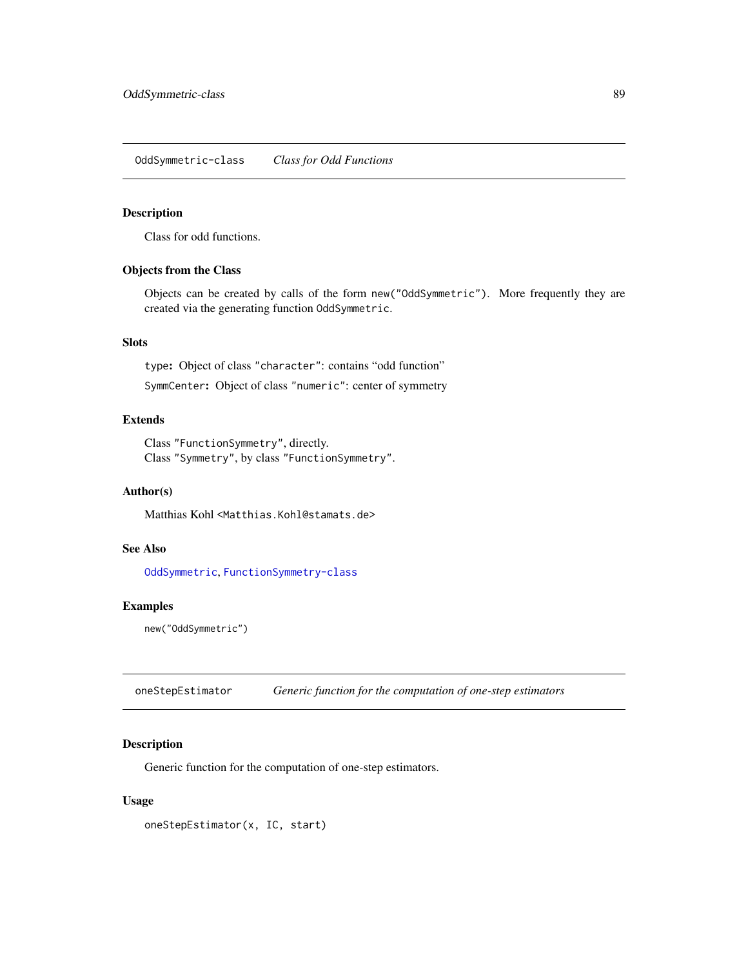<span id="page-88-0"></span>OddSymmetric-class *Class for Odd Functions*

#### Description

Class for odd functions.

# Objects from the Class

Objects can be created by calls of the form new("OddSymmetric"). More frequently they are created via the generating function OddSymmetric.

## Slots

type: Object of class "character": contains "odd function"

SymmCenter: Object of class "numeric": center of symmetry

# Extends

Class "FunctionSymmetry", directly. Class "Symmetry", by class "FunctionSymmetry".

## Author(s)

Matthias Kohl <Matthias.Kohl@stamats.de>

# See Also

[OddSymmetric](#page-87-0), [FunctionSymmetry-class](#page-36-0)

# Examples

new("OddSymmetric")

oneStepEstimator *Generic function for the computation of one-step estimators*

## Description

Generic function for the computation of one-step estimators.

## Usage

oneStepEstimator(x, IC, start)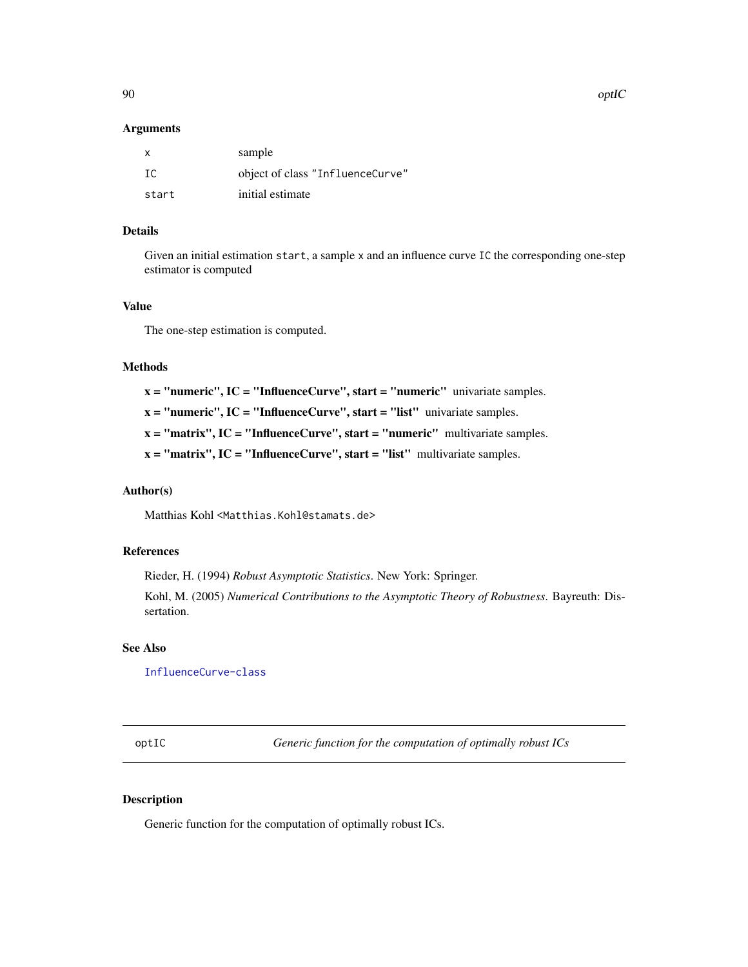#### Arguments

| $\mathsf{x}$ | sample                           |
|--------------|----------------------------------|
| - TC         | object of class "InfluenceCurve" |
| start        | initial estimate                 |

## Details

Given an initial estimation start, a sample x and an influence curve IC the corresponding one-step estimator is computed

#### Value

The one-step estimation is computed.

#### Methods

 $x =$  "numeric", IC = "InfluenceCurve", start = "numeric" univariate samples.

 $x = "numeric", IC = "InfluenceCurve", start = "list" univariate samples.$ 

 $x = "matrix", IC = "InfluenceCurve", start = "numeric" multivariate samples.$ 

 $x = "matrix", IC = "InfluenceCurve", start = "list" multivariate samples.$ 

# Author(s)

Matthias Kohl <Matthias.Kohl@stamats.de>

# References

Rieder, H. (1994) *Robust Asymptotic Statistics*. New York: Springer.

Kohl, M. (2005) *Numerical Contributions to the Asymptotic Theory of Robustness*. Bayreuth: Dissertation.

#### See Also

[InfluenceCurve-class](#page-69-0)

optIC *Generic function for the computation of optimally robust ICs*

# Description

Generic function for the computation of optimally robust ICs.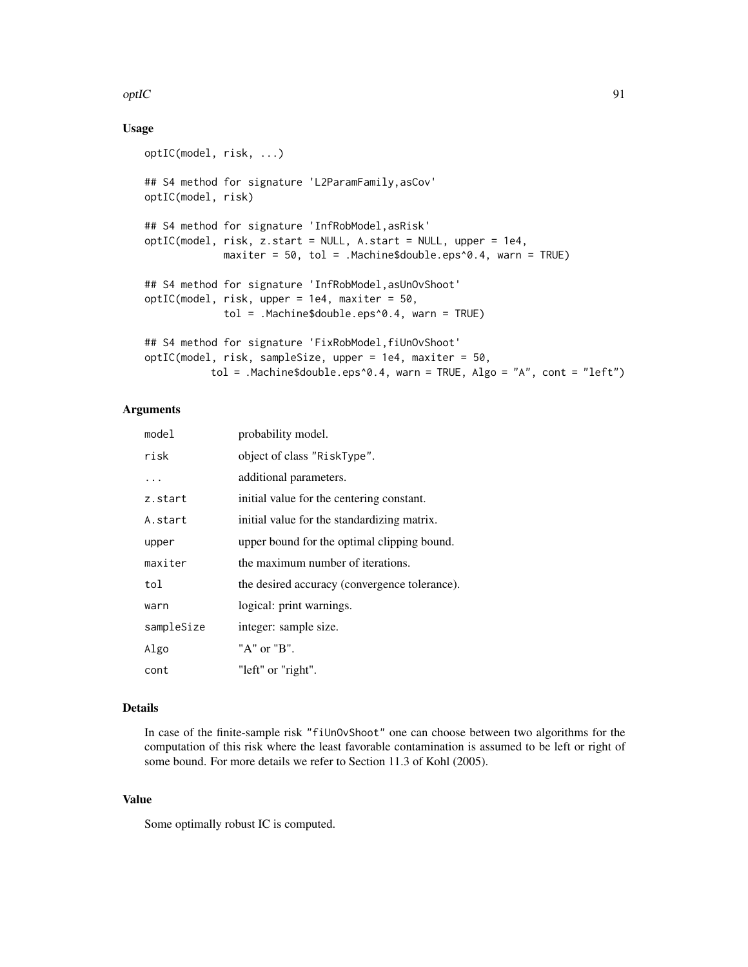#### $optC$  91

## Usage

```
optIC(model, risk, ...)
## S4 method for signature 'L2ParamFamily,asCov'
optIC(model, risk)
## S4 method for signature 'InfRobModel,asRisk'
optIC(model, risk, z.start = NULL, A.start = NULL, upper = 1e4,
             maxiter = 50, tol = .Machine$double.eps^0.4, warn = TRUE)
## S4 method for signature 'InfRobModel,asUnOvShoot'
optIC(model, risk, upper = 1e4, maxiter = 50,
             tol = .Machine$double.eps^0.4, warn = TRUE)
## S4 method for signature 'FixRobModel,fiUnOvShoot'
optIC(model, risk, sampleSize, upper = 1e4, maxiter = 50,
           tol = .Machine$double.eps^0.4, warn = TRUE, Algo = "A", cont = "left")
```
# Arguments

| model      | probability model.                            |
|------------|-----------------------------------------------|
| risk       | object of class "RiskType".                   |
| $\ddots$   | additional parameters.                        |
| z.start    | initial value for the centering constant.     |
| A.start    | initial value for the standardizing matrix.   |
| upper      | upper bound for the optimal clipping bound.   |
| maxiter    | the maximum number of iterations.             |
| tol        | the desired accuracy (convergence tolerance). |
| warn       | logical: print warnings.                      |
| sampleSize | integer: sample size.                         |
| Algo       | "A" or "B".                                   |
| cont       | "left" or "right".                            |

## Details

In case of the finite-sample risk "fiUnOvShoot" one can choose between two algorithms for the computation of this risk where the least favorable contamination is assumed to be left or right of some bound. For more details we refer to Section 11.3 of Kohl (2005).

# Value

Some optimally robust IC is computed.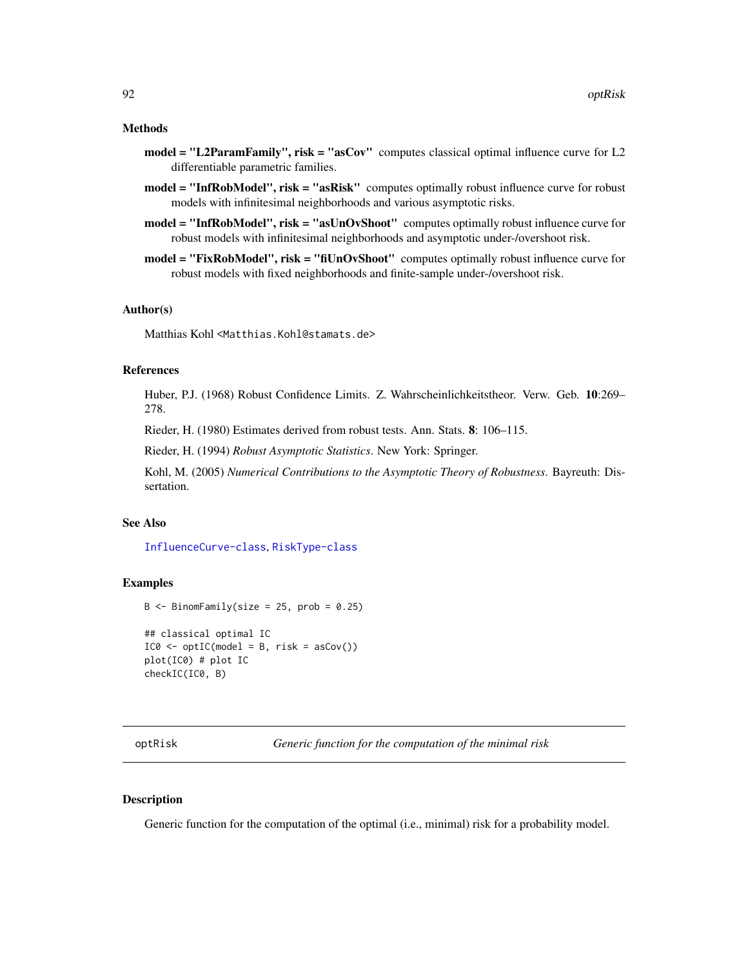#### Methods

- model = "L2ParamFamily", risk = "asCov" computes classical optimal influence curve for L2 differentiable parametric families.
- model = "InfRobModel", risk = "asRisk" computes optimally robust influence curve for robust models with infinitesimal neighborhoods and various asymptotic risks.
- model = "InfRobModel", risk = "asUnOvShoot" computes optimally robust influence curve for robust models with infinitesimal neighborhoods and asymptotic under-/overshoot risk.
- model = "FixRobModel", risk = "fiUnOvShoot" computes optimally robust influence curve for robust models with fixed neighborhoods and finite-sample under-/overshoot risk.

#### Author(s)

Matthias Kohl <Matthias.Kohl@stamats.de>

#### References

Huber, P.J. (1968) Robust Confidence Limits. Z. Wahrscheinlichkeitstheor. Verw. Geb. 10:269– 278.

Rieder, H. (1980) Estimates derived from robust tests. Ann. Stats. 8: 106–115.

Rieder, H. (1994) *Robust Asymptotic Statistics*. New York: Springer.

Kohl, M. (2005) *Numerical Contributions to the Asymptotic Theory of Robustness*. Bayreuth: Dissertation.

## See Also

[InfluenceCurve-class](#page-69-0), [RiskType-class](#page-101-0)

#### Examples

```
B \le - BinomFamily(size = 25, prob = 0.25)
## classical optimal IC
IC0 \leq optIC(model = B, risk = asCov())plot(IC0) # plot IC
checkIC(IC0, B)
```
optRisk *Generic function for the computation of the minimal risk*

## **Description**

Generic function for the computation of the optimal (i.e., minimal) risk for a probability model.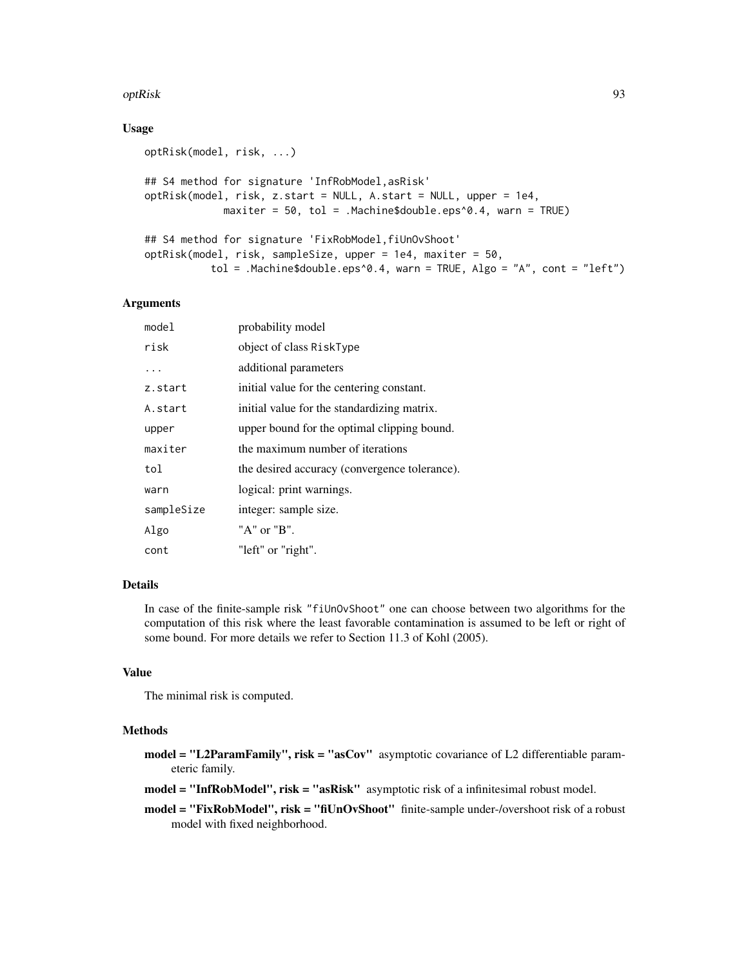#### optRisk 93

#### Usage

```
optRisk(model, risk, ...)
## S4 method for signature 'InfRobModel,asRisk'
optRisk(model, risk, z.start = NULL, A.start = NULL, upper = 1e4,
             maxiter = 50, tol = .Machine$double.eps^0.4, warn = TRUE)
## S4 method for signature 'FixRobModel,fiUnOvShoot'
optRisk(model, risk, sampleSize, upper = 1e4, maxiter = 50,
          tol = .Machine$double.eps^0.4, warn = TRUE, Algo = "A", cont = "left")
```
## Arguments

| model      | probability model                             |
|------------|-----------------------------------------------|
| risk       | object of class RiskType                      |
| .          | additional parameters                         |
| z.start    | initial value for the centering constant.     |
| A.start    | initial value for the standardizing matrix.   |
| upper      | upper bound for the optimal clipping bound.   |
| maxiter    | the maximum number of iterations              |
| tol        | the desired accuracy (convergence tolerance). |
| warn       | logical: print warnings.                      |
| sampleSize | integer: sample size.                         |
| Algo       | "A" or "B".                                   |
| cont       | "left" or "right".                            |

## Details

In case of the finite-sample risk "fiUnOvShoot" one can choose between two algorithms for the computation of this risk where the least favorable contamination is assumed to be left or right of some bound. For more details we refer to Section 11.3 of Kohl (2005).

#### Value

The minimal risk is computed.

#### Methods

model = "L2ParamFamily", risk = "asCov" asymptotic covariance of L2 differentiable parameteric family.

model = "InfRobModel", risk = "asRisk" asymptotic risk of a infinitesimal robust model.

model = "FixRobModel", risk = "fiUnOvShoot" finite-sample under-/overshoot risk of a robust model with fixed neighborhood.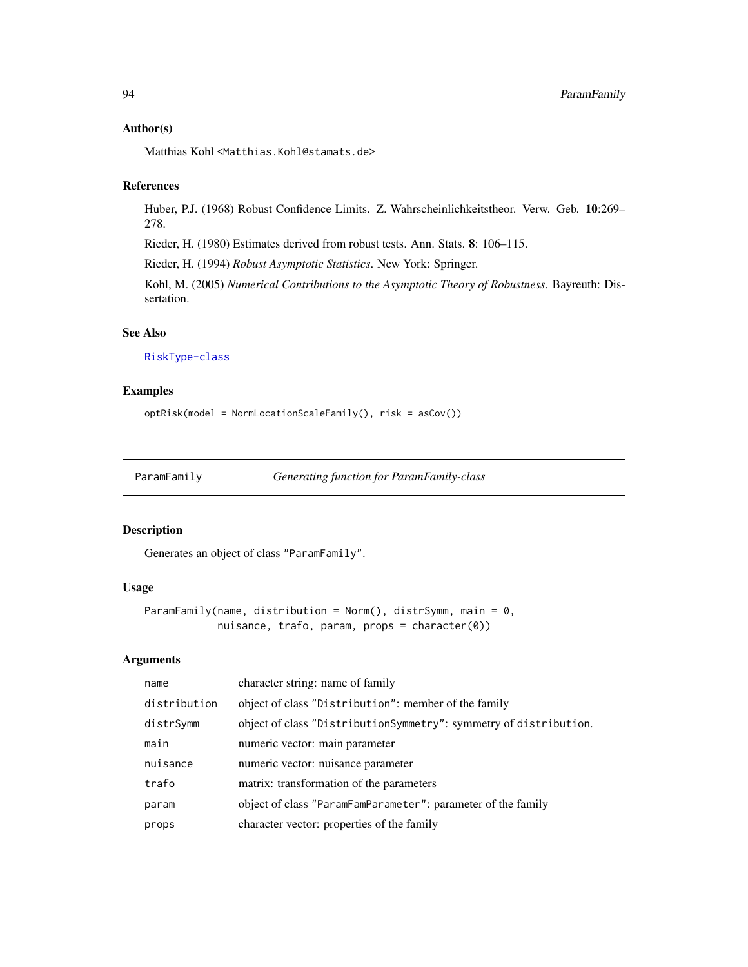#### Author(s)

Matthias Kohl <Matthias.Kohl@stamats.de>

# References

Huber, P.J. (1968) Robust Confidence Limits. Z. Wahrscheinlichkeitstheor. Verw. Geb. 10:269– 278.

Rieder, H. (1980) Estimates derived from robust tests. Ann. Stats. 8: 106–115.

Rieder, H. (1994) *Robust Asymptotic Statistics*. New York: Springer.

Kohl, M. (2005) *Numerical Contributions to the Asymptotic Theory of Robustness*. Bayreuth: Dissertation.

## See Also

[RiskType-class](#page-101-0)

# Examples

```
optRisk(model = NormLocationScaleFamily(), risk = asCov())
```
ParamFamily *Generating function for ParamFamily-class*

# Description

Generates an object of class "ParamFamily".

## Usage

```
ParamFamily(name, distribution = Norm(), distrSymm, main = 0,
            nuisance, trafo, param, props = character(0))
```
### Arguments

| name         | character string: name of family                                  |
|--------------|-------------------------------------------------------------------|
| distribution | object of class "Distribution": member of the family              |
| distrSymm    | object of class "DistributionSymmetry": symmetry of distribution. |
| main         | numeric vector: main parameter                                    |
| nuisance     | numeric vector: nuisance parameter                                |
| trafo        | matrix: transformation of the parameters                          |
| param        | object of class "ParamFamParameter": parameter of the family      |
| props        | character vector: properties of the family                        |
|              |                                                                   |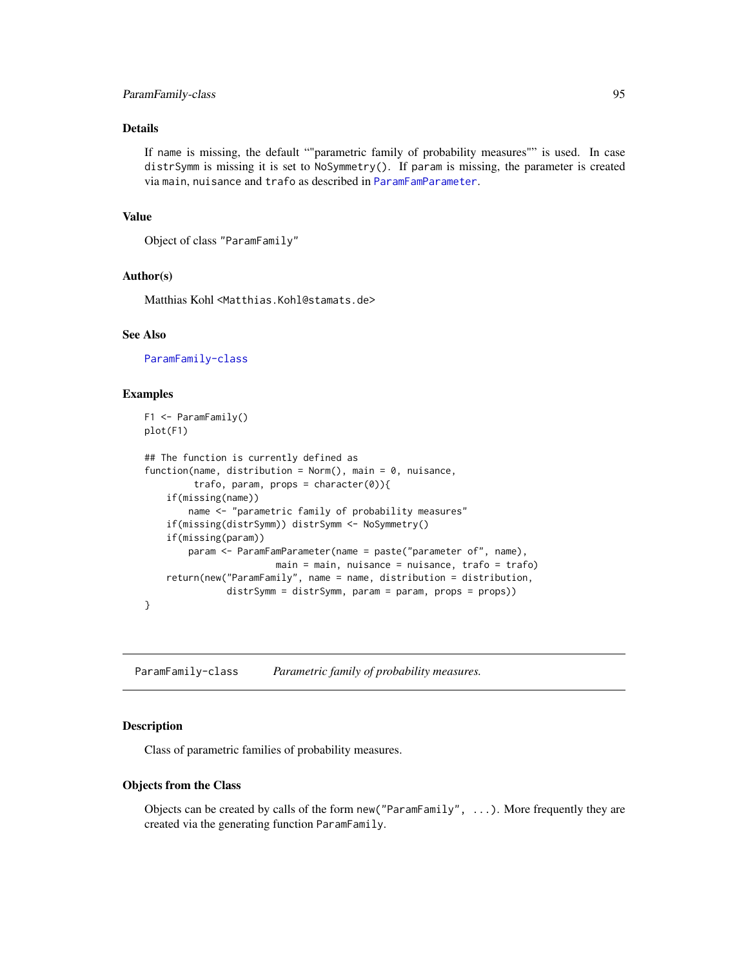## ParamFamily-class 95

## Details

If name is missing, the default ""parametric family of probability measures"" is used. In case distrSymm is missing it is set to NoSymmetry(). If param is missing, the parameter is created via main, nuisance and trafo as described in [ParamFamParameter](#page-96-0).

## Value

```
Object of class "ParamFamily"
```
## Author(s)

Matthias Kohl <Matthias.Kohl@stamats.de>

#### See Also

[ParamFamily-class](#page-94-0)

#### Examples

```
F1 <- ParamFamily()
plot(F1)
## The function is currently defined as
function(name, distribution = Norm(), main = 0, nuisance,
         trafo, param, props = character(0)){
    if(missing(name))
        name <- "parametric family of probability measures"
    if(missing(distrSymm)) distrSymm <- NoSymmetry()
    if(missing(param))
        param <- ParamFamParameter(name = paste("parameter of", name),
                        main = main, nuisance = nuisance, trafo = trafo)
    return(new("ParamFamily", name = name, distribution = distribution,
               distrSymm = distrSymm, param = param, props = props))
}
```
<span id="page-94-0"></span>ParamFamily-class *Parametric family of probability measures.*

## **Description**

Class of parametric families of probability measures.

#### Objects from the Class

Objects can be created by calls of the form  $new("ParamFamily", \ldots)$ . More frequently they are created via the generating function ParamFamily.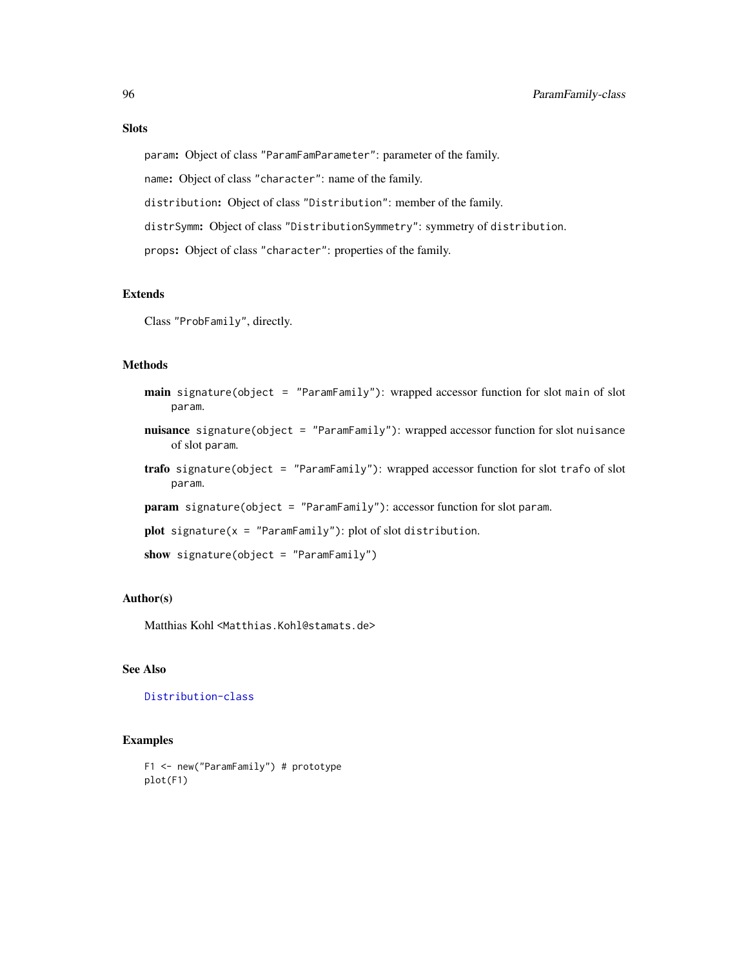# Slots

param: Object of class "ParamFamParameter": parameter of the family.

name: Object of class "character": name of the family.

distribution: Object of class "Distribution": member of the family.

distrSymm: Object of class "DistributionSymmetry": symmetry of distribution.

props: Object of class "character": properties of the family.

## Extends

Class "ProbFamily", directly.

## **Methods**

- main signature(object = "ParamFamily"): wrapped accessor function for slot main of slot param.
- nuisance signature(object = "ParamFamily"): wrapped accessor function for slot nuisance of slot param.
- trafo signature(object = "ParamFamily"): wrapped accessor function for slot trafo of slot param.
- param signature(object = "ParamFamily"): accessor function for slot param.

```
plot signature(x = "ParamFamily"): plot of slot distribution.
```

```
show signature(object = "ParamFamily")
```
### Author(s)

Matthias Kohl <Matthias.Kohl@stamats.de>

# See Also

[Distribution-class](#page-0-0)

#### Examples

```
F1 <- new("ParamFamily") # prototype
plot(F1)
```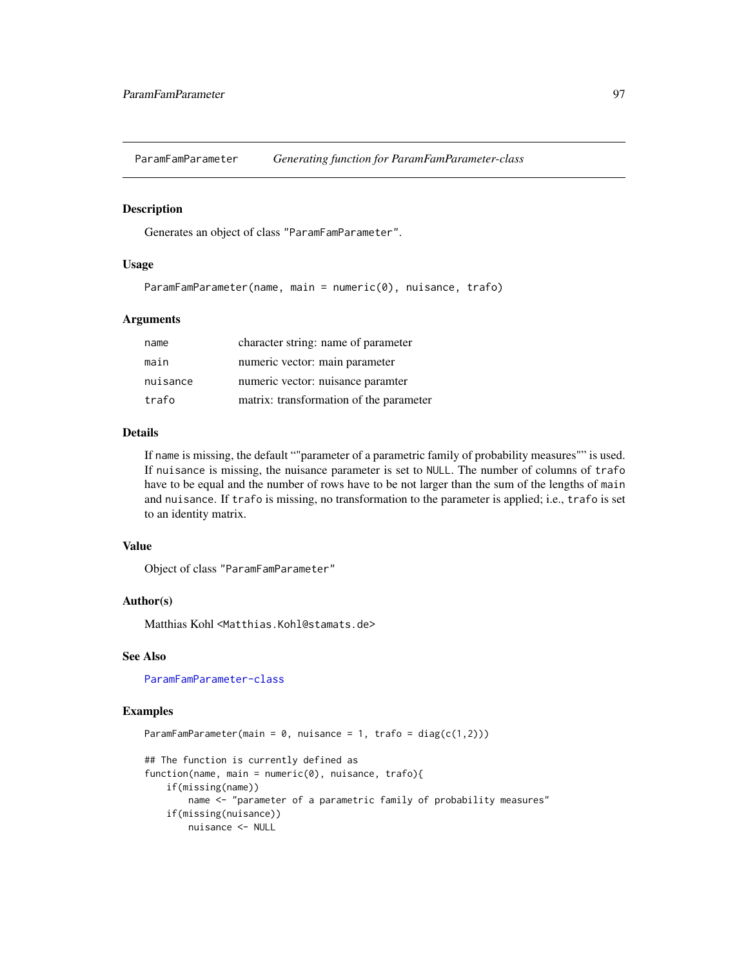<span id="page-96-0"></span>ParamFamParameter *Generating function for ParamFamParameter-class*

#### Description

Generates an object of class "ParamFamParameter".

#### Usage

ParamFamParameter(name, main = numeric(0), nuisance, trafo)

### Arguments

| name     | character string: name of parameter     |
|----------|-----------------------------------------|
| main     | numeric vector: main parameter          |
| nuisance | numeric vector: nuisance paramter       |
| trafo    | matrix: transformation of the parameter |

## Details

If name is missing, the default ""parameter of a parametric family of probability measures"" is used. If nuisance is missing, the nuisance parameter is set to NULL. The number of columns of trafo have to be equal and the number of rows have to be not larger than the sum of the lengths of main and nuisance. If trafo is missing, no transformation to the parameter is applied; i.e., trafo is set to an identity matrix.

## Value

Object of class "ParamFamParameter"

## Author(s)

Matthias Kohl <Matthias.Kohl@stamats.de>

#### See Also

[ParamFamParameter-class](#page-97-0)

## Examples

```
ParamFamParameter(main = 0, nuisance = 1, trafo = diag(c(1,2)))
## The function is currently defined as
function(name, main = numeric(0), nuisance, trafo){
    if(missing(name))
       name <- "parameter of a parametric family of probability measures"
    if(missing(nuisance))
       nuisance <- NULL
```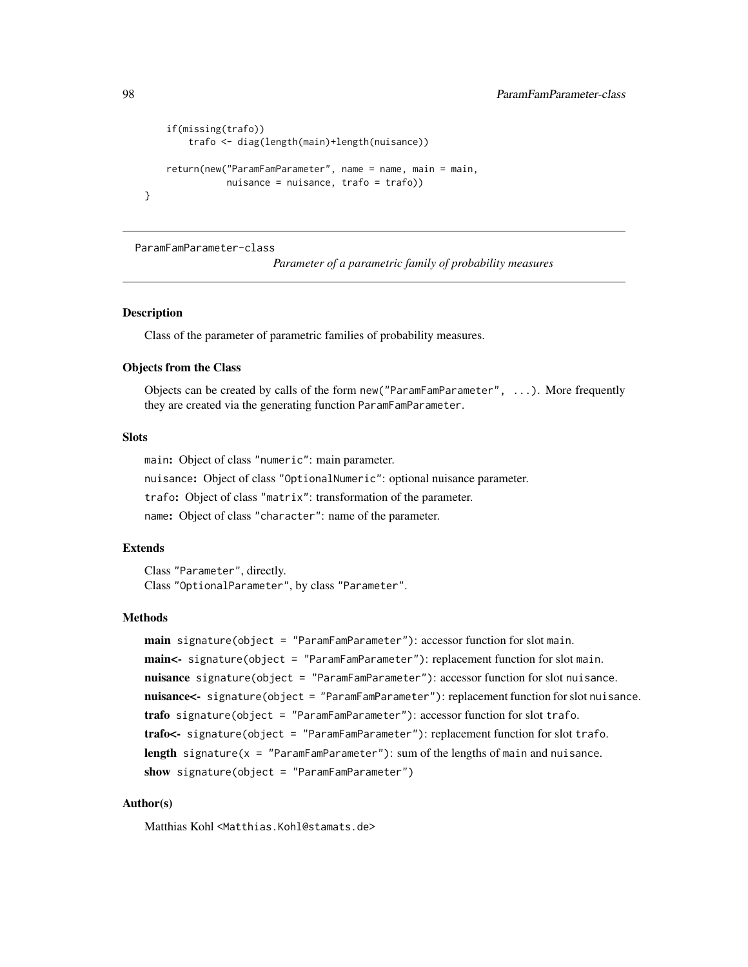```
if(missing(trafo))
        trafo <- diag(length(main)+length(nuisance))
    return(new("ParamFamParameter", name = name, main = main,
               nuisance = nuisance, trafo = trafo))
}
```
<span id="page-97-0"></span>ParamFamParameter-class

*Parameter of a parametric family of probability measures*

#### Description

Class of the parameter of parametric families of probability measures.

#### Objects from the Class

Objects can be created by calls of the form new("ParamFamParameter", ...). More frequently they are created via the generating function ParamFamParameter.

#### Slots

main: Object of class "numeric": main parameter.

nuisance: Object of class "OptionalNumeric": optional nuisance parameter.

trafo: Object of class "matrix": transformation of the parameter.

name: Object of class "character": name of the parameter.

#### Extends

Class "Parameter", directly. Class "OptionalParameter", by class "Parameter".

#### Methods

```
main signature(object = "ParamFamParameter"): accessor function for slot main.
main<- signature(object = "ParamFamParameter"): replacement function for slot main.
nuisance signature(object = "ParamFamParameter"): accessor function for slot nuisance.
nuisance<- signature(object = "ParamFamParameter"): replacement function for slot nuisance.
trafo signature(object = "ParamFamParameter"): accessor function for slot trafo.
trafo<- signature(object = "ParamFamParameter"): replacement function for slot trafo.
length signature(x = "ParamFamParameter"): sum of the lengths of main and nuisance.
show signature(object = "ParamFamParameter")
```
## Author(s)

Matthias Kohl <Matthias.Kohl@stamats.de>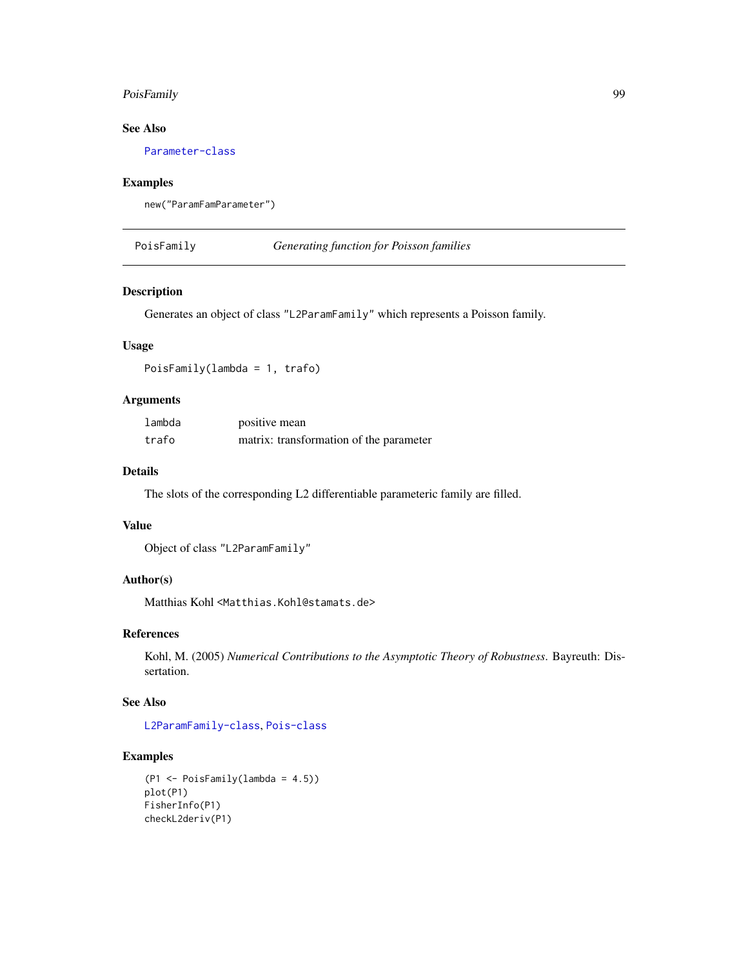# PoisFamily 99

# See Also

[Parameter-class](#page-0-0)

# Examples

```
new("ParamFamParameter")
```
PoisFamily *Generating function for Poisson families*

# Description

Generates an object of class "L2ParamFamily" which represents a Poisson family.

# Usage

PoisFamily(lambda = 1, trafo)

#### Arguments

| lambda | positive mean                           |
|--------|-----------------------------------------|
| trafo  | matrix: transformation of the parameter |

## Details

The slots of the corresponding L2 differentiable parameteric family are filled.

### Value

```
Object of class "L2ParamFamily"
```
# Author(s)

Matthias Kohl <Matthias.Kohl@stamats.de>

# References

Kohl, M. (2005) *Numerical Contributions to the Asymptotic Theory of Robustness*. Bayreuth: Dissertation.

## See Also

[L2ParamFamily-class](#page-76-0), [Pois-class](#page-0-0)

#### Examples

```
(P1 <- PoisFamily(lambda = 4.5))
plot(P1)
FisherInfo(P1)
checkL2deriv(P1)
```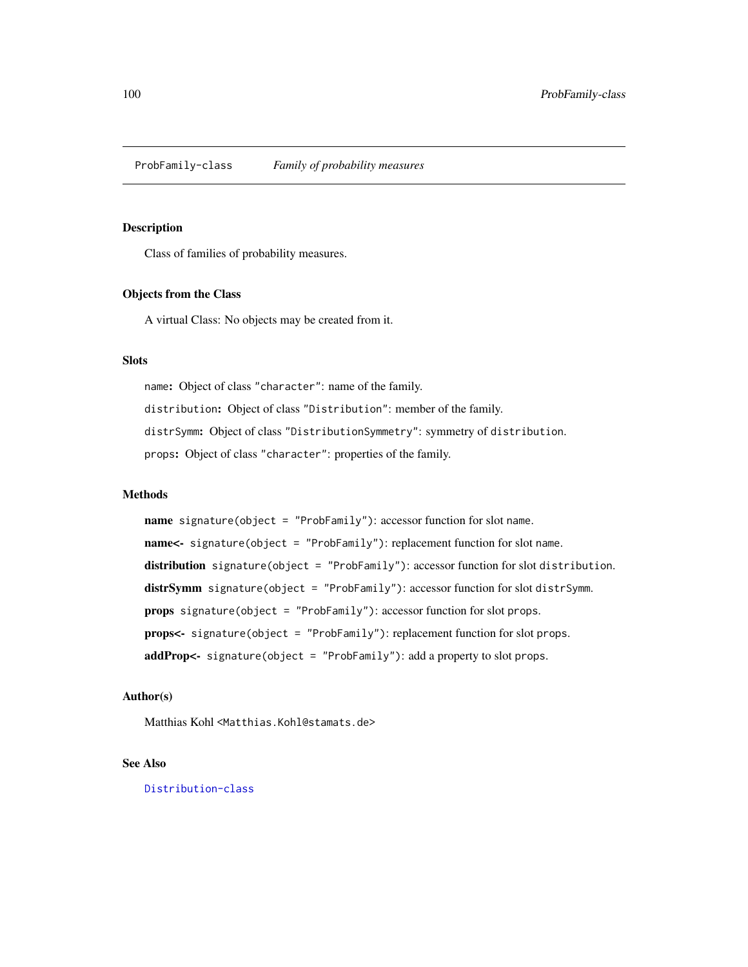<span id="page-99-0"></span>ProbFamily-class *Family of probability measures*

## Description

Class of families of probability measures.

## Objects from the Class

A virtual Class: No objects may be created from it.

#### Slots

name: Object of class "character": name of the family. distribution: Object of class "Distribution": member of the family. distrSymm: Object of class "DistributionSymmetry": symmetry of distribution. props: Object of class "character": properties of the family.

## Methods

name signature(object = "ProbFamily"): accessor function for slot name. name<- signature(object = "ProbFamily"): replacement function for slot name. distribution signature(object = "ProbFamily"): accessor function for slot distribution. distrSymm signature(object = "ProbFamily"): accessor function for slot distrSymm. props signature(object = "ProbFamily"): accessor function for slot props. props<- signature(object = "ProbFamily"): replacement function for slot props. addProp<- signature(object = "ProbFamily"): add a property to slot props.

## Author(s)

Matthias Kohl <Matthias.Kohl@stamats.de>

#### See Also

[Distribution-class](#page-0-0)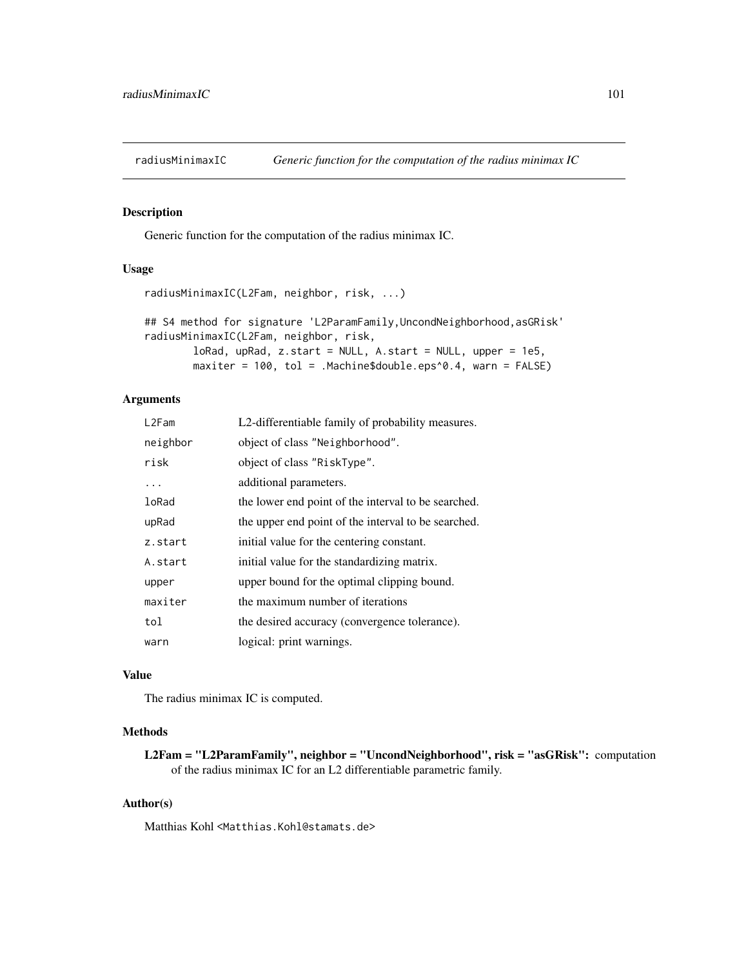<span id="page-100-0"></span>

#### Description

Generic function for the computation of the radius minimax IC.

# Usage

```
radiusMinimaxIC(L2Fam, neighbor, risk, ...)
```

```
## S4 method for signature 'L2ParamFamily,UncondNeighborhood,asGRisk'
radiusMinimaxIC(L2Fam, neighbor, risk,
       loRad, upRad, z.start = NULL, A.start = NULL, upper = 1e5,
       maxiter = 100, tol = .Machine$double.eps^0.4, warn = FALSE)
```
## Arguments

| L2Fam    | L2-differentiable family of probability measures.   |
|----------|-----------------------------------------------------|
| neighbor | object of class "Neighborhood".                     |
| risk     | object of class "RiskType".                         |
| .        | additional parameters.                              |
| loRad    | the lower end point of the interval to be searched. |
| upRad    | the upper end point of the interval to be searched. |
| z.start  | initial value for the centering constant.           |
| A.start  | initial value for the standardizing matrix.         |
| upper    | upper bound for the optimal clipping bound.         |
| maxiter  | the maximum number of iterations                    |
| tol      | the desired accuracy (convergence tolerance).       |
| warn     | logical: print warnings.                            |

## Value

The radius minimax IC is computed.

# Methods

L2Fam = "L2ParamFamily", neighbor = "UncondNeighborhood", risk = "asGRisk": computation of the radius minimax IC for an L2 differentiable parametric family.

## Author(s)

Matthias Kohl <Matthias.Kohl@stamats.de>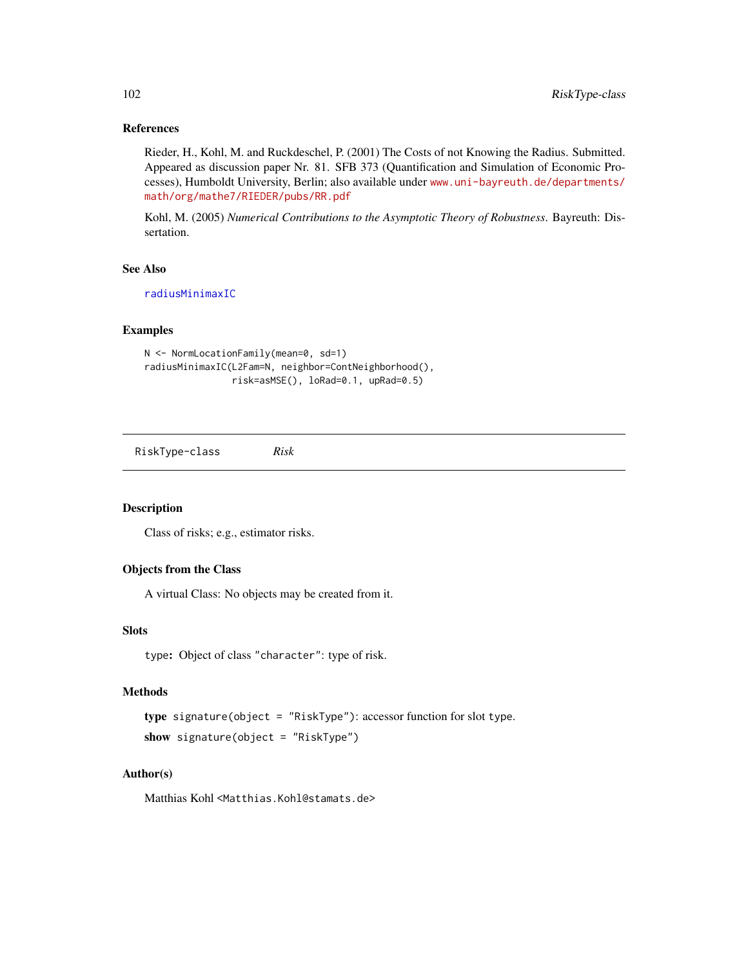# References

Rieder, H., Kohl, M. and Ruckdeschel, P. (2001) The Costs of not Knowing the Radius. Submitted. Appeared as discussion paper Nr. 81. SFB 373 (Quantification and Simulation of Economic Processes), Humboldt University, Berlin; also available under [www.uni-bayreuth.de/departments/](www.uni-bayreuth.de/departments/math/org/mathe7/RIEDER/pubs/RR.pdf) [math/org/mathe7/RIEDER/pubs/RR.pdf](www.uni-bayreuth.de/departments/math/org/mathe7/RIEDER/pubs/RR.pdf)

Kohl, M. (2005) *Numerical Contributions to the Asymptotic Theory of Robustness*. Bayreuth: Dissertation.

# See Also

[radiusMinimaxIC](#page-100-0)

# Examples

```
N <- NormLocationFamily(mean=0, sd=1)
radiusMinimaxIC(L2Fam=N, neighbor=ContNeighborhood(),
                risk=asMSE(), loRad=0.1, upRad=0.5)
```
<span id="page-101-0"></span>RiskType-class *Risk*

# Description

Class of risks; e.g., estimator risks.

#### Objects from the Class

A virtual Class: No objects may be created from it.

## Slots

type: Object of class "character": type of risk.

## Methods

```
type signature(object = "RiskType"): accessor function for slot type.
show signature(object = "RiskType")
```
# Author(s)

Matthias Kohl <Matthias.Kohl@stamats.de>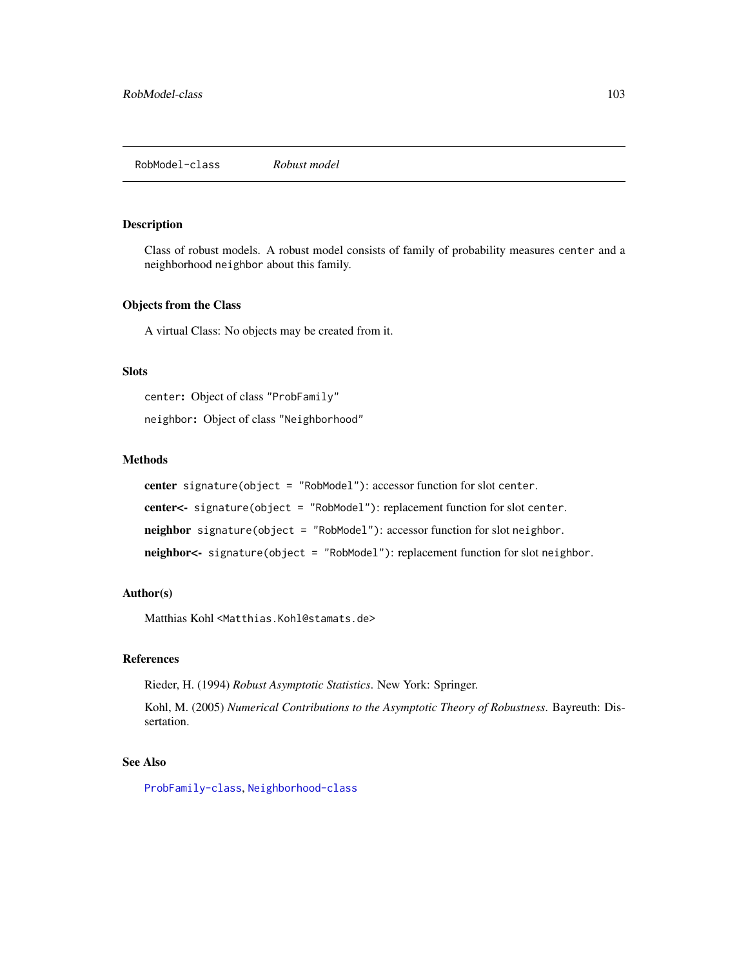#### Description

Class of robust models. A robust model consists of family of probability measures center and a neighborhood neighbor about this family.

#### Objects from the Class

A virtual Class: No objects may be created from it.

#### **Slots**

center: Object of class "ProbFamily"

neighbor: Object of class "Neighborhood"

## Methods

center signature(object = "RobModel"): accessor function for slot center. center<- signature(object = "RobModel"): replacement function for slot center. neighbor signature(object = "RobModel"): accessor function for slot neighbor. neighbor<- signature(object = "RobModel"): replacement function for slot neighbor.

## Author(s)

Matthias Kohl <Matthias.Kohl@stamats.de>

## References

Rieder, H. (1994) *Robust Asymptotic Statistics*. New York: Springer.

Kohl, M. (2005) *Numerical Contributions to the Asymptotic Theory of Robustness*. Bayreuth: Dissertation.

#### See Also

[ProbFamily-class](#page-99-0), [Neighborhood-class](#page-82-0)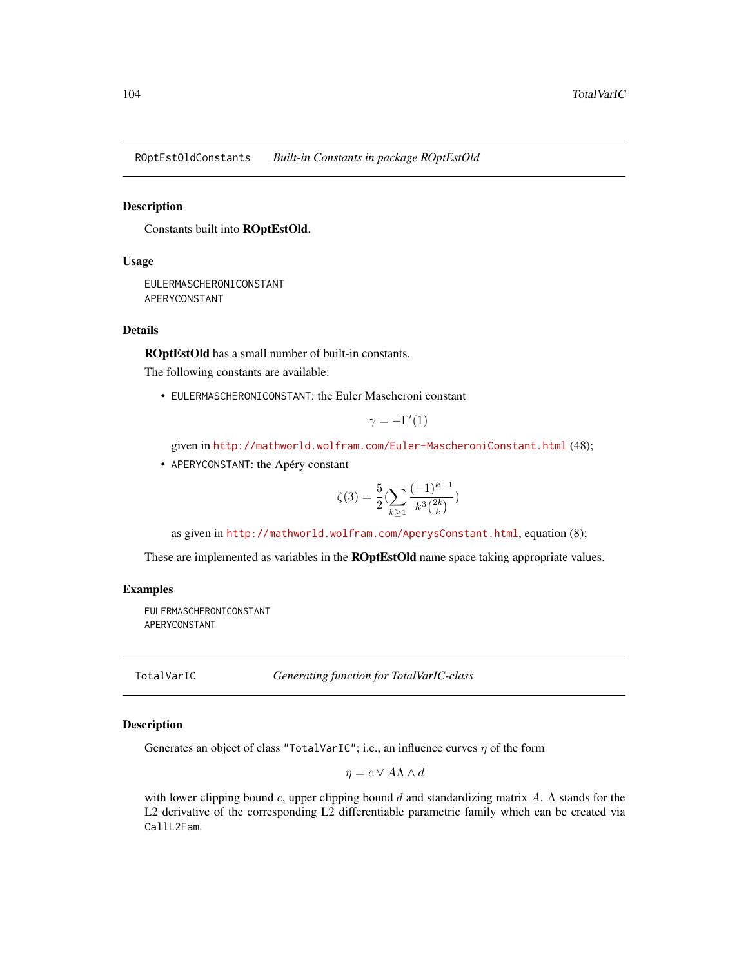ROptEstOldConstants *Built-in Constants in package ROptEstOld*

#### Description

Constants built into ROptEstOld.

# Usage

EULERMASCHERONICONSTANT APERYCONSTANT

## Details

ROptEstOld has a small number of built-in constants.

The following constants are available:

• EULERMASCHERONICONSTANT: the Euler Mascheroni constant

$$
\gamma = -\Gamma'(1)
$$

given in <http://mathworld.wolfram.com/Euler-MascheroniConstant.html> (48);

• APERYCONSTANT: the Apéry constant

$$
\zeta(3) = \frac{5}{2} \left( \sum_{k \ge 1} \frac{(-1)^{k-1}}{k^3 {2k \choose k}} \right)
$$

as given in <http://mathworld.wolfram.com/AperysConstant.html>, equation (8);

These are implemented as variables in the **ROptEstOld** name space taking appropriate values.

#### Examples

EULERMASCHERONICONSTANT APERYCONSTANT

TotalVarIC *Generating function for TotalVarIC-class*

## **Description**

Generates an object of class "TotalVarIC"; i.e., an influence curves  $\eta$  of the form

$$
\eta = c \vee A \Lambda \wedge d
$$

with lower clipping bound c, upper clipping bound d and standardizing matrix A.  $\Lambda$  stands for the L2 derivative of the corresponding L2 differentiable parametric family which can be created via CallL2Fam.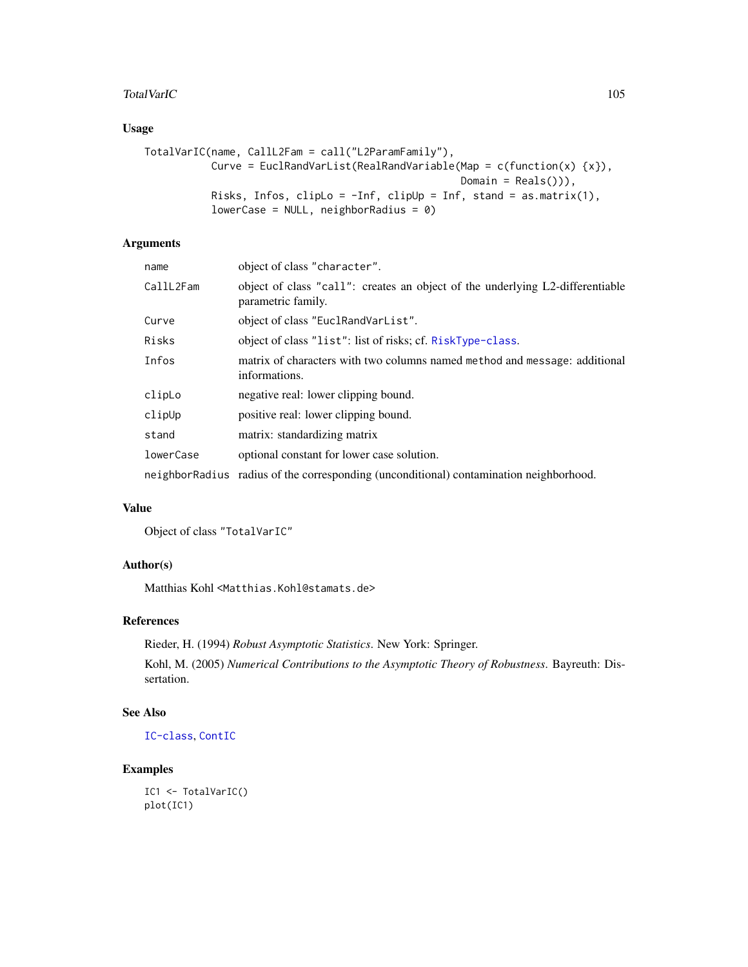## TotalVarIC 105

# Usage

```
TotalVarIC(name, CallL2Fam = call("L2ParamFamily"),
           Curve = EuclRandVarList(RealRandVariable(Map = c(function(x) {x}),
                                                    Domain = Reals())),
          Risks, Infos, clipLo = -Inf, clipUp = Inf, stand = as.matrix(1),
           lowerCase = NULL, neighborRadius = 0)
```
# Arguments

| name      | object of class "character".                                                                        |
|-----------|-----------------------------------------------------------------------------------------------------|
| CallL2Fam | object of class "call": creates an object of the underlying L2-differentiable<br>parametric family. |
| Curve     | object of class "EuclRandVarList".                                                                  |
| Risks     | object of class "list": list of risks; cf. RiskType-class.                                          |
| Infos     | matrix of characters with two columns named method and message: additional<br>informations.         |
| clipLo    | negative real: lower clipping bound.                                                                |
| clipUp    | positive real: lower clipping bound.                                                                |
| stand     | matrix: standardizing matrix                                                                        |
| lowerCase | optional constant for lower case solution.                                                          |
|           | neighborRadius radius of the corresponding (unconditional) contamination neighborhood.              |

# Value

Object of class "TotalVarIC"

# Author(s)

Matthias Kohl <Matthias.Kohl@stamats.de>

## References

Rieder, H. (1994) *Robust Asymptotic Statistics*. New York: Springer.

Kohl, M. (2005) *Numerical Contributions to the Asymptotic Theory of Robustness*. Bayreuth: Dissertation.

# See Also

[IC-class](#page-66-0), [ContIC](#page-17-0)

# Examples

IC1 <- TotalVarIC() plot(IC1)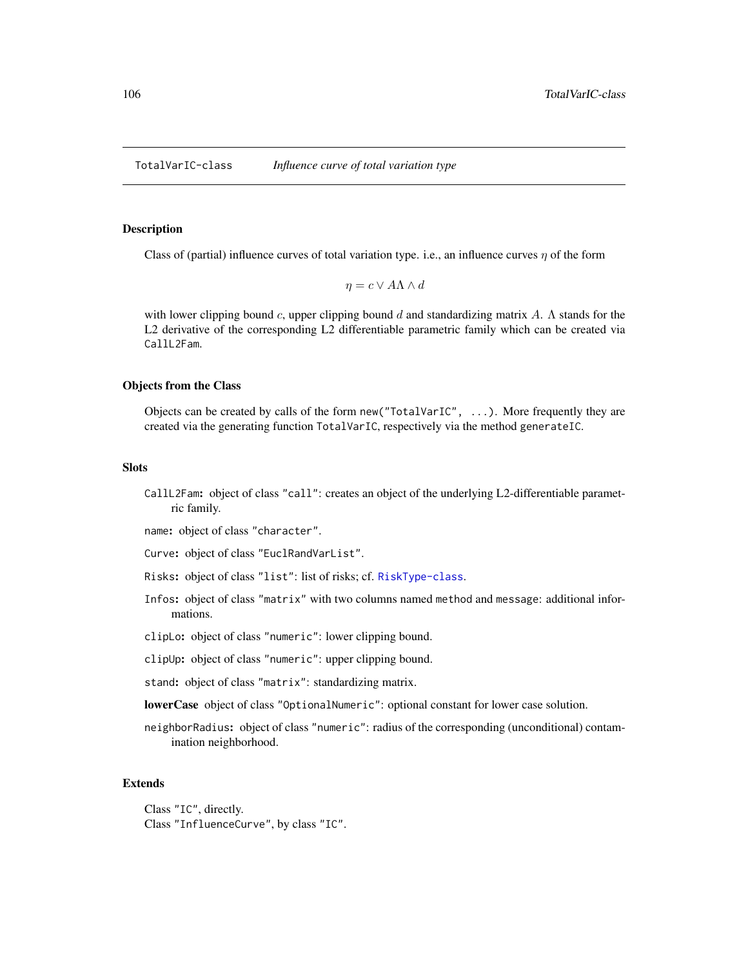TotalVarIC-class *Influence curve of total variation type*

#### Description

Class of (partial) influence curves of total variation type. i.e., an influence curves  $\eta$  of the form

$$
\eta = c \vee A \Lambda \wedge d
$$

with lower clipping bound c, upper clipping bound d and standardizing matrix A.  $\Lambda$  stands for the L2 derivative of the corresponding L2 differentiable parametric family which can be created via CallL2Fam.

#### Objects from the Class

Objects can be created by calls of the form new("TotalVarIC", ...). More frequently they are created via the generating function TotalVarIC, respectively via the method generateIC.

#### **Slots**

CallL2Fam: object of class "call": creates an object of the underlying L2-differentiable parametric family.

name: object of class "character".

Curve: object of class "EuclRandVarList".

- Risks: object of class "list": list of risks; cf. [RiskType-class](#page-101-0).
- Infos: object of class "matrix" with two columns named method and message: additional informations.

clipLo: object of class "numeric": lower clipping bound.

clipUp: object of class "numeric": upper clipping bound.

stand: object of class "matrix": standardizing matrix.

lowerCase object of class "OptionalNumeric": optional constant for lower case solution.

neighborRadius: object of class "numeric": radius of the corresponding (unconditional) contamination neighborhood.

#### Extends

Class "IC", directly. Class "InfluenceCurve", by class "IC".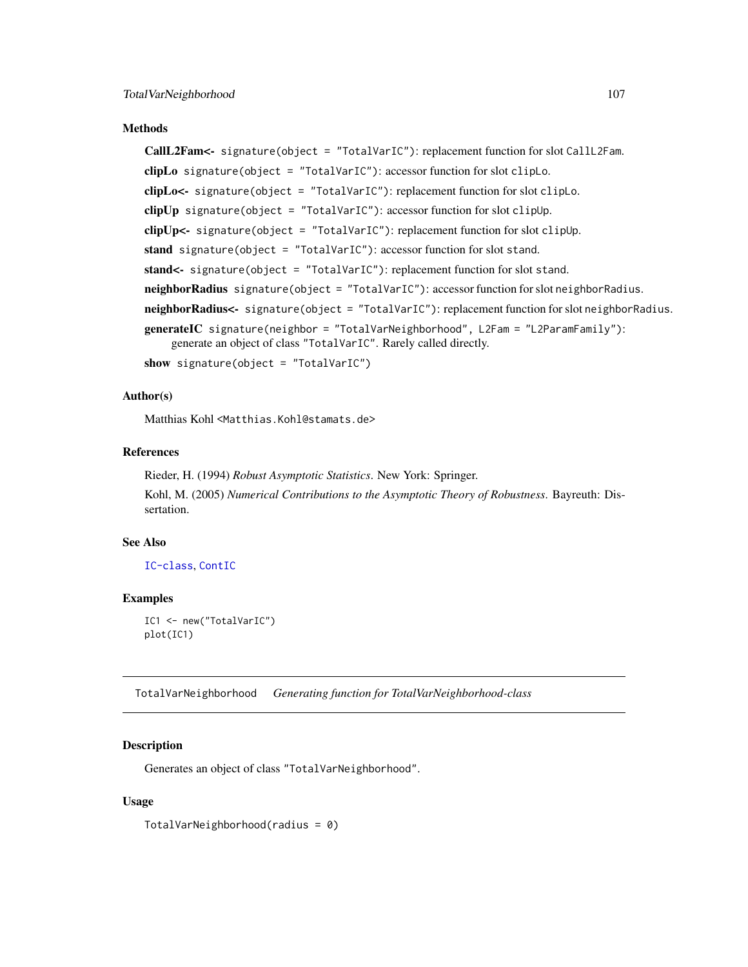#### Methods

CallL2Fam<- signature(object = "TotalVarIC"): replacement function for slot CallL2Fam. clipLo signature(object = "TotalVarIC"): accessor function for slot clipLo. clipLo<- signature(object = "TotalVarIC"): replacement function for slot clipLo. clipUp signature(object = "TotalVarIC"): accessor function for slot clipUp.  $clipUp \leftarrow$  signature(object = "TotalVarIC"): replacement function for slot clipUp. stand signature(object = "TotalVarIC"): accessor function for slot stand. stand<- signature(object = "TotalVarIC"): replacement function for slot stand. neighborRadius signature(object = "TotalVarIC"): accessor function for slot neighborRadius. neighborRadius<- signature(object = "TotalVarIC"): replacement function for slot neighborRadius. generateIC signature(neighbor = "TotalVarNeighborhood", L2Fam = "L2ParamFamily"): generate an object of class "TotalVarIC". Rarely called directly.

show signature(object = "TotalVarIC")

## Author(s)

Matthias Kohl <Matthias.Kohl@stamats.de>

# References

Rieder, H. (1994) *Robust Asymptotic Statistics*. New York: Springer. Kohl, M. (2005) *Numerical Contributions to the Asymptotic Theory of Robustness*. Bayreuth: Dissertation.

# See Also

[IC-class](#page-66-0), [ContIC](#page-17-0)

### Examples

IC1 <- new("TotalVarIC") plot(IC1)

TotalVarNeighborhood *Generating function for TotalVarNeighborhood-class*

# **Description**

Generates an object of class "TotalVarNeighborhood".

## Usage

TotalVarNeighborhood(radius = 0)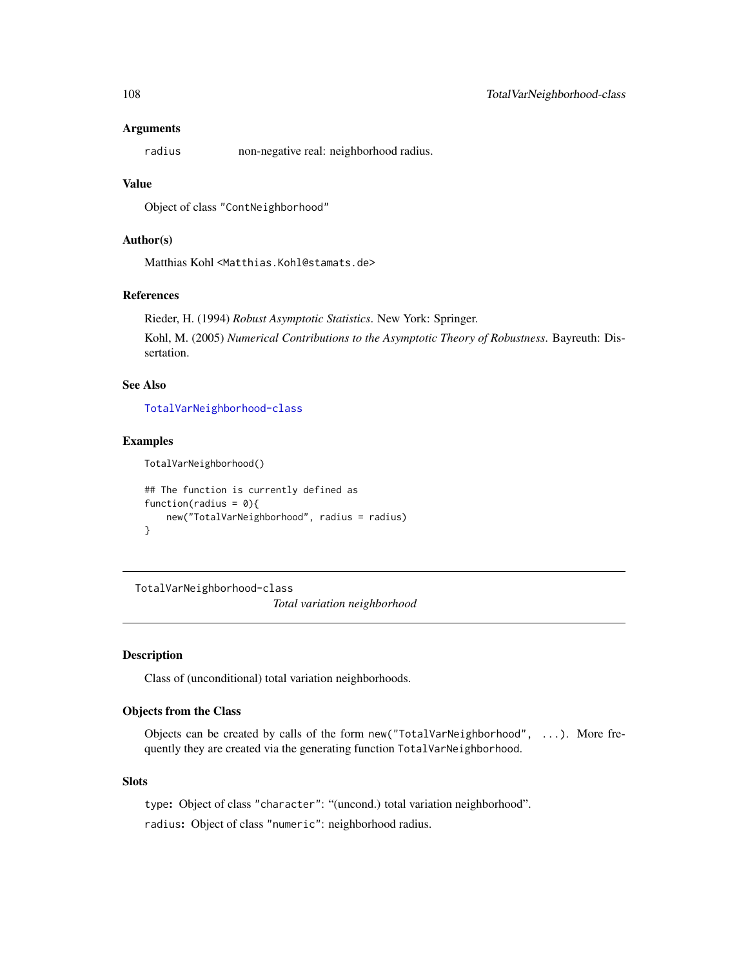#### Arguments

radius non-negative real: neighborhood radius.

#### Value

Object of class "ContNeighborhood"

# Author(s)

Matthias Kohl <Matthias.Kohl@stamats.de>

# References

Rieder, H. (1994) *Robust Asymptotic Statistics*. New York: Springer.

Kohl, M. (2005) *Numerical Contributions to the Asymptotic Theory of Robustness*. Bayreuth: Dissertation.

# See Also

[TotalVarNeighborhood-class](#page-107-0)

#### Examples

TotalVarNeighborhood()

```
## The function is currently defined as
function(radius = 0){
   new("TotalVarNeighborhood", radius = radius)
}
```
<span id="page-107-0"></span>TotalVarNeighborhood-class *Total variation neighborhood*

#### Description

Class of (unconditional) total variation neighborhoods.

# Objects from the Class

Objects can be created by calls of the form new("TotalVarNeighborhood", ...). More frequently they are created via the generating function TotalVarNeighborhood.

### **Slots**

type: Object of class "character": "(uncond.) total variation neighborhood".

radius: Object of class "numeric": neighborhood radius.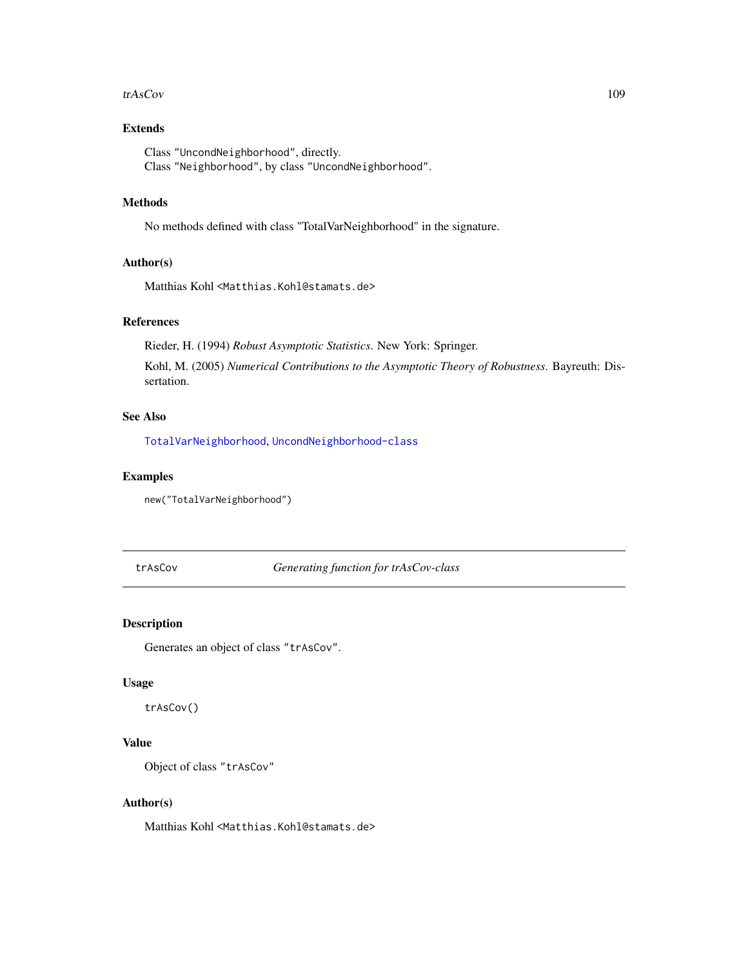#### <span id="page-108-1"></span>trAsCov 109

# Extends

Class "UncondNeighborhood", directly. Class "Neighborhood", by class "UncondNeighborhood".

#### Methods

No methods defined with class "TotalVarNeighborhood" in the signature.

# Author(s)

Matthias Kohl <Matthias.Kohl@stamats.de>

# References

Rieder, H. (1994) *Robust Asymptotic Statistics*. New York: Springer.

Kohl, M. (2005) *Numerical Contributions to the Asymptotic Theory of Robustness*. Bayreuth: Dissertation.

# See Also

[TotalVarNeighborhood](#page-106-0), [UncondNeighborhood-class](#page-112-0)

# Examples

new("TotalVarNeighborhood")

<span id="page-108-0"></span>trAsCov *Generating function for trAsCov-class*

# Description

Generates an object of class "trAsCov".

#### Usage

trAsCov()

# Value

Object of class "trAsCov"

#### Author(s)

Matthias Kohl <Matthias.Kohl@stamats.de>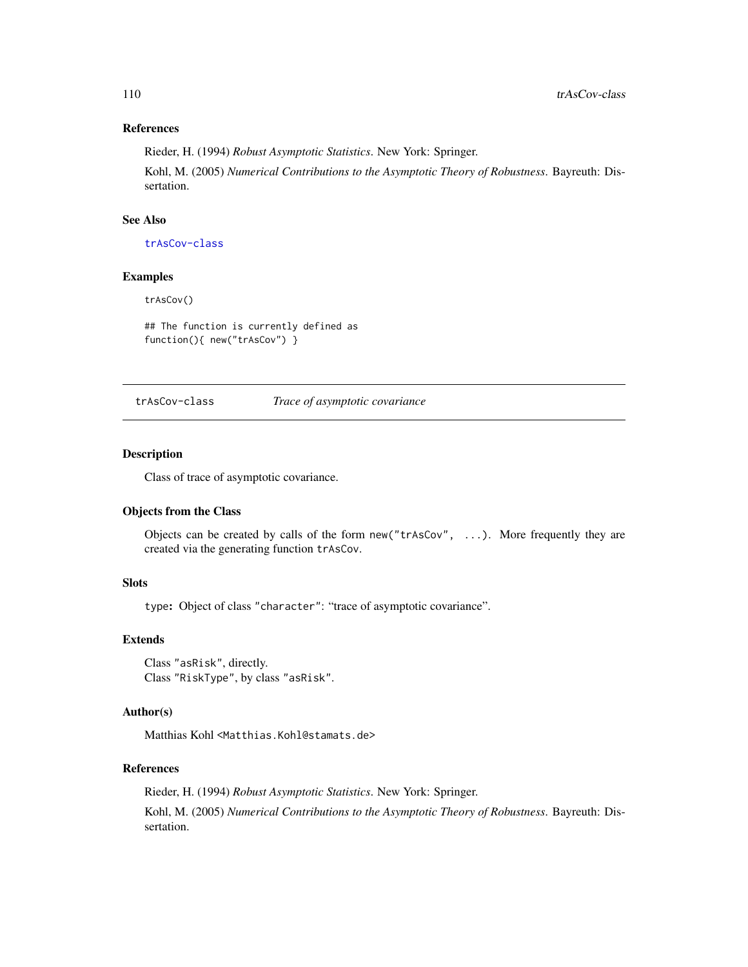# <span id="page-109-1"></span>References

Rieder, H. (1994) *Robust Asymptotic Statistics*. New York: Springer.

Kohl, M. (2005) *Numerical Contributions to the Asymptotic Theory of Robustness*. Bayreuth: Dissertation.

# See Also

[trAsCov-class](#page-109-0)

#### Examples

trAsCov()

## The function is currently defined as function(){ new("trAsCov") }

<span id="page-109-0"></span>trAsCov-class *Trace of asymptotic covariance*

#### Description

Class of trace of asymptotic covariance.

# Objects from the Class

Objects can be created by calls of the form new("trAsCov", ...). More frequently they are created via the generating function trAsCov.

# Slots

type: Object of class "character": "trace of asymptotic covariance".

#### Extends

Class "asRisk", directly. Class "RiskType", by class "asRisk".

#### Author(s)

Matthias Kohl <Matthias.Kohl@stamats.de>

#### References

Rieder, H. (1994) *Robust Asymptotic Statistics*. New York: Springer.

Kohl, M. (2005) *Numerical Contributions to the Asymptotic Theory of Robustness*. Bayreuth: Dissertation.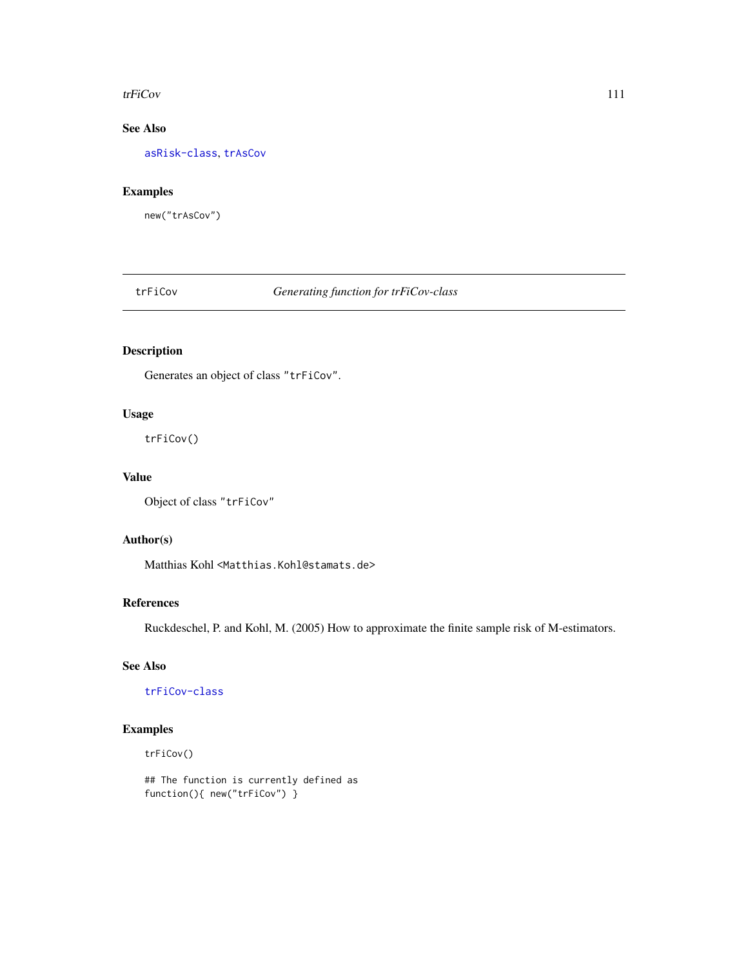#### <span id="page-110-1"></span>trFiCov 111

# See Also

[asRisk-class](#page-11-0), [trAsCov](#page-108-0)

# Examples

new("trAsCov")

<span id="page-110-0"></span>trFiCov *Generating function for trFiCov-class*

# Description

Generates an object of class "trFiCov".

# Usage

trFiCov()

# Value

```
Object of class "trFiCov"
```
# Author(s)

Matthias Kohl <Matthias.Kohl@stamats.de>

#### References

Ruckdeschel, P. and Kohl, M. (2005) How to approximate the finite sample risk of M-estimators.

# See Also

[trFiCov-class](#page-111-0)

# Examples

```
trFiCov()
```
## The function is currently defined as function(){ new("trFiCov") }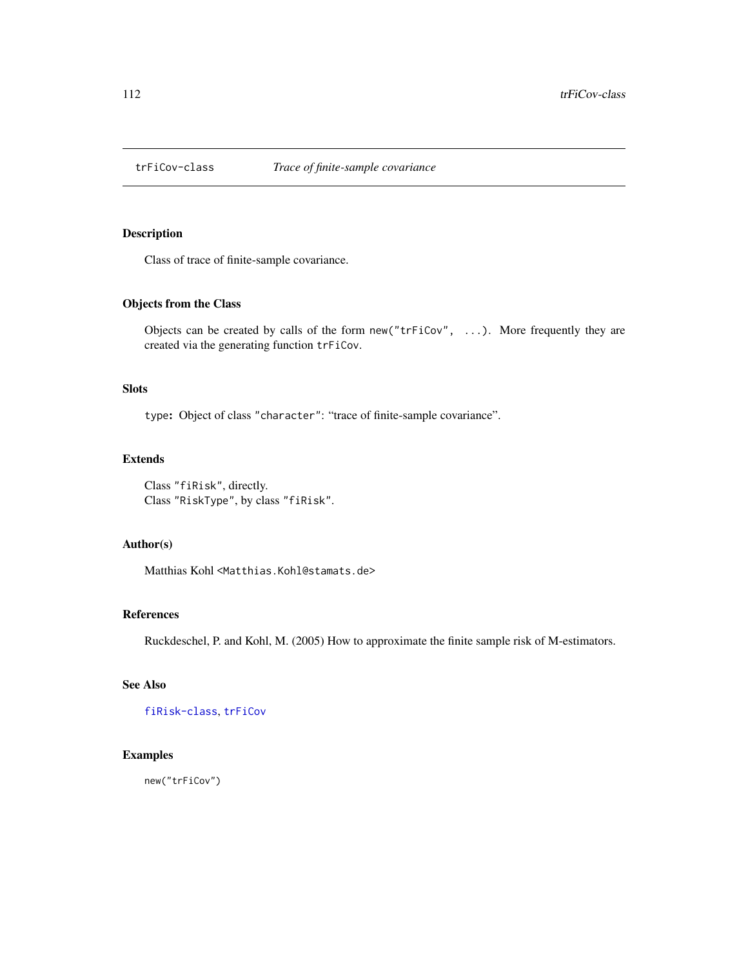<span id="page-111-1"></span><span id="page-111-0"></span>

# Description

Class of trace of finite-sample covariance.

#### Objects from the Class

Objects can be created by calls of the form new ("trFiCov",  $\ldots$ ). More frequently they are created via the generating function trFiCov.

#### Slots

type: Object of class "character": "trace of finite-sample covariance".

# Extends

Class "fiRisk", directly. Class "RiskType", by class "fiRisk".

#### Author(s)

Matthias Kohl <Matthias.Kohl@stamats.de>

#### References

Ruckdeschel, P. and Kohl, M. (2005) How to approximate the finite sample risk of M-estimators.

# See Also

[fiRisk-class](#page-32-0), [trFiCov](#page-110-0)

# Examples

new("trFiCov")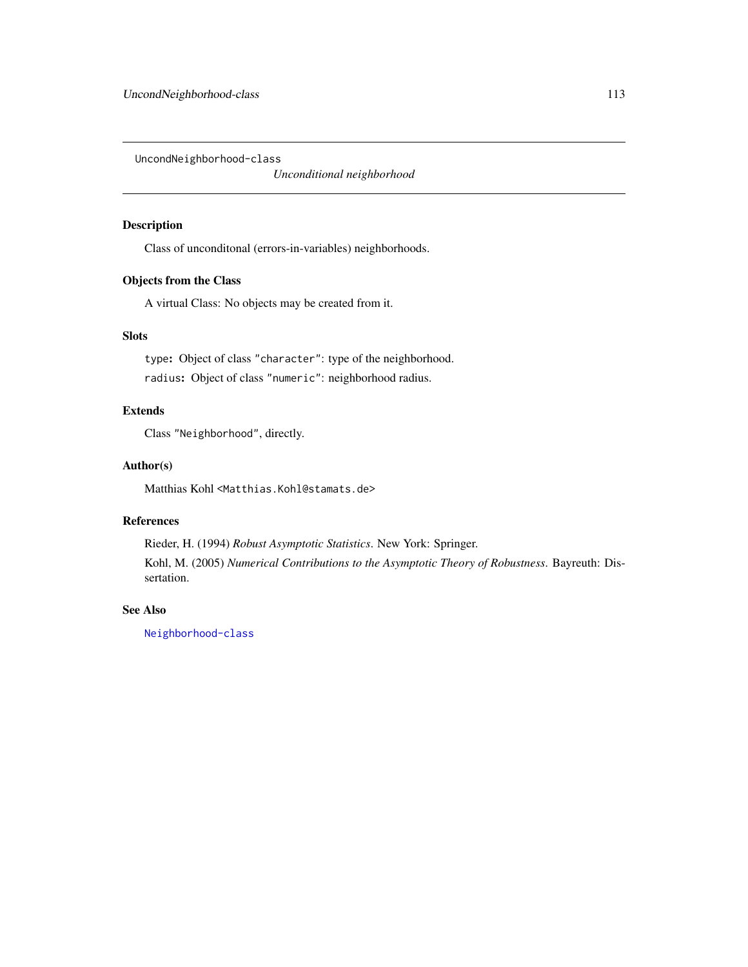<span id="page-112-1"></span><span id="page-112-0"></span>UncondNeighborhood-class

*Unconditional neighborhood*

# Description

Class of unconditonal (errors-in-variables) neighborhoods.

# Objects from the Class

A virtual Class: No objects may be created from it.

#### Slots

type: Object of class "character": type of the neighborhood. radius: Object of class "numeric": neighborhood radius.

# Extends

Class "Neighborhood", directly.

#### Author(s)

Matthias Kohl <Matthias.Kohl@stamats.de>

# References

Rieder, H. (1994) *Robust Asymptotic Statistics*. New York: Springer. Kohl, M. (2005) *Numerical Contributions to the Asymptotic Theory of Robustness*. Bayreuth: Dissertation.

# See Also

[Neighborhood-class](#page-82-0)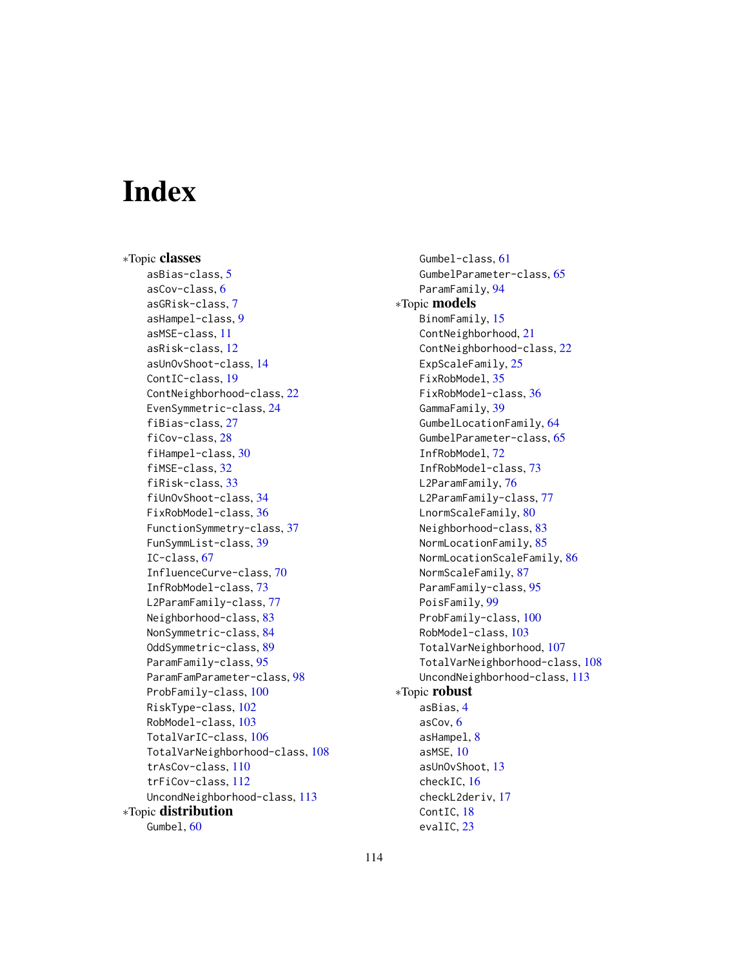# **Index**

∗Topic classes asBias-class, [5](#page-4-0) asCov-class, [6](#page-5-0) asGRisk-class, [7](#page-6-0) asHampel-class, [9](#page-8-0) asMSE-class, [11](#page-10-0) asRisk-class, [12](#page-11-1) asUnOvShoot-class, [14](#page-13-0) ContIC-class, [19](#page-18-0) ContNeighborhood-class, [22](#page-21-0) EvenSymmetric-class, [24](#page-23-0) fiBias-class, [27](#page-26-0) fiCov-class, [28](#page-27-0) fiHampel-class, [30](#page-29-0) fiMSE-class, [32](#page-31-0) fiRisk-class, [33](#page-32-1) fiUnOvShoot-class, [34](#page-33-0) FixRobModel-class, [36](#page-35-0) FunctionSymmetry-class, [37](#page-36-0) FunSymmList-class, [39](#page-38-0) IC-class, [67](#page-66-0) InfluenceCurve-class, [70](#page-69-0) InfRobModel-class, [73](#page-72-0) L2ParamFamily-class, [77](#page-76-0) Neighborhood-class, [83](#page-82-1) NonSymmetric-class, [84](#page-83-0) OddSymmetric-class, [89](#page-88-0) ParamFamily-class, [95](#page-94-0) ParamFamParameter-class, [98](#page-97-0) ProbFamily-class, [100](#page-99-0) RiskType-class, [102](#page-101-0) RobModel-class, [103](#page-102-0) TotalVarIC-class, [106](#page-105-0) TotalVarNeighborhood-class, [108](#page-107-0) trAsCov-class, [110](#page-109-1) trFiCov-class, [112](#page-111-1) UncondNeighborhood-class, [113](#page-112-1) ∗Topic distribution Gumbel, [60](#page-59-0)

Gumbel-class, [61](#page-60-0) GumbelParameter-class, [65](#page-64-0) ParamFamily, [94](#page-93-0) ∗Topic models BinomFamily, [15](#page-14-0) ContNeighborhood, [21](#page-20-0) ContNeighborhood-class, [22](#page-21-0) ExpScaleFamily, [25](#page-24-0) FixRobModel, [35](#page-34-0) FixRobModel-class, [36](#page-35-0) GammaFamily, [39](#page-38-0) GumbelLocationFamily, [64](#page-63-0) GumbelParameter-class, [65](#page-64-0) InfRobModel, [72](#page-71-0) InfRobModel-class, [73](#page-72-0) L2ParamFamily, [76](#page-75-0) L2ParamFamily-class, [77](#page-76-0) LnormScaleFamily, [80](#page-79-0) Neighborhood-class, [83](#page-82-1) NormLocationFamily, [85](#page-84-0) NormLocationScaleFamily, [86](#page-85-0) NormScaleFamily, [87](#page-86-0) ParamFamily-class, [95](#page-94-0) PoisFamily, [99](#page-98-0) ProbFamily-class, [100](#page-99-0) RobModel-class, [103](#page-102-0) TotalVarNeighborhood, [107](#page-106-1) TotalVarNeighborhood-class, [108](#page-107-0) UncondNeighborhood-class, [113](#page-112-1) ∗Topic robust asBias, [4](#page-3-0) asCov, [6](#page-5-0) asHampel, [8](#page-7-0) asMSE, [10](#page-9-0) asUnOvShoot, [13](#page-12-0) checkIC, [16](#page-15-0) checkL2deriv, [17](#page-16-0) ContIC, [18](#page-17-0) evalIC, [23](#page-22-0)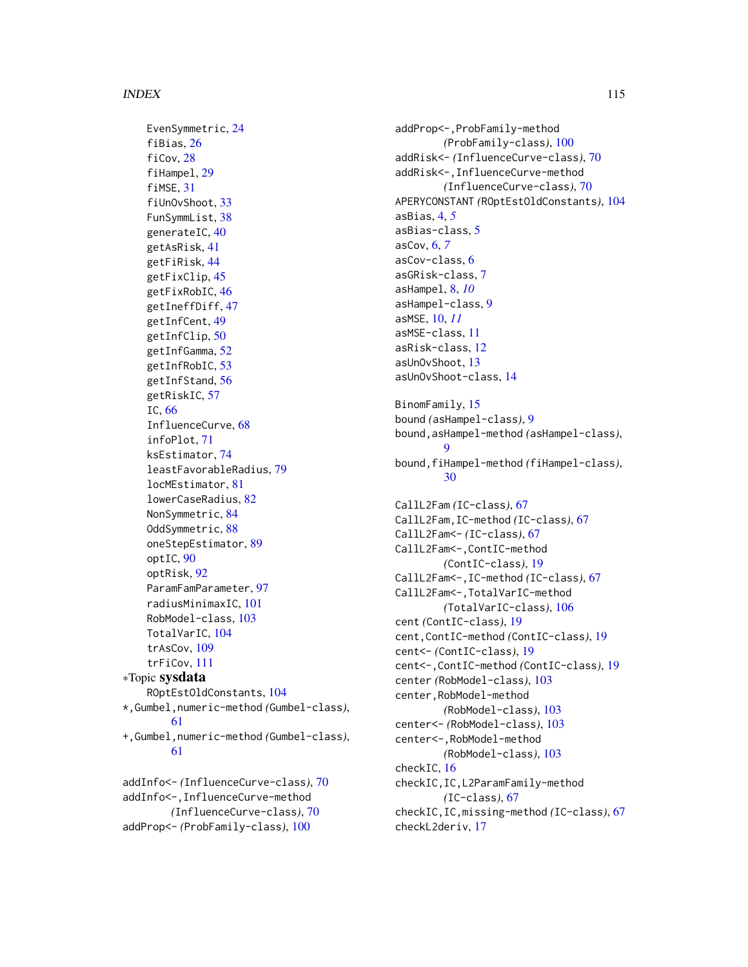EvenSymmetric, [24](#page-23-0) fiBias, [26](#page-25-0) fiCov, [28](#page-27-0) fiHampel, [29](#page-28-0) fiMSE, [31](#page-30-0) fiUnOvShoot, [33](#page-32-1) FunSymmList, [38](#page-37-0) generateIC, [40](#page-39-0) getAsRisk, [41](#page-40-0) getFiRisk, [44](#page-43-0) getFixClip, [45](#page-44-0) getFixRobIC, [46](#page-45-0) getIneffDiff, [47](#page-46-0) getInfCent, [49](#page-48-0) getInfClip, [50](#page-49-0) getInfGamma, [52](#page-51-0) getInfRobIC, [53](#page-52-0) getInfStand, [56](#page-55-0) getRiskIC, [57](#page-56-0) IC, [66](#page-65-0) InfluenceCurve, [68](#page-67-0) infoPlot, [71](#page-70-0) ksEstimator, [74](#page-73-0) leastFavorableRadius, [79](#page-78-0) locMEstimator, [81](#page-80-0) lowerCaseRadius, [82](#page-81-0) NonSymmetric, [84](#page-83-0) OddSymmetric, [88](#page-87-0) oneStepEstimator, [89](#page-88-0) optIC, [90](#page-89-0) optRisk, [92](#page-91-0) ParamFamParameter, [97](#page-96-0) radiusMinimaxIC, [101](#page-100-0) RobModel-class, [103](#page-102-0) TotalVarIC, [104](#page-103-0) trAsCov, [109](#page-108-1) trFiCov, [111](#page-110-1) ∗Topic sysdata ROptEstOldConstants, [104](#page-103-0) \*,Gumbel,numeric-method *(*Gumbel-class*)*, [61](#page-60-0) +,Gumbel,numeric-method *(*Gumbel-class*)*, [61](#page-60-0) addInfo<- *(*InfluenceCurve-class*)*, [70](#page-69-0) addInfo<-,InfluenceCurve-method

*(*InfluenceCurve-class*)*, [70](#page-69-0) addProp<- *(*ProbFamily-class*)*, [100](#page-99-0)

addProp<-,ProbFamily-method *(*ProbFamily-class*)*, [100](#page-99-0) addRisk<- *(*InfluenceCurve-class*)*, [70](#page-69-0) addRisk<-,InfluenceCurve-method *(*InfluenceCurve-class*)*, [70](#page-69-0) APERYCONSTANT *(*ROptEstOldConstants*)*, [104](#page-103-0) asBias, [4,](#page-3-0) *[5](#page-4-0)* asBias-class, [5](#page-4-0) asCov, [6,](#page-5-0) *[7](#page-6-0)* asCov-class, [6](#page-5-0) asGRisk-class, [7](#page-6-0) asHampel, [8,](#page-7-0) *[10](#page-9-0)* asHampel-class, [9](#page-8-0) asMSE, [10,](#page-9-0) *[11](#page-10-0)* asMSE-class, [11](#page-10-0) asRisk-class, [12](#page-11-1) asUnOvShoot, [13](#page-12-0) asUnOvShoot-class, [14](#page-13-0) BinomFamily, [15](#page-14-0) bound *(*asHampel-class*)*, [9](#page-8-0) bound,asHampel-method *(*asHampel-class*)*,  $\mathbf Q$ bound,fiHampel-method *(*fiHampel-class*)*, [30](#page-29-0) CallL2Fam *(*IC-class*)*, [67](#page-66-0) CallL2Fam,IC-method *(*IC-class*)*, [67](#page-66-0) CallL2Fam<- *(*IC-class*)*, [67](#page-66-0) CallL2Fam<-,ContIC-method *(*ContIC-class*)*, [19](#page-18-0) CallL2Fam<-,IC-method *(*IC-class*)*, [67](#page-66-0) CallL2Fam<-,TotalVarIC-method *(*TotalVarIC-class*)*, [106](#page-105-0) cent *(*ContIC-class*)*, [19](#page-18-0) cent,ContIC-method *(*ContIC-class*)*, [19](#page-18-0) cent<- *(*ContIC-class*)*, [19](#page-18-0) cent<-,ContIC-method *(*ContIC-class*)*, [19](#page-18-0) center *(*RobModel-class*)*, [103](#page-102-0) center,RobModel-method *(*RobModel-class*)*, [103](#page-102-0) center<- *(*RobModel-class*)*, [103](#page-102-0) center<-,RobModel-method *(*RobModel-class*)*, [103](#page-102-0) checkIC, [16](#page-15-0) checkIC,IC,L2ParamFamily-method *(*IC-class*)*, [67](#page-66-0) checkIC,IC,missing-method *(*IC-class*)*, [67](#page-66-0) checkL2deriv, [17](#page-16-0)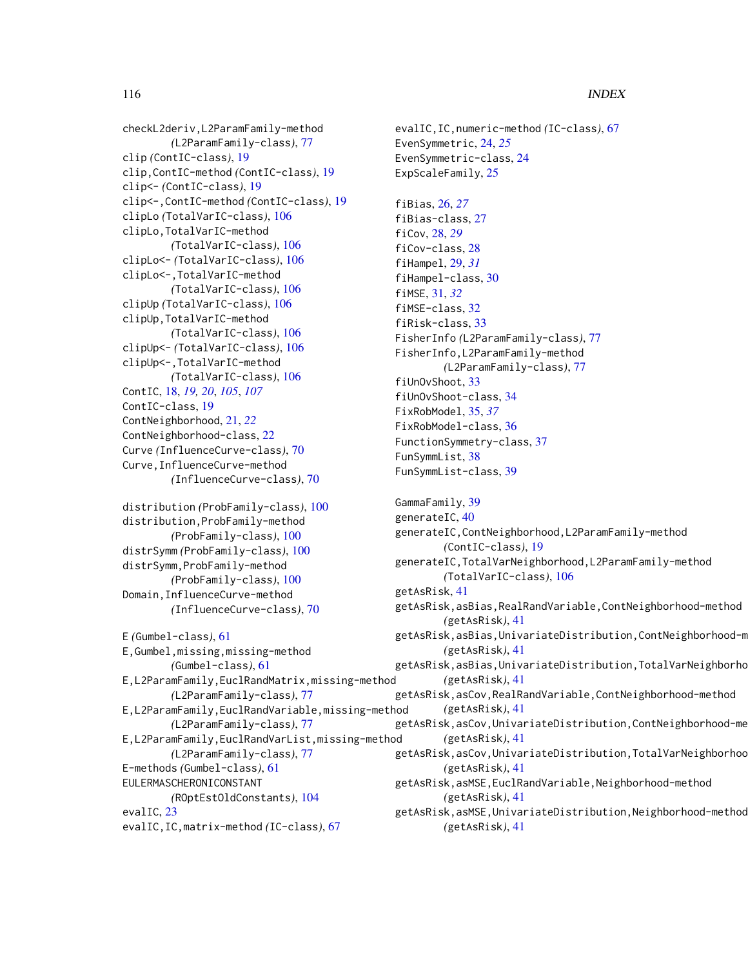checkL2deriv,L2ParamFamily-method *(*L2ParamFamily-class*)*, [77](#page-76-0) clip *(*ContIC-class*)*, [19](#page-18-0) clip,ContIC-method *(*ContIC-class*)*, [19](#page-18-0) clip<- *(*ContIC-class*)*, [19](#page-18-0) clip<-,ContIC-method *(*ContIC-class*)*, [19](#page-18-0) clipLo *(*TotalVarIC-class*)*, [106](#page-105-0) clipLo,TotalVarIC-method *(*TotalVarIC-class*)*, [106](#page-105-0) clipLo<- *(*TotalVarIC-class*)*, [106](#page-105-0) clipLo<-,TotalVarIC-method *(*TotalVarIC-class*)*, [106](#page-105-0) clipUp *(*TotalVarIC-class*)*, [106](#page-105-0) clipUp,TotalVarIC-method *(*TotalVarIC-class*)*, [106](#page-105-0) clipUp<- *(*TotalVarIC-class*)*, [106](#page-105-0) clipUp<-,TotalVarIC-method *(*TotalVarIC-class*)*, [106](#page-105-0) ContIC, [18,](#page-17-0) *[19,](#page-18-0) [20](#page-19-0)*, *[105](#page-104-0)*, *[107](#page-106-1)* ContIC-class, [19](#page-18-0) ContNeighborhood, [21,](#page-20-0) *[22](#page-21-0)* ContNeighborhood-class, [22](#page-21-0) Curve *(*InfluenceCurve-class*)*, [70](#page-69-0) Curve,InfluenceCurve-method *(*InfluenceCurve-class*)*, [70](#page-69-0) distribution *(*ProbFamily-class*)*, [100](#page-99-0) distribution,ProbFamily-method *(*ProbFamily-class*)*, [100](#page-99-0) distrSymm *(*ProbFamily-class*)*, [100](#page-99-0) distrSymm,ProbFamily-method *(*ProbFamily-class*)*, [100](#page-99-0) Domain,InfluenceCurve-method

```
E (Gumbel-class), 61
E,Gumbel,missing,missing-method
        (Gumbel-class), 61
E,L2ParamFamily,EuclRandMatrix,missing-method
        (L2ParamFamily-class), 77
E,L2ParamFamily,EuclRandVariable,missing-method
        (L2ParamFamily-class), 77
E,L2ParamFamily,EuclRandVarList,missing-method
        (L2ParamFamily-class), 77
E-methods (Gumbel-class), 61
EULERMASCHERONICONSTANT
        (ROptEstOldConstants), 104
evalIC, 23
evalIC,IC,matrix-method (IC-class), 67
```
*(*InfluenceCurve-class*)*, [70](#page-69-0)

evalIC,IC,numeric-method *(*IC-class*)*, [67](#page-66-0) EvenSymmetric, [24,](#page-23-0) *[25](#page-24-0)* EvenSymmetric-class, [24](#page-23-0) ExpScaleFamily, [25](#page-24-0) fiBias, [26,](#page-25-0) *[27](#page-26-0)* fiBias-class, [27](#page-26-0) fiCov, [28,](#page-27-0) *[29](#page-28-0)* fiCov-class, [28](#page-27-0) fiHampel, [29,](#page-28-0) *[31](#page-30-0)* fiHampel-class, [30](#page-29-0) fiMSE, [31,](#page-30-0) *[32](#page-31-0)* fiMSE-class, [32](#page-31-0) fiRisk-class, [33](#page-32-1) FisherInfo *(*L2ParamFamily-class*)*, [77](#page-76-0) FisherInfo,L2ParamFamily-method *(*L2ParamFamily-class*)*, [77](#page-76-0) fiUnOvShoot, [33](#page-32-1) fiUnOvShoot-class, [34](#page-33-0) FixRobModel, [35,](#page-34-0) *[37](#page-36-0)* FixRobModel-class, [36](#page-35-0) FunctionSymmetry-class, [37](#page-36-0) FunSymmList, [38](#page-37-0) FunSymmList-class, [39](#page-38-0) GammaFamily, [39](#page-38-0) generateIC, [40](#page-39-0) generateIC,ContNeighborhood,L2ParamFamily-method *(*ContIC-class*)*, [19](#page-18-0) generateIC,TotalVarNeighborhood,L2ParamFamily-method *(*TotalVarIC-class*)*, [106](#page-105-0) getAsRisk, [41](#page-40-0) getAsRisk,asBias,RealRandVariable,ContNeighborhood-method *(*getAsRisk*)*, [41](#page-40-0) getAsRisk,asBias,UnivariateDistribution,ContNeighborhood-m *(*getAsRisk*)*, [41](#page-40-0) getAsRisk,asBias,UnivariateDistribution,TotalVarNeighborho *(*getAsRisk*)*, [41](#page-40-0) getAsRisk,asCov,RealRandVariable,ContNeighborhood-method *(*getAsRisk*)*, [41](#page-40-0) getAsRisk,asCov,UnivariateDistribution,ContNeighborhood-method *(*getAsRisk*)*, [41](#page-40-0) getAsRisk,asCov,UnivariateDistribution,TotalVarNeighborhoo *(*getAsRisk*)*, [41](#page-40-0) getAsRisk,asMSE,EuclRandVariable,Neighborhood-method *(*getAsRisk*)*, [41](#page-40-0) getAsRisk,asMSE,UnivariateDistribution,Neighborhood-method *(*getAsRisk*)*, [41](#page-40-0)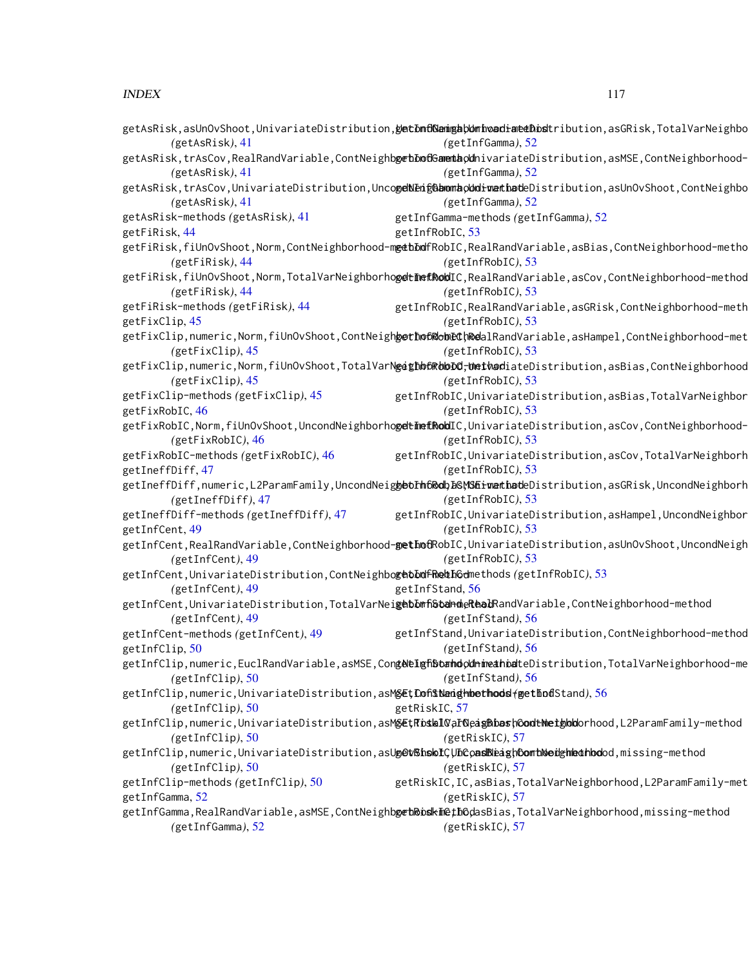#### INDEX 117

|                                                                                                     | getAsRisk,asUnOvShoot,UnivariateDistribution, <b>getDnf@angab0mhoadiateDbsl</b> tribution,asGRisk,TotalVarNeighbo                             |
|-----------------------------------------------------------------------------------------------------|-----------------------------------------------------------------------------------------------------------------------------------------------|
| (getAsRisk), 41                                                                                     | (getInfGamma), 52                                                                                                                             |
| (getAsRisk), 41                                                                                     | getAsRisk,trAsCov,RealRandVariable,ContNeighb <mark>getDofGamentapd</mark> nivariateDistribution,asMSE,ContNeighborhood-<br>(getInfGamma), 52 |
|                                                                                                     | getAsRisk,trAsCov,UnivariateDistribution,Unco <b>geNEngGbonnaoUniverthat</b> eDistribution,asUnOvShoot,ContNeighbo                            |
| (getAsRisk), 41                                                                                     | (getInfGamma), 52                                                                                                                             |
| getAsRisk-methods (getAsRisk), 41                                                                   | getInfGamma-methods (getInfGamma), 52                                                                                                         |
| getFiRisk, 44                                                                                       | getInfRobIC, 53                                                                                                                               |
|                                                                                                     | getFiRisk,fiUnOvShoot,Norm,ContNeighborhood-m <b>g¢bDd</b> fRobIC,RealRandVariable,asBias,ContNeighborhood-metho                              |
| (getFiRisk), 44                                                                                     | (getInfRobIC), 53                                                                                                                             |
|                                                                                                     | getFiRisk,fiUnOvShoot,Norm,TotalVarNeighborho <b>gdtimefkob</b> IC,RealRandVariable,asCov,ContNeighborhood-method                             |
| (getFikisk), 44                                                                                     | (getInfRobIC), 53                                                                                                                             |
| getFiRisk-methods (getFiRisk), 44                                                                   | getInfRobIC, RealRandVariable, asGRisk, ContNeighborhood-meth                                                                                 |
| getFixClip, 45                                                                                      | (getInfRobIC), 53                                                                                                                             |
|                                                                                                     | getFixClip,numeric,Norm,fiUnOvShoot,ContNeigh <b>getho6@obECh&amp;e</b> alRandVariable,asHampel,ContNeighborhood-met                          |
| $(getFixClip)$ , 45                                                                                 | (getInfRobIC), 53                                                                                                                             |
|                                                                                                     | getFixClip,numeric,Norm,fiUnOvShoot,TotalVarN <b>gethb6RbbDd<del>,</del>bmthad</b> iateDistribution,asBias,ContNeighborhood                   |
| (getFixClip), 45                                                                                    | (getInfRobIC), 53                                                                                                                             |
| getFixClip-methods (getFixClip), 45                                                                 | getInfRobIC, UnivariateDistribution, asBias, TotalVarNeighbor                                                                                 |
| getFixRobIC, 46                                                                                     | (getInfRobIC), 53                                                                                                                             |
|                                                                                                     | _getFixRobIC,Norm,fiUnOvShoot,UncondNeighborho <b>getimefRob</b> IC,UnivariateDistribution,asCov,ContNeighborhood                             |
| (getFixRobIC), 46                                                                                   | (getInfRobIC), 53                                                                                                                             |
| getFixRobIC-methods (getFixRobIC), 46                                                               | getInfRobIC, UnivariateDistribution, asCov, TotalVarNeighborh                                                                                 |
| getIneffDiff, 47                                                                                    | (getInfRobIC), 53                                                                                                                             |
|                                                                                                     | getIneffDiff,numeric,L2ParamFamily,UncondNeig <b>gbolh6Roll&amp;GWSEiwathot</b> eDistribution,asGRisk,UncondNeighborh                         |
| (getIneffDiff), 47                                                                                  | (getInfRobIC), 53                                                                                                                             |
| getIneffDiff-methods (getIneffDiff), 47                                                             | getInfRobIC, UnivariateDistribution, asHampel, UncondNeighbor                                                                                 |
| getInfCent, 49                                                                                      | (getInfRobIC), 53                                                                                                                             |
|                                                                                                     | getInfCent,RealRandVariable,ContNeighborhood <b>-getInof</b> RobIC,UnivariateDistribution,asUnOvShoot,UncondNeigh                             |
| (getInfCent), 49                                                                                    | (getInfRobIC), 53                                                                                                                             |
| getInfCent,UnivariateDistribution,ContNeighbo <b>gebDufFReuD</b> Gdmethods(getInfRobIC),53          |                                                                                                                                               |
| (getInfCent), 49                                                                                    | getInfStand, 56                                                                                                                               |
|                                                                                                     | getInfCent,UnivariateDistribution,TotalVarNei <b>gebDmfiStandeReadR</b> andVariable,ContNeighborhood-method                                   |
| (getInfCent), 49                                                                                    | (getInfStand), 56                                                                                                                             |
| getInfCent-methods (getInfCent), 49                                                                 | getInfStand, UnivariateDistribution, ContNeighborhood-method                                                                                  |
| getInfClip, 50                                                                                      | (getInfStand), 56                                                                                                                             |
|                                                                                                     | getInfClip,numeric,EuclRandVariable,asMSE,Con <b>gNelghStandodnimeanial</b> teDistribution,TotalVarNeighborhood-me                            |
| (getInfClip), 50                                                                                    | (getInfStand), 56                                                                                                                             |
| getInfClip,numeric,UnivariateDistribution,asM <b>§EțCoĥ\$Nanghmethods</b> ( <b>getlod</b> Stand),56 |                                                                                                                                               |
| (getInfClip), 50                                                                                    | getRiskIC, 57                                                                                                                                 |
|                                                                                                     | getInfClip,numeric,UnivariateDistribution,asM <mark>gEtRoskl0</mark> ar <mark>OeagBbashOodtNetgbb</mark> orhood,L2ParamFamily-method          |
| (getInfClip), 50                                                                                    | (getRiskIC), 57                                                                                                                               |
|                                                                                                     | getInfClip,numeric,UnivariateDistribution,asU <mark>g@t\\hskiC\JnCoasNeaghOomtNedghkothbo</mark> dd,missing-method                            |
| (getInfClip), 50                                                                                    | (getRiskIC), 57                                                                                                                               |
| getInfClip-methods (getInfClip), 50                                                                 | getRiskIC, IC, asBias, TotalVarNeighborhood, L2ParamFamily-met                                                                                |
| getInfGamma, 52                                                                                     | (getRiskIC), 57                                                                                                                               |
|                                                                                                     | getInfGamma,RealRandVariable,asMSE,ContNeighb <mark>getkbbski</mark> ethGdasBias,TotalVarNeighborhood,missing-method                          |
| (getInfGamma), 52                                                                                   | (getRiskIC), 57                                                                                                                               |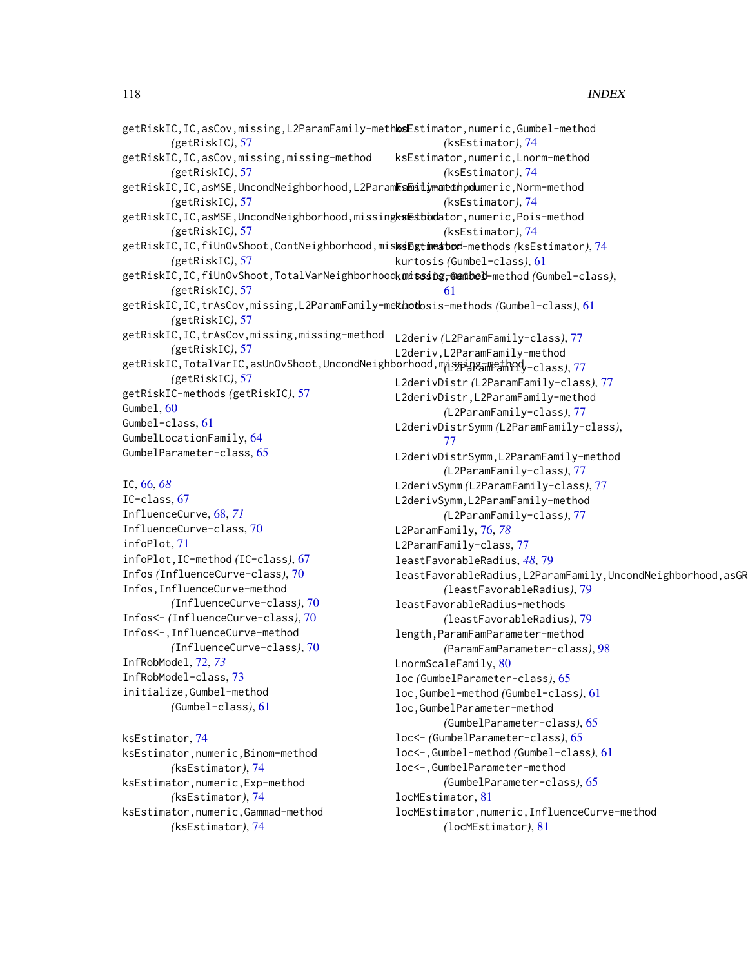| getRiskIC,IC,asCov,missing,L2ParamFamily-methlodEstimator,numeric,Gumbel-method           |                                         |  |
|-------------------------------------------------------------------------------------------|-----------------------------------------|--|
| (getRiskIC), 57                                                                           | $(ksEstimator)$ , 74                    |  |
| getRiskIC, IC, asCov, missing, missing-method                                             | ksEstimator, numeric, Lnorm-method      |  |
| (getRiskIC), 57                                                                           | $(ksEstimator)$ , 74                    |  |
| getRiskIC, IC, asMSE, UncondNeighborhood, L2ParamKshitimantahondumeric, Norm-method       |                                         |  |
| (getRiskIC), 57                                                                           | $(ksEstimator)$ , 74                    |  |
| getRiskIC, IC, asMSE, UncondNeighborhood, missingksesthondator, numeric, Pois-method      |                                         |  |
| (getRiskIC), 57                                                                           | $(ksEstimator)$ , 74                    |  |
| getRiskIC, IC, fiUnOvShoot, ContNeighborhood, misksingtimeatod-methods (ksEstimator), 74  |                                         |  |
| (getRiskIC), 57                                                                           | kurtosis (Gumbel-class), 61             |  |
| getRiskIC, IC, fiUnOvShoot, TotalVarNeighborhoodkumitsing, Genthel-method (Gumbel-class), |                                         |  |
| (getRiskIC), 57                                                                           | 61                                      |  |
| getRiskIC, IC, trAsCov, missing, L2ParamFamily-mekthotosis-methods (Gumbel-class), 61     |                                         |  |
| (getRiskIC), 57                                                                           |                                         |  |
| getRiskIC, IC, trAsCov, missing, missing-method                                           | L2deriv (L2ParamFamily-class), 77       |  |
| (getRiskIC), 57                                                                           | L2deriv, L2ParamFamily-method           |  |
| getRiskIC, TotalVarIC, asUnOvShoot, UncondNeighborhood, maspingingthody-class), 77        |                                         |  |
| (getRiskIC), 57                                                                           | L2derivDistr(L2ParamFamily-class), 77   |  |
| getRiskIC-methods (getRiskIC), 57                                                         | L2derivDistr, L2ParamFamily-method      |  |
| Gumbel, 60                                                                                | (L2ParamFamily-class), 77               |  |
| Gumbel-class, 61                                                                          | L2derivDistrSymm (L2ParamFamily-class), |  |
| GumbelLocationFamily, 64                                                                  | 77                                      |  |
| GumbelParameter-class, 65                                                                 | L2derivDistrSymm, L2ParamFamily-method  |  |
|                                                                                           |                                         |  |

#### IC, [66,](#page-65-0) *[68](#page-67-0)*

IC-class, [67](#page-66-0) InfluenceCurve, [68,](#page-67-0) *[71](#page-70-0)* InfluenceCurve-class, [70](#page-69-0) infoPlot, [71](#page-70-0) infoPlot,IC-method *(*IC-class*)*, [67](#page-66-0) Infos *(*InfluenceCurve-class*)*, [70](#page-69-0) Infos,InfluenceCurve-method *(*InfluenceCurve-class*)*, [70](#page-69-0) Infos<- *(*InfluenceCurve-class*)*, [70](#page-69-0) Infos<-,InfluenceCurve-method *(*InfluenceCurve-class*)*, [70](#page-69-0) InfRobModel, [72,](#page-71-0) *[73](#page-72-0)* InfRobModel-class, [73](#page-72-0) initialize,Gumbel-method *(*Gumbel-class*)*, [61](#page-60-0)

ksEstimator, [74](#page-73-0) ksEstimator,numeric,Binom-method *(*ksEstimator*)*, [74](#page-73-0) ksEstimator,numeric,Exp-method *(*ksEstimator*)*, [74](#page-73-0) ksEstimator,numeric,Gammad-method *(*ksEstimator*)*, [74](#page-73-0)

*(*L2ParamFamily-class*)*, [77](#page-76-0) L2derivSymm *(*L2ParamFamily-class*)*, [77](#page-76-0) L2derivSymm,L2ParamFamily-method *(*L2ParamFamily-class*)*, [77](#page-76-0) L2ParamFamily, [76,](#page-75-0) *[78](#page-77-0)* L2ParamFamily-class, [77](#page-76-0) leastFavorableRadius, *[48](#page-47-0)*, [79](#page-78-0) leastFavorableRadius,L2ParamFamily,UncondNeighborhood,asGR *(*leastFavorableRadius*)*, [79](#page-78-0) leastFavorableRadius-methods *(*leastFavorableRadius*)*, [79](#page-78-0) length,ParamFamParameter-method *(*ParamFamParameter-class*)*, [98](#page-97-0) LnormScaleFamily, [80](#page-79-0) loc *(*GumbelParameter-class*)*, [65](#page-64-0) loc,Gumbel-method *(*Gumbel-class*)*, [61](#page-60-0) loc,GumbelParameter-method *(*GumbelParameter-class*)*, [65](#page-64-0) loc<- *(*GumbelParameter-class*)*, [65](#page-64-0) loc<-,Gumbel-method *(*Gumbel-class*)*, [61](#page-60-0) loc<-,GumbelParameter-method *(*GumbelParameter-class*)*, [65](#page-64-0) locMEstimator, [81](#page-80-0) locMEstimator,numeric,InfluenceCurve-method *(*locMEstimator*)*, [81](#page-80-0)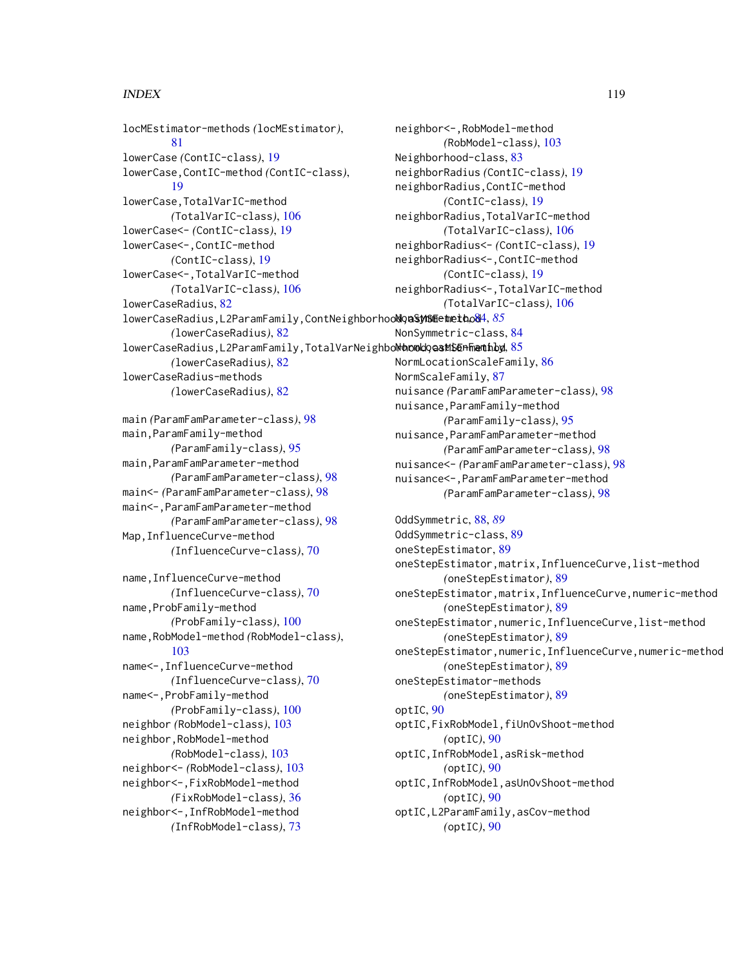#### INDEX 119

locMEstimator-methods *(*locMEstimator*)*, [81](#page-80-0) lowerCase *(*ContIC-class*)*, [19](#page-18-0) lowerCase,ContIC-method *(*ContIC-class*)*, [19](#page-18-0) lowerCase,TotalVarIC-method *(*TotalVarIC-class*)*, [106](#page-105-0) lowerCase<- *(*ContIC-class*)*, [19](#page-18-0) lowerCase<-,ContIC-method *(*ContIC-class*)*, [19](#page-18-0) lowerCase<-,TotalVarIC-method *(*TotalVarIC-class*)*, [106](#page-105-0) lowerCaseRadius, [82](#page-81-0)  $1$ owerCaseRadius,L2ParamFamily,ContNeighborhoo**NoaSynSmethod4**,[85](#page-84-0) *(*lowerCaseRadius*)*, [82](#page-81-0) lowerCaseRadius,L2ParamFamily,TotalVarNeighbolthoodooastSenFinatihod, [85](#page-84-0) *(*lowerCaseRadius*)*, [82](#page-81-0) lowerCaseRadius-methods *(*lowerCaseRadius*)*, [82](#page-81-0)

```
main (ParamFamParameter-class), 98
main,ParamFamily-method
        (ParamFamily-class), 95
main,ParamFamParameter-method
        (ParamFamParameter-class), 98
main<- (ParamFamParameter-class), 98
main<-,ParamFamParameter-method
        (ParamFamParameter-class), 98
Map,InfluenceCurve-method
        (InfluenceCurve-class), 70
```

```
name,InfluenceCurve-method
        (InfluenceCurve-class), 70
name, ProbFamily-method
        (ProbFamily-class), 100
name,RobModel-method (RobModel-class),
        103
name<-,InfluenceCurve-method
        (InfluenceCurve-class), 70
name<-,ProbFamily-method
        (ProbFamily-class), 100
neighbor (RobModel-class), 103
neighbor,RobModel-method
        (RobModel-class), 103
neighbor<- (RobModel-class), 103
neighbor<-,FixRobModel-method
        (FixRobModel-class), 36
neighbor<-,InfRobModel-method
        (InfRobModel-class), 73
```
neighbor<-,RobModel-method *(*RobModel-class*)*, [103](#page-102-0) Neighborhood-class, [83](#page-82-1) neighborRadius *(*ContIC-class*)*, [19](#page-18-0) neighborRadius,ContIC-method *(*ContIC-class*)*, [19](#page-18-0) neighborRadius,TotalVarIC-method *(*TotalVarIC-class*)*, [106](#page-105-0) neighborRadius<- *(*ContIC-class*)*, [19](#page-18-0) neighborRadius<-,ContIC-method *(*ContIC-class*)*, [19](#page-18-0) neighborRadius<-,TotalVarIC-method *(*TotalVarIC-class*)*, [106](#page-105-0) NonSymmetric-class, [84](#page-83-0) NormLocationScaleFamily, [86](#page-85-0) NormScaleFamily, [87](#page-86-0) nuisance *(*ParamFamParameter-class*)*, [98](#page-97-0) nuisance,ParamFamily-method *(*ParamFamily-class*)*, [95](#page-94-0) nuisance,ParamFamParameter-method *(*ParamFamParameter-class*)*, [98](#page-97-0) nuisance<- *(*ParamFamParameter-class*)*, [98](#page-97-0) nuisance<-,ParamFamParameter-method *(*ParamFamParameter-class*)*, [98](#page-97-0)

OddSymmetric, [88,](#page-87-0) *[89](#page-88-0)* OddSymmetric-class, [89](#page-88-0) oneStepEstimator, [89](#page-88-0) oneStepEstimator,matrix,InfluenceCurve,list-method *(*oneStepEstimator*)*, [89](#page-88-0) oneStepEstimator,matrix,InfluenceCurve,numeric-method *(*oneStepEstimator*)*, [89](#page-88-0) oneStepEstimator,numeric,InfluenceCurve,list-method *(*oneStepEstimator*)*, [89](#page-88-0) oneStepEstimator,numeric,InfluenceCurve,numeric-method *(*oneStepEstimator*)*, [89](#page-88-0) oneStepEstimator-methods *(*oneStepEstimator*)*, [89](#page-88-0) optIC, [90](#page-89-0) optIC,FixRobModel,fiUnOvShoot-method *(*optIC*)*, [90](#page-89-0) optIC,InfRobModel,asRisk-method *(*optIC*)*, [90](#page-89-0) optIC,InfRobModel,asUnOvShoot-method *(*optIC*)*, [90](#page-89-0) optIC,L2ParamFamily,asCov-method *(*optIC*)*, [90](#page-89-0)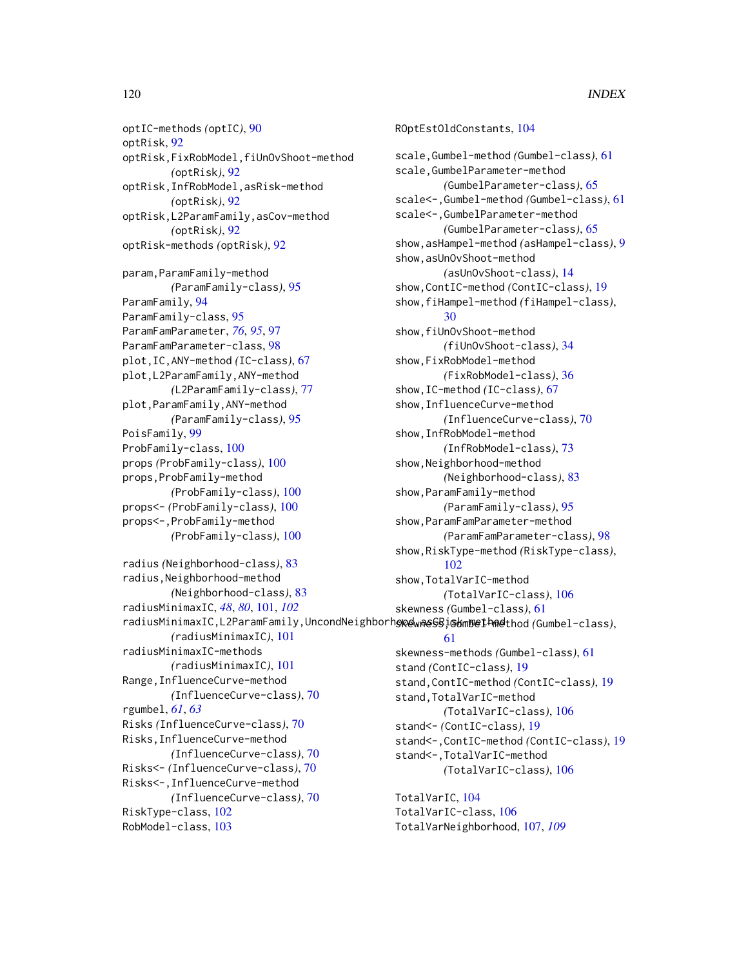optIC-methods *(*optIC*)*, [90](#page-89-0) optRisk, [92](#page-91-0) optRisk,FixRobModel,fiUnOvShoot-method *(*optRisk*)*, [92](#page-91-0) optRisk,InfRobModel,asRisk-method *(*optRisk*)*, [92](#page-91-0) optRisk,L2ParamFamily,asCov-method *(*optRisk*)*, [92](#page-91-0) optRisk-methods *(*optRisk*)*, [92](#page-91-0) param,ParamFamily-method *(*ParamFamily-class*)*, [95](#page-94-0) ParamFamily, [94](#page-93-0) ParamFamily-class, [95](#page-94-0) ParamFamParameter, *[76](#page-75-0)*, *[95](#page-94-0)*, [97](#page-96-0) ParamFamParameter-class, [98](#page-97-0) plot,IC,ANY-method *(*IC-class*)*, [67](#page-66-0) plot,L2ParamFamily,ANY-method *(*L2ParamFamily-class*)*, [77](#page-76-0) plot,ParamFamily,ANY-method *(*ParamFamily-class*)*, [95](#page-94-0) PoisFamily, [99](#page-98-0) ProbFamily-class, [100](#page-99-0) props *(*ProbFamily-class*)*, [100](#page-99-0) props,ProbFamily-method *(*ProbFamily-class*)*, [100](#page-99-0) props<- *(*ProbFamily-class*)*, [100](#page-99-0) props<-,ProbFamily-method *(*ProbFamily-class*)*, [100](#page-99-0) radius *(*Neighborhood-class*)*, [83](#page-82-1) radius,Neighborhood-method *(*Neighborhood-class*)*, [83](#page-82-1) radiusMinimaxIC, *[48](#page-47-0)*, *[80](#page-79-0)*, [101,](#page-100-0) *[102](#page-101-0) (*radiusMinimaxIC*)*, [101](#page-100-0) radiusMinimaxIC-methods *(*radiusMinimaxIC*)*, [101](#page-100-0) Range,InfluenceCurve-method *(*InfluenceCurve-class*)*, [70](#page-69-0) rgumbel, *[61](#page-60-0)*, *[63](#page-62-0)* Risks *(*InfluenceCurve-class*)*, [70](#page-69-0) Risks,InfluenceCurve-method *(*InfluenceCurve-class*)*, [70](#page-69-0) Risks<- *(*InfluenceCurve-class*)*, [70](#page-69-0) Risks<-,InfluenceCurve-method *(*InfluenceCurve-class*)*, [70](#page-69-0) RiskType-class, [102](#page-101-0) RobModel-class, [103](#page-102-0)

radiusMinimaxIC,L2ParamFamily,UncondNeighborh**op@waeGBjG&mBel<sup>h</sup>A@t**hod*(*Gumbel-class), ROptEstOldConstants, [104](#page-103-0) scale,Gumbel-method *(*Gumbel-class*)*, [61](#page-60-0) scale,GumbelParameter-method *(*GumbelParameter-class*)*, [65](#page-64-0) scale<-,Gumbel-method *(*Gumbel-class*)*, [61](#page-60-0) scale<-,GumbelParameter-method *(*GumbelParameter-class*)*, [65](#page-64-0) show,asHampel-method *(*asHampel-class*)*, [9](#page-8-0) show,asUnOvShoot-method *(*asUnOvShoot-class*)*, [14](#page-13-0) show,ContIC-method *(*ContIC-class*)*, [19](#page-18-0) show,fiHampel-method *(*fiHampel-class*)*, [30](#page-29-0) show,fiUnOvShoot-method *(*fiUnOvShoot-class*)*, [34](#page-33-0) show,FixRobModel-method *(*FixRobModel-class*)*, [36](#page-35-0) show,IC-method *(*IC-class*)*, [67](#page-66-0) show,InfluenceCurve-method *(*InfluenceCurve-class*)*, [70](#page-69-0) show,InfRobModel-method *(*InfRobModel-class*)*, [73](#page-72-0) show,Neighborhood-method *(*Neighborhood-class*)*, [83](#page-82-1) show,ParamFamily-method *(*ParamFamily-class*)*, [95](#page-94-0) show,ParamFamParameter-method *(*ParamFamParameter-class*)*, [98](#page-97-0) show,RiskType-method *(*RiskType-class*)*, [102](#page-101-0) show,TotalVarIC-method *(*TotalVarIC-class*)*, [106](#page-105-0) skewness *(*Gumbel-class*)*, [61](#page-60-0) [61](#page-60-0) skewness-methods *(*Gumbel-class*)*, [61](#page-60-0) stand *(*ContIC-class*)*, [19](#page-18-0) stand,ContIC-method *(*ContIC-class*)*, [19](#page-18-0) stand,TotalVarIC-method *(*TotalVarIC-class*)*, [106](#page-105-0) stand<- *(*ContIC-class*)*, [19](#page-18-0) stand<-,ContIC-method *(*ContIC-class*)*, [19](#page-18-0) stand<-,TotalVarIC-method *(*TotalVarIC-class*)*, [106](#page-105-0) TotalVarIC, [104](#page-103-0)

TotalVarIC-class, [106](#page-105-0) TotalVarNeighborhood, [107,](#page-106-1) *[109](#page-108-1)*